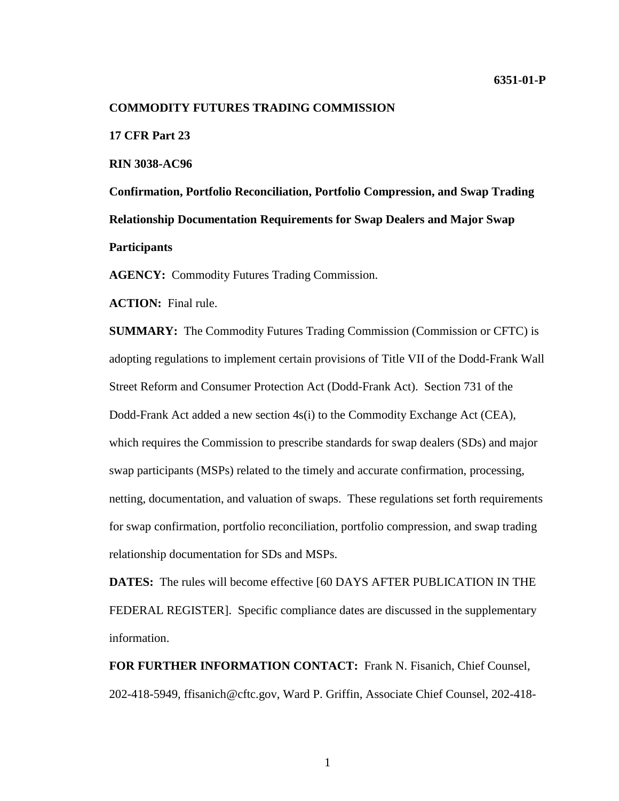#### **COMMODITY FUTURES TRADING COMMISSION**

**17 CFR Part 23**

**RIN 3038-AC96**

**Confirmation, Portfolio Reconciliation, Portfolio Compression, and Swap Trading Relationship Documentation Requirements for Swap Dealers and Major Swap Participants**

**AGENCY:** Commodity Futures Trading Commission.

**ACTION:** Final rule.

**SUMMARY:** The Commodity Futures Trading Commission (Commission or CFTC) is adopting regulations to implement certain provisions of Title VII of the Dodd-Frank Wall Street Reform and Consumer Protection Act (Dodd-Frank Act). Section 731 of the Dodd-Frank Act added a new section 4s(i) to the Commodity Exchange Act (CEA), which requires the Commission to prescribe standards for swap dealers (SDs) and major swap participants (MSPs) related to the timely and accurate confirmation, processing, netting, documentation, and valuation of swaps. These regulations set forth requirements for swap confirmation, portfolio reconciliation, portfolio compression, and swap trading relationship documentation for SDs and MSPs.

**DATES:** The rules will become effective [60 DAYS AFTER PUBLICATION IN THE FEDERAL REGISTER]. Specific compliance dates are discussed in the supplementary information.

**FOR FURTHER INFORMATION CONTACT:** Frank N. Fisanich, Chief Counsel, 202-418-5949, ffisanich@cftc.gov, Ward P. Griffin, Associate Chief Counsel, 202-418-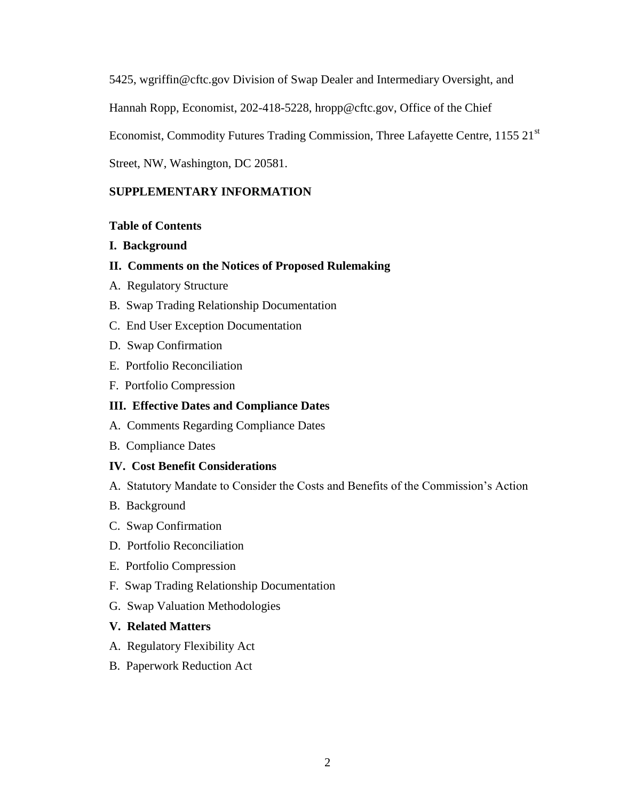5425, wgriffin@cftc.gov Division of Swap Dealer and Intermediary Oversight, and

Hannah Ropp, Economist, 202-418-5228, hropp@cftc.gov, Office of the Chief

Economist, Commodity Futures Trading Commission, Three Lafayette Centre, 1155 21<sup>st</sup>

Street, NW, Washington, DC 20581.

### **SUPPLEMENTARY INFORMATION**

### **Table of Contents**

- **I. Background**
- **II. Comments on the Notices of Proposed Rulemaking**
- A. Regulatory Structure
- B. Swap Trading Relationship Documentation
- C. End User Exception Documentation
- D. Swap Confirmation
- E. Portfolio Reconciliation
- F. Portfolio Compression

### **III. Effective Dates and Compliance Dates**

- A. Comments Regarding Compliance Dates
- B. Compliance Dates

### **IV. Cost Benefit Considerations**

- A. Statutory Mandate to Consider the Costs and Benefits of the Commission's Action
- B. Background
- C. Swap Confirmation
- D. Portfolio Reconciliation
- E. Portfolio Compression
- F. Swap Trading Relationship Documentation
- G. Swap Valuation Methodologies
- **V. Related Matters**
- A. Regulatory Flexibility Act
- B. Paperwork Reduction Act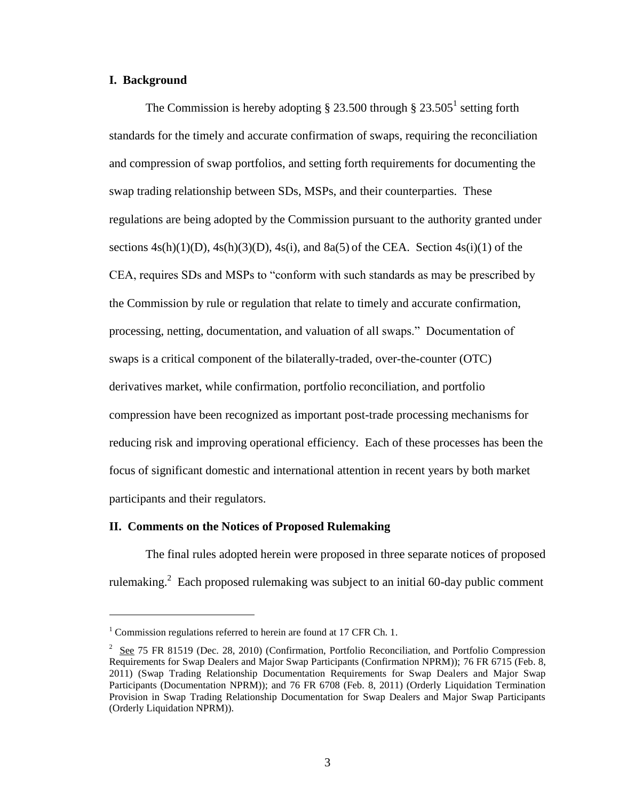### **I. Background**

 $\overline{a}$ 

The Commission is hereby adopting  $\S 23.500$  through  $\S 23.505<sup>1</sup>$  setting forth standards for the timely and accurate confirmation of swaps, requiring the reconciliation and compression of swap portfolios, and setting forth requirements for documenting the swap trading relationship between SDs, MSPs, and their counterparties. These regulations are being adopted by the Commission pursuant to the authority granted under sections  $4s(h)(1)(D)$ ,  $4s(h)(3)(D)$ ,  $4s(i)$ , and  $8a(5)$  of the CEA. Section  $4s(i)(1)$  of the CEA, requires SDs and MSPs to "conform with such standards as may be prescribed by the Commission by rule or regulation that relate to timely and accurate confirmation, processing, netting, documentation, and valuation of all swaps." Documentation of swaps is a critical component of the bilaterally-traded, over-the-counter (OTC) derivatives market, while confirmation, portfolio reconciliation, and portfolio compression have been recognized as important post-trade processing mechanisms for reducing risk and improving operational efficiency. Each of these processes has been the focus of significant domestic and international attention in recent years by both market participants and their regulators.

### **II. Comments on the Notices of Proposed Rulemaking**

The final rules adopted herein were proposed in three separate notices of proposed rulemaking.<sup>2</sup> Each proposed rulemaking was subject to an initial 60-day public comment

 $1$  Commission regulations referred to herein are found at 17 CFR Ch. 1.

 $2 \text{ See } 75 \text{ FR } 81519 \text{ (Dec. 28, 2010) (Confirmation, Portfolio Recognition, and Portfolio Compression).}$ Requirements for Swap Dealers and Major Swap Participants (Confirmation NPRM)); 76 FR 6715 (Feb. 8, 2011) (Swap Trading Relationship Documentation Requirements for Swap Dealers and Major Swap Participants (Documentation NPRM)); and 76 FR 6708 (Feb. 8, 2011) (Orderly Liquidation Termination Provision in Swap Trading Relationship Documentation for Swap Dealers and Major Swap Participants (Orderly Liquidation NPRM)).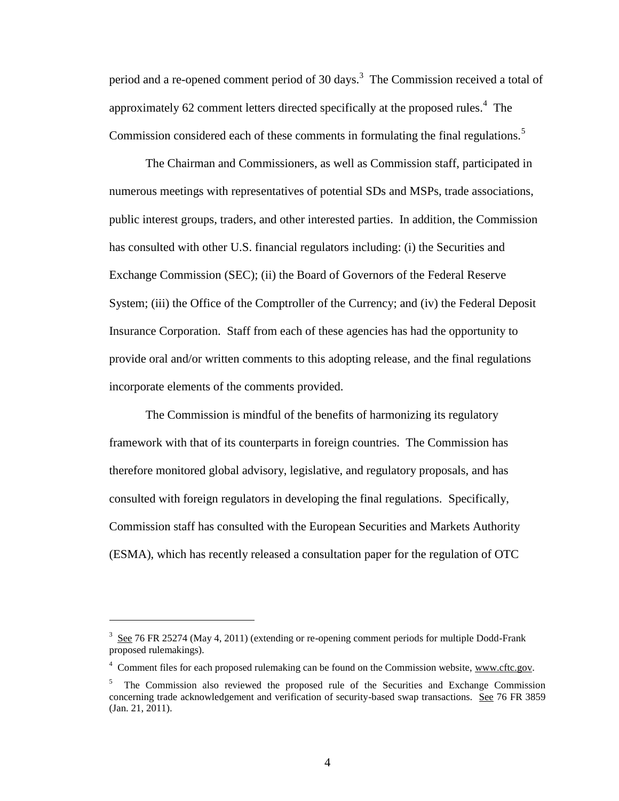period and a re-opened comment period of 30 days.<sup>3</sup> The Commission received a total of approximately 62 comment letters directed specifically at the proposed rules. $4$  The Commission considered each of these comments in formulating the final regulations.<sup>5</sup>

The Chairman and Commissioners, as well as Commission staff, participated in numerous meetings with representatives of potential SDs and MSPs, trade associations, public interest groups, traders, and other interested parties. In addition, the Commission has consulted with other U.S. financial regulators including: (i) the Securities and Exchange Commission (SEC); (ii) the Board of Governors of the Federal Reserve System; (iii) the Office of the Comptroller of the Currency; and (iv) the Federal Deposit Insurance Corporation. Staff from each of these agencies has had the opportunity to provide oral and/or written comments to this adopting release, and the final regulations incorporate elements of the comments provided.

The Commission is mindful of the benefits of harmonizing its regulatory framework with that of its counterparts in foreign countries. The Commission has therefore monitored global advisory, legislative, and regulatory proposals, and has consulted with foreign regulators in developing the final regulations. Specifically, Commission staff has consulted with the European Securities and Markets Authority (ESMA), which has recently released a consultation paper for the regulation of OTC

 $\overline{a}$ 

 $3 \text{ See } 76$  FR 25274 (May 4, 2011) (extending or re-opening comment periods for multiple Dodd-Frank proposed rulemakings).

<sup>&</sup>lt;sup>4</sup> Comment files for each proposed rulemaking can be found on the Commission website, www.cftc.gov.

<sup>&</sup>lt;sup>5</sup> The Commission also reviewed the proposed rule of the Securities and Exchange Commission concerning trade acknowledgement and verification of security-based swap transactions. See 76 FR 3859 (Jan. 21, 2011).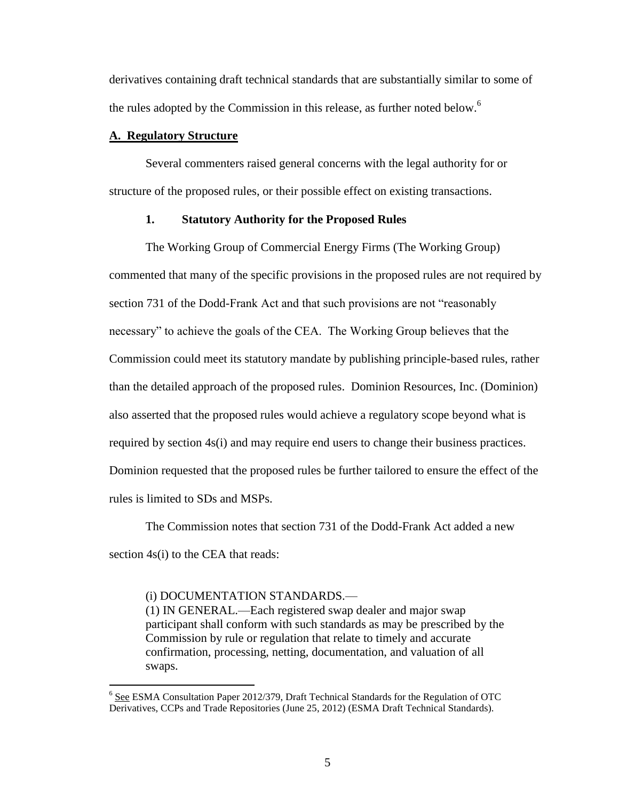derivatives containing draft technical standards that are substantially similar to some of the rules adopted by the Commission in this release, as further noted below.<sup>6</sup>

### **A. Regulatory Structure**

Several commenters raised general concerns with the legal authority for or structure of the proposed rules, or their possible effect on existing transactions.

### **1. Statutory Authority for the Proposed Rules**

The Working Group of Commercial Energy Firms (The Working Group) commented that many of the specific provisions in the proposed rules are not required by section 731 of the Dodd-Frank Act and that such provisions are not "reasonably necessary" to achieve the goals of the CEA. The Working Group believes that the Commission could meet its statutory mandate by publishing principle-based rules, rather than the detailed approach of the proposed rules. Dominion Resources, Inc. (Dominion) also asserted that the proposed rules would achieve a regulatory scope beyond what is required by section 4s(i) and may require end users to change their business practices. Dominion requested that the proposed rules be further tailored to ensure the effect of the rules is limited to SDs and MSPs.

The Commission notes that section 731 of the Dodd-Frank Act added a new section 4s(i) to the CEA that reads:

### (i) DOCUMENTATION STANDARDS.—

 $\overline{a}$ 

(1) IN GENERAL.—Each registered swap dealer and major swap participant shall conform with such standards as may be prescribed by the Commission by rule or regulation that relate to timely and accurate confirmation, processing, netting, documentation, and valuation of all swaps.

<sup>&</sup>lt;sup>6</sup> See ESMA Consultation Paper 2012/379, Draft Technical Standards for the Regulation of OTC Derivatives, CCPs and Trade Repositories (June 25, 2012) (ESMA Draft Technical Standards).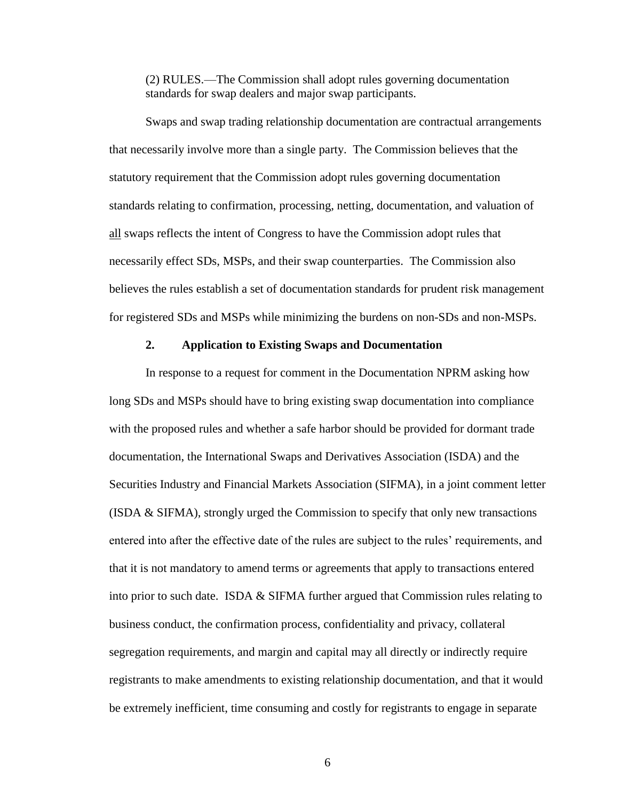(2) RULES.—The Commission shall adopt rules governing documentation standards for swap dealers and major swap participants.

Swaps and swap trading relationship documentation are contractual arrangements that necessarily involve more than a single party. The Commission believes that the statutory requirement that the Commission adopt rules governing documentation standards relating to confirmation, processing, netting, documentation, and valuation of all swaps reflects the intent of Congress to have the Commission adopt rules that necessarily effect SDs, MSPs, and their swap counterparties. The Commission also believes the rules establish a set of documentation standards for prudent risk management for registered SDs and MSPs while minimizing the burdens on non-SDs and non-MSPs.

### **2. Application to Existing Swaps and Documentation**

In response to a request for comment in the Documentation NPRM asking how long SDs and MSPs should have to bring existing swap documentation into compliance with the proposed rules and whether a safe harbor should be provided for dormant trade documentation, the International Swaps and Derivatives Association (ISDA) and the Securities Industry and Financial Markets Association (SIFMA), in a joint comment letter (ISDA  $&$  SIFMA), strongly urged the Commission to specify that only new transactions entered into after the effective date of the rules are subject to the rules' requirements, and that it is not mandatory to amend terms or agreements that apply to transactions entered into prior to such date. ISDA & SIFMA further argued that Commission rules relating to business conduct, the confirmation process, confidentiality and privacy, collateral segregation requirements, and margin and capital may all directly or indirectly require registrants to make amendments to existing relationship documentation, and that it would be extremely inefficient, time consuming and costly for registrants to engage in separate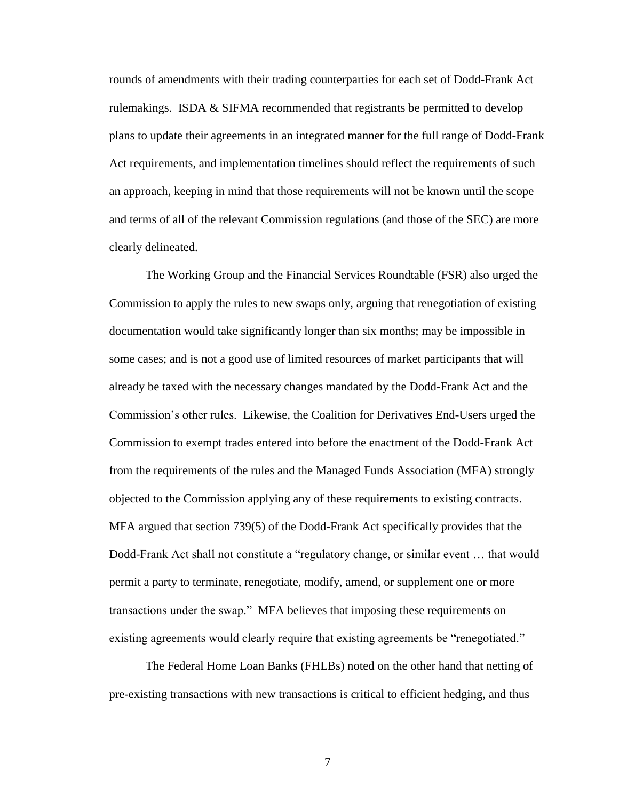rounds of amendments with their trading counterparties for each set of Dodd-Frank Act rulemakings. ISDA & SIFMA recommended that registrants be permitted to develop plans to update their agreements in an integrated manner for the full range of Dodd-Frank Act requirements, and implementation timelines should reflect the requirements of such an approach, keeping in mind that those requirements will not be known until the scope and terms of all of the relevant Commission regulations (and those of the SEC) are more clearly delineated.

The Working Group and the Financial Services Roundtable (FSR) also urged the Commission to apply the rules to new swaps only, arguing that renegotiation of existing documentation would take significantly longer than six months; may be impossible in some cases; and is not a good use of limited resources of market participants that will already be taxed with the necessary changes mandated by the Dodd-Frank Act and the Commission's other rules. Likewise, the Coalition for Derivatives End-Users urged the Commission to exempt trades entered into before the enactment of the Dodd-Frank Act from the requirements of the rules and the Managed Funds Association (MFA) strongly objected to the Commission applying any of these requirements to existing contracts. MFA argued that section 739(5) of the Dodd-Frank Act specifically provides that the Dodd-Frank Act shall not constitute a "regulatory change, or similar event … that would permit a party to terminate, renegotiate, modify, amend, or supplement one or more transactions under the swap." MFA believes that imposing these requirements on existing agreements would clearly require that existing agreements be "renegotiated."

The Federal Home Loan Banks (FHLBs) noted on the other hand that netting of pre-existing transactions with new transactions is critical to efficient hedging, and thus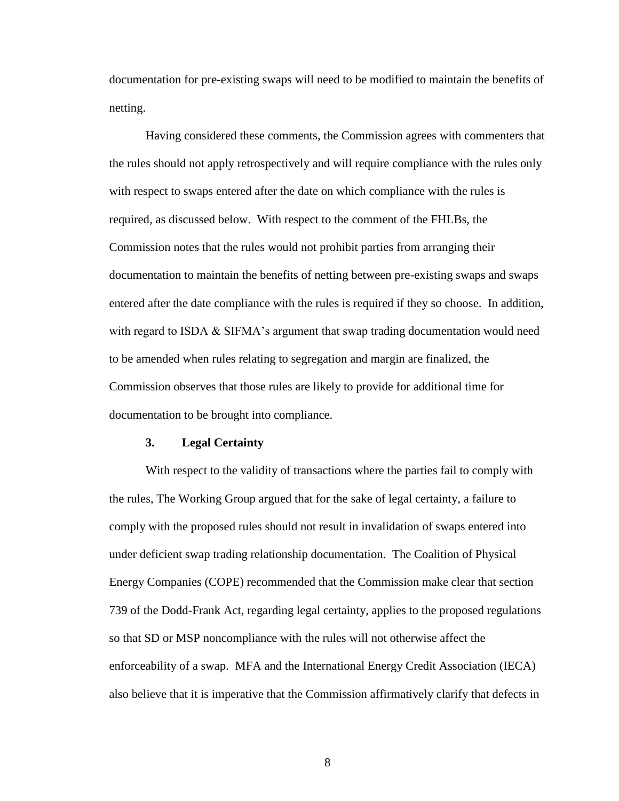documentation for pre-existing swaps will need to be modified to maintain the benefits of netting.

Having considered these comments, the Commission agrees with commenters that the rules should not apply retrospectively and will require compliance with the rules only with respect to swaps entered after the date on which compliance with the rules is required, as discussed below. With respect to the comment of the FHLBs, the Commission notes that the rules would not prohibit parties from arranging their documentation to maintain the benefits of netting between pre-existing swaps and swaps entered after the date compliance with the rules is required if they so choose. In addition, with regard to ISDA  $&$  SIFMA's argument that swap trading documentation would need to be amended when rules relating to segregation and margin are finalized, the Commission observes that those rules are likely to provide for additional time for documentation to be brought into compliance.

### **3. Legal Certainty**

With respect to the validity of transactions where the parties fail to comply with the rules, The Working Group argued that for the sake of legal certainty, a failure to comply with the proposed rules should not result in invalidation of swaps entered into under deficient swap trading relationship documentation. The Coalition of Physical Energy Companies (COPE) recommended that the Commission make clear that section 739 of the Dodd-Frank Act, regarding legal certainty, applies to the proposed regulations so that SD or MSP noncompliance with the rules will not otherwise affect the enforceability of a swap. MFA and the International Energy Credit Association (IECA) also believe that it is imperative that the Commission affirmatively clarify that defects in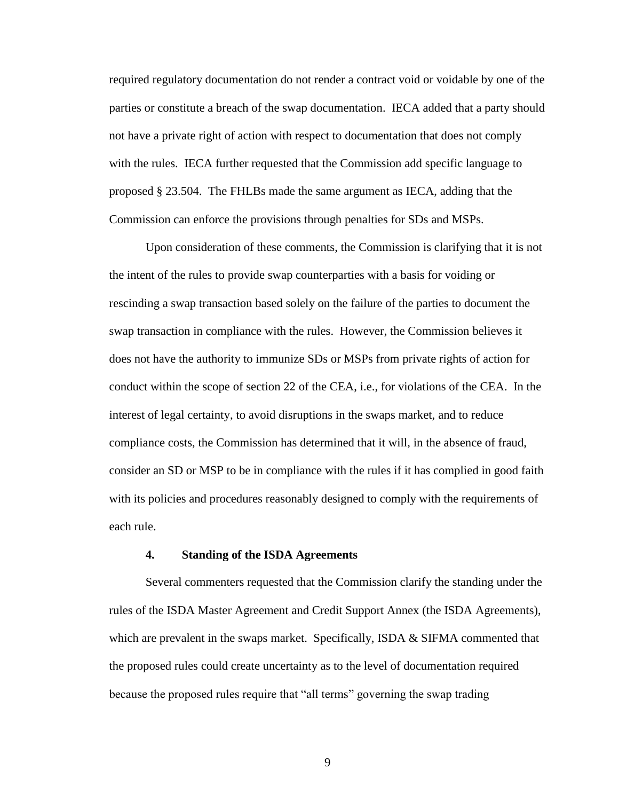required regulatory documentation do not render a contract void or voidable by one of the parties or constitute a breach of the swap documentation. IECA added that a party should not have a private right of action with respect to documentation that does not comply with the rules. IECA further requested that the Commission add specific language to proposed § 23.504. The FHLBs made the same argument as IECA, adding that the Commission can enforce the provisions through penalties for SDs and MSPs.

Upon consideration of these comments, the Commission is clarifying that it is not the intent of the rules to provide swap counterparties with a basis for voiding or rescinding a swap transaction based solely on the failure of the parties to document the swap transaction in compliance with the rules. However, the Commission believes it does not have the authority to immunize SDs or MSPs from private rights of action for conduct within the scope of section 22 of the CEA, i.e., for violations of the CEA. In the interest of legal certainty, to avoid disruptions in the swaps market, and to reduce compliance costs, the Commission has determined that it will, in the absence of fraud, consider an SD or MSP to be in compliance with the rules if it has complied in good faith with its policies and procedures reasonably designed to comply with the requirements of each rule.

### **4. Standing of the ISDA Agreements**

Several commenters requested that the Commission clarify the standing under the rules of the ISDA Master Agreement and Credit Support Annex (the ISDA Agreements), which are prevalent in the swaps market. Specifically, ISDA  $\&$  SIFMA commented that the proposed rules could create uncertainty as to the level of documentation required because the proposed rules require that "all terms" governing the swap trading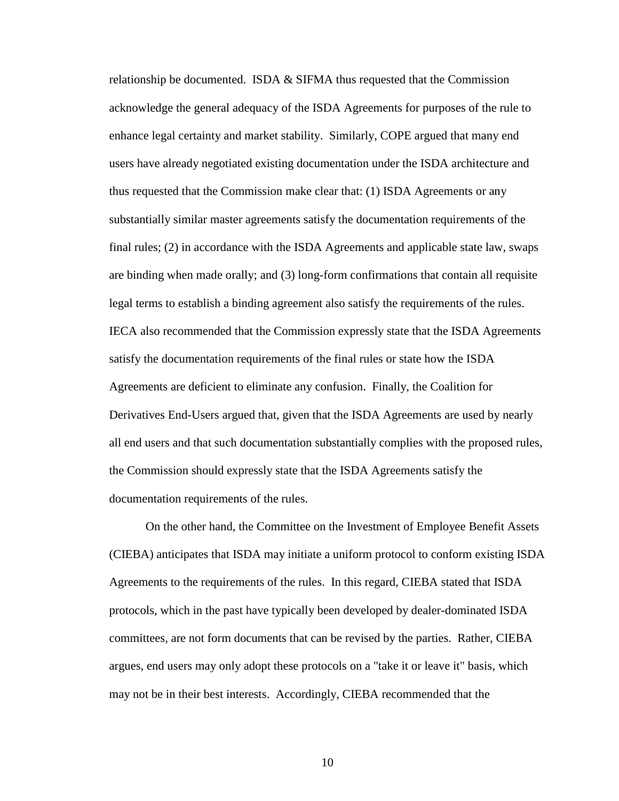relationship be documented. ISDA & SIFMA thus requested that the Commission acknowledge the general adequacy of the ISDA Agreements for purposes of the rule to enhance legal certainty and market stability. Similarly, COPE argued that many end users have already negotiated existing documentation under the ISDA architecture and thus requested that the Commission make clear that: (1) ISDA Agreements or any substantially similar master agreements satisfy the documentation requirements of the final rules; (2) in accordance with the ISDA Agreements and applicable state law, swaps are binding when made orally; and (3) long-form confirmations that contain all requisite legal terms to establish a binding agreement also satisfy the requirements of the rules. IECA also recommended that the Commission expressly state that the ISDA Agreements satisfy the documentation requirements of the final rules or state how the ISDA Agreements are deficient to eliminate any confusion. Finally, the Coalition for Derivatives End-Users argued that, given that the ISDA Agreements are used by nearly all end users and that such documentation substantially complies with the proposed rules, the Commission should expressly state that the ISDA Agreements satisfy the documentation requirements of the rules.

On the other hand, the Committee on the Investment of Employee Benefit Assets (CIEBA) anticipates that ISDA may initiate a uniform protocol to conform existing ISDA Agreements to the requirements of the rules. In this regard, CIEBA stated that ISDA protocols, which in the past have typically been developed by dealer-dominated ISDA committees, are not form documents that can be revised by the parties. Rather, CIEBA argues, end users may only adopt these protocols on a "take it or leave it" basis, which may not be in their best interests. Accordingly, CIEBA recommended that the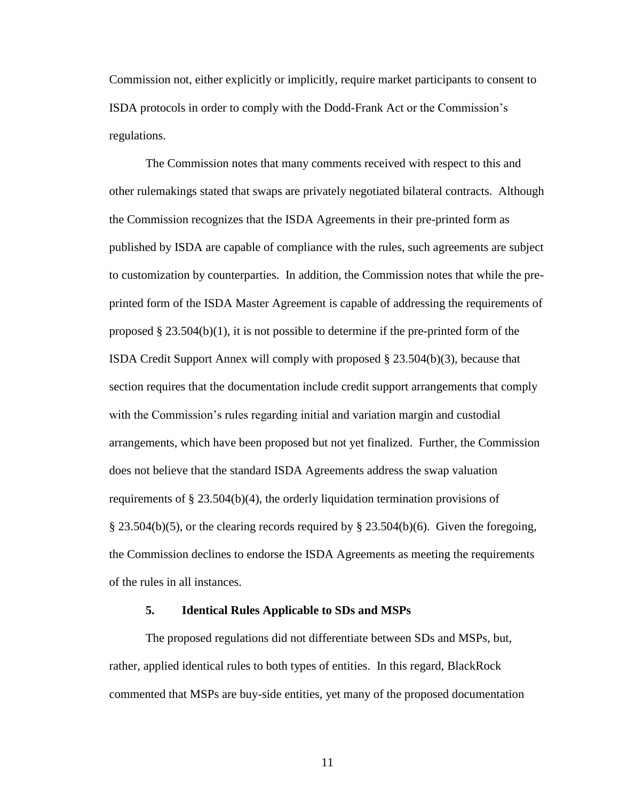Commission not, either explicitly or implicitly, require market participants to consent to ISDA protocols in order to comply with the Dodd-Frank Act or the Commission's regulations.

The Commission notes that many comments received with respect to this and other rulemakings stated that swaps are privately negotiated bilateral contracts. Although the Commission recognizes that the ISDA Agreements in their pre-printed form as published by ISDA are capable of compliance with the rules, such agreements are subject to customization by counterparties. In addition, the Commission notes that while the preprinted form of the ISDA Master Agreement is capable of addressing the requirements of proposed  $\S 23.504(b)(1)$ , it is not possible to determine if the pre-printed form of the ISDA Credit Support Annex will comply with proposed  $\S 23.504(b)(3)$ , because that section requires that the documentation include credit support arrangements that comply with the Commission's rules regarding initial and variation margin and custodial arrangements, which have been proposed but not yet finalized. Further, the Commission does not believe that the standard ISDA Agreements address the swap valuation requirements of  $\S 23.504(b)(4)$ , the orderly liquidation termination provisions of § 23.504(b)(5), or the clearing records required by § 23.504(b)(6). Given the foregoing, the Commission declines to endorse the ISDA Agreements as meeting the requirements of the rules in all instances.

#### **5. Identical Rules Applicable to SDs and MSPs**

The proposed regulations did not differentiate between SDs and MSPs, but, rather, applied identical rules to both types of entities. In this regard, BlackRock commented that MSPs are buy-side entities, yet many of the proposed documentation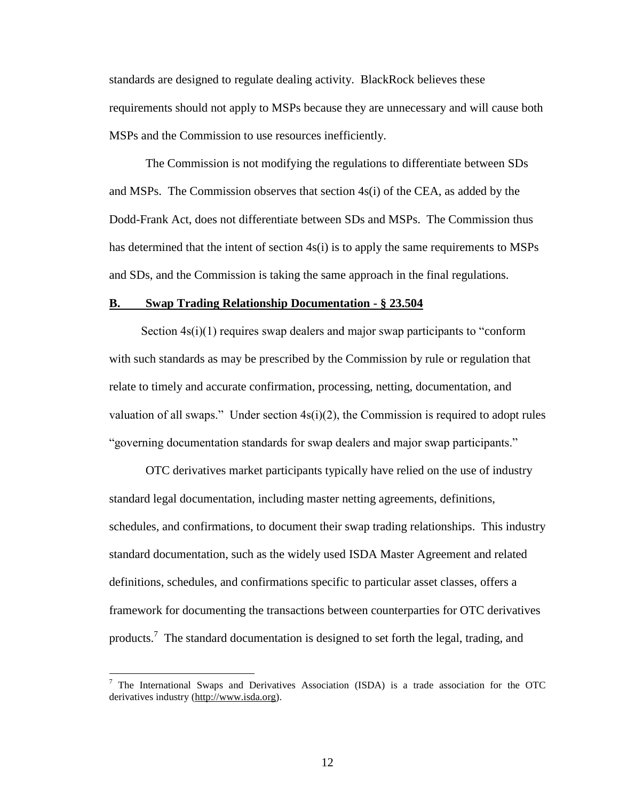standards are designed to regulate dealing activity. BlackRock believes these requirements should not apply to MSPs because they are unnecessary and will cause both MSPs and the Commission to use resources inefficiently.

The Commission is not modifying the regulations to differentiate between SDs and MSPs. The Commission observes that section 4s(i) of the CEA, as added by the Dodd-Frank Act, does not differentiate between SDs and MSPs. The Commission thus has determined that the intent of section 4s(i) is to apply the same requirements to MSPs and SDs, and the Commission is taking the same approach in the final regulations.

### **B. Swap Trading Relationship Documentation - § 23.504**

Section  $4s(i)(1)$  requires swap dealers and major swap participants to "conform" with such standards as may be prescribed by the Commission by rule or regulation that relate to timely and accurate confirmation, processing, netting, documentation, and valuation of all swaps." Under section  $4s(i)(2)$ , the Commission is required to adopt rules "governing documentation standards for swap dealers and major swap participants."

OTC derivatives market participants typically have relied on the use of industry standard legal documentation, including master netting agreements, definitions, schedules, and confirmations, to document their swap trading relationships. This industry standard documentation, such as the widely used ISDA Master Agreement and related definitions, schedules, and confirmations specific to particular asset classes, offers a framework for documenting the transactions between counterparties for OTC derivatives products.<sup>7</sup> The standard documentation is designed to set forth the legal, trading, and

 $\overline{a}$ 

<sup>&</sup>lt;sup>7</sup> The International Swaps and Derivatives Association (ISDA) is a trade association for the OTC derivatives industry (http://www.isda.org).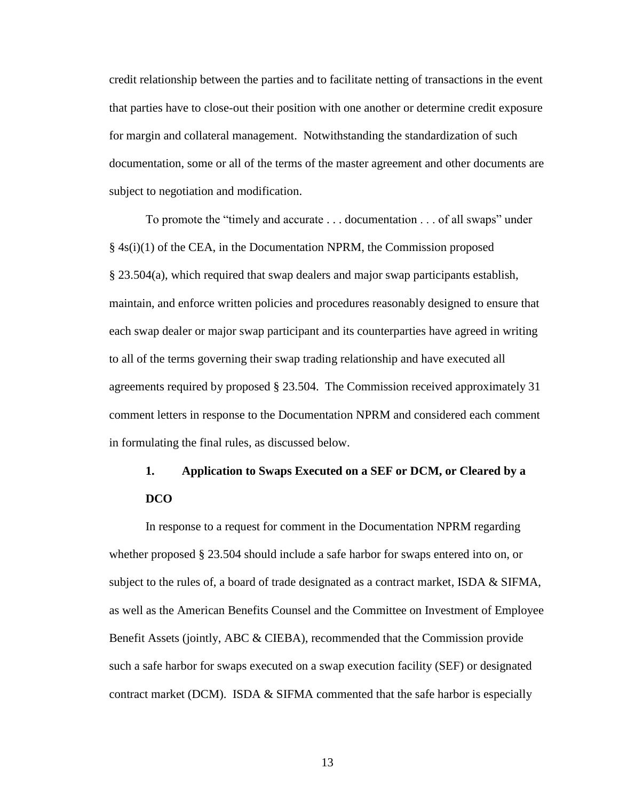credit relationship between the parties and to facilitate netting of transactions in the event that parties have to close-out their position with one another or determine credit exposure for margin and collateral management. Notwithstanding the standardization of such documentation, some or all of the terms of the master agreement and other documents are subject to negotiation and modification.

To promote the "timely and accurate . . . documentation . . . of all swaps" under  $§$  4s(i)(1) of the CEA, in the Documentation NPRM, the Commission proposed § 23.504(a), which required that swap dealers and major swap participants establish, maintain, and enforce written policies and procedures reasonably designed to ensure that each swap dealer or major swap participant and its counterparties have agreed in writing to all of the terms governing their swap trading relationship and have executed all agreements required by proposed § 23.504. The Commission received approximately 31 comment letters in response to the Documentation NPRM and considered each comment in formulating the final rules, as discussed below.

## **1. Application to Swaps Executed on a SEF or DCM, or Cleared by a DCO**

In response to a request for comment in the Documentation NPRM regarding whether proposed § 23.504 should include a safe harbor for swaps entered into on, or subject to the rules of, a board of trade designated as a contract market, ISDA & SIFMA, as well as the American Benefits Counsel and the Committee on Investment of Employee Benefit Assets (jointly, ABC & CIEBA), recommended that the Commission provide such a safe harbor for swaps executed on a swap execution facility (SEF) or designated contract market (DCM). ISDA & SIFMA commented that the safe harbor is especially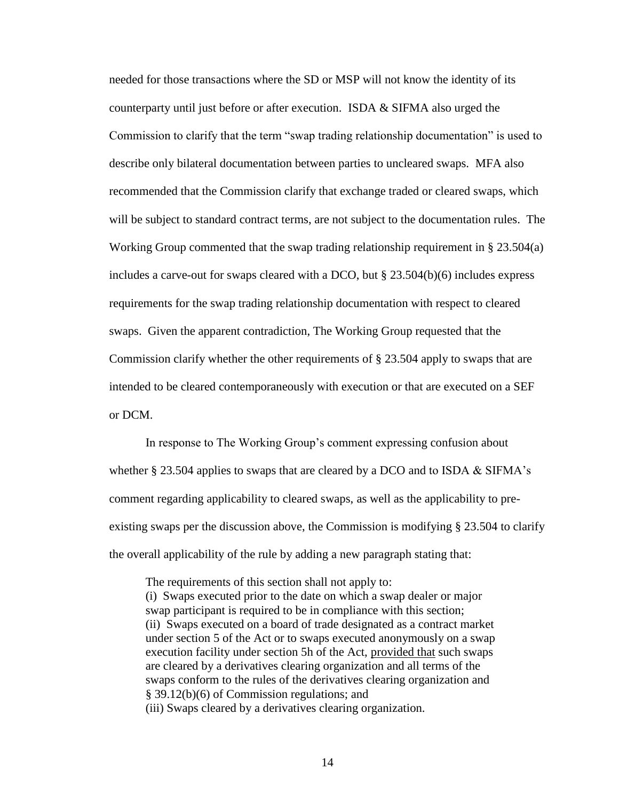needed for those transactions where the SD or MSP will not know the identity of its counterparty until just before or after execution. ISDA & SIFMA also urged the Commission to clarify that the term "swap trading relationship documentation" is used to describe only bilateral documentation between parties to uncleared swaps. MFA also recommended that the Commission clarify that exchange traded or cleared swaps, which will be subject to standard contract terms, are not subject to the documentation rules. The Working Group commented that the swap trading relationship requirement in § 23.504(a) includes a carve-out for swaps cleared with a DCO, but § 23.504(b)(6) includes express requirements for the swap trading relationship documentation with respect to cleared swaps. Given the apparent contradiction, The Working Group requested that the Commission clarify whether the other requirements of § 23.504 apply to swaps that are intended to be cleared contemporaneously with execution or that are executed on a SEF or DCM.

In response to The Working Group's comment expressing confusion about whether  $\S 23.504$  applies to swaps that are cleared by a DCO and to ISDA & SIFMA's comment regarding applicability to cleared swaps, as well as the applicability to preexisting swaps per the discussion above, the Commission is modifying § 23.504 to clarify the overall applicability of the rule by adding a new paragraph stating that:

The requirements of this section shall not apply to: (i) Swaps executed prior to the date on which a swap dealer or major swap participant is required to be in compliance with this section; (ii) Swaps executed on a board of trade designated as a contract market under section 5 of the Act or to swaps executed anonymously on a swap execution facility under section 5h of the Act, provided that such swaps are cleared by a derivatives clearing organization and all terms of the swaps conform to the rules of the derivatives clearing organization and § 39.12(b)(6) of Commission regulations; and (iii) Swaps cleared by a derivatives clearing organization.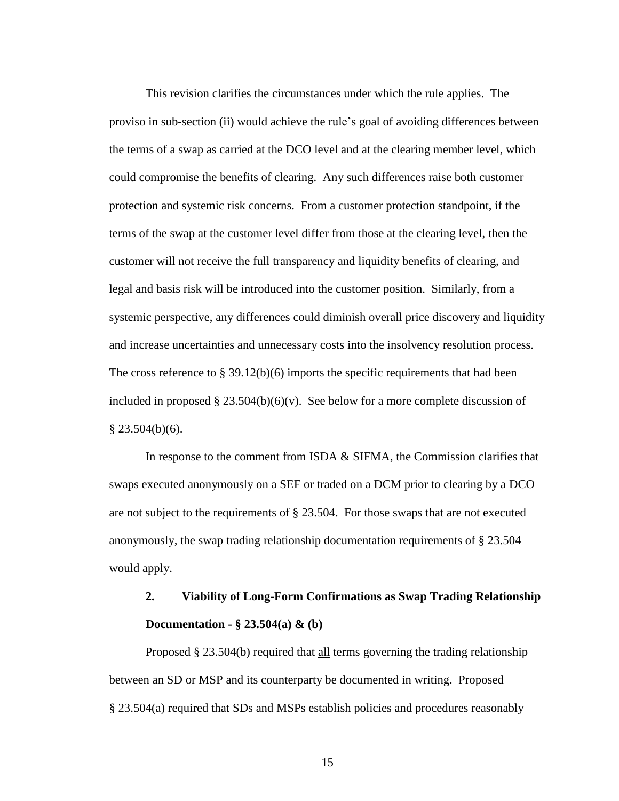This revision clarifies the circumstances under which the rule applies. The proviso in sub-section (ii) would achieve the rule's goal of avoiding differences between the terms of a swap as carried at the DCO level and at the clearing member level, which could compromise the benefits of clearing. Any such differences raise both customer protection and systemic risk concerns. From a customer protection standpoint, if the terms of the swap at the customer level differ from those at the clearing level, then the customer will not receive the full transparency and liquidity benefits of clearing, and legal and basis risk will be introduced into the customer position. Similarly, from a systemic perspective, any differences could diminish overall price discovery and liquidity and increase uncertainties and unnecessary costs into the insolvency resolution process. The cross reference to  $\S 39.12(b)(6)$  imports the specific requirements that had been included in proposed  $\S 23.504(b)(6)(v)$ . See below for a more complete discussion of  $§$  23.504(b)(6).

In response to the comment from ISDA & SIFMA, the Commission clarifies that swaps executed anonymously on a SEF or traded on a DCM prior to clearing by a DCO are not subject to the requirements of § 23.504. For those swaps that are not executed anonymously, the swap trading relationship documentation requirements of § 23.504 would apply.

## **2. Viability of Long-Form Confirmations as Swap Trading Relationship Documentation - § 23.504(a) & (b)**

Proposed § 23.504(b) required that all terms governing the trading relationship between an SD or MSP and its counterparty be documented in writing. Proposed § 23.504(a) required that SDs and MSPs establish policies and procedures reasonably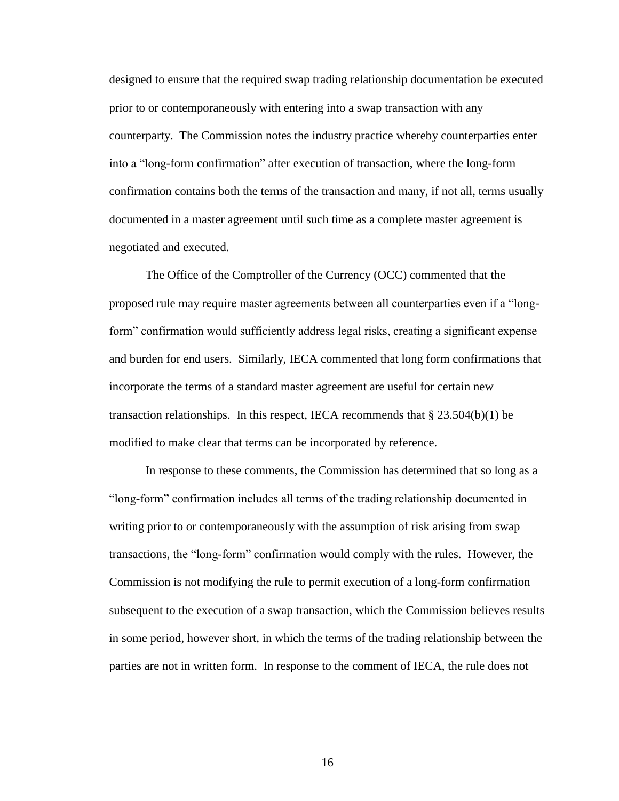designed to ensure that the required swap trading relationship documentation be executed prior to or contemporaneously with entering into a swap transaction with any counterparty. The Commission notes the industry practice whereby counterparties enter into a "long-form confirmation" after execution of transaction, where the long-form confirmation contains both the terms of the transaction and many, if not all, terms usually documented in a master agreement until such time as a complete master agreement is negotiated and executed.

The Office of the Comptroller of the Currency (OCC) commented that the proposed rule may require master agreements between all counterparties even if a "longform" confirmation would sufficiently address legal risks, creating a significant expense and burden for end users. Similarly, IECA commented that long form confirmations that incorporate the terms of a standard master agreement are useful for certain new transaction relationships. In this respect, IECA recommends that  $\S 23.504(b)(1)$  be modified to make clear that terms can be incorporated by reference.

In response to these comments, the Commission has determined that so long as a "long-form" confirmation includes all terms of the trading relationship documented in writing prior to or contemporaneously with the assumption of risk arising from swap transactions, the "long-form" confirmation would comply with the rules. However, the Commission is not modifying the rule to permit execution of a long-form confirmation subsequent to the execution of a swap transaction, which the Commission believes results in some period, however short, in which the terms of the trading relationship between the parties are not in written form. In response to the comment of IECA, the rule does not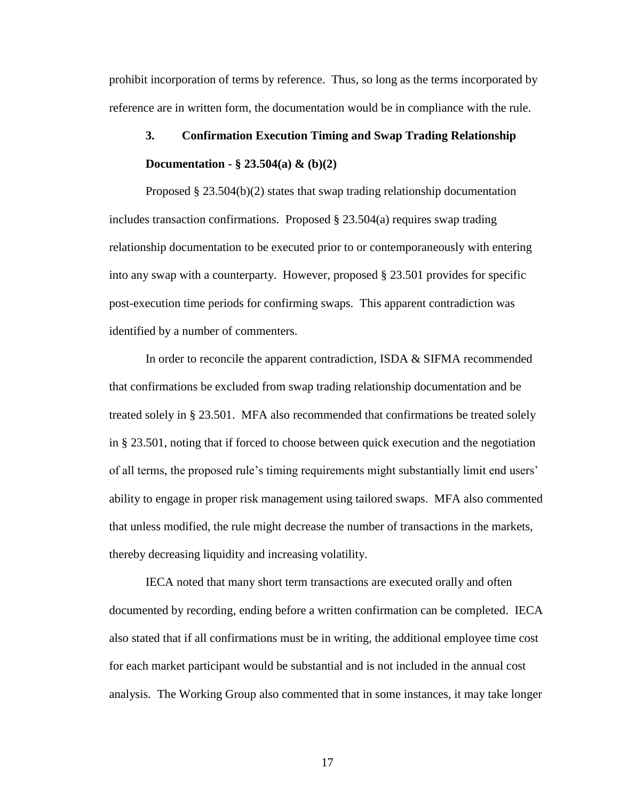prohibit incorporation of terms by reference. Thus, so long as the terms incorporated by reference are in written form, the documentation would be in compliance with the rule.

## **3. Confirmation Execution Timing and Swap Trading Relationship Documentation - § 23.504(a) & (b)(2)**

Proposed § 23.504(b)(2) states that swap trading relationship documentation includes transaction confirmations. Proposed  $\S 23.504(a)$  requires swap trading relationship documentation to be executed prior to or contemporaneously with entering into any swap with a counterparty. However, proposed § 23.501 provides for specific post-execution time periods for confirming swaps. This apparent contradiction was identified by a number of commenters.

In order to reconcile the apparent contradiction, ISDA & SIFMA recommended that confirmations be excluded from swap trading relationship documentation and be treated solely in § 23.501. MFA also recommended that confirmations be treated solely in § 23.501, noting that if forced to choose between quick execution and the negotiation of all terms, the proposed rule's timing requirements might substantially limit end users' ability to engage in proper risk management using tailored swaps. MFA also commented that unless modified, the rule might decrease the number of transactions in the markets, thereby decreasing liquidity and increasing volatility.

IECA noted that many short term transactions are executed orally and often documented by recording, ending before a written confirmation can be completed. IECA also stated that if all confirmations must be in writing, the additional employee time cost for each market participant would be substantial and is not included in the annual cost analysis. The Working Group also commented that in some instances, it may take longer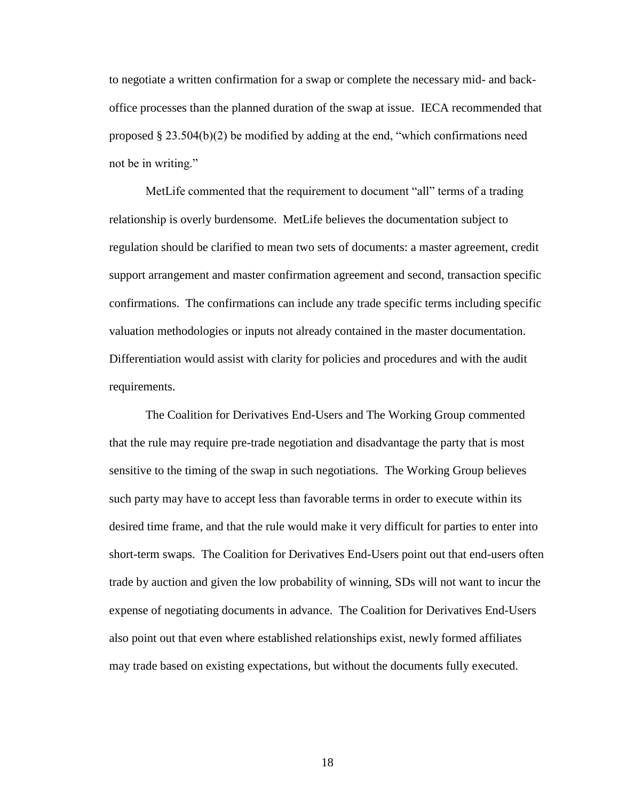to negotiate a written confirmation for a swap or complete the necessary mid- and backoffice processes than the planned duration of the swap at issue. IECA recommended that proposed  $\S 23.504(b)(2)$  be modified by adding at the end, "which confirmations need not be in writing."

MetLife commented that the requirement to document "all" terms of a trading relationship is overly burdensome. MetLife believes the documentation subject to regulation should be clarified to mean two sets of documents: a master agreement, credit support arrangement and master confirmation agreement and second, transaction specific confirmations. The confirmations can include any trade specific terms including specific valuation methodologies or inputs not already contained in the master documentation. Differentiation would assist with clarity for policies and procedures and with the audit requirements.

The Coalition for Derivatives End-Users and The Working Group commented that the rule may require pre-trade negotiation and disadvantage the party that is most sensitive to the timing of the swap in such negotiations. The Working Group believes such party may have to accept less than favorable terms in order to execute within its desired time frame, and that the rule would make it very difficult for parties to enter into short-term swaps. The Coalition for Derivatives End-Users point out that end-users often trade by auction and given the low probability of winning, SDs will not want to incur the expense of negotiating documents in advance. The Coalition for Derivatives End-Users also point out that even where established relationships exist, newly formed affiliates may trade based on existing expectations, but without the documents fully executed.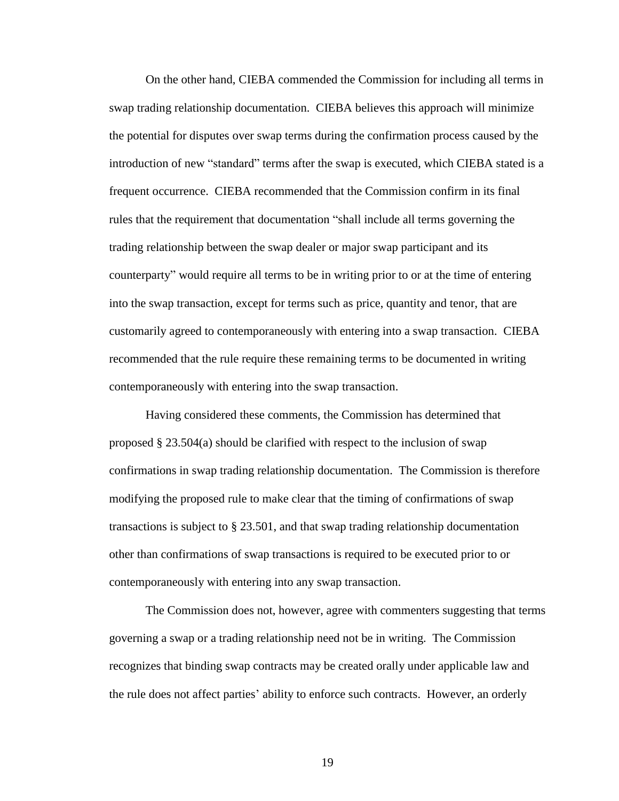On the other hand, CIEBA commended the Commission for including all terms in swap trading relationship documentation. CIEBA believes this approach will minimize the potential for disputes over swap terms during the confirmation process caused by the introduction of new "standard" terms after the swap is executed, which CIEBA stated is a frequent occurrence. CIEBA recommended that the Commission confirm in its final rules that the requirement that documentation "shall include all terms governing the trading relationship between the swap dealer or major swap participant and its counterparty" would require all terms to be in writing prior to or at the time of entering into the swap transaction, except for terms such as price, quantity and tenor, that are customarily agreed to contemporaneously with entering into a swap transaction. CIEBA recommended that the rule require these remaining terms to be documented in writing contemporaneously with entering into the swap transaction.

Having considered these comments, the Commission has determined that proposed  $\S 23.504(a)$  should be clarified with respect to the inclusion of swap confirmations in swap trading relationship documentation. The Commission is therefore modifying the proposed rule to make clear that the timing of confirmations of swap transactions is subject to § 23.501, and that swap trading relationship documentation other than confirmations of swap transactions is required to be executed prior to or contemporaneously with entering into any swap transaction.

The Commission does not, however, agree with commenters suggesting that terms governing a swap or a trading relationship need not be in writing. The Commission recognizes that binding swap contracts may be created orally under applicable law and the rule does not affect parties' ability to enforce such contracts. However, an orderly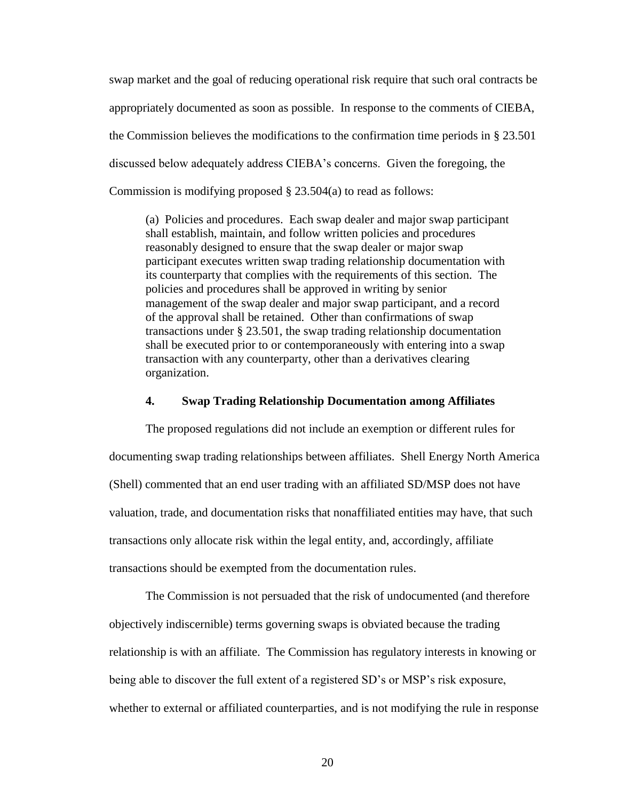swap market and the goal of reducing operational risk require that such oral contracts be appropriately documented as soon as possible. In response to the comments of CIEBA, the Commission believes the modifications to the confirmation time periods in § 23.501 discussed below adequately address CIEBA's concerns. Given the foregoing, the Commission is modifying proposed § 23.504(a) to read as follows:

(a) Policies and procedures. Each swap dealer and major swap participant shall establish, maintain, and follow written policies and procedures reasonably designed to ensure that the swap dealer or major swap participant executes written swap trading relationship documentation with its counterparty that complies with the requirements of this section. The policies and procedures shall be approved in writing by senior management of the swap dealer and major swap participant, and a record of the approval shall be retained. Other than confirmations of swap transactions under § 23.501, the swap trading relationship documentation shall be executed prior to or contemporaneously with entering into a swap transaction with any counterparty, other than a derivatives clearing organization.

### **4. Swap Trading Relationship Documentation among Affiliates**

The proposed regulations did not include an exemption or different rules for documenting swap trading relationships between affiliates. Shell Energy North America (Shell) commented that an end user trading with an affiliated SD/MSP does not have valuation, trade, and documentation risks that nonaffiliated entities may have, that such transactions only allocate risk within the legal entity, and, accordingly, affiliate transactions should be exempted from the documentation rules.

The Commission is not persuaded that the risk of undocumented (and therefore objectively indiscernible) terms governing swaps is obviated because the trading relationship is with an affiliate. The Commission has regulatory interests in knowing or being able to discover the full extent of a registered SD's or MSP's risk exposure, whether to external or affiliated counterparties, and is not modifying the rule in response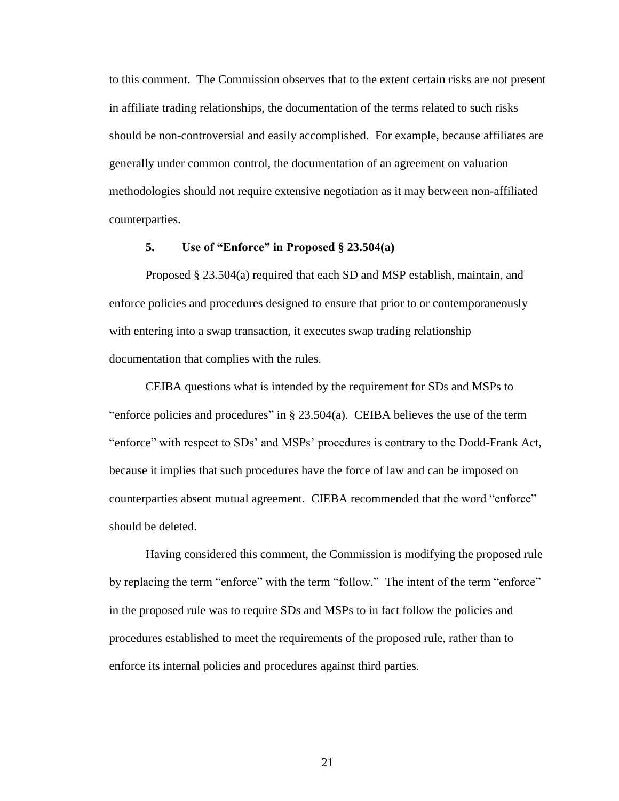to this comment. The Commission observes that to the extent certain risks are not present in affiliate trading relationships, the documentation of the terms related to such risks should be non-controversial and easily accomplished. For example, because affiliates are generally under common control, the documentation of an agreement on valuation methodologies should not require extensive negotiation as it may between non-affiliated counterparties.

### **5. Use of "Enforce" in Proposed § 23.504(a)**

Proposed § 23.504(a) required that each SD and MSP establish, maintain, and enforce policies and procedures designed to ensure that prior to or contemporaneously with entering into a swap transaction, it executes swap trading relationship documentation that complies with the rules.

CEIBA questions what is intended by the requirement for SDs and MSPs to "enforce policies and procedures" in  $\S 23.504(a)$ . CEIBA believes the use of the term "enforce" with respect to SDs' and MSPs' procedures is contrary to the Dodd-Frank Act, because it implies that such procedures have the force of law and can be imposed on counterparties absent mutual agreement. CIEBA recommended that the word "enforce" should be deleted.

Having considered this comment, the Commission is modifying the proposed rule by replacing the term "enforce" with the term "follow." The intent of the term "enforce" in the proposed rule was to require SDs and MSPs to in fact follow the policies and procedures established to meet the requirements of the proposed rule, rather than to enforce its internal policies and procedures against third parties.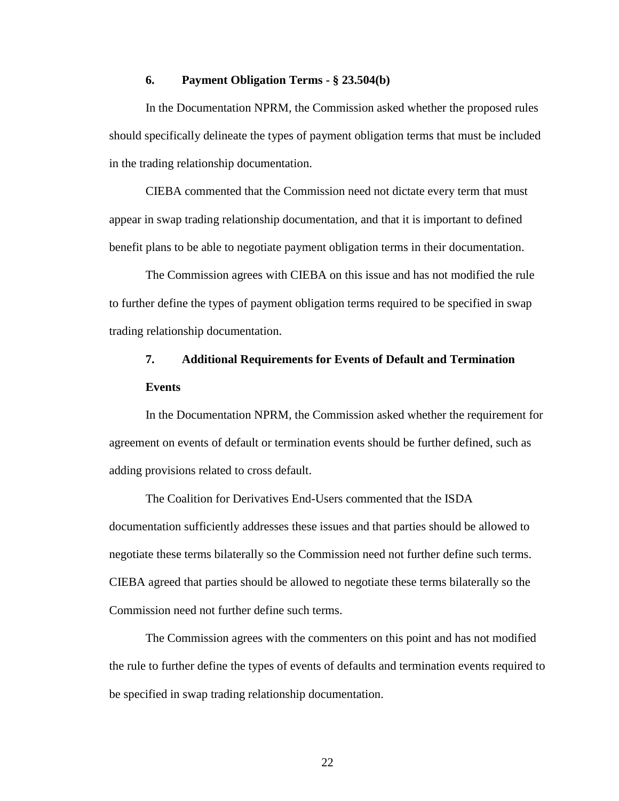### **6. Payment Obligation Terms - § 23.504(b)**

In the Documentation NPRM, the Commission asked whether the proposed rules should specifically delineate the types of payment obligation terms that must be included in the trading relationship documentation.

CIEBA commented that the Commission need not dictate every term that must appear in swap trading relationship documentation, and that it is important to defined benefit plans to be able to negotiate payment obligation terms in their documentation.

The Commission agrees with CIEBA on this issue and has not modified the rule to further define the types of payment obligation terms required to be specified in swap trading relationship documentation.

### **7. Additional Requirements for Events of Default and Termination Events**

In the Documentation NPRM, the Commission asked whether the requirement for agreement on events of default or termination events should be further defined, such as adding provisions related to cross default.

The Coalition for Derivatives End-Users commented that the ISDA documentation sufficiently addresses these issues and that parties should be allowed to negotiate these terms bilaterally so the Commission need not further define such terms. CIEBA agreed that parties should be allowed to negotiate these terms bilaterally so the Commission need not further define such terms.

The Commission agrees with the commenters on this point and has not modified the rule to further define the types of events of defaults and termination events required to be specified in swap trading relationship documentation.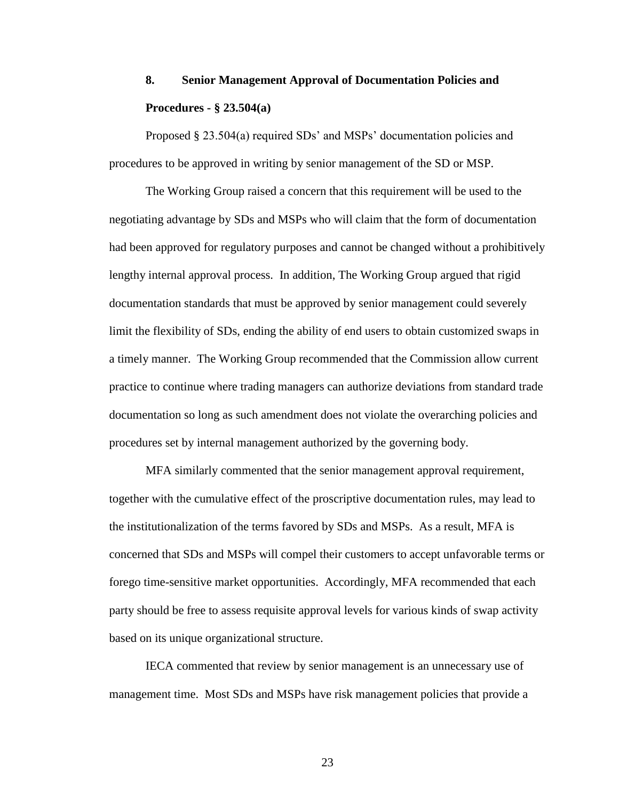## **8. Senior Management Approval of Documentation Policies and Procedures - § 23.504(a)**

Proposed § 23.504(a) required SDs' and MSPs' documentation policies and procedures to be approved in writing by senior management of the SD or MSP.

The Working Group raised a concern that this requirement will be used to the negotiating advantage by SDs and MSPs who will claim that the form of documentation had been approved for regulatory purposes and cannot be changed without a prohibitively lengthy internal approval process. In addition, The Working Group argued that rigid documentation standards that must be approved by senior management could severely limit the flexibility of SDs, ending the ability of end users to obtain customized swaps in a timely manner. The Working Group recommended that the Commission allow current practice to continue where trading managers can authorize deviations from standard trade documentation so long as such amendment does not violate the overarching policies and procedures set by internal management authorized by the governing body.

MFA similarly commented that the senior management approval requirement, together with the cumulative effect of the proscriptive documentation rules, may lead to the institutionalization of the terms favored by SDs and MSPs. As a result, MFA is concerned that SDs and MSPs will compel their customers to accept unfavorable terms or forego time-sensitive market opportunities. Accordingly, MFA recommended that each party should be free to assess requisite approval levels for various kinds of swap activity based on its unique organizational structure.

IECA commented that review by senior management is an unnecessary use of management time. Most SDs and MSPs have risk management policies that provide a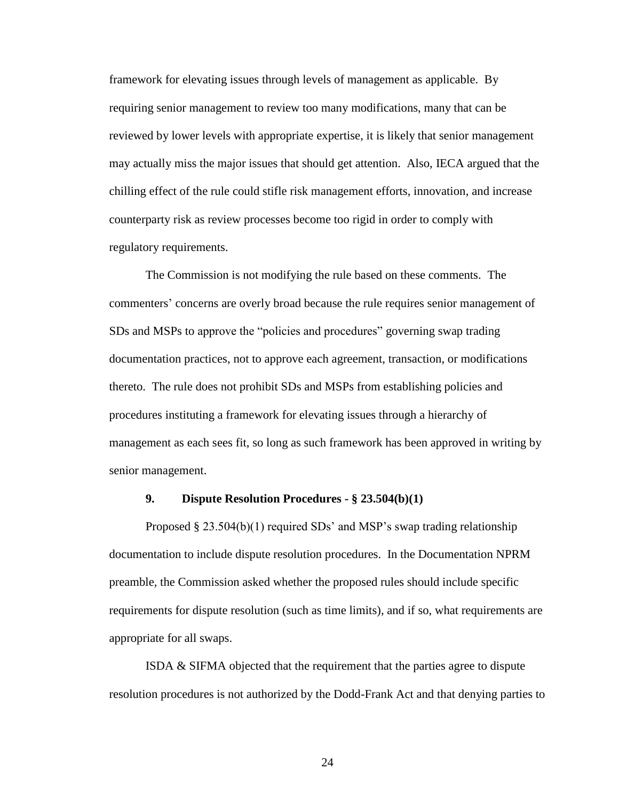framework for elevating issues through levels of management as applicable. By requiring senior management to review too many modifications, many that can be reviewed by lower levels with appropriate expertise, it is likely that senior management may actually miss the major issues that should get attention. Also, IECA argued that the chilling effect of the rule could stifle risk management efforts, innovation, and increase counterparty risk as review processes become too rigid in order to comply with regulatory requirements.

The Commission is not modifying the rule based on these comments. The commenters' concerns are overly broad because the rule requires senior management of SDs and MSPs to approve the "policies and procedures" governing swap trading documentation practices, not to approve each agreement, transaction, or modifications thereto. The rule does not prohibit SDs and MSPs from establishing policies and procedures instituting a framework for elevating issues through a hierarchy of management as each sees fit, so long as such framework has been approved in writing by senior management.

### **9. Dispute Resolution Procedures - § 23.504(b)(1)**

Proposed § 23.504(b)(1) required SDs' and MSP's swap trading relationship documentation to include dispute resolution procedures. In the Documentation NPRM preamble, the Commission asked whether the proposed rules should include specific requirements for dispute resolution (such as time limits), and if so, what requirements are appropriate for all swaps.

ISDA & SIFMA objected that the requirement that the parties agree to dispute resolution procedures is not authorized by the Dodd-Frank Act and that denying parties to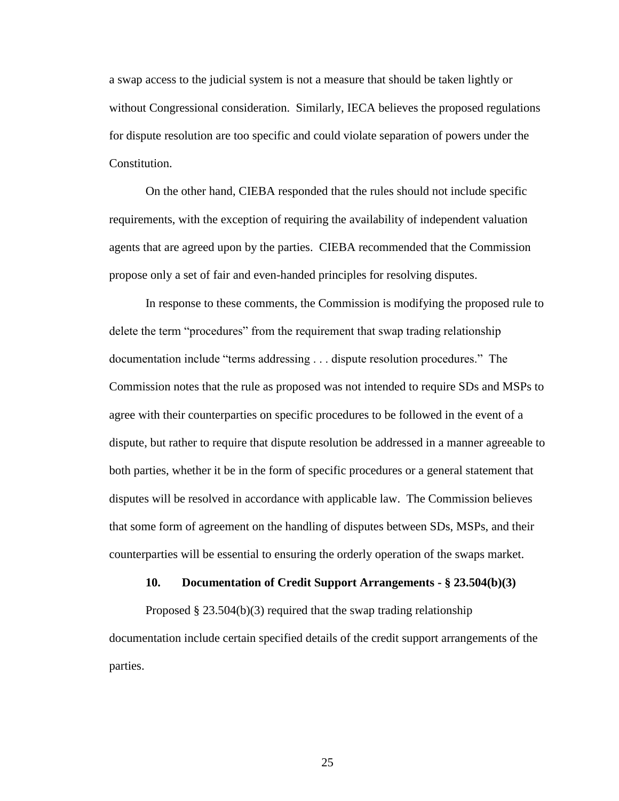a swap access to the judicial system is not a measure that should be taken lightly or without Congressional consideration. Similarly, IECA believes the proposed regulations for dispute resolution are too specific and could violate separation of powers under the Constitution.

On the other hand, CIEBA responded that the rules should not include specific requirements, with the exception of requiring the availability of independent valuation agents that are agreed upon by the parties. CIEBA recommended that the Commission propose only a set of fair and even-handed principles for resolving disputes.

In response to these comments, the Commission is modifying the proposed rule to delete the term "procedures" from the requirement that swap trading relationship documentation include "terms addressing . . . dispute resolution procedures." The Commission notes that the rule as proposed was not intended to require SDs and MSPs to agree with their counterparties on specific procedures to be followed in the event of a dispute, but rather to require that dispute resolution be addressed in a manner agreeable to both parties, whether it be in the form of specific procedures or a general statement that disputes will be resolved in accordance with applicable law. The Commission believes that some form of agreement on the handling of disputes between SDs, MSPs, and their counterparties will be essential to ensuring the orderly operation of the swaps market.

### **10. Documentation of Credit Support Arrangements - § 23.504(b)(3)**

Proposed  $\S 23.504(b)(3)$  required that the swap trading relationship documentation include certain specified details of the credit support arrangements of the parties.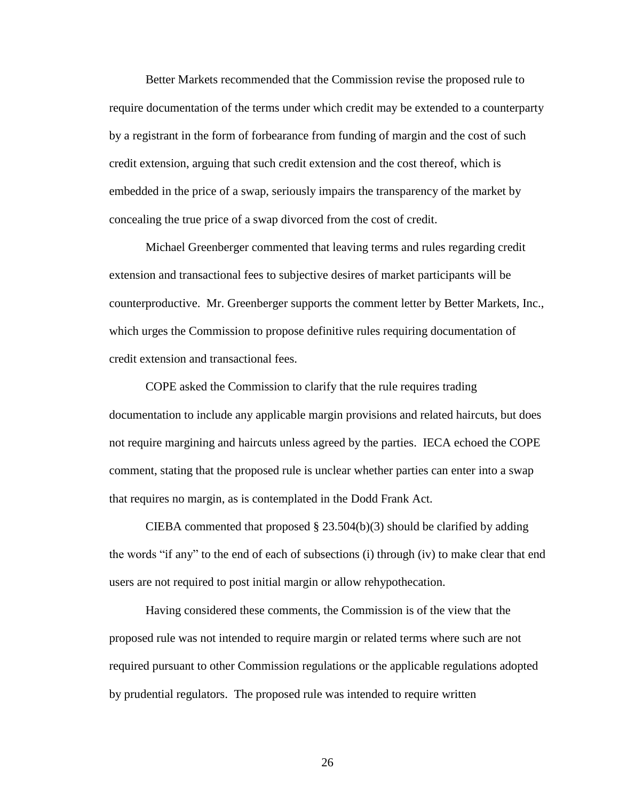Better Markets recommended that the Commission revise the proposed rule to require documentation of the terms under which credit may be extended to a counterparty by a registrant in the form of forbearance from funding of margin and the cost of such credit extension, arguing that such credit extension and the cost thereof, which is embedded in the price of a swap, seriously impairs the transparency of the market by concealing the true price of a swap divorced from the cost of credit.

Michael Greenberger commented that leaving terms and rules regarding credit extension and transactional fees to subjective desires of market participants will be counterproductive. Mr. Greenberger supports the comment letter by Better Markets, Inc., which urges the Commission to propose definitive rules requiring documentation of credit extension and transactional fees.

COPE asked the Commission to clarify that the rule requires trading documentation to include any applicable margin provisions and related haircuts, but does not require margining and haircuts unless agreed by the parties. IECA echoed the COPE comment, stating that the proposed rule is unclear whether parties can enter into a swap that requires no margin, as is contemplated in the Dodd Frank Act.

CIEBA commented that proposed  $\S 23.504(b)(3)$  should be clarified by adding the words "if any" to the end of each of subsections (i) through (iv) to make clear that end users are not required to post initial margin or allow rehypothecation.

Having considered these comments, the Commission is of the view that the proposed rule was not intended to require margin or related terms where such are not required pursuant to other Commission regulations or the applicable regulations adopted by prudential regulators. The proposed rule was intended to require written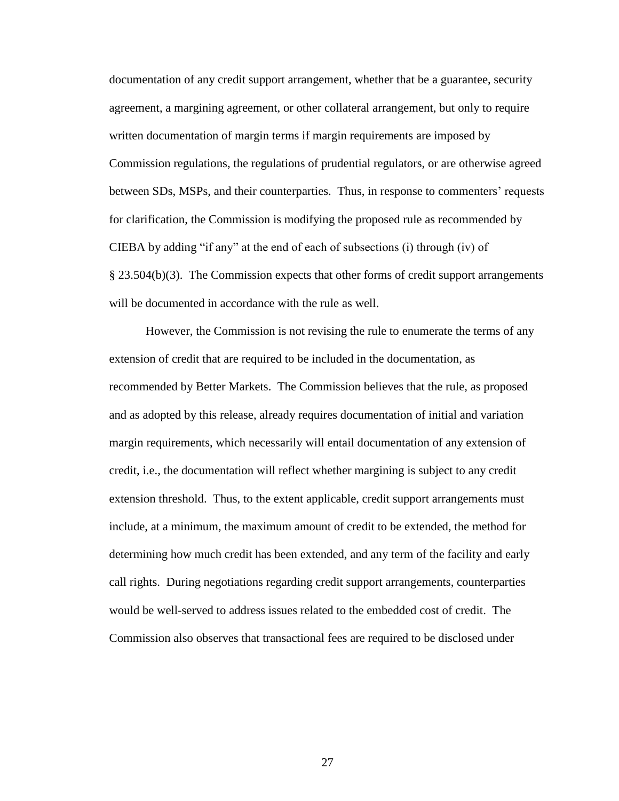documentation of any credit support arrangement, whether that be a guarantee, security agreement, a margining agreement, or other collateral arrangement, but only to require written documentation of margin terms if margin requirements are imposed by Commission regulations, the regulations of prudential regulators, or are otherwise agreed between SDs, MSPs, and their counterparties. Thus, in response to commenters' requests for clarification, the Commission is modifying the proposed rule as recommended by CIEBA by adding "if any" at the end of each of subsections (i) through (iv) of § 23.504(b)(3). The Commission expects that other forms of credit support arrangements will be documented in accordance with the rule as well.

However, the Commission is not revising the rule to enumerate the terms of any extension of credit that are required to be included in the documentation, as recommended by Better Markets. The Commission believes that the rule, as proposed and as adopted by this release, already requires documentation of initial and variation margin requirements, which necessarily will entail documentation of any extension of credit, i.e., the documentation will reflect whether margining is subject to any credit extension threshold. Thus, to the extent applicable, credit support arrangements must include, at a minimum, the maximum amount of credit to be extended, the method for determining how much credit has been extended, and any term of the facility and early call rights. During negotiations regarding credit support arrangements, counterparties would be well-served to address issues related to the embedded cost of credit. The Commission also observes that transactional fees are required to be disclosed under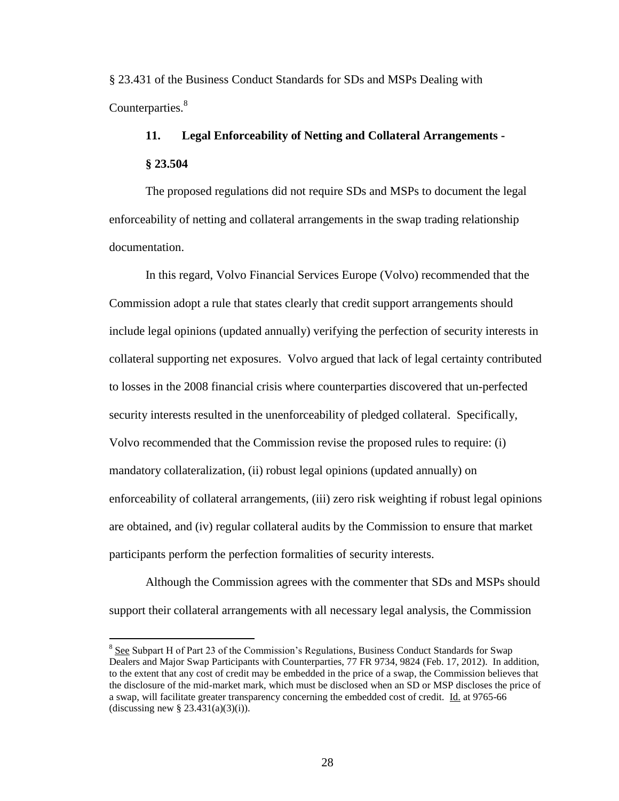§ 23.431 of the Business Conduct Standards for SDs and MSPs Dealing with Counterparties.<sup>8</sup>

# **11. Legal Enforceability of Netting and Collateral Arrangements - § 23.504**

The proposed regulations did not require SDs and MSPs to document the legal enforceability of netting and collateral arrangements in the swap trading relationship documentation.

In this regard, Volvo Financial Services Europe (Volvo) recommended that the Commission adopt a rule that states clearly that credit support arrangements should include legal opinions (updated annually) verifying the perfection of security interests in collateral supporting net exposures. Volvo argued that lack of legal certainty contributed to losses in the 2008 financial crisis where counterparties discovered that un-perfected security interests resulted in the unenforceability of pledged collateral. Specifically, Volvo recommended that the Commission revise the proposed rules to require: (i) mandatory collateralization, (ii) robust legal opinions (updated annually) on enforceability of collateral arrangements, (iii) zero risk weighting if robust legal opinions are obtained, and (iv) regular collateral audits by the Commission to ensure that market participants perform the perfection formalities of security interests.

Although the Commission agrees with the commenter that SDs and MSPs should support their collateral arrangements with all necessary legal analysis, the Commission

 $\overline{a}$ 

<sup>&</sup>lt;sup>8</sup> See Subpart H of Part 23 of the Commission's Regulations, Business Conduct Standards for Swap Dealers and Major Swap Participants with Counterparties, 77 FR 9734, 9824 (Feb. 17, 2012). In addition, to the extent that any cost of credit may be embedded in the price of a swap, the Commission believes that the disclosure of the mid-market mark, which must be disclosed when an SD or MSP discloses the price of a swap, will facilitate greater transparency concerning the embedded cost of credit. Id. at 9765-66 (discussing new  $\S$  23.431(a)(3)(i)).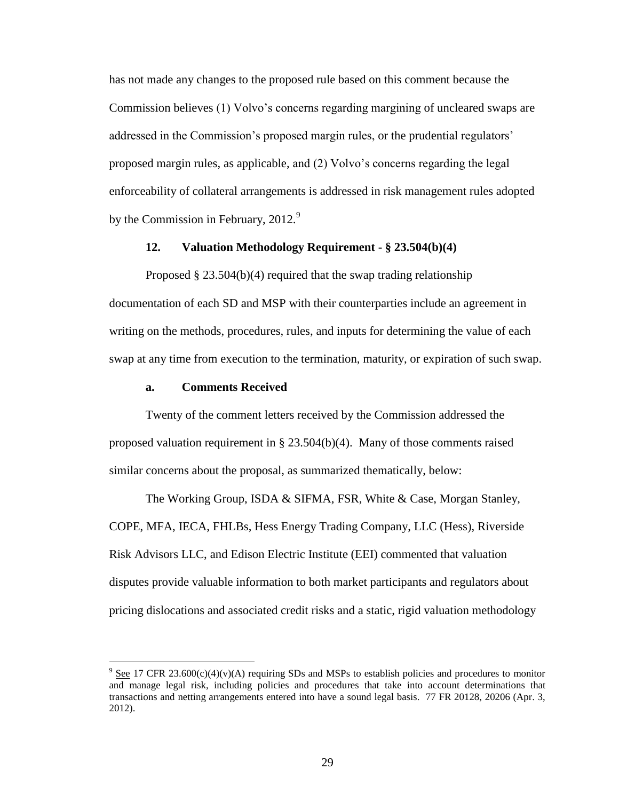has not made any changes to the proposed rule based on this comment because the Commission believes (1) Volvo's concerns regarding margining of uncleared swaps are addressed in the Commission's proposed margin rules, or the prudential regulators' proposed margin rules, as applicable, and (2) Volvo's concerns regarding the legal enforceability of collateral arrangements is addressed in risk management rules adopted by the Commission in February,  $2012.<sup>9</sup>$ 

### **12. Valuation Methodology Requirement - § 23.504(b)(4)**

Proposed § 23.504(b)(4) required that the swap trading relationship documentation of each SD and MSP with their counterparties include an agreement in writing on the methods, procedures, rules, and inputs for determining the value of each swap at any time from execution to the termination, maturity, or expiration of such swap.

### **a. Comments Received**

 $\overline{a}$ 

Twenty of the comment letters received by the Commission addressed the proposed valuation requirement in  $\S 23.504(b)(4)$ . Many of those comments raised similar concerns about the proposal, as summarized thematically, below:

The Working Group, ISDA & SIFMA, FSR, White & Case, Morgan Stanley, COPE, MFA, IECA, FHLBs, Hess Energy Trading Company, LLC (Hess), Riverside Risk Advisors LLC, and Edison Electric Institute (EEI) commented that valuation disputes provide valuable information to both market participants and regulators about pricing dislocations and associated credit risks and a static, rigid valuation methodology

 $9 \text{ See } 17 \text{ CFR } 23.600(c)(4)(v)(A)$  requiring SDs and MSPs to establish policies and procedures to monitor and manage legal risk, including policies and procedures that take into account determinations that transactions and netting arrangements entered into have a sound legal basis. 77 FR 20128, 20206 (Apr. 3, 2012).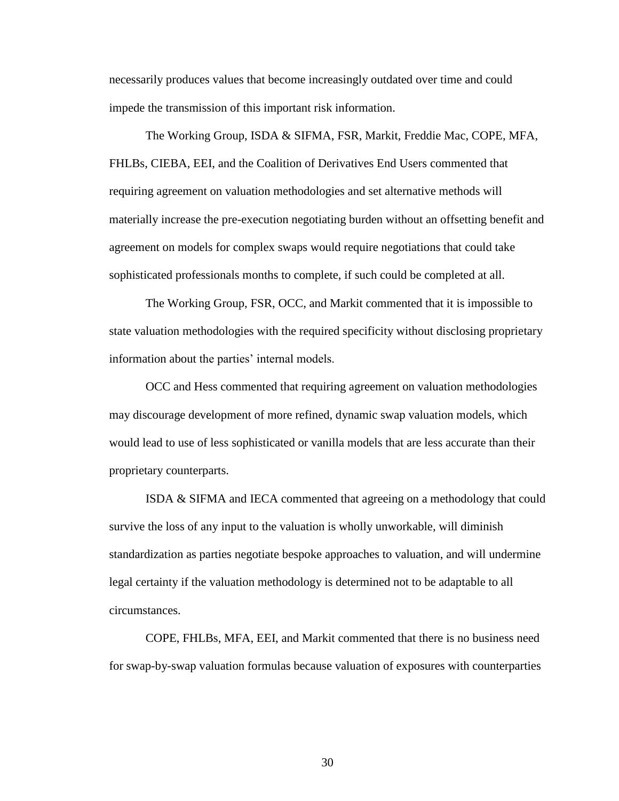necessarily produces values that become increasingly outdated over time and could impede the transmission of this important risk information.

The Working Group, ISDA & SIFMA, FSR, Markit, Freddie Mac, COPE, MFA, FHLBs, CIEBA, EEI, and the Coalition of Derivatives End Users commented that requiring agreement on valuation methodologies and set alternative methods will materially increase the pre-execution negotiating burden without an offsetting benefit and agreement on models for complex swaps would require negotiations that could take sophisticated professionals months to complete, if such could be completed at all.

The Working Group, FSR, OCC, and Markit commented that it is impossible to state valuation methodologies with the required specificity without disclosing proprietary information about the parties' internal models.

OCC and Hess commented that requiring agreement on valuation methodologies may discourage development of more refined, dynamic swap valuation models, which would lead to use of less sophisticated or vanilla models that are less accurate than their proprietary counterparts.

ISDA & SIFMA and IECA commented that agreeing on a methodology that could survive the loss of any input to the valuation is wholly unworkable, will diminish standardization as parties negotiate bespoke approaches to valuation, and will undermine legal certainty if the valuation methodology is determined not to be adaptable to all circumstances.

COPE, FHLBs, MFA, EEI, and Markit commented that there is no business need for swap-by-swap valuation formulas because valuation of exposures with counterparties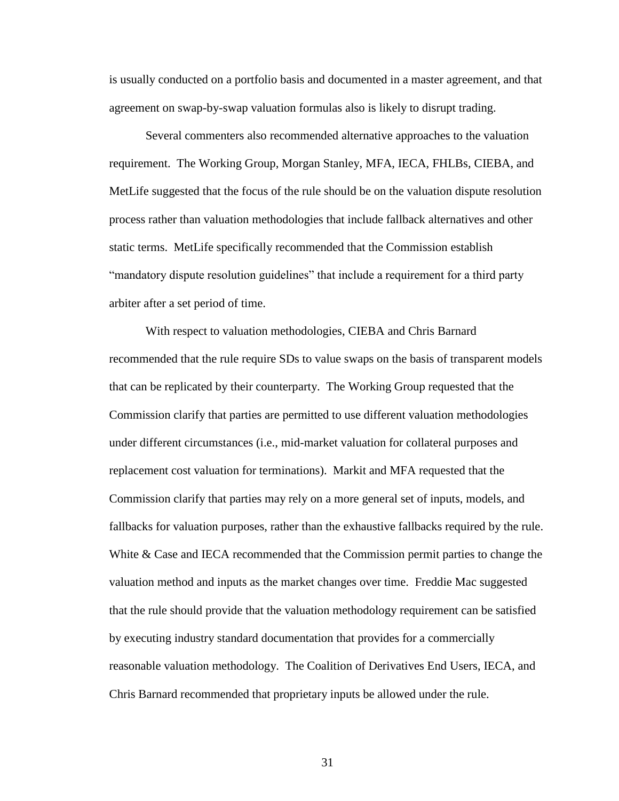is usually conducted on a portfolio basis and documented in a master agreement, and that agreement on swap-by-swap valuation formulas also is likely to disrupt trading.

Several commenters also recommended alternative approaches to the valuation requirement. The Working Group, Morgan Stanley, MFA, IECA, FHLBs, CIEBA, and MetLife suggested that the focus of the rule should be on the valuation dispute resolution process rather than valuation methodologies that include fallback alternatives and other static terms. MetLife specifically recommended that the Commission establish "mandatory dispute resolution guidelines" that include a requirement for a third party arbiter after a set period of time.

With respect to valuation methodologies, CIEBA and Chris Barnard recommended that the rule require SDs to value swaps on the basis of transparent models that can be replicated by their counterparty. The Working Group requested that the Commission clarify that parties are permitted to use different valuation methodologies under different circumstances (i.e., mid-market valuation for collateral purposes and replacement cost valuation for terminations). Markit and MFA requested that the Commission clarify that parties may rely on a more general set of inputs, models, and fallbacks for valuation purposes, rather than the exhaustive fallbacks required by the rule. White & Case and IECA recommended that the Commission permit parties to change the valuation method and inputs as the market changes over time. Freddie Mac suggested that the rule should provide that the valuation methodology requirement can be satisfied by executing industry standard documentation that provides for a commercially reasonable valuation methodology. The Coalition of Derivatives End Users, IECA, and Chris Barnard recommended that proprietary inputs be allowed under the rule.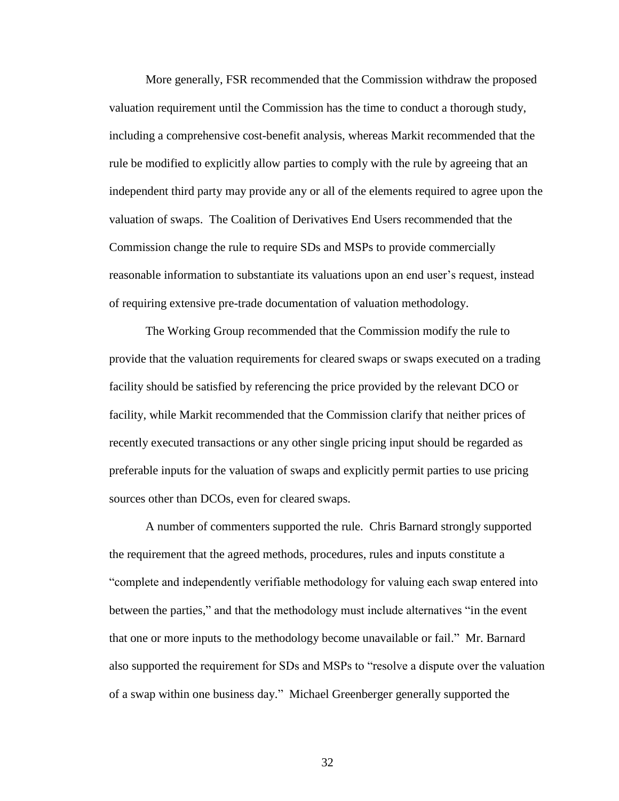More generally, FSR recommended that the Commission withdraw the proposed valuation requirement until the Commission has the time to conduct a thorough study, including a comprehensive cost-benefit analysis, whereas Markit recommended that the rule be modified to explicitly allow parties to comply with the rule by agreeing that an independent third party may provide any or all of the elements required to agree upon the valuation of swaps. The Coalition of Derivatives End Users recommended that the Commission change the rule to require SDs and MSPs to provide commercially reasonable information to substantiate its valuations upon an end user's request, instead of requiring extensive pre-trade documentation of valuation methodology.

The Working Group recommended that the Commission modify the rule to provide that the valuation requirements for cleared swaps or swaps executed on a trading facility should be satisfied by referencing the price provided by the relevant DCO or facility, while Markit recommended that the Commission clarify that neither prices of recently executed transactions or any other single pricing input should be regarded as preferable inputs for the valuation of swaps and explicitly permit parties to use pricing sources other than DCOs, even for cleared swaps.

A number of commenters supported the rule. Chris Barnard strongly supported the requirement that the agreed methods, procedures, rules and inputs constitute a "complete and independently verifiable methodology for valuing each swap entered into between the parties," and that the methodology must include alternatives "in the event that one or more inputs to the methodology become unavailable or fail." Mr. Barnard also supported the requirement for SDs and MSPs to "resolve a dispute over the valuation of a swap within one business day." Michael Greenberger generally supported the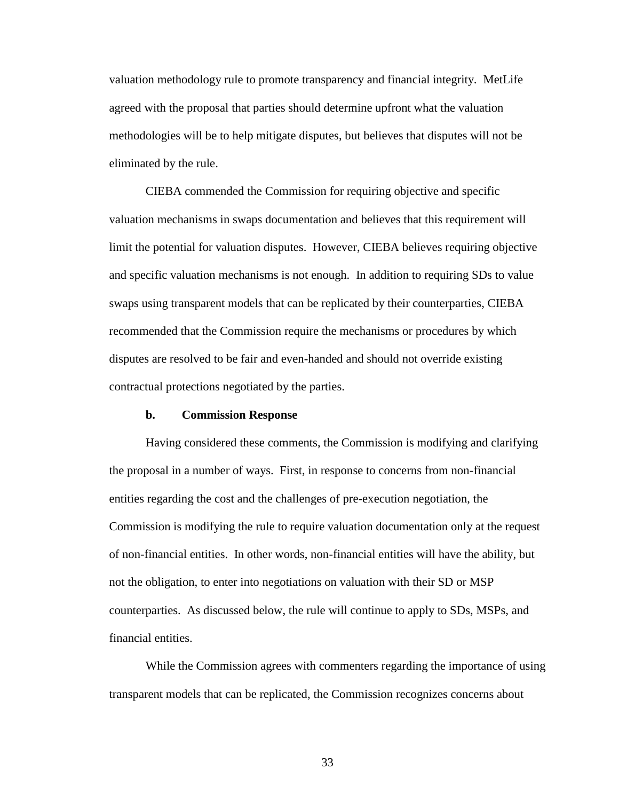valuation methodology rule to promote transparency and financial integrity. MetLife agreed with the proposal that parties should determine upfront what the valuation methodologies will be to help mitigate disputes, but believes that disputes will not be eliminated by the rule.

CIEBA commended the Commission for requiring objective and specific valuation mechanisms in swaps documentation and believes that this requirement will limit the potential for valuation disputes. However, CIEBA believes requiring objective and specific valuation mechanisms is not enough. In addition to requiring SDs to value swaps using transparent models that can be replicated by their counterparties, CIEBA recommended that the Commission require the mechanisms or procedures by which disputes are resolved to be fair and even-handed and should not override existing contractual protections negotiated by the parties.

### **b. Commission Response**

Having considered these comments, the Commission is modifying and clarifying the proposal in a number of ways. First, in response to concerns from non-financial entities regarding the cost and the challenges of pre-execution negotiation, the Commission is modifying the rule to require valuation documentation only at the request of non-financial entities. In other words, non-financial entities will have the ability, but not the obligation, to enter into negotiations on valuation with their SD or MSP counterparties. As discussed below, the rule will continue to apply to SDs, MSPs, and financial entities.

While the Commission agrees with commenters regarding the importance of using transparent models that can be replicated, the Commission recognizes concerns about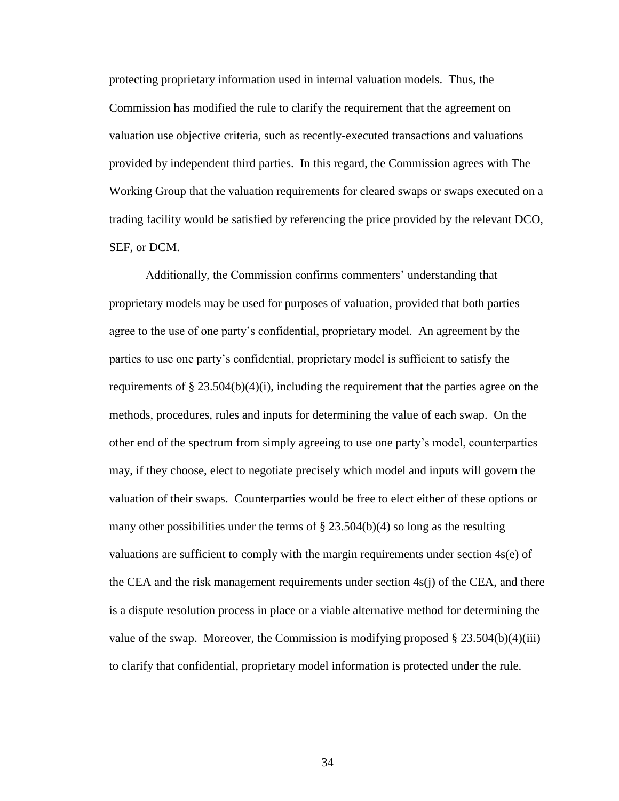protecting proprietary information used in internal valuation models. Thus, the Commission has modified the rule to clarify the requirement that the agreement on valuation use objective criteria, such as recently-executed transactions and valuations provided by independent third parties. In this regard, the Commission agrees with The Working Group that the valuation requirements for cleared swaps or swaps executed on a trading facility would be satisfied by referencing the price provided by the relevant DCO, SEF, or DCM.

Additionally, the Commission confirms commenters' understanding that proprietary models may be used for purposes of valuation, provided that both parties agree to the use of one party's confidential, proprietary model. An agreement by the parties to use one party's confidential, proprietary model is sufficient to satisfy the requirements of § 23.504(b)(4)(i), including the requirement that the parties agree on the methods, procedures, rules and inputs for determining the value of each swap. On the other end of the spectrum from simply agreeing to use one party's model, counterparties may, if they choose, elect to negotiate precisely which model and inputs will govern the valuation of their swaps. Counterparties would be free to elect either of these options or many other possibilities under the terms of  $\S 23.504(b)(4)$  so long as the resulting valuations are sufficient to comply with the margin requirements under section 4s(e) of the CEA and the risk management requirements under section  $4s(i)$  of the CEA, and there is a dispute resolution process in place or a viable alternative method for determining the value of the swap. Moreover, the Commission is modifying proposed  $\S 23.504(b)(4)(iii)$ to clarify that confidential, proprietary model information is protected under the rule.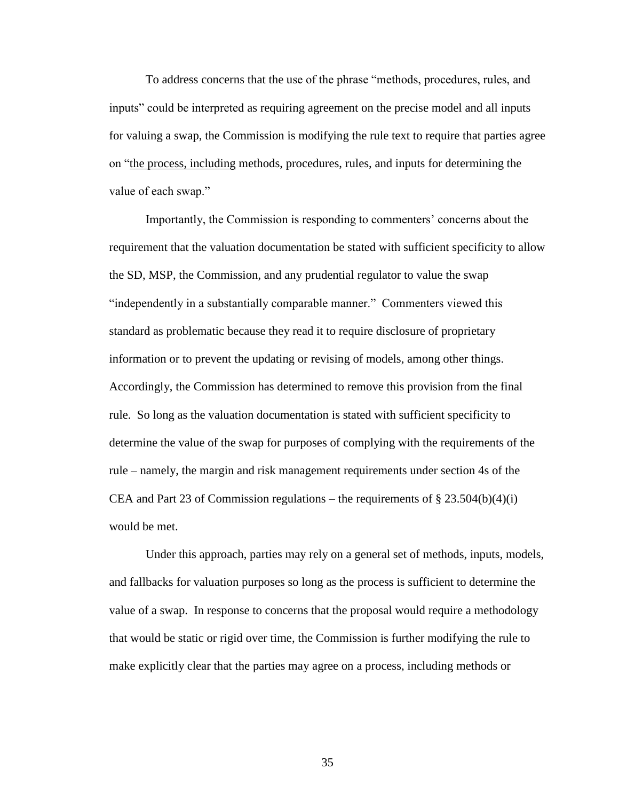To address concerns that the use of the phrase "methods, procedures, rules, and inputs" could be interpreted as requiring agreement on the precise model and all inputs for valuing a swap, the Commission is modifying the rule text to require that parties agree on "the process, including methods, procedures, rules, and inputs for determining the value of each swap."

Importantly, the Commission is responding to commenters' concerns about the requirement that the valuation documentation be stated with sufficient specificity to allow the SD, MSP, the Commission, and any prudential regulator to value the swap "independently in a substantially comparable manner." Commenters viewed this standard as problematic because they read it to require disclosure of proprietary information or to prevent the updating or revising of models, among other things. Accordingly, the Commission has determined to remove this provision from the final rule. So long as the valuation documentation is stated with sufficient specificity to determine the value of the swap for purposes of complying with the requirements of the rule – namely, the margin and risk management requirements under section 4s of the CEA and Part 23 of Commission regulations – the requirements of  $\S 23.504(b)(4)(i)$ would be met.

Under this approach, parties may rely on a general set of methods, inputs, models, and fallbacks for valuation purposes so long as the process is sufficient to determine the value of a swap. In response to concerns that the proposal would require a methodology that would be static or rigid over time, the Commission is further modifying the rule to make explicitly clear that the parties may agree on a process, including methods or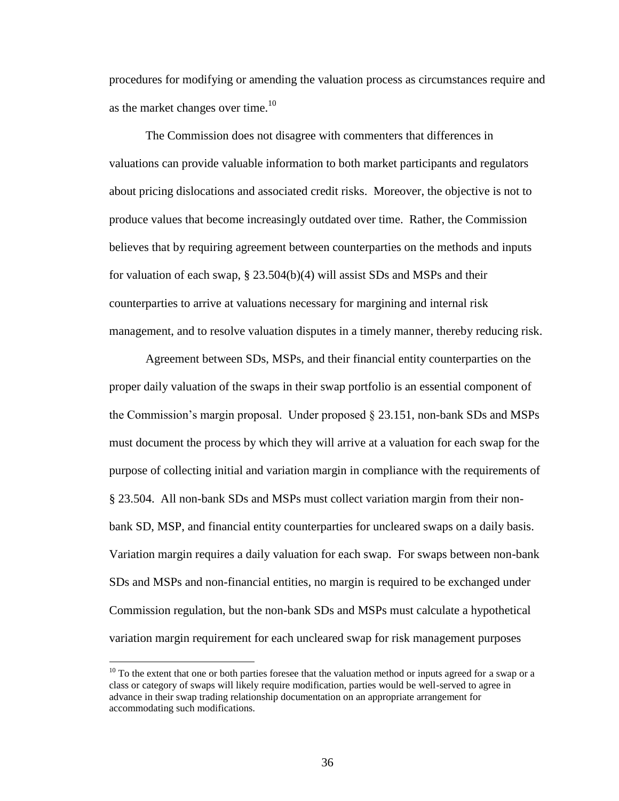procedures for modifying or amending the valuation process as circumstances require and as the market changes over time.<sup>10</sup>

The Commission does not disagree with commenters that differences in valuations can provide valuable information to both market participants and regulators about pricing dislocations and associated credit risks. Moreover, the objective is not to produce values that become increasingly outdated over time. Rather, the Commission believes that by requiring agreement between counterparties on the methods and inputs for valuation of each swap,  $\S 23.504(b)(4)$  will assist SDs and MSPs and their counterparties to arrive at valuations necessary for margining and internal risk management, and to resolve valuation disputes in a timely manner, thereby reducing risk.

Agreement between SDs, MSPs, and their financial entity counterparties on the proper daily valuation of the swaps in their swap portfolio is an essential component of the Commission's margin proposal. Under proposed § 23.151, non-bank SDs and MSPs must document the process by which they will arrive at a valuation for each swap for the purpose of collecting initial and variation margin in compliance with the requirements of § 23.504. All non-bank SDs and MSPs must collect variation margin from their nonbank SD, MSP, and financial entity counterparties for uncleared swaps on a daily basis. Variation margin requires a daily valuation for each swap. For swaps between non-bank SDs and MSPs and non-financial entities, no margin is required to be exchanged under Commission regulation, but the non-bank SDs and MSPs must calculate a hypothetical variation margin requirement for each uncleared swap for risk management purposes

 $\overline{a}$ 

<sup>&</sup>lt;sup>10</sup> To the extent that one or both parties foresee that the valuation method or inputs agreed for a swap or a class or category of swaps will likely require modification, parties would be well-served to agree in advance in their swap trading relationship documentation on an appropriate arrangement for accommodating such modifications.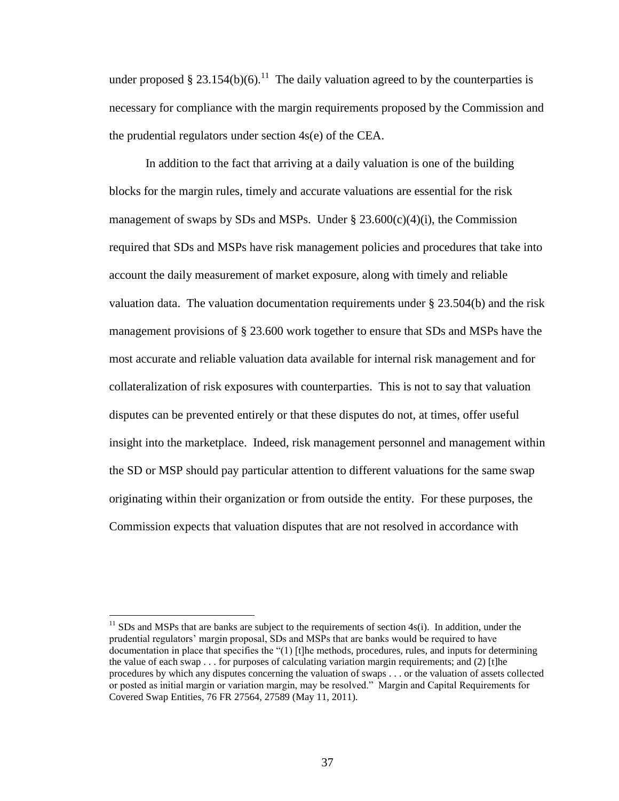under proposed § 23.154(b)(6).<sup>11</sup> The daily valuation agreed to by the counterparties is necessary for compliance with the margin requirements proposed by the Commission and the prudential regulators under section 4s(e) of the CEA.

In addition to the fact that arriving at a daily valuation is one of the building blocks for the margin rules, timely and accurate valuations are essential for the risk management of swaps by SDs and MSPs. Under  $\S 23.600(c)(4)(i)$ , the Commission required that SDs and MSPs have risk management policies and procedures that take into account the daily measurement of market exposure, along with timely and reliable valuation data. The valuation documentation requirements under § 23.504(b) and the risk management provisions of § 23.600 work together to ensure that SDs and MSPs have the most accurate and reliable valuation data available for internal risk management and for collateralization of risk exposures with counterparties. This is not to say that valuation disputes can be prevented entirely or that these disputes do not, at times, offer useful insight into the marketplace. Indeed, risk management personnel and management within the SD or MSP should pay particular attention to different valuations for the same swap originating within their organization or from outside the entity. For these purposes, the Commission expects that valuation disputes that are not resolved in accordance with

 $\overline{a}$ 

 $11$  SDs and MSPs that are banks are subject to the requirements of section 4s(i). In addition, under the prudential regulators' margin proposal, SDs and MSPs that are banks would be required to have documentation in place that specifies the "(1) [t]he methods, procedures, rules, and inputs for determining the value of each swap  $\ldots$  for purposes of calculating variation margin requirements; and (2) [t]he procedures by which any disputes concerning the valuation of swaps . . . or the valuation of assets collected or posted as initial margin or variation margin, may be resolved." Margin and Capital Requirements for Covered Swap Entities, 76 FR 27564, 27589 (May 11, 2011).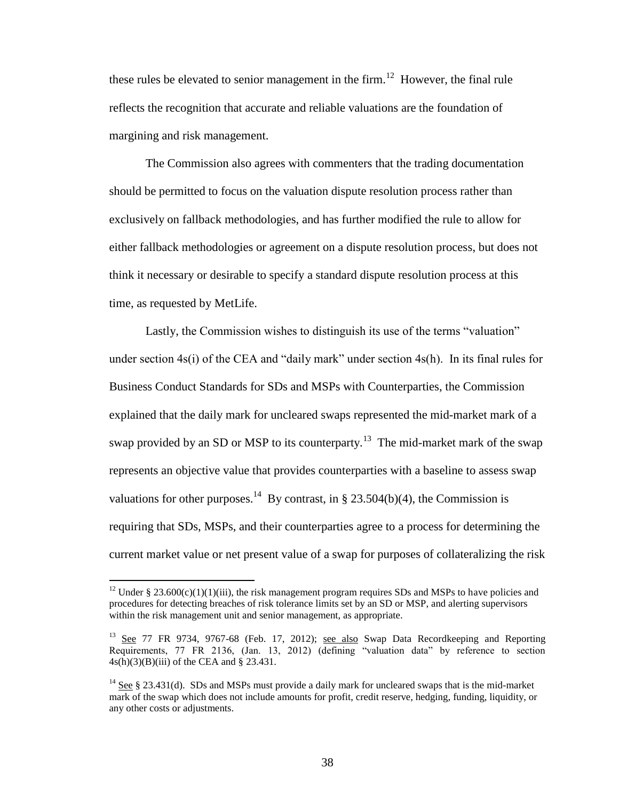these rules be elevated to senior management in the firm.<sup>12</sup> However, the final rule reflects the recognition that accurate and reliable valuations are the foundation of margining and risk management.

The Commission also agrees with commenters that the trading documentation should be permitted to focus on the valuation dispute resolution process rather than exclusively on fallback methodologies, and has further modified the rule to allow for either fallback methodologies or agreement on a dispute resolution process, but does not think it necessary or desirable to specify a standard dispute resolution process at this time, as requested by MetLife.

Lastly, the Commission wishes to distinguish its use of the terms "valuation" under section 4s(i) of the CEA and "daily mark" under section 4s(h). In its final rules for Business Conduct Standards for SDs and MSPs with Counterparties, the Commission explained that the daily mark for uncleared swaps represented the mid-market mark of a swap provided by an SD or MSP to its counterparty.<sup>13</sup> The mid-market mark of the swap represents an objective value that provides counterparties with a baseline to assess swap valuations for other purposes.<sup>14</sup> By contrast, in § 23.504(b)(4), the Commission is requiring that SDs, MSPs, and their counterparties agree to a process for determining the current market value or net present value of a swap for purposes of collateralizing the risk

 $\overline{a}$ 

<sup>&</sup>lt;sup>12</sup> Under § 23.600(c)(1)(1)(iii), the risk management program requires SDs and MSPs to have policies and procedures for detecting breaches of risk tolerance limits set by an SD or MSP, and alerting supervisors within the risk management unit and senior management, as appropriate.

<sup>&</sup>lt;sup>13</sup> See 77 FR 9734, 9767-68 (Feb. 17, 2012); see also Swap Data Recordkeeping and Reporting Requirements, 77 FR 2136, (Jan. 13, 2012) (defining "valuation data" by reference to section 4s(h)(3)(B)(iii) of the CEA and § 23.431.

<sup>&</sup>lt;sup>14</sup> See § 23.431(d). SDs and MSPs must provide a daily mark for uncleared swaps that is the mid-market mark of the swap which does not include amounts for profit, credit reserve, hedging, funding, liquidity, or any other costs or adjustments.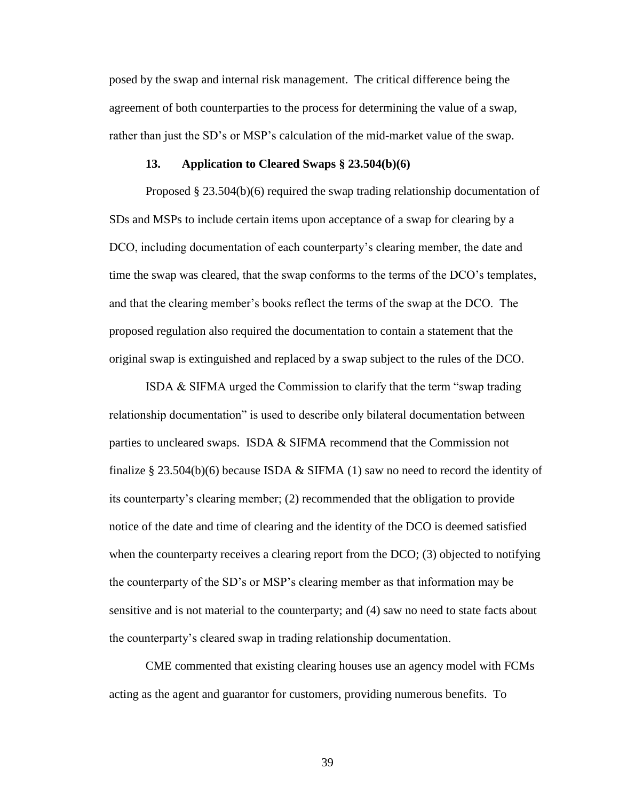posed by the swap and internal risk management. The critical difference being the agreement of both counterparties to the process for determining the value of a swap, rather than just the SD's or MSP's calculation of the mid-market value of the swap.

#### **13. Application to Cleared Swaps § 23.504(b)(6)**

Proposed § 23.504(b)(6) required the swap trading relationship documentation of SDs and MSPs to include certain items upon acceptance of a swap for clearing by a DCO, including documentation of each counterparty's clearing member, the date and time the swap was cleared, that the swap conforms to the terms of the DCO's templates, and that the clearing member's books reflect the terms of the swap at the DCO. The proposed regulation also required the documentation to contain a statement that the original swap is extinguished and replaced by a swap subject to the rules of the DCO.

ISDA & SIFMA urged the Commission to clarify that the term "swap trading relationship documentation" is used to describe only bilateral documentation between parties to uncleared swaps. ISDA  $&$  SIFMA recommend that the Commission not finalize  $\S 23.504(b)(6)$  because ISDA & SIFMA (1) saw no need to record the identity of its counterparty's clearing member; (2) recommended that the obligation to provide notice of the date and time of clearing and the identity of the DCO is deemed satisfied when the counterparty receives a clearing report from the DCO; (3) objected to notifying the counterparty of the SD's or MSP's clearing member as that information may be sensitive and is not material to the counterparty; and (4) saw no need to state facts about the counterparty's cleared swap in trading relationship documentation.

CME commented that existing clearing houses use an agency model with FCMs acting as the agent and guarantor for customers, providing numerous benefits. To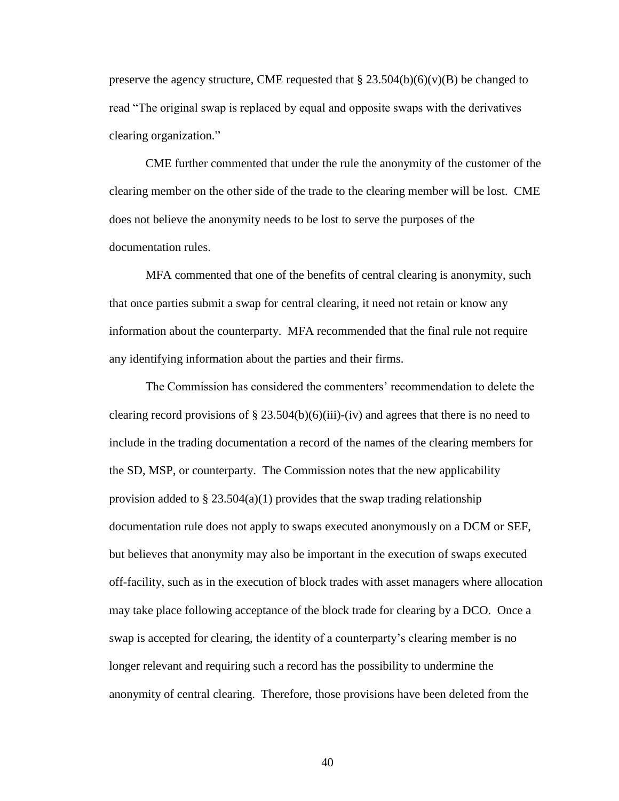preserve the agency structure, CME requested that  $\S 23.504(b)(6)(v)(B)$  be changed to read "The original swap is replaced by equal and opposite swaps with the derivatives clearing organization."

CME further commented that under the rule the anonymity of the customer of the clearing member on the other side of the trade to the clearing member will be lost. CME does not believe the anonymity needs to be lost to serve the purposes of the documentation rules.

MFA commented that one of the benefits of central clearing is anonymity, such that once parties submit a swap for central clearing, it need not retain or know any information about the counterparty. MFA recommended that the final rule not require any identifying information about the parties and their firms.

The Commission has considered the commenters' recommendation to delete the clearing record provisions of  $\S 23.504(b)(6)(iii)-(iv)$  and agrees that there is no need to include in the trading documentation a record of the names of the clearing members for the SD, MSP, or counterparty. The Commission notes that the new applicability provision added to  $\S 23.504(a)(1)$  provides that the swap trading relationship documentation rule does not apply to swaps executed anonymously on a DCM or SEF, but believes that anonymity may also be important in the execution of swaps executed off-facility, such as in the execution of block trades with asset managers where allocation may take place following acceptance of the block trade for clearing by a DCO. Once a swap is accepted for clearing, the identity of a counterparty's clearing member is no longer relevant and requiring such a record has the possibility to undermine the anonymity of central clearing. Therefore, those provisions have been deleted from the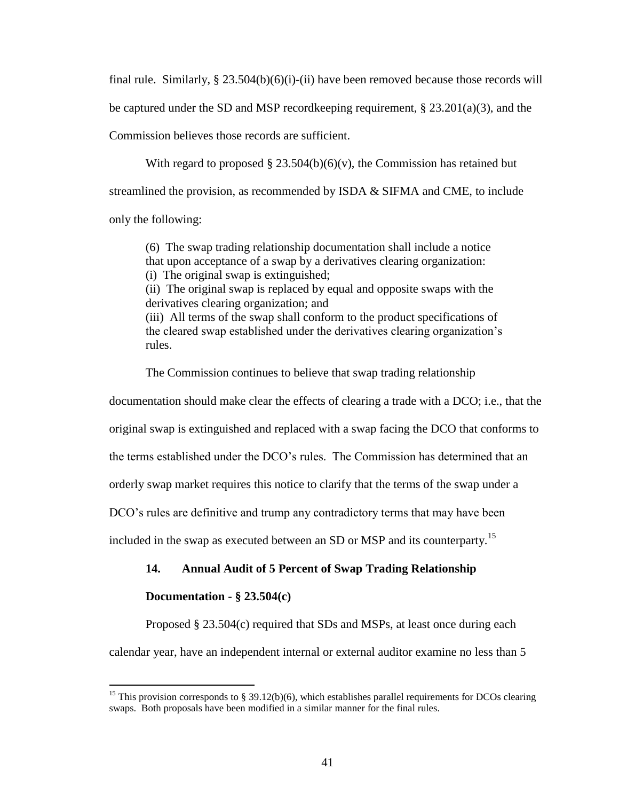final rule. Similarly,  $\S 23.504(b)(6)(i)$ -(ii) have been removed because those records will be captured under the SD and MSP record keeping requirement,  $\S 23.201(a)(3)$ , and the Commission believes those records are sufficient.

With regard to proposed  $\S 23.504(b)(6)(v)$ , the Commission has retained but streamlined the provision, as recommended by ISDA & SIFMA and CME, to include only the following:

(6) The swap trading relationship documentation shall include a notice that upon acceptance of a swap by a derivatives clearing organization: (i) The original swap is extinguished; (ii) The original swap is replaced by equal and opposite swaps with the derivatives clearing organization; and (iii) All terms of the swap shall conform to the product specifications of the cleared swap established under the derivatives clearing organization's rules.

The Commission continues to believe that swap trading relationship

documentation should make clear the effects of clearing a trade with a DCO; i.e., that the

original swap is extinguished and replaced with a swap facing the DCO that conforms to

the terms established under the DCO's rules. The Commission has determined that an

orderly swap market requires this notice to clarify that the terms of the swap under a

DCO's rules are definitive and trump any contradictory terms that may have been

included in the swap as executed between an SD or MSP and its counterparty.<sup>15</sup>

# **14. Annual Audit of 5 Percent of Swap Trading Relationship**

## **Documentation - § 23.504(c)**

 $\overline{a}$ 

Proposed § 23.504(c) required that SDs and MSPs, at least once during each

calendar year, have an independent internal or external auditor examine no less than 5

<sup>&</sup>lt;sup>15</sup> This provision corresponds to § 39.12(b)(6), which establishes parallel requirements for DCOs clearing swaps. Both proposals have been modified in a similar manner for the final rules.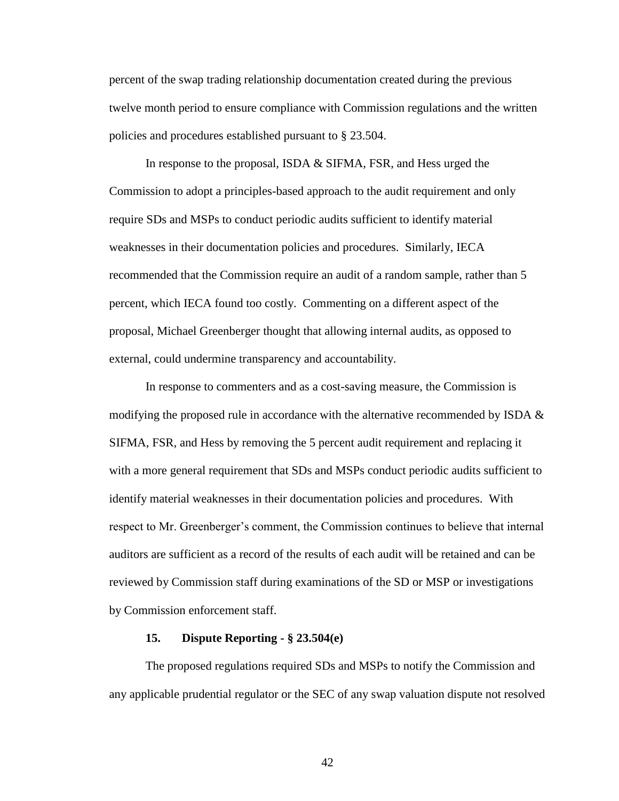percent of the swap trading relationship documentation created during the previous twelve month period to ensure compliance with Commission regulations and the written policies and procedures established pursuant to § 23.504.

In response to the proposal, ISDA & SIFMA, FSR, and Hess urged the Commission to adopt a principles-based approach to the audit requirement and only require SDs and MSPs to conduct periodic audits sufficient to identify material weaknesses in their documentation policies and procedures. Similarly, IECA recommended that the Commission require an audit of a random sample, rather than 5 percent, which IECA found too costly. Commenting on a different aspect of the proposal, Michael Greenberger thought that allowing internal audits, as opposed to external, could undermine transparency and accountability.

In response to commenters and as a cost-saving measure, the Commission is modifying the proposed rule in accordance with the alternative recommended by ISDA  $\&$ SIFMA, FSR, and Hess by removing the 5 percent audit requirement and replacing it with a more general requirement that SDs and MSPs conduct periodic audits sufficient to identify material weaknesses in their documentation policies and procedures. With respect to Mr. Greenberger's comment, the Commission continues to believe that internal auditors are sufficient as a record of the results of each audit will be retained and can be reviewed by Commission staff during examinations of the SD or MSP or investigations by Commission enforcement staff.

#### **15. Dispute Reporting - § 23.504(e)**

The proposed regulations required SDs and MSPs to notify the Commission and any applicable prudential regulator or the SEC of any swap valuation dispute not resolved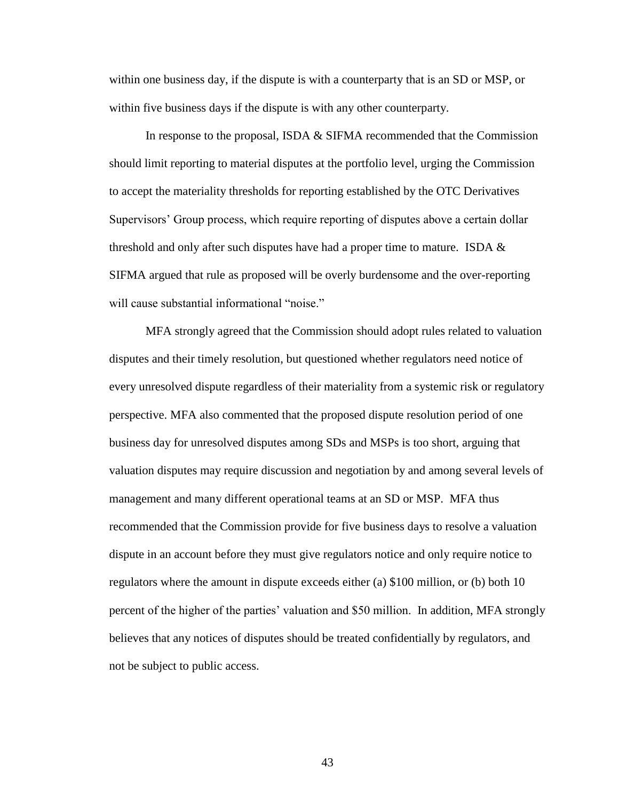within one business day, if the dispute is with a counterparty that is an SD or MSP, or within five business days if the dispute is with any other counterparty.

In response to the proposal, ISDA & SIFMA recommended that the Commission should limit reporting to material disputes at the portfolio level, urging the Commission to accept the materiality thresholds for reporting established by the OTC Derivatives Supervisors' Group process, which require reporting of disputes above a certain dollar threshold and only after such disputes have had a proper time to mature. ISDA  $\&$ SIFMA argued that rule as proposed will be overly burdensome and the over-reporting will cause substantial informational "noise."

MFA strongly agreed that the Commission should adopt rules related to valuation disputes and their timely resolution, but questioned whether regulators need notice of every unresolved dispute regardless of their materiality from a systemic risk or regulatory perspective. MFA also commented that the proposed dispute resolution period of one business day for unresolved disputes among SDs and MSPs is too short, arguing that valuation disputes may require discussion and negotiation by and among several levels of management and many different operational teams at an SD or MSP. MFA thus recommended that the Commission provide for five business days to resolve a valuation dispute in an account before they must give regulators notice and only require notice to regulators where the amount in dispute exceeds either (a) \$100 million, or (b) both 10 percent of the higher of the parties' valuation and \$50 million. In addition, MFA strongly believes that any notices of disputes should be treated confidentially by regulators, and not be subject to public access.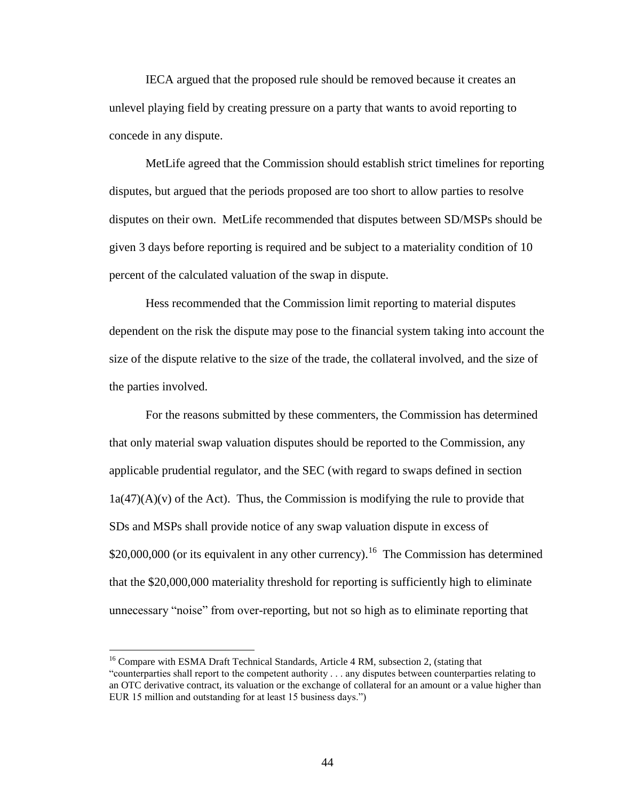IECA argued that the proposed rule should be removed because it creates an unlevel playing field by creating pressure on a party that wants to avoid reporting to concede in any dispute.

MetLife agreed that the Commission should establish strict timelines for reporting disputes, but argued that the periods proposed are too short to allow parties to resolve disputes on their own. MetLife recommended that disputes between SD/MSPs should be given 3 days before reporting is required and be subject to a materiality condition of 10 percent of the calculated valuation of the swap in dispute.

Hess recommended that the Commission limit reporting to material disputes dependent on the risk the dispute may pose to the financial system taking into account the size of the dispute relative to the size of the trade, the collateral involved, and the size of the parties involved.

For the reasons submitted by these commenters, the Commission has determined that only material swap valuation disputes should be reported to the Commission, any applicable prudential regulator, and the SEC (with regard to swaps defined in section  $1a(47)(A)(v)$  of the Act). Thus, the Commission is modifying the rule to provide that SDs and MSPs shall provide notice of any swap valuation dispute in excess of  $$20,000,000$  (or its equivalent in any other currency).<sup>16</sup> The Commission has determined that the \$20,000,000 materiality threshold for reporting is sufficiently high to eliminate unnecessary "noise" from over-reporting, but not so high as to eliminate reporting that

 $\overline{a}$ 

<sup>&</sup>lt;sup>16</sup> Compare with ESMA Draft Technical Standards, Article 4 RM, subsection 2, (stating that "counterparties shall report to the competent authority . . . any disputes between counterparties relating to an OTC derivative contract, its valuation or the exchange of collateral for an amount or a value higher than EUR 15 million and outstanding for at least 15 business days.")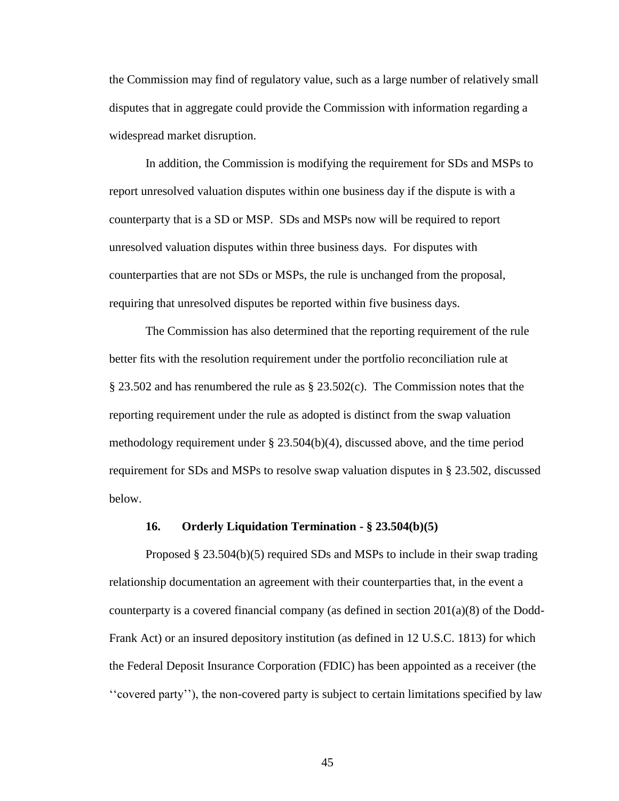the Commission may find of regulatory value, such as a large number of relatively small disputes that in aggregate could provide the Commission with information regarding a widespread market disruption.

In addition, the Commission is modifying the requirement for SDs and MSPs to report unresolved valuation disputes within one business day if the dispute is with a counterparty that is a SD or MSP. SDs and MSPs now will be required to report unresolved valuation disputes within three business days. For disputes with counterparties that are not SDs or MSPs, the rule is unchanged from the proposal, requiring that unresolved disputes be reported within five business days.

The Commission has also determined that the reporting requirement of the rule better fits with the resolution requirement under the portfolio reconciliation rule at  $\S 23.502$  and has renumbered the rule as  $\S 23.502(c)$ . The Commission notes that the reporting requirement under the rule as adopted is distinct from the swap valuation methodology requirement under § 23.504(b)(4), discussed above, and the time period requirement for SDs and MSPs to resolve swap valuation disputes in § 23.502, discussed below.

#### **16. Orderly Liquidation Termination - § 23.504(b)(5)**

Proposed § 23.504(b)(5) required SDs and MSPs to include in their swap trading relationship documentation an agreement with their counterparties that, in the event a counterparty is a covered financial company (as defined in section 201(a)(8) of the Dodd-Frank Act) or an insured depository institution (as defined in 12 U.S.C. 1813) for which the Federal Deposit Insurance Corporation (FDIC) has been appointed as a receiver (the ''covered party''), the non-covered party is subject to certain limitations specified by law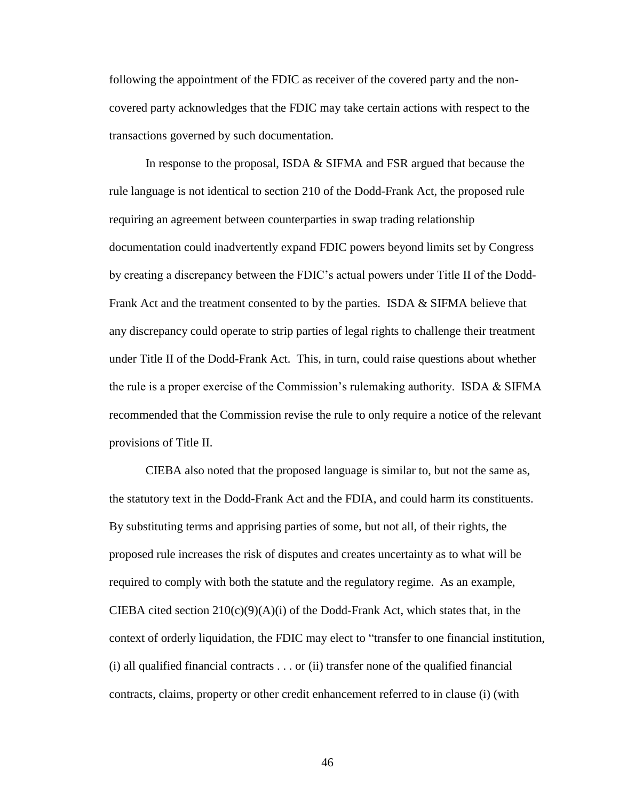following the appointment of the FDIC as receiver of the covered party and the noncovered party acknowledges that the FDIC may take certain actions with respect to the transactions governed by such documentation.

In response to the proposal, ISDA & SIFMA and FSR argued that because the rule language is not identical to section 210 of the Dodd-Frank Act, the proposed rule requiring an agreement between counterparties in swap trading relationship documentation could inadvertently expand FDIC powers beyond limits set by Congress by creating a discrepancy between the FDIC's actual powers under Title II of the Dodd-Frank Act and the treatment consented to by the parties. ISDA & SIFMA believe that any discrepancy could operate to strip parties of legal rights to challenge their treatment under Title II of the Dodd-Frank Act. This, in turn, could raise questions about whether the rule is a proper exercise of the Commission's rulemaking authority. ISDA & SIFMA recommended that the Commission revise the rule to only require a notice of the relevant provisions of Title II.

CIEBA also noted that the proposed language is similar to, but not the same as, the statutory text in the Dodd-Frank Act and the FDIA, and could harm its constituents. By substituting terms and apprising parties of some, but not all, of their rights, the proposed rule increases the risk of disputes and creates uncertainty as to what will be required to comply with both the statute and the regulatory regime. As an example, CIEBA cited section  $210(c)(9)(A)(i)$  of the Dodd-Frank Act, which states that, in the context of orderly liquidation, the FDIC may elect to "transfer to one financial institution, (i) all qualified financial contracts . . . or (ii) transfer none of the qualified financial contracts, claims, property or other credit enhancement referred to in clause (i) (with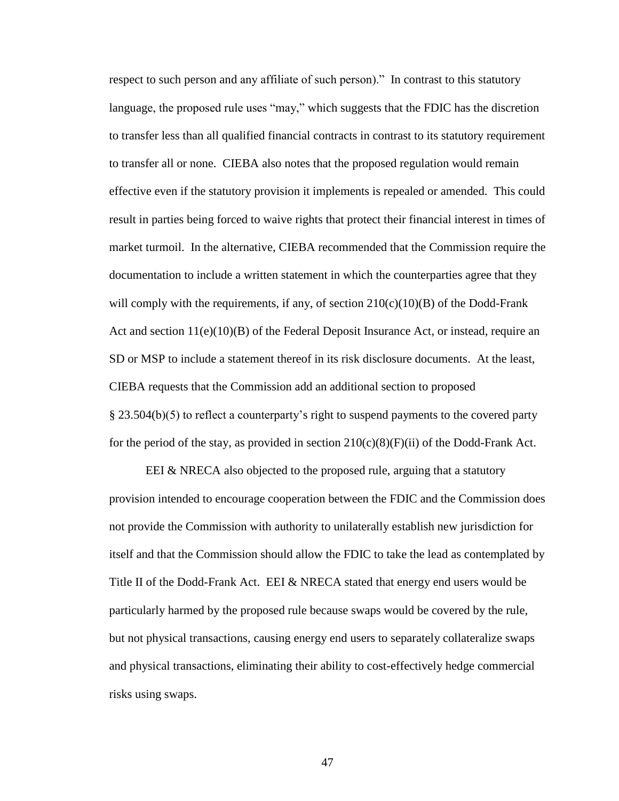respect to such person and any affiliate of such person)." In contrast to this statutory language, the proposed rule uses "may," which suggests that the FDIC has the discretion to transfer less than all qualified financial contracts in contrast to its statutory requirement to transfer all or none. CIEBA also notes that the proposed regulation would remain effective even if the statutory provision it implements is repealed or amended. This could result in parties being forced to waive rights that protect their financial interest in times of market turmoil. In the alternative, CIEBA recommended that the Commission require the documentation to include a written statement in which the counterparties agree that they will comply with the requirements, if any, of section  $210(c)(10)(B)$  of the Dodd-Frank Act and section  $11(e)(10)(B)$  of the Federal Deposit Insurance Act, or instead, require an SD or MSP to include a statement thereof in its risk disclosure documents. At the least, CIEBA requests that the Commission add an additional section to proposed § 23.504(b)(5) to reflect a counterparty's right to suspend payments to the covered party for the period of the stay, as provided in section  $210(c)(8)(F)(ii)$  of the Dodd-Frank Act.

EEI & NRECA also objected to the proposed rule, arguing that a statutory provision intended to encourage cooperation between the FDIC and the Commission does not provide the Commission with authority to unilaterally establish new jurisdiction for itself and that the Commission should allow the FDIC to take the lead as contemplated by Title II of the Dodd-Frank Act. EEI & NRECA stated that energy end users would be particularly harmed by the proposed rule because swaps would be covered by the rule, but not physical transactions, causing energy end users to separately collateralize swaps and physical transactions, eliminating their ability to cost-effectively hedge commercial risks using swaps.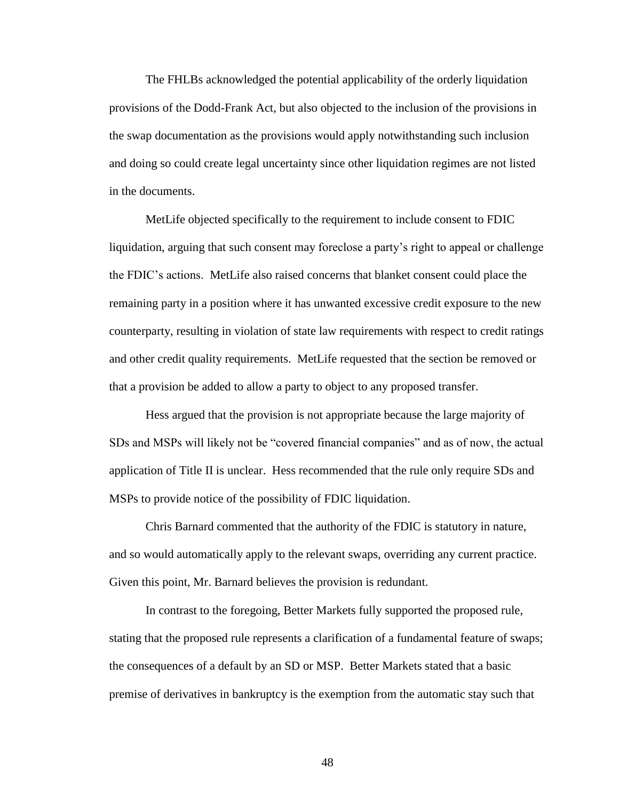The FHLBs acknowledged the potential applicability of the orderly liquidation provisions of the Dodd-Frank Act, but also objected to the inclusion of the provisions in the swap documentation as the provisions would apply notwithstanding such inclusion and doing so could create legal uncertainty since other liquidation regimes are not listed in the documents.

MetLife objected specifically to the requirement to include consent to FDIC liquidation, arguing that such consent may foreclose a party's right to appeal or challenge the FDIC's actions. MetLife also raised concerns that blanket consent could place the remaining party in a position where it has unwanted excessive credit exposure to the new counterparty, resulting in violation of state law requirements with respect to credit ratings and other credit quality requirements. MetLife requested that the section be removed or that a provision be added to allow a party to object to any proposed transfer.

Hess argued that the provision is not appropriate because the large majority of SDs and MSPs will likely not be "covered financial companies" and as of now, the actual application of Title II is unclear. Hess recommended that the rule only require SDs and MSPs to provide notice of the possibility of FDIC liquidation.

Chris Barnard commented that the authority of the FDIC is statutory in nature, and so would automatically apply to the relevant swaps, overriding any current practice. Given this point, Mr. Barnard believes the provision is redundant.

In contrast to the foregoing, Better Markets fully supported the proposed rule, stating that the proposed rule represents a clarification of a fundamental feature of swaps; the consequences of a default by an SD or MSP. Better Markets stated that a basic premise of derivatives in bankruptcy is the exemption from the automatic stay such that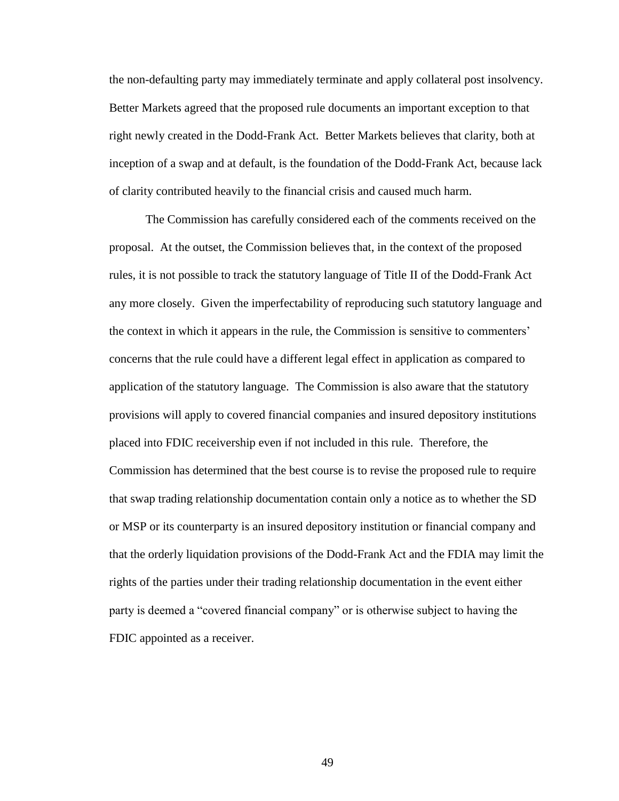the non-defaulting party may immediately terminate and apply collateral post insolvency. Better Markets agreed that the proposed rule documents an important exception to that right newly created in the Dodd-Frank Act. Better Markets believes that clarity, both at inception of a swap and at default, is the foundation of the Dodd-Frank Act, because lack of clarity contributed heavily to the financial crisis and caused much harm.

The Commission has carefully considered each of the comments received on the proposal. At the outset, the Commission believes that, in the context of the proposed rules, it is not possible to track the statutory language of Title II of the Dodd-Frank Act any more closely. Given the imperfectability of reproducing such statutory language and the context in which it appears in the rule, the Commission is sensitive to commenters' concerns that the rule could have a different legal effect in application as compared to application of the statutory language. The Commission is also aware that the statutory provisions will apply to covered financial companies and insured depository institutions placed into FDIC receivership even if not included in this rule. Therefore, the Commission has determined that the best course is to revise the proposed rule to require that swap trading relationship documentation contain only a notice as to whether the SD or MSP or its counterparty is an insured depository institution or financial company and that the orderly liquidation provisions of the Dodd-Frank Act and the FDIA may limit the rights of the parties under their trading relationship documentation in the event either party is deemed a "covered financial company" or is otherwise subject to having the FDIC appointed as a receiver.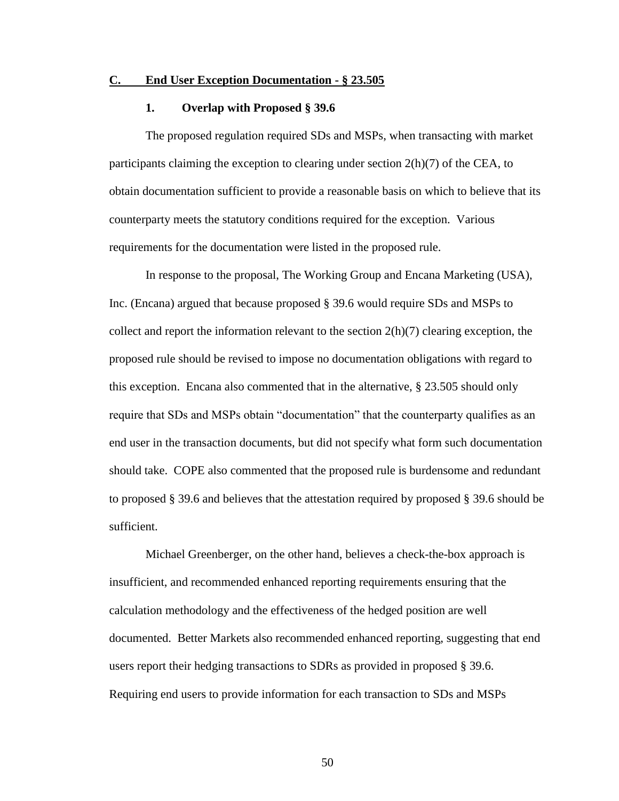#### **C. End User Exception Documentation - § 23.505**

#### **1. Overlap with Proposed § 39.6**

The proposed regulation required SDs and MSPs, when transacting with market participants claiming the exception to clearing under section 2(h)(7) of the CEA, to obtain documentation sufficient to provide a reasonable basis on which to believe that its counterparty meets the statutory conditions required for the exception. Various requirements for the documentation were listed in the proposed rule.

In response to the proposal, The Working Group and Encana Marketing (USA), Inc. (Encana) argued that because proposed § 39.6 would require SDs and MSPs to collect and report the information relevant to the section  $2(h)(7)$  clearing exception, the proposed rule should be revised to impose no documentation obligations with regard to this exception. Encana also commented that in the alternative, § 23.505 should only require that SDs and MSPs obtain "documentation" that the counterparty qualifies as an end user in the transaction documents, but did not specify what form such documentation should take. COPE also commented that the proposed rule is burdensome and redundant to proposed § 39.6 and believes that the attestation required by proposed § 39.6 should be sufficient.

Michael Greenberger, on the other hand, believes a check-the-box approach is insufficient, and recommended enhanced reporting requirements ensuring that the calculation methodology and the effectiveness of the hedged position are well documented. Better Markets also recommended enhanced reporting, suggesting that end users report their hedging transactions to SDRs as provided in proposed § 39.6. Requiring end users to provide information for each transaction to SDs and MSPs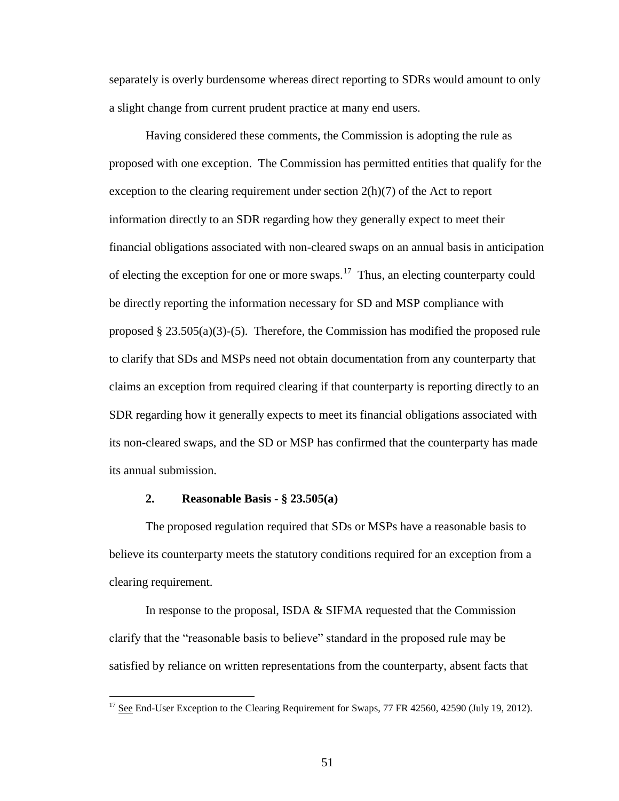separately is overly burdensome whereas direct reporting to SDRs would amount to only a slight change from current prudent practice at many end users.

Having considered these comments, the Commission is adopting the rule as proposed with one exception. The Commission has permitted entities that qualify for the exception to the clearing requirement under section 2(h)(7) of the Act to report information directly to an SDR regarding how they generally expect to meet their financial obligations associated with non-cleared swaps on an annual basis in anticipation of electing the exception for one or more swaps.<sup>17</sup> Thus, an electing counterparty could be directly reporting the information necessary for SD and MSP compliance with proposed  $\S 23.505(a)(3)-(5)$ . Therefore, the Commission has modified the proposed rule to clarify that SDs and MSPs need not obtain documentation from any counterparty that claims an exception from required clearing if that counterparty is reporting directly to an SDR regarding how it generally expects to meet its financial obligations associated with its non-cleared swaps, and the SD or MSP has confirmed that the counterparty has made its annual submission.

### **2. Reasonable Basis - § 23.505(a)**

 $\overline{a}$ 

The proposed regulation required that SDs or MSPs have a reasonable basis to believe its counterparty meets the statutory conditions required for an exception from a clearing requirement.

In response to the proposal, ISDA & SIFMA requested that the Commission clarify that the "reasonable basis to believe" standard in the proposed rule may be satisfied by reliance on written representations from the counterparty, absent facts that

 $17$  See End-User Exception to the Clearing Requirement for Swaps, 77 FR 42560, 42590 (July 19, 2012).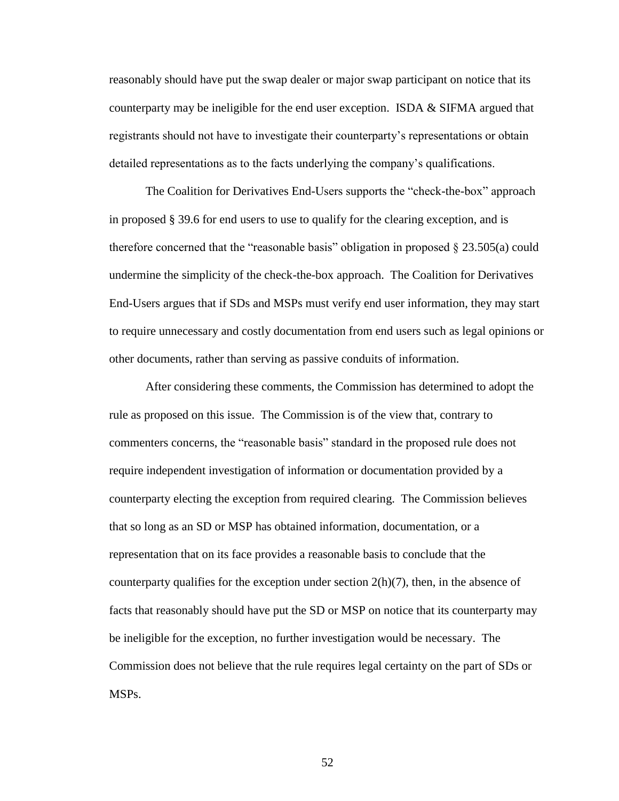reasonably should have put the swap dealer or major swap participant on notice that its counterparty may be ineligible for the end user exception. ISDA & SIFMA argued that registrants should not have to investigate their counterparty's representations or obtain detailed representations as to the facts underlying the company's qualifications.

The Coalition for Derivatives End-Users supports the "check-the-box" approach in proposed § 39.6 for end users to use to qualify for the clearing exception, and is therefore concerned that the "reasonable basis" obligation in proposed § 23.505(a) could undermine the simplicity of the check-the-box approach. The Coalition for Derivatives End-Users argues that if SDs and MSPs must verify end user information, they may start to require unnecessary and costly documentation from end users such as legal opinions or other documents, rather than serving as passive conduits of information.

After considering these comments, the Commission has determined to adopt the rule as proposed on this issue. The Commission is of the view that, contrary to commenters concerns, the "reasonable basis" standard in the proposed rule does not require independent investigation of information or documentation provided by a counterparty electing the exception from required clearing. The Commission believes that so long as an SD or MSP has obtained information, documentation, or a representation that on its face provides a reasonable basis to conclude that the counterparty qualifies for the exception under section  $2(h)(7)$ , then, in the absence of facts that reasonably should have put the SD or MSP on notice that its counterparty may be ineligible for the exception, no further investigation would be necessary. The Commission does not believe that the rule requires legal certainty on the part of SDs or MSPs.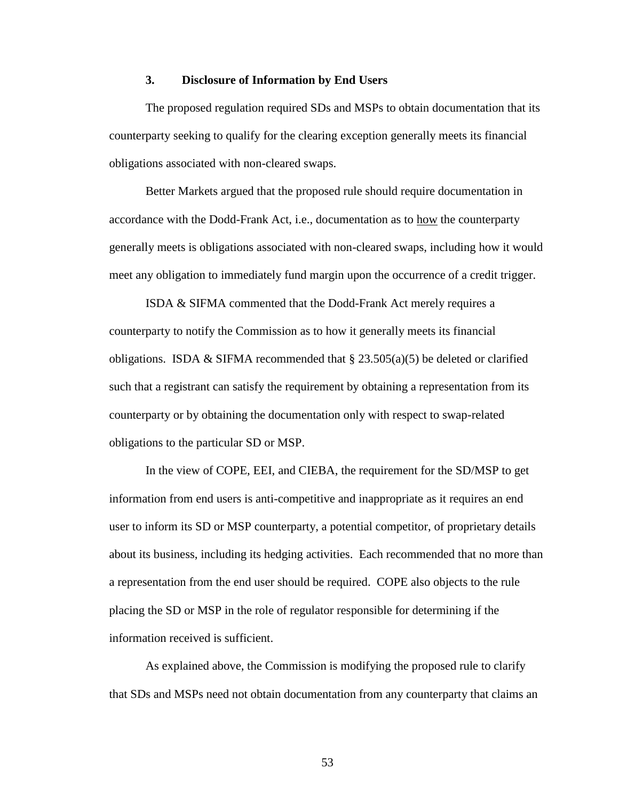# **3. Disclosure of Information by End Users**

The proposed regulation required SDs and MSPs to obtain documentation that its counterparty seeking to qualify for the clearing exception generally meets its financial obligations associated with non-cleared swaps.

Better Markets argued that the proposed rule should require documentation in accordance with the Dodd-Frank Act, i.e., documentation as to how the counterparty generally meets is obligations associated with non-cleared swaps, including how it would meet any obligation to immediately fund margin upon the occurrence of a credit trigger.

ISDA & SIFMA commented that the Dodd-Frank Act merely requires a counterparty to notify the Commission as to how it generally meets its financial obligations. ISDA & SIFMA recommended that  $\S 23.505(a)(5)$  be deleted or clarified such that a registrant can satisfy the requirement by obtaining a representation from its counterparty or by obtaining the documentation only with respect to swap-related obligations to the particular SD or MSP.

In the view of COPE, EEI, and CIEBA, the requirement for the SD/MSP to get information from end users is anti-competitive and inappropriate as it requires an end user to inform its SD or MSP counterparty, a potential competitor, of proprietary details about its business, including its hedging activities. Each recommended that no more than a representation from the end user should be required. COPE also objects to the rule placing the SD or MSP in the role of regulator responsible for determining if the information received is sufficient.

As explained above, the Commission is modifying the proposed rule to clarify that SDs and MSPs need not obtain documentation from any counterparty that claims an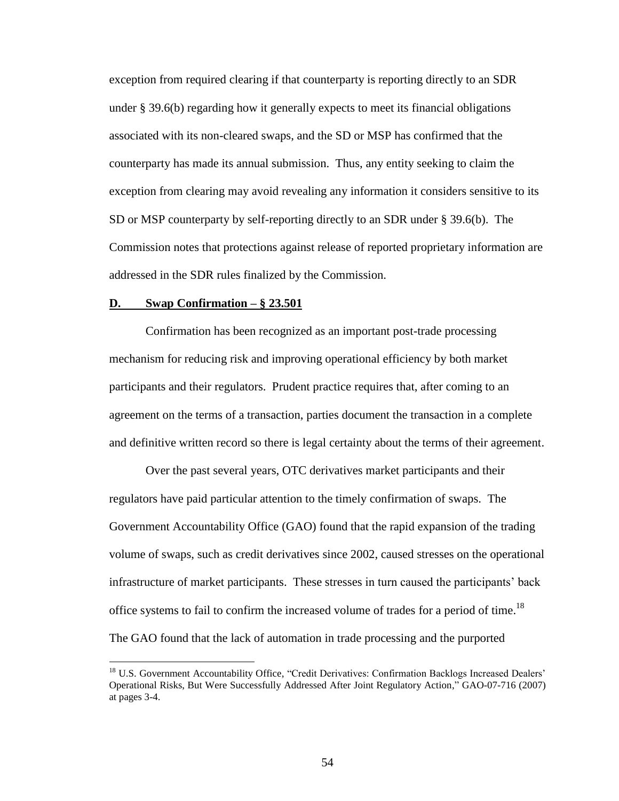exception from required clearing if that counterparty is reporting directly to an SDR under § 39.6(b) regarding how it generally expects to meet its financial obligations associated with its non-cleared swaps, and the SD or MSP has confirmed that the counterparty has made its annual submission. Thus, any entity seeking to claim the exception from clearing may avoid revealing any information it considers sensitive to its SD or MSP counterparty by self-reporting directly to an SDR under § 39.6(b). The Commission notes that protections against release of reported proprietary information are addressed in the SDR rules finalized by the Commission.

#### **D. Swap Confirmation – § 23.501**

 $\overline{a}$ 

Confirmation has been recognized as an important post-trade processing mechanism for reducing risk and improving operational efficiency by both market participants and their regulators. Prudent practice requires that, after coming to an agreement on the terms of a transaction, parties document the transaction in a complete and definitive written record so there is legal certainty about the terms of their agreement.

Over the past several years, OTC derivatives market participants and their regulators have paid particular attention to the timely confirmation of swaps. The Government Accountability Office (GAO) found that the rapid expansion of the trading volume of swaps, such as credit derivatives since 2002, caused stresses on the operational infrastructure of market participants. These stresses in turn caused the participants' back office systems to fail to confirm the increased volume of trades for a period of time.<sup>18</sup> The GAO found that the lack of automation in trade processing and the purported

<sup>&</sup>lt;sup>18</sup> U.S. Government Accountability Office, "Credit Derivatives: Confirmation Backlogs Increased Dealers' Operational Risks, But Were Successfully Addressed After Joint Regulatory Action," GAO-07-716 (2007) at pages 3-4.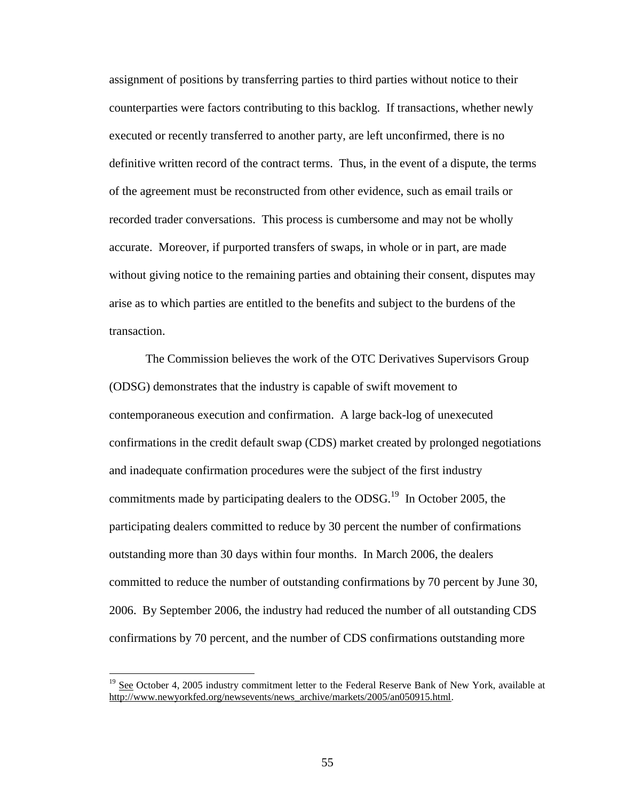assignment of positions by transferring parties to third parties without notice to their counterparties were factors contributing to this backlog. If transactions, whether newly executed or recently transferred to another party, are left unconfirmed, there is no definitive written record of the contract terms. Thus, in the event of a dispute, the terms of the agreement must be reconstructed from other evidence, such as email trails or recorded trader conversations. This process is cumbersome and may not be wholly accurate. Moreover, if purported transfers of swaps, in whole or in part, are made without giving notice to the remaining parties and obtaining their consent, disputes may arise as to which parties are entitled to the benefits and subject to the burdens of the transaction.

The Commission believes the work of the OTC Derivatives Supervisors Group (ODSG) demonstrates that the industry is capable of swift movement to contemporaneous execution and confirmation. A large back-log of unexecuted confirmations in the credit default swap (CDS) market created by prolonged negotiations and inadequate confirmation procedures were the subject of the first industry commitments made by participating dealers to the  $ODSG$ .<sup>19</sup> In October 2005, the participating dealers committed to reduce by 30 percent the number of confirmations outstanding more than 30 days within four months. In March 2006, the dealers committed to reduce the number of outstanding confirmations by 70 percent by June 30, 2006. By September 2006, the industry had reduced the number of all outstanding CDS confirmations by 70 percent, and the number of CDS confirmations outstanding more

 $\overline{a}$ 

<sup>&</sup>lt;sup>19</sup> See October 4, 2005 industry commitment letter to the Federal Reserve Bank of New York, available at http://www.newyorkfed.org/newsevents/news\_archive/markets/2005/an050915.html.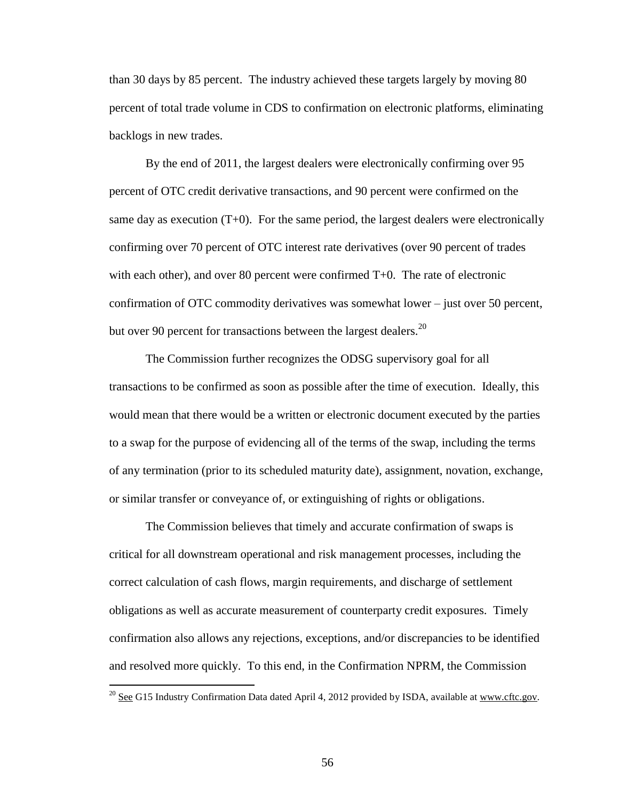than 30 days by 85 percent. The industry achieved these targets largely by moving 80 percent of total trade volume in CDS to confirmation on electronic platforms, eliminating backlogs in new trades.

By the end of 2011, the largest dealers were electronically confirming over 95 percent of OTC credit derivative transactions, and 90 percent were confirmed on the same day as execution  $(T+0)$ . For the same period, the largest dealers were electronically confirming over 70 percent of OTC interest rate derivatives (over 90 percent of trades with each other), and over 80 percent were confirmed T+0. The rate of electronic confirmation of OTC commodity derivatives was somewhat lower – just over 50 percent, but over 90 percent for transactions between the largest dealers.<sup>20</sup>

The Commission further recognizes the ODSG supervisory goal for all transactions to be confirmed as soon as possible after the time of execution. Ideally, this would mean that there would be a written or electronic document executed by the parties to a swap for the purpose of evidencing all of the terms of the swap, including the terms of any termination (prior to its scheduled maturity date), assignment, novation, exchange, or similar transfer or conveyance of, or extinguishing of rights or obligations.

The Commission believes that timely and accurate confirmation of swaps is critical for all downstream operational and risk management processes, including the correct calculation of cash flows, margin requirements, and discharge of settlement obligations as well as accurate measurement of counterparty credit exposures. Timely confirmation also allows any rejections, exceptions, and/or discrepancies to be identified and resolved more quickly. To this end, in the Confirmation NPRM, the Commission

 $\overline{a}$ 

<sup>&</sup>lt;sup>20</sup> See G15 Industry Confirmation Data dated April 4, 2012 provided by ISDA, available at www.cftc.gov.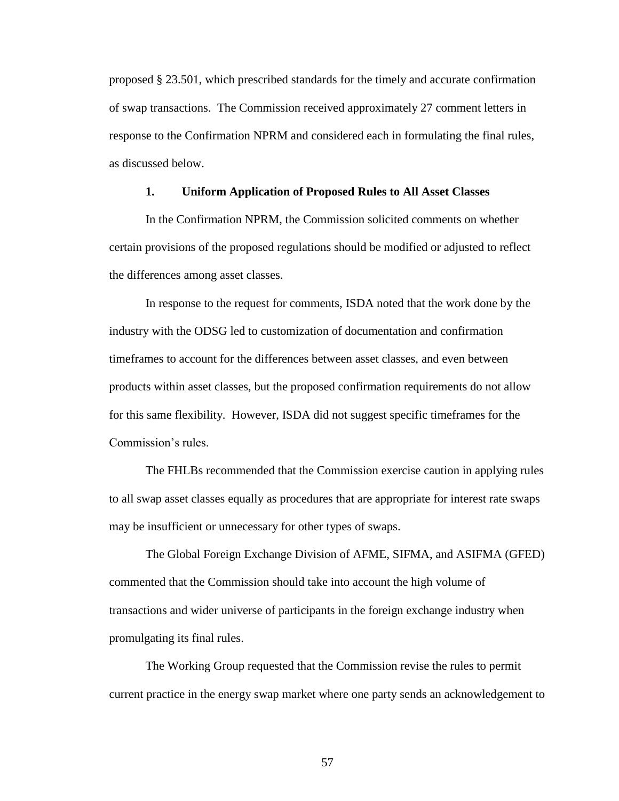proposed § 23.501, which prescribed standards for the timely and accurate confirmation of swap transactions. The Commission received approximately 27 comment letters in response to the Confirmation NPRM and considered each in formulating the final rules, as discussed below.

### **1. Uniform Application of Proposed Rules to All Asset Classes**

In the Confirmation NPRM, the Commission solicited comments on whether certain provisions of the proposed regulations should be modified or adjusted to reflect the differences among asset classes.

In response to the request for comments, ISDA noted that the work done by the industry with the ODSG led to customization of documentation and confirmation timeframes to account for the differences between asset classes, and even between products within asset classes, but the proposed confirmation requirements do not allow for this same flexibility. However, ISDA did not suggest specific timeframes for the Commission's rules.

The FHLBs recommended that the Commission exercise caution in applying rules to all swap asset classes equally as procedures that are appropriate for interest rate swaps may be insufficient or unnecessary for other types of swaps.

The Global Foreign Exchange Division of AFME, SIFMA, and ASIFMA (GFED) commented that the Commission should take into account the high volume of transactions and wider universe of participants in the foreign exchange industry when promulgating its final rules.

The Working Group requested that the Commission revise the rules to permit current practice in the energy swap market where one party sends an acknowledgement to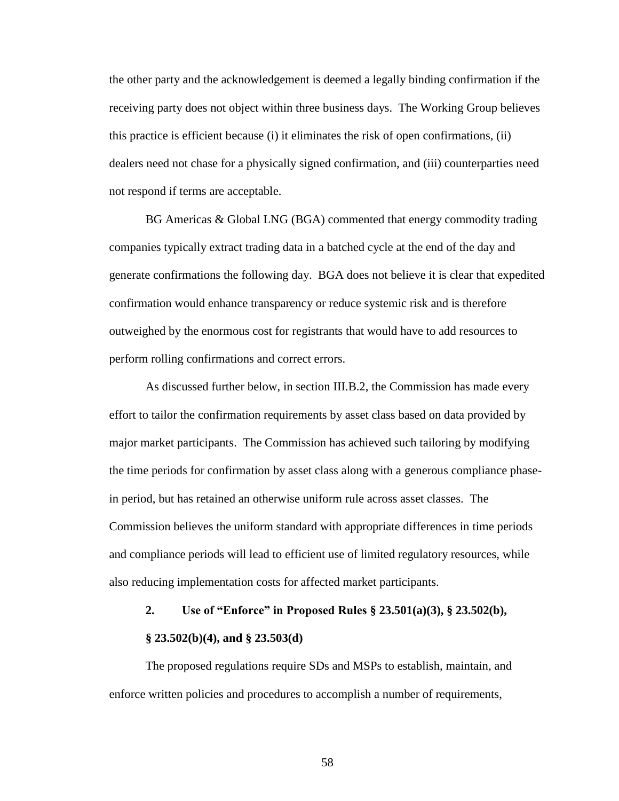the other party and the acknowledgement is deemed a legally binding confirmation if the receiving party does not object within three business days. The Working Group believes this practice is efficient because (i) it eliminates the risk of open confirmations, (ii) dealers need not chase for a physically signed confirmation, and (iii) counterparties need not respond if terms are acceptable.

BG Americas & Global LNG (BGA) commented that energy commodity trading companies typically extract trading data in a batched cycle at the end of the day and generate confirmations the following day. BGA does not believe it is clear that expedited confirmation would enhance transparency or reduce systemic risk and is therefore outweighed by the enormous cost for registrants that would have to add resources to perform rolling confirmations and correct errors.

As discussed further below, in section III.B.2, the Commission has made every effort to tailor the confirmation requirements by asset class based on data provided by major market participants. The Commission has achieved such tailoring by modifying the time periods for confirmation by asset class along with a generous compliance phasein period, but has retained an otherwise uniform rule across asset classes. The Commission believes the uniform standard with appropriate differences in time periods and compliance periods will lead to efficient use of limited regulatory resources, while also reducing implementation costs for affected market participants.

# **2. Use of "Enforce" in Proposed Rules § 23.501(a)(3), § 23.502(b),**

#### **§ 23.502(b)(4), and § 23.503(d)**

The proposed regulations require SDs and MSPs to establish, maintain, and enforce written policies and procedures to accomplish a number of requirements,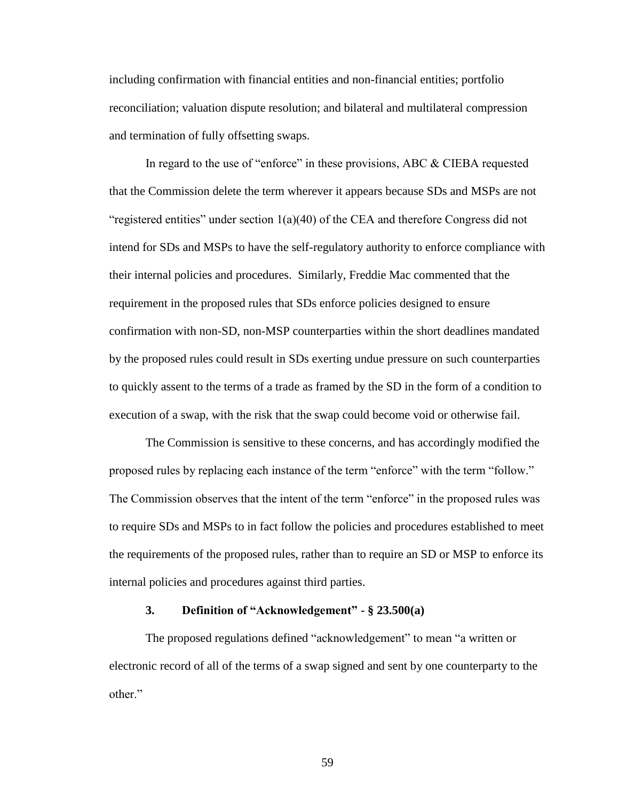including confirmation with financial entities and non-financial entities; portfolio reconciliation; valuation dispute resolution; and bilateral and multilateral compression and termination of fully offsetting swaps.

In regard to the use of "enforce" in these provisions, ABC & CIEBA requested that the Commission delete the term wherever it appears because SDs and MSPs are not "registered entities" under section  $1(a)(40)$  of the CEA and therefore Congress did not intend for SDs and MSPs to have the self-regulatory authority to enforce compliance with their internal policies and procedures. Similarly, Freddie Mac commented that the requirement in the proposed rules that SDs enforce policies designed to ensure confirmation with non-SD, non-MSP counterparties within the short deadlines mandated by the proposed rules could result in SDs exerting undue pressure on such counterparties to quickly assent to the terms of a trade as framed by the SD in the form of a condition to execution of a swap, with the risk that the swap could become void or otherwise fail.

The Commission is sensitive to these concerns, and has accordingly modified the proposed rules by replacing each instance of the term "enforce" with the term "follow." The Commission observes that the intent of the term "enforce" in the proposed rules was to require SDs and MSPs to in fact follow the policies and procedures established to meet the requirements of the proposed rules, rather than to require an SD or MSP to enforce its internal policies and procedures against third parties.

# **3. Definition of "Acknowledgement" - § 23.500(a)**

The proposed regulations defined "acknowledgement" to mean "a written or electronic record of all of the terms of a swap signed and sent by one counterparty to the other."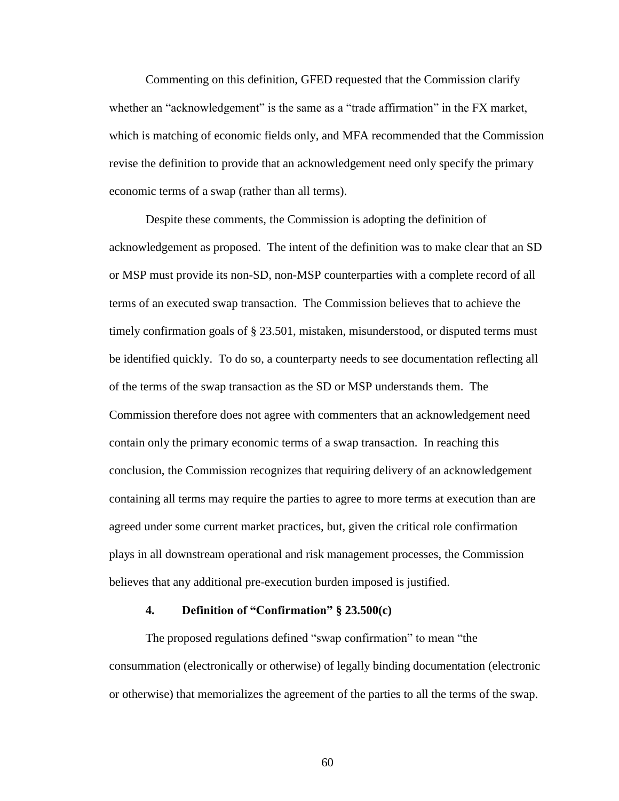Commenting on this definition, GFED requested that the Commission clarify whether an "acknowledgement" is the same as a "trade affirmation" in the FX market, which is matching of economic fields only, and MFA recommended that the Commission revise the definition to provide that an acknowledgement need only specify the primary economic terms of a swap (rather than all terms).

Despite these comments, the Commission is adopting the definition of acknowledgement as proposed. The intent of the definition was to make clear that an SD or MSP must provide its non-SD, non-MSP counterparties with a complete record of all terms of an executed swap transaction. The Commission believes that to achieve the timely confirmation goals of § 23.501, mistaken, misunderstood, or disputed terms must be identified quickly. To do so, a counterparty needs to see documentation reflecting all of the terms of the swap transaction as the SD or MSP understands them. The Commission therefore does not agree with commenters that an acknowledgement need contain only the primary economic terms of a swap transaction. In reaching this conclusion, the Commission recognizes that requiring delivery of an acknowledgement containing all terms may require the parties to agree to more terms at execution than are agreed under some current market practices, but, given the critical role confirmation plays in all downstream operational and risk management processes, the Commission believes that any additional pre-execution burden imposed is justified.

### **4. Definition of "Confirmation" § 23.500(c)**

The proposed regulations defined "swap confirmation" to mean "the consummation (electronically or otherwise) of legally binding documentation (electronic or otherwise) that memorializes the agreement of the parties to all the terms of the swap.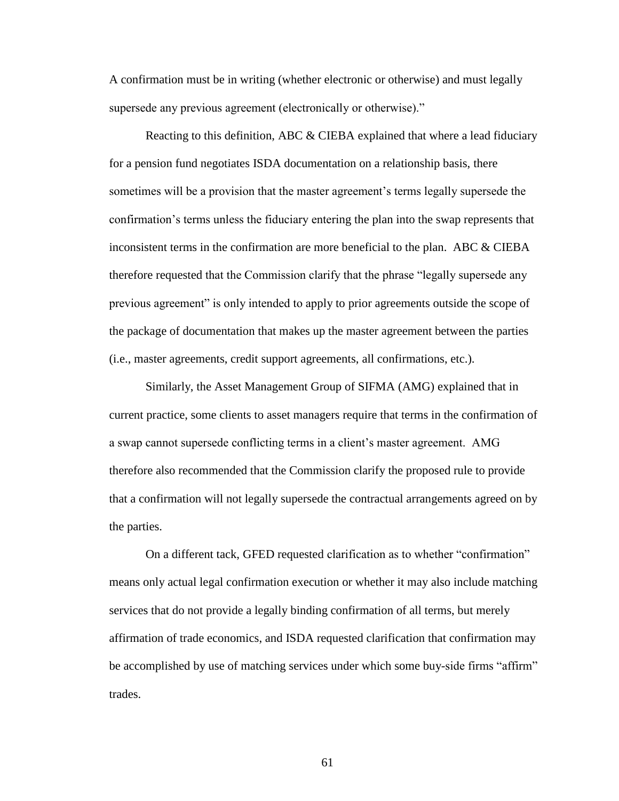A confirmation must be in writing (whether electronic or otherwise) and must legally supersede any previous agreement (electronically or otherwise)."

Reacting to this definition, ABC & CIEBA explained that where a lead fiduciary for a pension fund negotiates ISDA documentation on a relationship basis, there sometimes will be a provision that the master agreement's terms legally supersede the confirmation's terms unless the fiduciary entering the plan into the swap represents that inconsistent terms in the confirmation are more beneficial to the plan. ABC  $\&$  CIEBA therefore requested that the Commission clarify that the phrase "legally supersede any previous agreement" is only intended to apply to prior agreements outside the scope of the package of documentation that makes up the master agreement between the parties (i.e., master agreements, credit support agreements, all confirmations, etc.).

Similarly, the Asset Management Group of SIFMA (AMG) explained that in current practice, some clients to asset managers require that terms in the confirmation of a swap cannot supersede conflicting terms in a client's master agreement. AMG therefore also recommended that the Commission clarify the proposed rule to provide that a confirmation will not legally supersede the contractual arrangements agreed on by the parties.

On a different tack, GFED requested clarification as to whether "confirmation" means only actual legal confirmation execution or whether it may also include matching services that do not provide a legally binding confirmation of all terms, but merely affirmation of trade economics, and ISDA requested clarification that confirmation may be accomplished by use of matching services under which some buy-side firms "affirm" trades.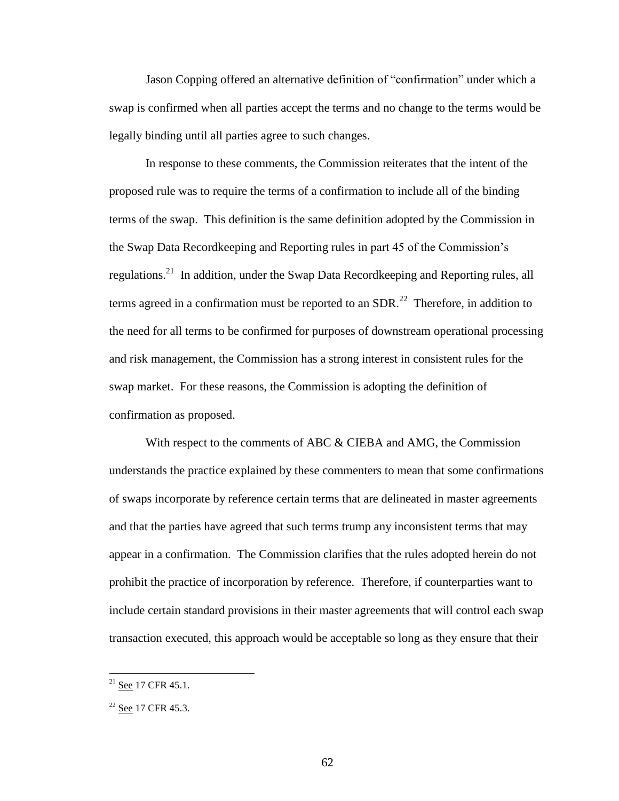Jason Copping offered an alternative definition of "confirmation" under which a swap is confirmed when all parties accept the terms and no change to the terms would be legally binding until all parties agree to such changes.

In response to these comments, the Commission reiterates that the intent of the proposed rule was to require the terms of a confirmation to include all of the binding terms of the swap. This definition is the same definition adopted by the Commission in the Swap Data Recordkeeping and Reporting rules in part 45 of the Commission's regulations.<sup>21</sup> In addition, under the Swap Data Recordkeeping and Reporting rules, all terms agreed in a confirmation must be reported to an SDR.<sup>22</sup> Therefore, in addition to the need for all terms to be confirmed for purposes of downstream operational processing and risk management, the Commission has a strong interest in consistent rules for the swap market. For these reasons, the Commission is adopting the definition of confirmation as proposed.

With respect to the comments of ABC & CIEBA and AMG, the Commission understands the practice explained by these commenters to mean that some confirmations of swaps incorporate by reference certain terms that are delineated in master agreements and that the parties have agreed that such terms trump any inconsistent terms that may appear in a confirmation. The Commission clarifies that the rules adopted herein do not prohibit the practice of incorporation by reference. Therefore, if counterparties want to include certain standard provisions in their master agreements that will control each swap transaction executed, this approach would be acceptable so long as they ensure that their

 $\overline{a}$ 

 $^{21}$  See 17 CFR 45.1.

 $22$  See 17 CFR 45.3.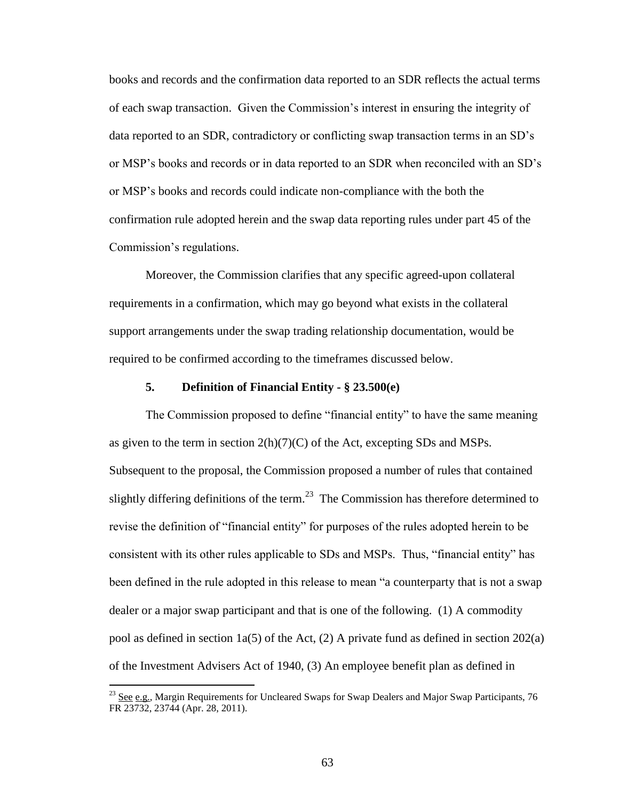books and records and the confirmation data reported to an SDR reflects the actual terms of each swap transaction. Given the Commission's interest in ensuring the integrity of data reported to an SDR, contradictory or conflicting swap transaction terms in an SD's or MSP's books and records or in data reported to an SDR when reconciled with an SD's or MSP's books and records could indicate non-compliance with the both the confirmation rule adopted herein and the swap data reporting rules under part 45 of the Commission's regulations.

Moreover, the Commission clarifies that any specific agreed-upon collateral requirements in a confirmation, which may go beyond what exists in the collateral support arrangements under the swap trading relationship documentation, would be required to be confirmed according to the timeframes discussed below.

### **5. Definition of Financial Entity - § 23.500(e)**

The Commission proposed to define "financial entity" to have the same meaning as given to the term in section  $2(h)(7)(C)$  of the Act, excepting SDs and MSPs. Subsequent to the proposal, the Commission proposed a number of rules that contained slightly differing definitions of the term.<sup>23</sup> The Commission has therefore determined to revise the definition of "financial entity" for purposes of the rules adopted herein to be consistent with its other rules applicable to SDs and MSPs. Thus, "financial entity" has been defined in the rule adopted in this release to mean "a counterparty that is not a swap dealer or a major swap participant and that is one of the following. (1) A commodity pool as defined in section  $1a(5)$  of the Act, (2) A private fund as defined in section 202(a) of the Investment Advisers Act of 1940, (3) An employee benefit plan as defined in

 $\overline{a}$ 

<sup>&</sup>lt;sup>23</sup> See e.g., Margin Requirements for Uncleared Swaps for Swap Dealers and Major Swap Participants, 76 FR 23732, 23744 (Apr. 28, 2011).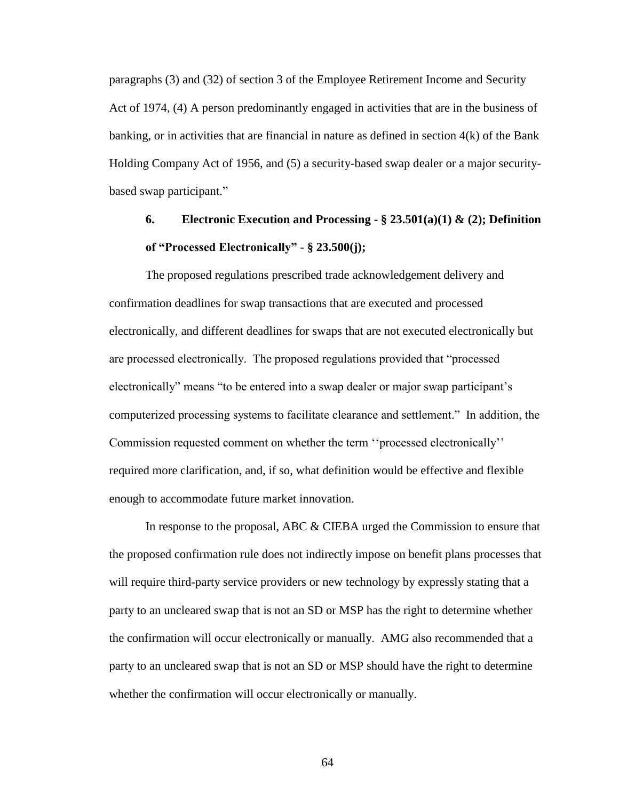paragraphs (3) and (32) of section 3 of the Employee Retirement Income and Security Act of 1974, (4) A person predominantly engaged in activities that are in the business of banking, or in activities that are financial in nature as defined in section 4(k) of the Bank Holding Company Act of 1956, and (5) a security-based swap dealer or a major securitybased swap participant."

# **6. Electronic Execution and Processing - § 23.501(a)(1) & (2); Definition of "Processed Electronically" - § 23.500(j);**

The proposed regulations prescribed trade acknowledgement delivery and confirmation deadlines for swap transactions that are executed and processed electronically, and different deadlines for swaps that are not executed electronically but are processed electronically. The proposed regulations provided that "processed electronically" means "to be entered into a swap dealer or major swap participant's computerized processing systems to facilitate clearance and settlement." In addition, the Commission requested comment on whether the term ''processed electronically'' required more clarification, and, if so, what definition would be effective and flexible enough to accommodate future market innovation.

In response to the proposal, ABC & CIEBA urged the Commission to ensure that the proposed confirmation rule does not indirectly impose on benefit plans processes that will require third-party service providers or new technology by expressly stating that a party to an uncleared swap that is not an SD or MSP has the right to determine whether the confirmation will occur electronically or manually. AMG also recommended that a party to an uncleared swap that is not an SD or MSP should have the right to determine whether the confirmation will occur electronically or manually.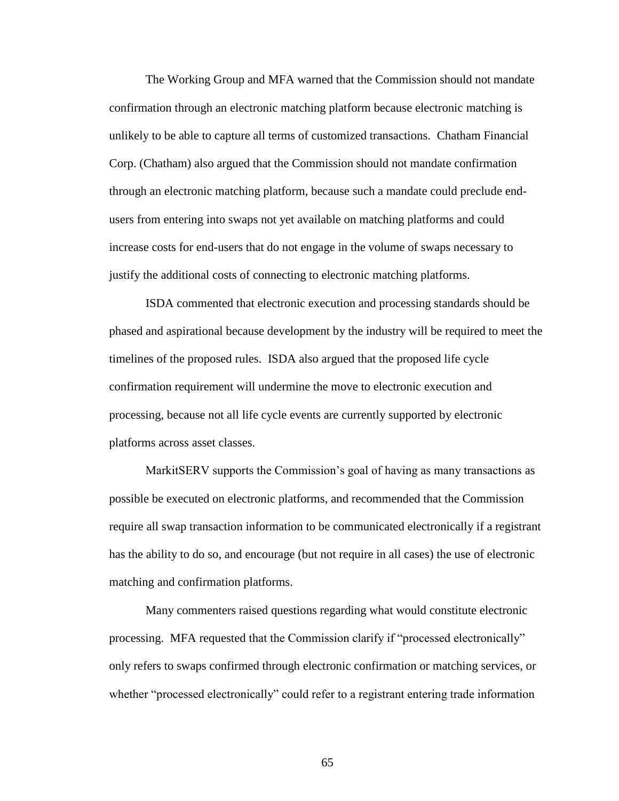The Working Group and MFA warned that the Commission should not mandate confirmation through an electronic matching platform because electronic matching is unlikely to be able to capture all terms of customized transactions. Chatham Financial Corp. (Chatham) also argued that the Commission should not mandate confirmation through an electronic matching platform, because such a mandate could preclude endusers from entering into swaps not yet available on matching platforms and could increase costs for end-users that do not engage in the volume of swaps necessary to justify the additional costs of connecting to electronic matching platforms.

ISDA commented that electronic execution and processing standards should be phased and aspirational because development by the industry will be required to meet the timelines of the proposed rules. ISDA also argued that the proposed life cycle confirmation requirement will undermine the move to electronic execution and processing, because not all life cycle events are currently supported by electronic platforms across asset classes.

MarkitSERV supports the Commission's goal of having as many transactions as possible be executed on electronic platforms, and recommended that the Commission require all swap transaction information to be communicated electronically if a registrant has the ability to do so, and encourage (but not require in all cases) the use of electronic matching and confirmation platforms.

Many commenters raised questions regarding what would constitute electronic processing. MFA requested that the Commission clarify if "processed electronically" only refers to swaps confirmed through electronic confirmation or matching services, or whether "processed electronically" could refer to a registrant entering trade information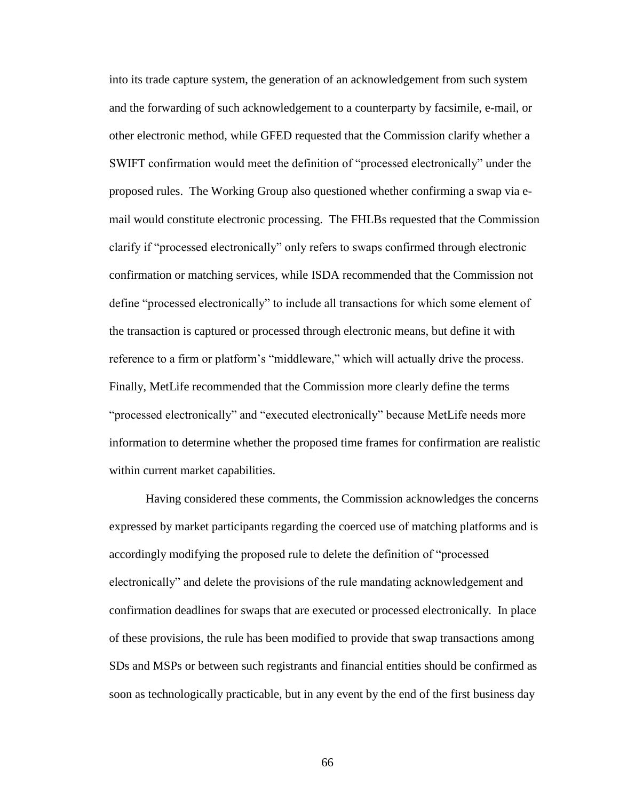into its trade capture system, the generation of an acknowledgement from such system and the forwarding of such acknowledgement to a counterparty by facsimile, e-mail, or other electronic method, while GFED requested that the Commission clarify whether a SWIFT confirmation would meet the definition of "processed electronically" under the proposed rules. The Working Group also questioned whether confirming a swap via email would constitute electronic processing. The FHLBs requested that the Commission clarify if "processed electronically" only refers to swaps confirmed through electronic confirmation or matching services, while ISDA recommended that the Commission not define "processed electronically" to include all transactions for which some element of the transaction is captured or processed through electronic means, but define it with reference to a firm or platform's "middleware," which will actually drive the process. Finally, MetLife recommended that the Commission more clearly define the terms "processed electronically" and "executed electronically" because MetLife needs more information to determine whether the proposed time frames for confirmation are realistic within current market capabilities.

Having considered these comments, the Commission acknowledges the concerns expressed by market participants regarding the coerced use of matching platforms and is accordingly modifying the proposed rule to delete the definition of "processed electronically" and delete the provisions of the rule mandating acknowledgement and confirmation deadlines for swaps that are executed or processed electronically. In place of these provisions, the rule has been modified to provide that swap transactions among SDs and MSPs or between such registrants and financial entities should be confirmed as soon as technologically practicable, but in any event by the end of the first business day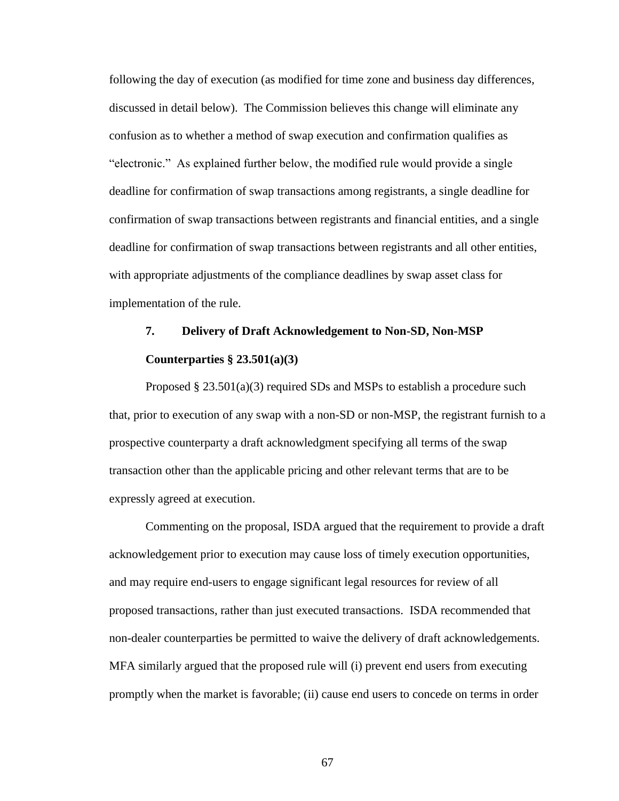following the day of execution (as modified for time zone and business day differences, discussed in detail below). The Commission believes this change will eliminate any confusion as to whether a method of swap execution and confirmation qualifies as "electronic." As explained further below, the modified rule would provide a single deadline for confirmation of swap transactions among registrants, a single deadline for confirmation of swap transactions between registrants and financial entities, and a single deadline for confirmation of swap transactions between registrants and all other entities, with appropriate adjustments of the compliance deadlines by swap asset class for implementation of the rule.

# **7. Delivery of Draft Acknowledgement to Non-SD, Non-MSP Counterparties § 23.501(a)(3)**

Proposed  $\S 23.501(a)(3)$  required SDs and MSPs to establish a procedure such that, prior to execution of any swap with a non-SD or non-MSP, the registrant furnish to a prospective counterparty a draft acknowledgment specifying all terms of the swap transaction other than the applicable pricing and other relevant terms that are to be expressly agreed at execution.

Commenting on the proposal, ISDA argued that the requirement to provide a draft acknowledgement prior to execution may cause loss of timely execution opportunities, and may require end-users to engage significant legal resources for review of all proposed transactions, rather than just executed transactions. ISDA recommended that non-dealer counterparties be permitted to waive the delivery of draft acknowledgements. MFA similarly argued that the proposed rule will (i) prevent end users from executing promptly when the market is favorable; (ii) cause end users to concede on terms in order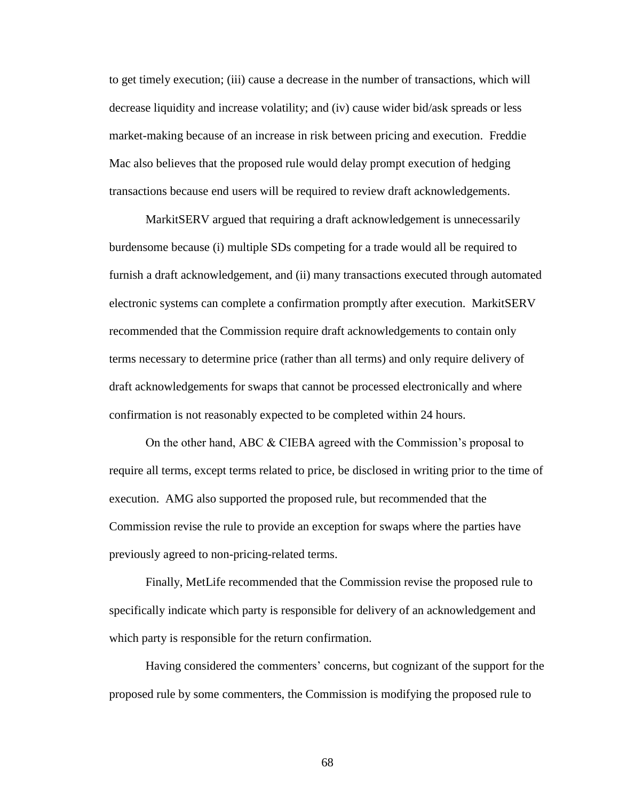to get timely execution; (iii) cause a decrease in the number of transactions, which will decrease liquidity and increase volatility; and (iv) cause wider bid/ask spreads or less market-making because of an increase in risk between pricing and execution. Freddie Mac also believes that the proposed rule would delay prompt execution of hedging transactions because end users will be required to review draft acknowledgements.

MarkitSERV argued that requiring a draft acknowledgement is unnecessarily burdensome because (i) multiple SDs competing for a trade would all be required to furnish a draft acknowledgement, and (ii) many transactions executed through automated electronic systems can complete a confirmation promptly after execution. MarkitSERV recommended that the Commission require draft acknowledgements to contain only terms necessary to determine price (rather than all terms) and only require delivery of draft acknowledgements for swaps that cannot be processed electronically and where confirmation is not reasonably expected to be completed within 24 hours.

On the other hand, ABC & CIEBA agreed with the Commission's proposal to require all terms, except terms related to price, be disclosed in writing prior to the time of execution. AMG also supported the proposed rule, but recommended that the Commission revise the rule to provide an exception for swaps where the parties have previously agreed to non-pricing-related terms.

Finally, MetLife recommended that the Commission revise the proposed rule to specifically indicate which party is responsible for delivery of an acknowledgement and which party is responsible for the return confirmation.

Having considered the commenters' concerns, but cognizant of the support for the proposed rule by some commenters, the Commission is modifying the proposed rule to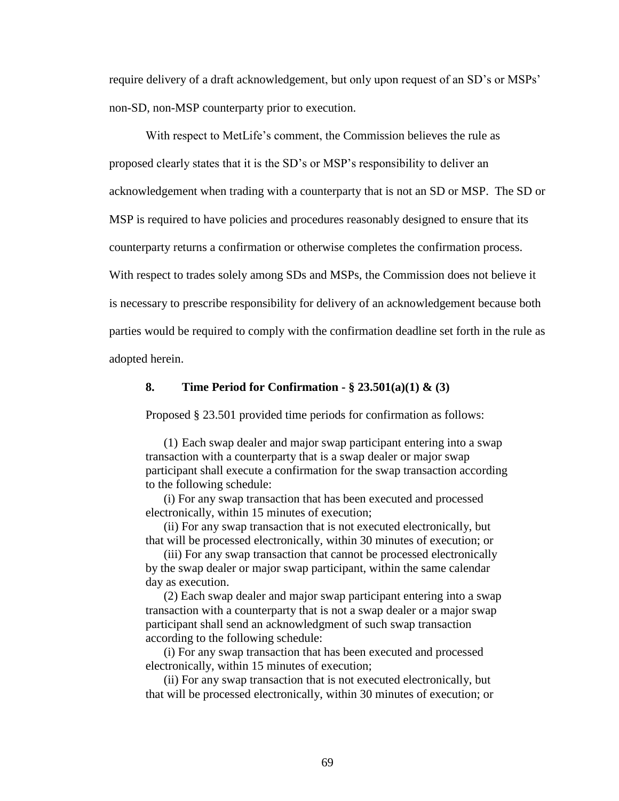require delivery of a draft acknowledgement, but only upon request of an SD's or MSPs' non-SD, non-MSP counterparty prior to execution.

With respect to MetLife's comment, the Commission believes the rule as proposed clearly states that it is the SD's or MSP's responsibility to deliver an acknowledgement when trading with a counterparty that is not an SD or MSP. The SD or MSP is required to have policies and procedures reasonably designed to ensure that its counterparty returns a confirmation or otherwise completes the confirmation process. With respect to trades solely among SDs and MSPs, the Commission does not believe it is necessary to prescribe responsibility for delivery of an acknowledgement because both parties would be required to comply with the confirmation deadline set forth in the rule as adopted herein.

#### **8. Time Period for Confirmation - § 23.501(a)(1) & (3)**

Proposed § 23.501 provided time periods for confirmation as follows:

(1) Each swap dealer and major swap participant entering into a swap transaction with a counterparty that is a swap dealer or major swap participant shall execute a confirmation for the swap transaction according to the following schedule:

(i) For any swap transaction that has been executed and processed electronically, within 15 minutes of execution;

(ii) For any swap transaction that is not executed electronically, but that will be processed electronically, within 30 minutes of execution; or

(iii) For any swap transaction that cannot be processed electronically by the swap dealer or major swap participant, within the same calendar day as execution.

(2) Each swap dealer and major swap participant entering into a swap transaction with a counterparty that is not a swap dealer or a major swap participant shall send an acknowledgment of such swap transaction according to the following schedule:

(i) For any swap transaction that has been executed and processed electronically, within 15 minutes of execution;

(ii) For any swap transaction that is not executed electronically, but that will be processed electronically, within 30 minutes of execution; or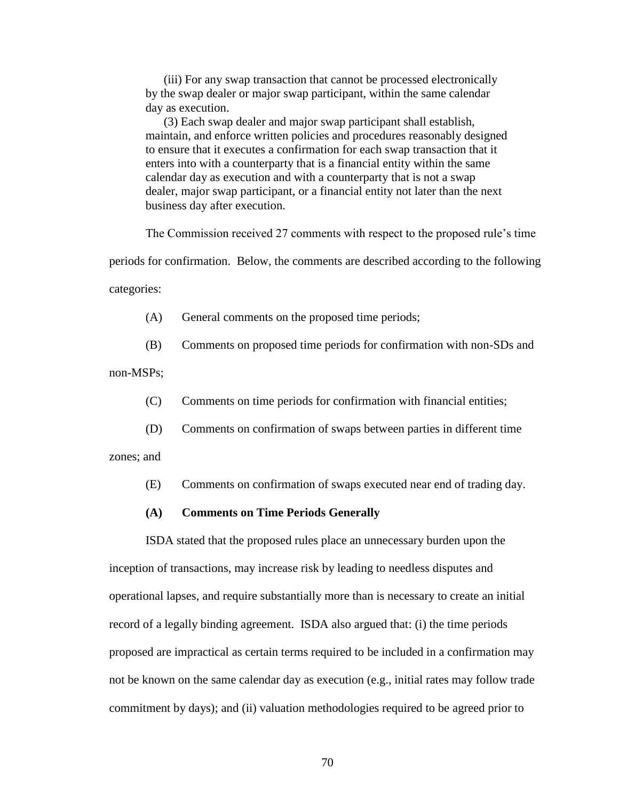(iii) For any swap transaction that cannot be processed electronically by the swap dealer or major swap participant, within the same calendar day as execution.

(3) Each swap dealer and major swap participant shall establish, maintain, and enforce written policies and procedures reasonably designed to ensure that it executes a confirmation for each swap transaction that it enters into with a counterparty that is a financial entity within the same calendar day as execution and with a counterparty that is not a swap dealer, major swap participant, or a financial entity not later than the next business day after execution.

The Commission received 27 comments with respect to the proposed rule's time

periods for confirmation. Below, the comments are described according to the following categories:

(A) General comments on the proposed time periods;

(B) Comments on proposed time periods for confirmation with non-SDs and

non-MSPs;

- (C) Comments on time periods for confirmation with financial entities;
- (D) Comments on confirmation of swaps between parties in different time

zones; and

(E) Comments on confirmation of swaps executed near end of trading day.

### **(A) Comments on Time Periods Generally**

ISDA stated that the proposed rules place an unnecessary burden upon the inception of transactions, may increase risk by leading to needless disputes and operational lapses, and require substantially more than is necessary to create an initial record of a legally binding agreement. ISDA also argued that: (i) the time periods proposed are impractical as certain terms required to be included in a confirmation may not be known on the same calendar day as execution (e.g., initial rates may follow trade commitment by days); and (ii) valuation methodologies required to be agreed prior to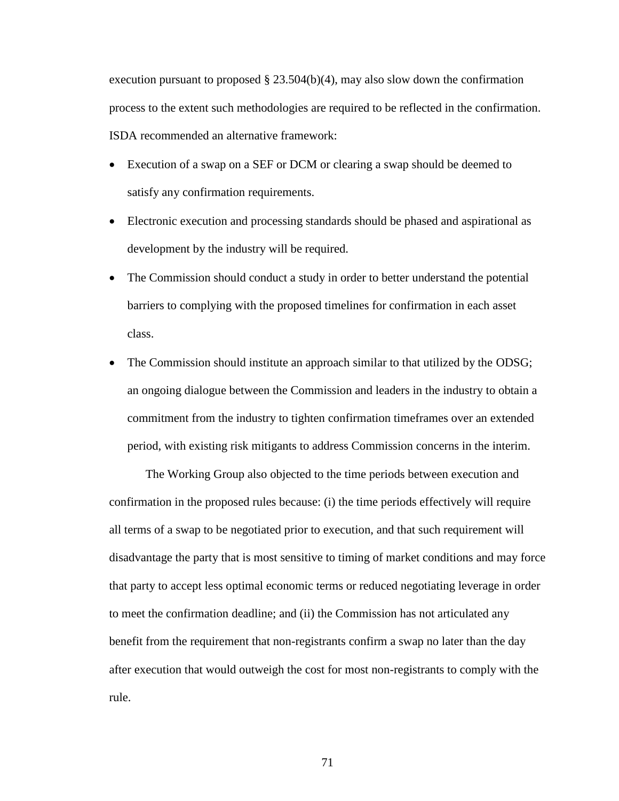execution pursuant to proposed  $\S$  23.504(b)(4), may also slow down the confirmation process to the extent such methodologies are required to be reflected in the confirmation. ISDA recommended an alternative framework:

- Execution of a swap on a SEF or DCM or clearing a swap should be deemed to satisfy any confirmation requirements.
- Electronic execution and processing standards should be phased and aspirational as development by the industry will be required.
- The Commission should conduct a study in order to better understand the potential barriers to complying with the proposed timelines for confirmation in each asset class.
- The Commission should institute an approach similar to that utilized by the ODSG; an ongoing dialogue between the Commission and leaders in the industry to obtain a commitment from the industry to tighten confirmation timeframes over an extended period, with existing risk mitigants to address Commission concerns in the interim.

The Working Group also objected to the time periods between execution and confirmation in the proposed rules because: (i) the time periods effectively will require all terms of a swap to be negotiated prior to execution, and that such requirement will disadvantage the party that is most sensitive to timing of market conditions and may force that party to accept less optimal economic terms or reduced negotiating leverage in order to meet the confirmation deadline; and (ii) the Commission has not articulated any benefit from the requirement that non-registrants confirm a swap no later than the day after execution that would outweigh the cost for most non-registrants to comply with the rule.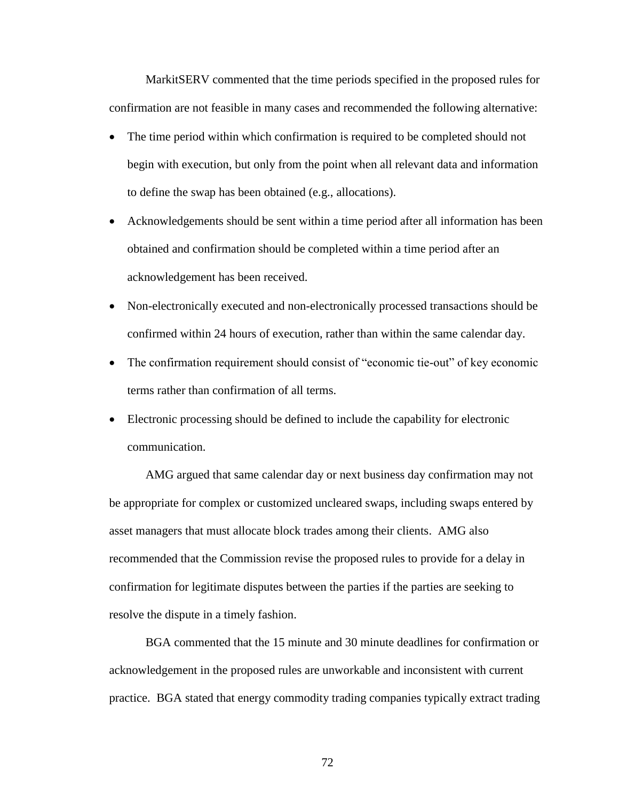MarkitSERV commented that the time periods specified in the proposed rules for confirmation are not feasible in many cases and recommended the following alternative:

- The time period within which confirmation is required to be completed should not begin with execution, but only from the point when all relevant data and information to define the swap has been obtained (e.g., allocations).
- Acknowledgements should be sent within a time period after all information has been obtained and confirmation should be completed within a time period after an acknowledgement has been received.
- Non-electronically executed and non-electronically processed transactions should be confirmed within 24 hours of execution, rather than within the same calendar day.
- The confirmation requirement should consist of "economic tie-out" of key economic terms rather than confirmation of all terms.
- Electronic processing should be defined to include the capability for electronic communication.

AMG argued that same calendar day or next business day confirmation may not be appropriate for complex or customized uncleared swaps, including swaps entered by asset managers that must allocate block trades among their clients. AMG also recommended that the Commission revise the proposed rules to provide for a delay in confirmation for legitimate disputes between the parties if the parties are seeking to resolve the dispute in a timely fashion.

BGA commented that the 15 minute and 30 minute deadlines for confirmation or acknowledgement in the proposed rules are unworkable and inconsistent with current practice. BGA stated that energy commodity trading companies typically extract trading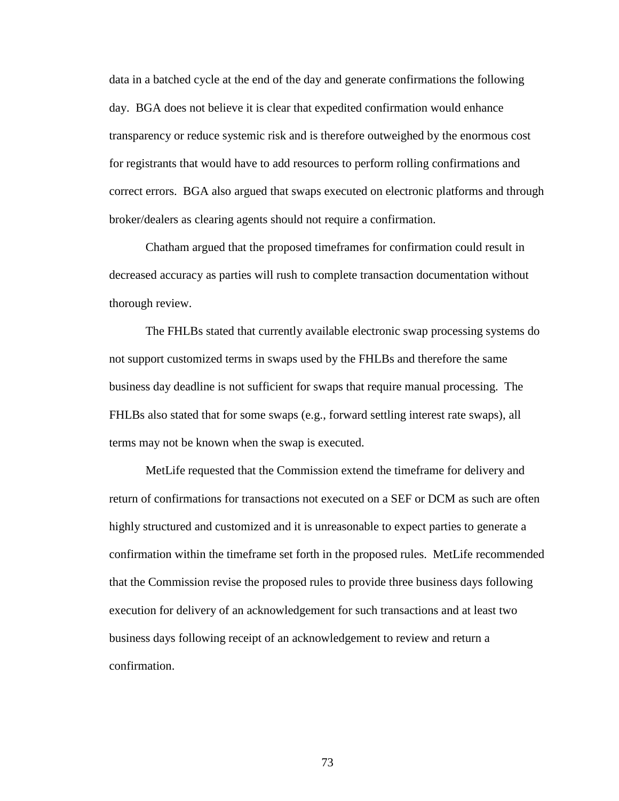data in a batched cycle at the end of the day and generate confirmations the following day. BGA does not believe it is clear that expedited confirmation would enhance transparency or reduce systemic risk and is therefore outweighed by the enormous cost for registrants that would have to add resources to perform rolling confirmations and correct errors. BGA also argued that swaps executed on electronic platforms and through broker/dealers as clearing agents should not require a confirmation.

Chatham argued that the proposed timeframes for confirmation could result in decreased accuracy as parties will rush to complete transaction documentation without thorough review.

The FHLBs stated that currently available electronic swap processing systems do not support customized terms in swaps used by the FHLBs and therefore the same business day deadline is not sufficient for swaps that require manual processing. The FHLBs also stated that for some swaps (e.g., forward settling interest rate swaps), all terms may not be known when the swap is executed.

MetLife requested that the Commission extend the timeframe for delivery and return of confirmations for transactions not executed on a SEF or DCM as such are often highly structured and customized and it is unreasonable to expect parties to generate a confirmation within the timeframe set forth in the proposed rules. MetLife recommended that the Commission revise the proposed rules to provide three business days following execution for delivery of an acknowledgement for such transactions and at least two business days following receipt of an acknowledgement to review and return a confirmation.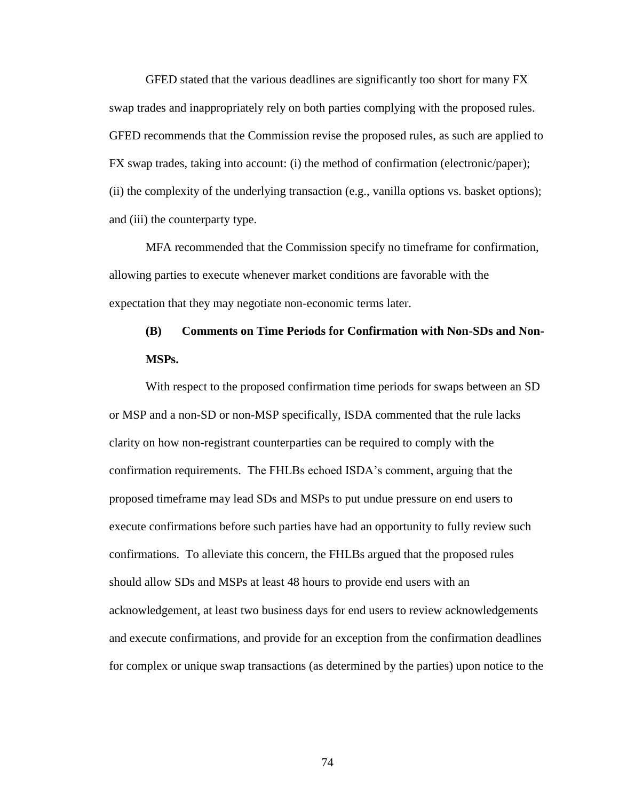GFED stated that the various deadlines are significantly too short for many FX swap trades and inappropriately rely on both parties complying with the proposed rules. GFED recommends that the Commission revise the proposed rules, as such are applied to FX swap trades, taking into account: (i) the method of confirmation (electronic/paper); (ii) the complexity of the underlying transaction (e.g., vanilla options vs. basket options); and (iii) the counterparty type.

MFA recommended that the Commission specify no timeframe for confirmation, allowing parties to execute whenever market conditions are favorable with the expectation that they may negotiate non-economic terms later.

# **(B) Comments on Time Periods for Confirmation with Non-SDs and Non-MSPs.**

With respect to the proposed confirmation time periods for swaps between an SD or MSP and a non-SD or non-MSP specifically, ISDA commented that the rule lacks clarity on how non-registrant counterparties can be required to comply with the confirmation requirements. The FHLBs echoed ISDA's comment, arguing that the proposed timeframe may lead SDs and MSPs to put undue pressure on end users to execute confirmations before such parties have had an opportunity to fully review such confirmations. To alleviate this concern, the FHLBs argued that the proposed rules should allow SDs and MSPs at least 48 hours to provide end users with an acknowledgement, at least two business days for end users to review acknowledgements and execute confirmations, and provide for an exception from the confirmation deadlines for complex or unique swap transactions (as determined by the parties) upon notice to the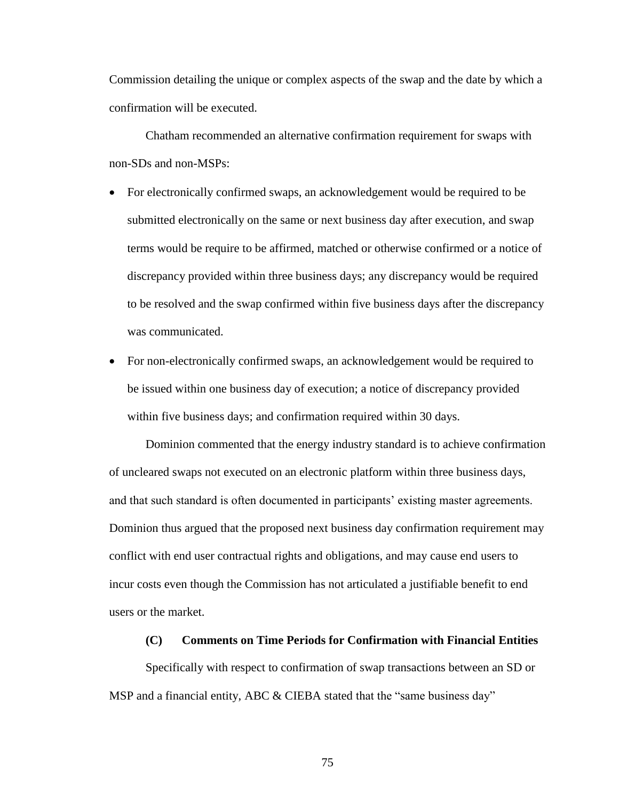Commission detailing the unique or complex aspects of the swap and the date by which a confirmation will be executed.

Chatham recommended an alternative confirmation requirement for swaps with non-SDs and non-MSPs:

- For electronically confirmed swaps, an acknowledgement would be required to be submitted electronically on the same or next business day after execution, and swap terms would be require to be affirmed, matched or otherwise confirmed or a notice of discrepancy provided within three business days; any discrepancy would be required to be resolved and the swap confirmed within five business days after the discrepancy was communicated.
- For non-electronically confirmed swaps, an acknowledgement would be required to be issued within one business day of execution; a notice of discrepancy provided within five business days; and confirmation required within 30 days.

Dominion commented that the energy industry standard is to achieve confirmation of uncleared swaps not executed on an electronic platform within three business days, and that such standard is often documented in participants' existing master agreements. Dominion thus argued that the proposed next business day confirmation requirement may conflict with end user contractual rights and obligations, and may cause end users to incur costs even though the Commission has not articulated a justifiable benefit to end users or the market.

# **(C) Comments on Time Periods for Confirmation with Financial Entities**

Specifically with respect to confirmation of swap transactions between an SD or MSP and a financial entity, ABC & CIEBA stated that the "same business day"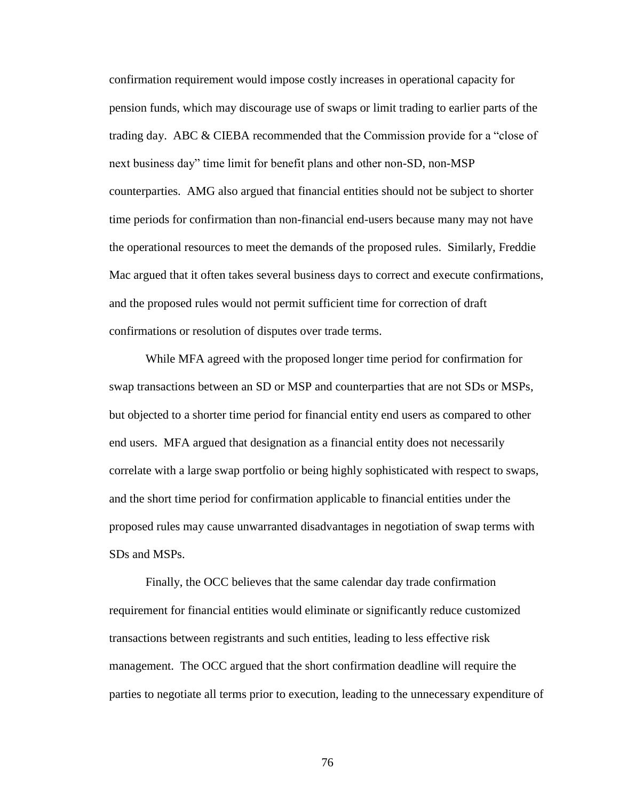confirmation requirement would impose costly increases in operational capacity for pension funds, which may discourage use of swaps or limit trading to earlier parts of the trading day. ABC & CIEBA recommended that the Commission provide for a "close of next business day" time limit for benefit plans and other non-SD, non-MSP counterparties. AMG also argued that financial entities should not be subject to shorter time periods for confirmation than non-financial end-users because many may not have the operational resources to meet the demands of the proposed rules. Similarly, Freddie Mac argued that it often takes several business days to correct and execute confirmations, and the proposed rules would not permit sufficient time for correction of draft confirmations or resolution of disputes over trade terms.

While MFA agreed with the proposed longer time period for confirmation for swap transactions between an SD or MSP and counterparties that are not SDs or MSPs, but objected to a shorter time period for financial entity end users as compared to other end users. MFA argued that designation as a financial entity does not necessarily correlate with a large swap portfolio or being highly sophisticated with respect to swaps, and the short time period for confirmation applicable to financial entities under the proposed rules may cause unwarranted disadvantages in negotiation of swap terms with SDs and MSPs.

Finally, the OCC believes that the same calendar day trade confirmation requirement for financial entities would eliminate or significantly reduce customized transactions between registrants and such entities, leading to less effective risk management. The OCC argued that the short confirmation deadline will require the parties to negotiate all terms prior to execution, leading to the unnecessary expenditure of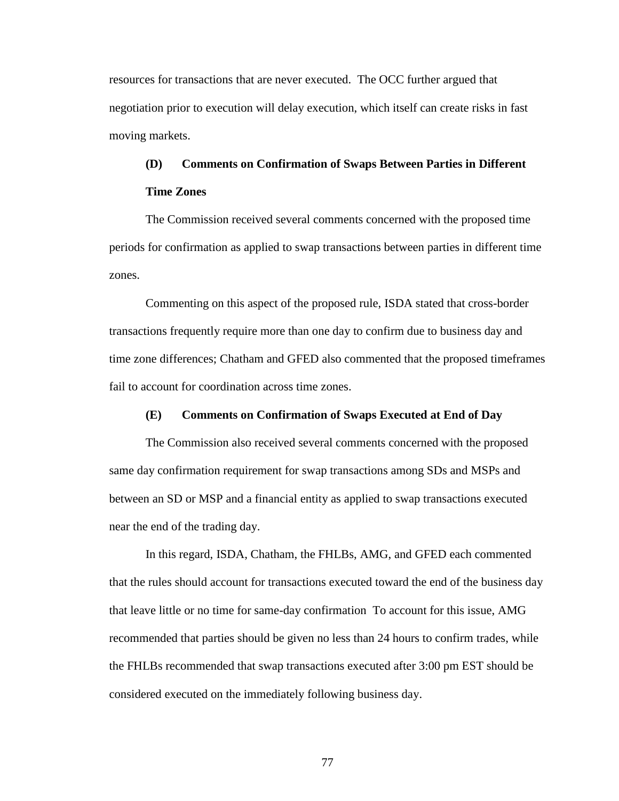resources for transactions that are never executed. The OCC further argued that negotiation prior to execution will delay execution, which itself can create risks in fast moving markets.

# **(D) Comments on Confirmation of Swaps Between Parties in Different Time Zones**

The Commission received several comments concerned with the proposed time periods for confirmation as applied to swap transactions between parties in different time zones.

Commenting on this aspect of the proposed rule, ISDA stated that cross-border transactions frequently require more than one day to confirm due to business day and time zone differences; Chatham and GFED also commented that the proposed timeframes fail to account for coordination across time zones.

## **(E) Comments on Confirmation of Swaps Executed at End of Day**

The Commission also received several comments concerned with the proposed same day confirmation requirement for swap transactions among SDs and MSPs and between an SD or MSP and a financial entity as applied to swap transactions executed near the end of the trading day.

In this regard, ISDA, Chatham, the FHLBs, AMG, and GFED each commented that the rules should account for transactions executed toward the end of the business day that leave little or no time for same-day confirmation To account for this issue, AMG recommended that parties should be given no less than 24 hours to confirm trades, while the FHLBs recommended that swap transactions executed after 3:00 pm EST should be considered executed on the immediately following business day.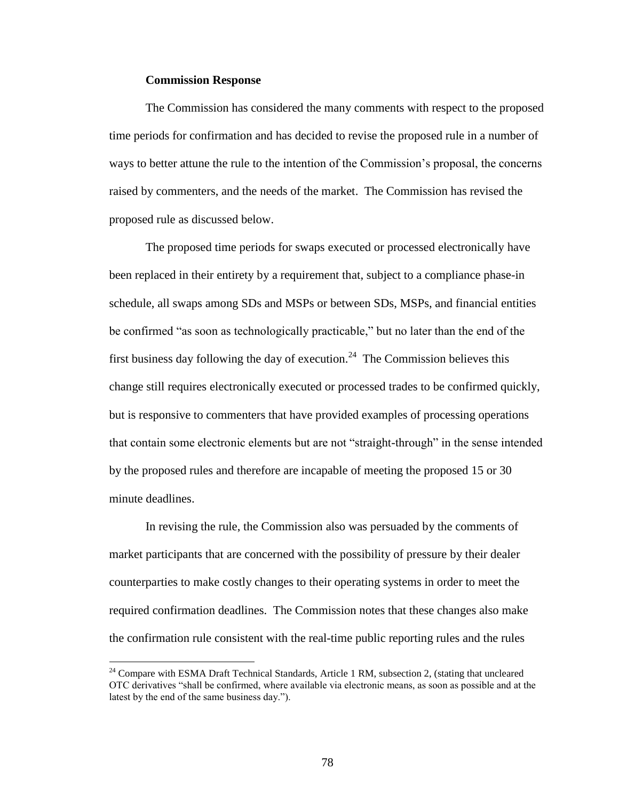### **Commission Response**

 $\overline{a}$ 

The Commission has considered the many comments with respect to the proposed time periods for confirmation and has decided to revise the proposed rule in a number of ways to better attune the rule to the intention of the Commission's proposal, the concerns raised by commenters, and the needs of the market. The Commission has revised the proposed rule as discussed below.

The proposed time periods for swaps executed or processed electronically have been replaced in their entirety by a requirement that, subject to a compliance phase-in schedule, all swaps among SDs and MSPs or between SDs, MSPs, and financial entities be confirmed "as soon as technologically practicable," but no later than the end of the first business day following the day of execution.<sup>24</sup> The Commission believes this change still requires electronically executed or processed trades to be confirmed quickly, but is responsive to commenters that have provided examples of processing operations that contain some electronic elements but are not "straight-through" in the sense intended by the proposed rules and therefore are incapable of meeting the proposed 15 or 30 minute deadlines.

In revising the rule, the Commission also was persuaded by the comments of market participants that are concerned with the possibility of pressure by their dealer counterparties to make costly changes to their operating systems in order to meet the required confirmation deadlines. The Commission notes that these changes also make the confirmation rule consistent with the real-time public reporting rules and the rules

 $^{24}$  Compare with ESMA Draft Technical Standards, Article 1 RM, subsection 2, (stating that uncleared OTC derivatives "shall be confirmed, where available via electronic means, as soon as possible and at the latest by the end of the same business day.").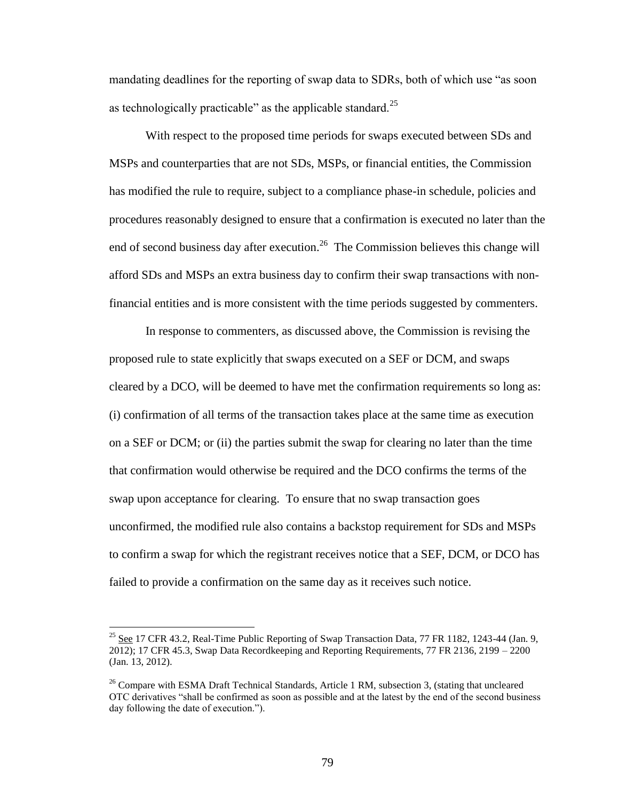mandating deadlines for the reporting of swap data to SDRs, both of which use "as soon as technologically practicable" as the applicable standard.<sup>25</sup>

With respect to the proposed time periods for swaps executed between SDs and MSPs and counterparties that are not SDs, MSPs, or financial entities, the Commission has modified the rule to require, subject to a compliance phase-in schedule, policies and procedures reasonably designed to ensure that a confirmation is executed no later than the end of second business day after execution.<sup>26</sup> The Commission believes this change will afford SDs and MSPs an extra business day to confirm their swap transactions with nonfinancial entities and is more consistent with the time periods suggested by commenters.

In response to commenters, as discussed above, the Commission is revising the proposed rule to state explicitly that swaps executed on a SEF or DCM, and swaps cleared by a DCO, will be deemed to have met the confirmation requirements so long as: (i) confirmation of all terms of the transaction takes place at the same time as execution on a SEF or DCM; or (ii) the parties submit the swap for clearing no later than the time that confirmation would otherwise be required and the DCO confirms the terms of the swap upon acceptance for clearing. To ensure that no swap transaction goes unconfirmed, the modified rule also contains a backstop requirement for SDs and MSPs to confirm a swap for which the registrant receives notice that a SEF, DCM, or DCO has failed to provide a confirmation on the same day as it receives such notice.

<sup>&</sup>lt;sup>25</sup> See 17 CFR 43.2, Real-Time Public Reporting of Swap Transaction Data, 77 FR 1182, 1243-44 (Jan. 9, 2012); 17 CFR 45.3, Swap Data Recordkeeping and Reporting Requirements, 77 FR 2136, 2199 – 2200 (Jan. 13, 2012).

 $26$  Compare with ESMA Draft Technical Standards, Article 1 RM, subsection 3, (stating that uncleared OTC derivatives "shall be confirmed as soon as possible and at the latest by the end of the second business day following the date of execution.").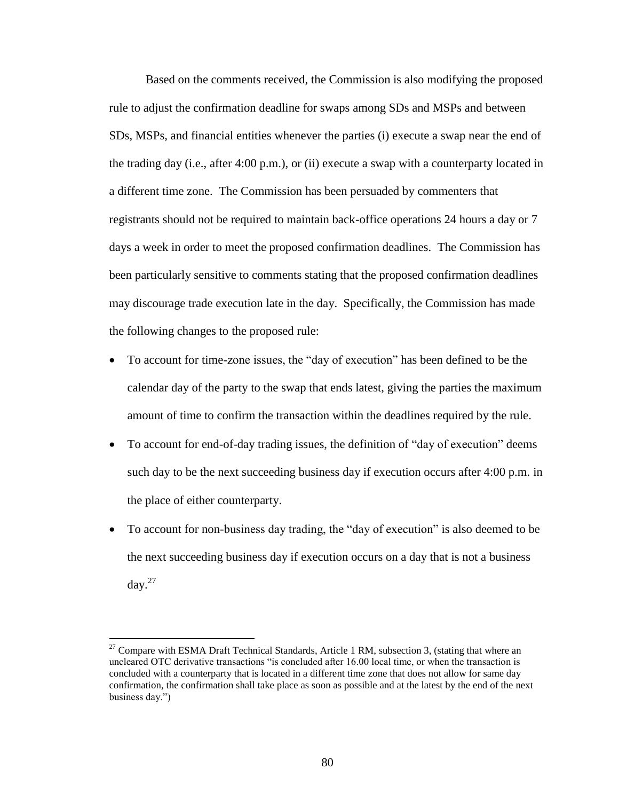Based on the comments received, the Commission is also modifying the proposed rule to adjust the confirmation deadline for swaps among SDs and MSPs and between SDs, MSPs, and financial entities whenever the parties (i) execute a swap near the end of the trading day (i.e., after 4:00 p.m.), or (ii) execute a swap with a counterparty located in a different time zone. The Commission has been persuaded by commenters that registrants should not be required to maintain back-office operations 24 hours a day or 7 days a week in order to meet the proposed confirmation deadlines. The Commission has been particularly sensitive to comments stating that the proposed confirmation deadlines may discourage trade execution late in the day. Specifically, the Commission has made the following changes to the proposed rule:

- To account for time-zone issues, the "day of execution" has been defined to be the calendar day of the party to the swap that ends latest, giving the parties the maximum amount of time to confirm the transaction within the deadlines required by the rule.
- To account for end-of-day trading issues, the definition of "day of execution" deems such day to be the next succeeding business day if execution occurs after 4:00 p.m. in the place of either counterparty.
- To account for non-business day trading, the "day of execution" is also deemed to be the next succeeding business day if execution occurs on a day that is not a business  $\text{day.}^{27}$

 $27$  Compare with ESMA Draft Technical Standards, Article 1 RM, subsection 3, (stating that where an uncleared OTC derivative transactions "is concluded after 16.00 local time, or when the transaction is concluded with a counterparty that is located in a different time zone that does not allow for same day confirmation, the confirmation shall take place as soon as possible and at the latest by the end of the next business day.")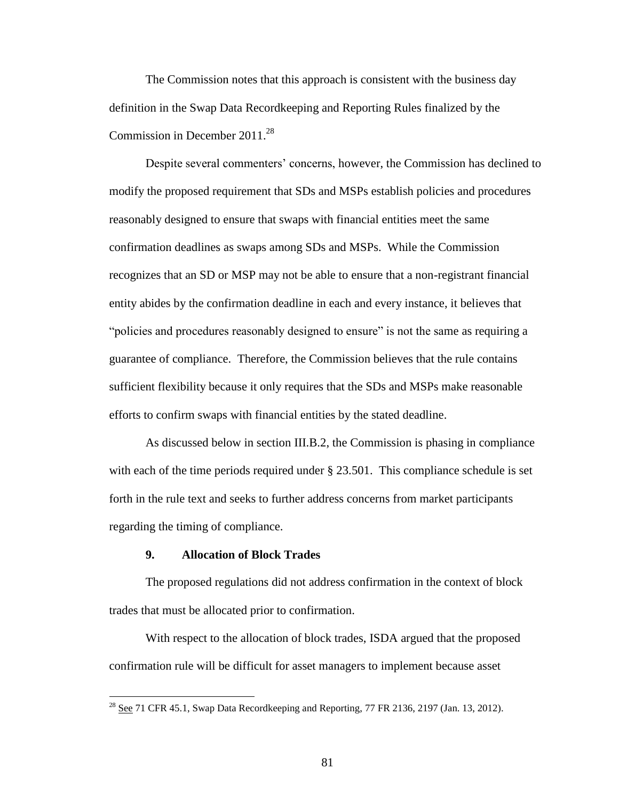The Commission notes that this approach is consistent with the business day definition in the Swap Data Recordkeeping and Reporting Rules finalized by the Commission in December 2011.<sup>28</sup>

Despite several commenters' concerns, however, the Commission has declined to modify the proposed requirement that SDs and MSPs establish policies and procedures reasonably designed to ensure that swaps with financial entities meet the same confirmation deadlines as swaps among SDs and MSPs. While the Commission recognizes that an SD or MSP may not be able to ensure that a non-registrant financial entity abides by the confirmation deadline in each and every instance, it believes that "policies and procedures reasonably designed to ensure" is not the same as requiring a guarantee of compliance. Therefore, the Commission believes that the rule contains sufficient flexibility because it only requires that the SDs and MSPs make reasonable efforts to confirm swaps with financial entities by the stated deadline.

As discussed below in section III.B.2, the Commission is phasing in compliance with each of the time periods required under § 23.501. This compliance schedule is set forth in the rule text and seeks to further address concerns from market participants regarding the timing of compliance.

## **9. Allocation of Block Trades**

 $\overline{a}$ 

The proposed regulations did not address confirmation in the context of block trades that must be allocated prior to confirmation.

With respect to the allocation of block trades, ISDA argued that the proposed confirmation rule will be difficult for asset managers to implement because asset

 $^{28}$  See 71 CFR 45.1, Swap Data Recordkeeping and Reporting, 77 FR 2136, 2197 (Jan. 13, 2012).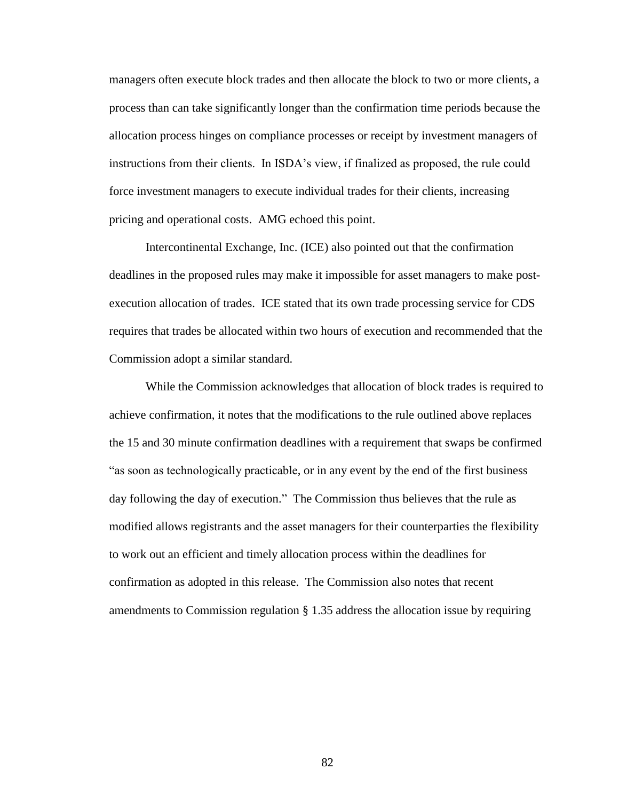managers often execute block trades and then allocate the block to two or more clients, a process than can take significantly longer than the confirmation time periods because the allocation process hinges on compliance processes or receipt by investment managers of instructions from their clients. In ISDA's view, if finalized as proposed, the rule could force investment managers to execute individual trades for their clients, increasing pricing and operational costs. AMG echoed this point.

Intercontinental Exchange, Inc. (ICE) also pointed out that the confirmation deadlines in the proposed rules may make it impossible for asset managers to make postexecution allocation of trades. ICE stated that its own trade processing service for CDS requires that trades be allocated within two hours of execution and recommended that the Commission adopt a similar standard.

While the Commission acknowledges that allocation of block trades is required to achieve confirmation, it notes that the modifications to the rule outlined above replaces the 15 and 30 minute confirmation deadlines with a requirement that swaps be confirmed "as soon as technologically practicable, or in any event by the end of the first business day following the day of execution." The Commission thus believes that the rule as modified allows registrants and the asset managers for their counterparties the flexibility to work out an efficient and timely allocation process within the deadlines for confirmation as adopted in this release. The Commission also notes that recent amendments to Commission regulation § 1.35 address the allocation issue by requiring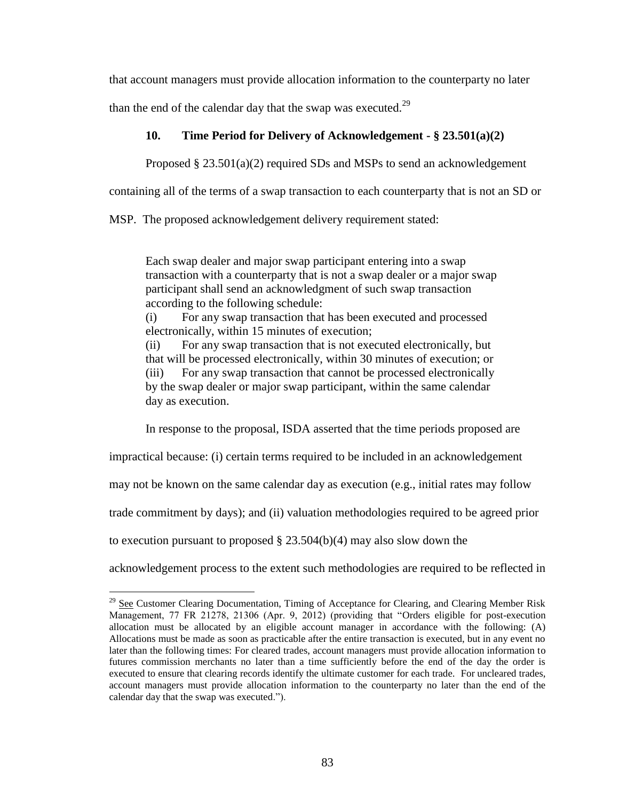that account managers must provide allocation information to the counterparty no later

than the end of the calendar day that the swap was executed. $^{29}$ 

# **10. Time Period for Delivery of Acknowledgement - § 23.501(a)(2)**

Proposed  $\S 23.501(a)(2)$  required SDs and MSPs to send an acknowledgement

containing all of the terms of a swap transaction to each counterparty that is not an SD or

MSP. The proposed acknowledgement delivery requirement stated:

Each swap dealer and major swap participant entering into a swap transaction with a counterparty that is not a swap dealer or a major swap participant shall send an acknowledgment of such swap transaction according to the following schedule:

(i) For any swap transaction that has been executed and processed electronically, within 15 minutes of execution;

(ii) For any swap transaction that is not executed electronically, but that will be processed electronically, within 30 minutes of execution; or (iii) For any swap transaction that cannot be processed electronically by the swap dealer or major swap participant, within the same calendar day as execution.

In response to the proposal, ISDA asserted that the time periods proposed are

impractical because: (i) certain terms required to be included in an acknowledgement

may not be known on the same calendar day as execution (e.g., initial rates may follow

trade commitment by days); and (ii) valuation methodologies required to be agreed prior

to execution pursuant to proposed § 23.504(b)(4) may also slow down the

 $\overline{a}$ 

acknowledgement process to the extent such methodologies are required to be reflected in

 $^{29}$  See Customer Clearing Documentation, Timing of Acceptance for Clearing, and Clearing Member Risk Management, 77 FR 21278, 21306 (Apr. 9, 2012) (providing that "Orders eligible for post-execution allocation must be allocated by an eligible account manager in accordance with the following: (A) Allocations must be made as soon as practicable after the entire transaction is executed, but in any event no later than the following times: For cleared trades, account managers must provide allocation information to futures commission merchants no later than a time sufficiently before the end of the day the order is executed to ensure that clearing records identify the ultimate customer for each trade. For uncleared trades, account managers must provide allocation information to the counterparty no later than the end of the calendar day that the swap was executed.").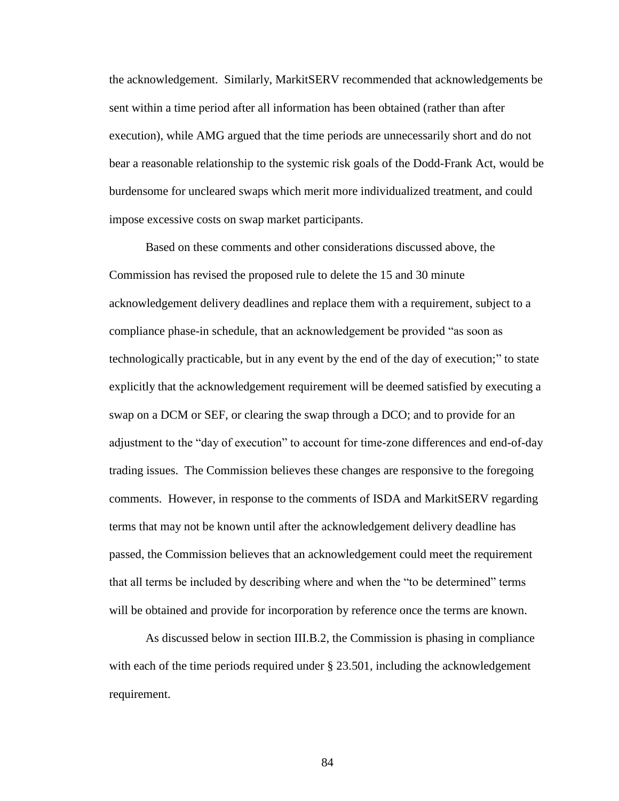the acknowledgement. Similarly, MarkitSERV recommended that acknowledgements be sent within a time period after all information has been obtained (rather than after execution), while AMG argued that the time periods are unnecessarily short and do not bear a reasonable relationship to the systemic risk goals of the Dodd-Frank Act, would be burdensome for uncleared swaps which merit more individualized treatment, and could impose excessive costs on swap market participants.

Based on these comments and other considerations discussed above, the Commission has revised the proposed rule to delete the 15 and 30 minute acknowledgement delivery deadlines and replace them with a requirement, subject to a compliance phase-in schedule, that an acknowledgement be provided "as soon as technologically practicable, but in any event by the end of the day of execution;" to state explicitly that the acknowledgement requirement will be deemed satisfied by executing a swap on a DCM or SEF, or clearing the swap through a DCO; and to provide for an adjustment to the "day of execution" to account for time-zone differences and end-of-day trading issues. The Commission believes these changes are responsive to the foregoing comments. However, in response to the comments of ISDA and MarkitSERV regarding terms that may not be known until after the acknowledgement delivery deadline has passed, the Commission believes that an acknowledgement could meet the requirement that all terms be included by describing where and when the "to be determined" terms will be obtained and provide for incorporation by reference once the terms are known.

As discussed below in section III.B.2, the Commission is phasing in compliance with each of the time periods required under § 23.501, including the acknowledgement requirement.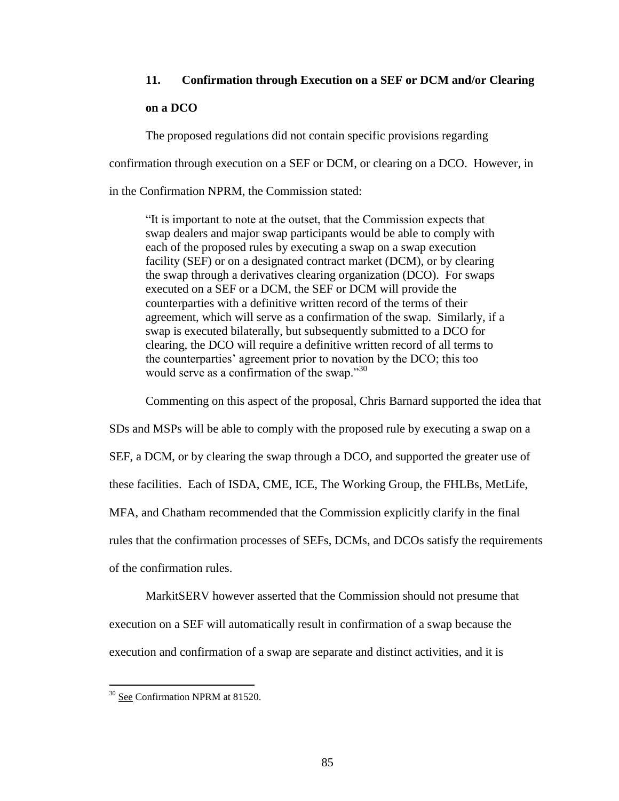# **11. Confirmation through Execution on a SEF or DCM and/or Clearing**

## **on a DCO**

The proposed regulations did not contain specific provisions regarding

confirmation through execution on a SEF or DCM, or clearing on a DCO. However, in

in the Confirmation NPRM, the Commission stated:

"It is important to note at the outset, that the Commission expects that swap dealers and major swap participants would be able to comply with each of the proposed rules by executing a swap on a swap execution facility (SEF) or on a designated contract market (DCM), or by clearing the swap through a derivatives clearing organization (DCO). For swaps executed on a SEF or a DCM, the SEF or DCM will provide the counterparties with a definitive written record of the terms of their agreement, which will serve as a confirmation of the swap. Similarly, if a swap is executed bilaterally, but subsequently submitted to a DCO for clearing, the DCO will require a definitive written record of all terms to the counterparties' agreement prior to novation by the DCO; this too would serve as a confirmation of the swap."<sup>30</sup>

Commenting on this aspect of the proposal, Chris Barnard supported the idea that

SDs and MSPs will be able to comply with the proposed rule by executing a swap on a SEF, a DCM, or by clearing the swap through a DCO, and supported the greater use of these facilities. Each of ISDA, CME, ICE, The Working Group, the FHLBs, MetLife, MFA, and Chatham recommended that the Commission explicitly clarify in the final rules that the confirmation processes of SEFs, DCMs, and DCOs satisfy the requirements of the confirmation rules.

MarkitSERV however asserted that the Commission should not presume that execution on a SEF will automatically result in confirmation of a swap because the execution and confirmation of a swap are separate and distinct activities, and it is

<sup>&</sup>lt;sup>30</sup> See Confirmation NPRM at 81520.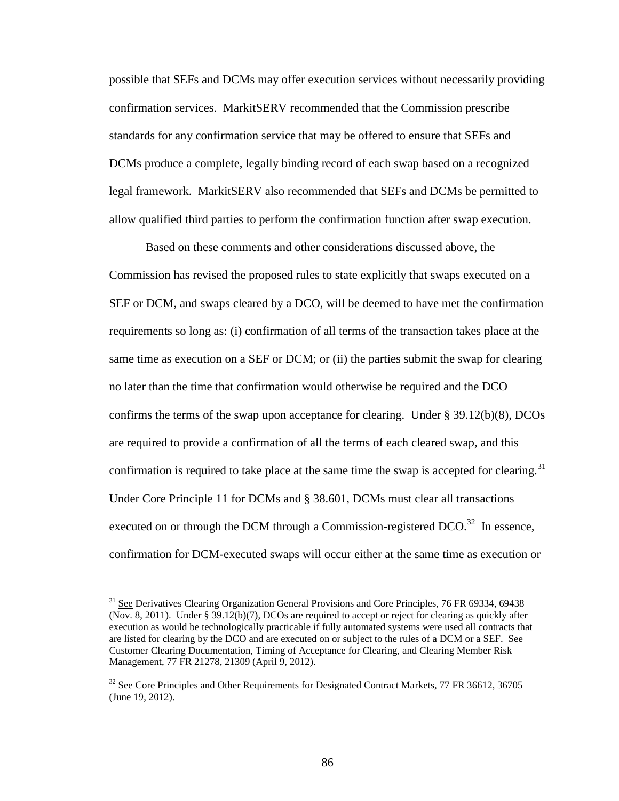possible that SEFs and DCMs may offer execution services without necessarily providing confirmation services. MarkitSERV recommended that the Commission prescribe standards for any confirmation service that may be offered to ensure that SEFs and DCMs produce a complete, legally binding record of each swap based on a recognized legal framework. MarkitSERV also recommended that SEFs and DCMs be permitted to allow qualified third parties to perform the confirmation function after swap execution.

Based on these comments and other considerations discussed above, the Commission has revised the proposed rules to state explicitly that swaps executed on a SEF or DCM, and swaps cleared by a DCO, will be deemed to have met the confirmation requirements so long as: (i) confirmation of all terms of the transaction takes place at the same time as execution on a SEF or DCM; or (ii) the parties submit the swap for clearing no later than the time that confirmation would otherwise be required and the DCO confirms the terms of the swap upon acceptance for clearing. Under § 39.12(b)(8), DCOs are required to provide a confirmation of all the terms of each cleared swap, and this confirmation is required to take place at the same time the swap is accepted for clearing.<sup>31</sup> Under Core Principle 11 for DCMs and § 38.601, DCMs must clear all transactions executed on or through the DCM through a Commission-registered DCO.<sup>32</sup> In essence, confirmation for DCM-executed swaps will occur either at the same time as execution or

<sup>&</sup>lt;sup>31</sup> See Derivatives Clearing Organization General Provisions and Core Principles, 76 FR 69334, 69438 (Nov. 8, 2011). Under  $\S$  39.12(b)(7), DCOs are required to accept or reject for clearing as quickly after execution as would be technologically practicable if fully automated systems were used all contracts that are listed for clearing by the DCO and are executed on or subject to the rules of a DCM or a SEF. See Customer Clearing Documentation, Timing of Acceptance for Clearing, and Clearing Member Risk Management, 77 FR 21278, 21309 (April 9, 2012).

 $32$  See Core Principles and Other Requirements for Designated Contract Markets, 77 FR 36612, 36705 (June 19, 2012).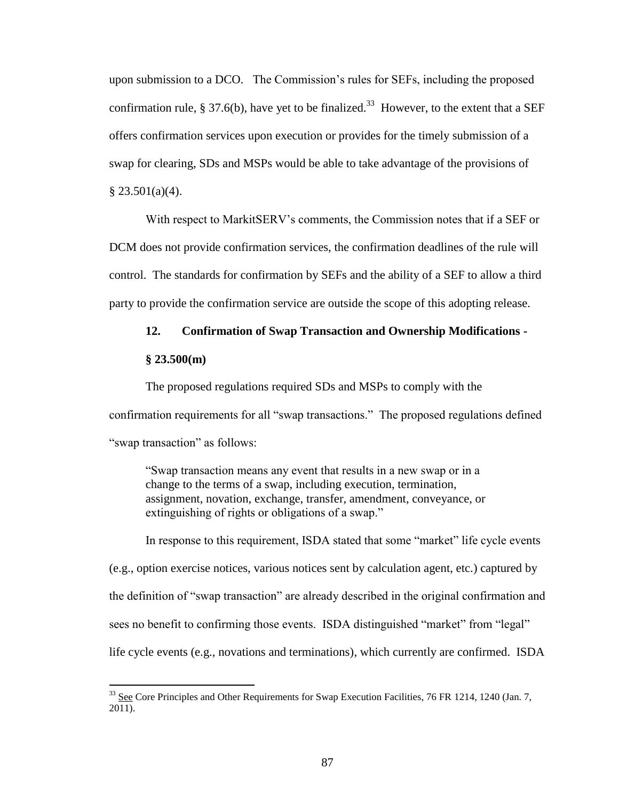upon submission to a DCO. The Commission's rules for SEFs, including the proposed confirmation rule, § 37.6(b), have yet to be finalized.<sup>33</sup> However, to the extent that a SEF offers confirmation services upon execution or provides for the timely submission of a swap for clearing, SDs and MSPs would be able to take advantage of the provisions of  $§ 23.501(a)(4).$ 

With respect to MarkitSERV's comments, the Commission notes that if a SEF or DCM does not provide confirmation services, the confirmation deadlines of the rule will control. The standards for confirmation by SEFs and the ability of a SEF to allow a third party to provide the confirmation service are outside the scope of this adopting release.

# **12. Confirmation of Swap Transaction and Ownership Modifications -**

## **§ 23.500(m)**

 $\overline{a}$ 

The proposed regulations required SDs and MSPs to comply with the confirmation requirements for all "swap transactions." The proposed regulations defined "swap transaction" as follows:

"Swap transaction means any event that results in a new swap or in a change to the terms of a swap, including execution, termination, assignment, novation, exchange, transfer, amendment, conveyance, or extinguishing of rights or obligations of a swap."

In response to this requirement, ISDA stated that some "market" life cycle events (e.g., option exercise notices, various notices sent by calculation agent, etc.) captured by the definition of "swap transaction" are already described in the original confirmation and sees no benefit to confirming those events. ISDA distinguished "market" from "legal" life cycle events (e.g., novations and terminations), which currently are confirmed. ISDA

<sup>&</sup>lt;sup>33</sup> See Core Principles and Other Requirements for Swap Execution Facilities, 76 FR 1214, 1240 (Jan. 7, 2011).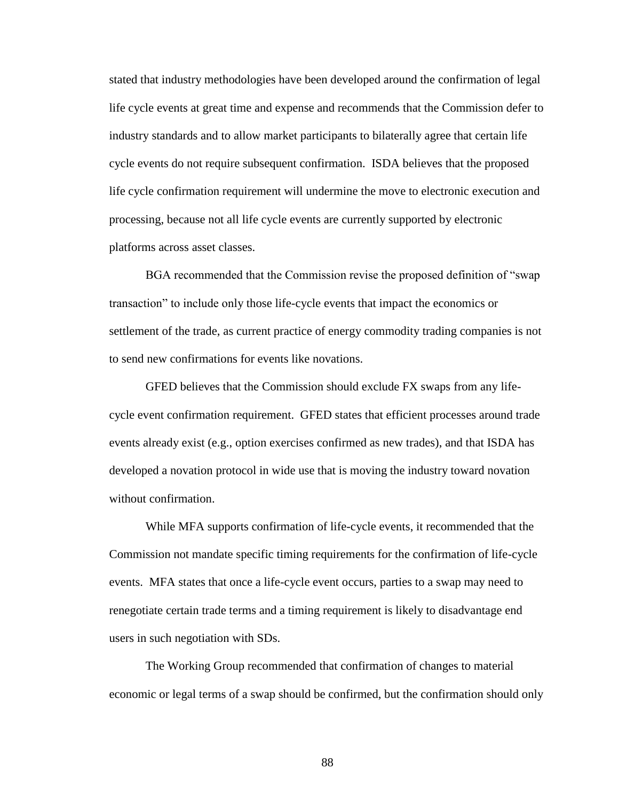stated that industry methodologies have been developed around the confirmation of legal life cycle events at great time and expense and recommends that the Commission defer to industry standards and to allow market participants to bilaterally agree that certain life cycle events do not require subsequent confirmation. ISDA believes that the proposed life cycle confirmation requirement will undermine the move to electronic execution and processing, because not all life cycle events are currently supported by electronic platforms across asset classes.

BGA recommended that the Commission revise the proposed definition of "swap transaction" to include only those life-cycle events that impact the economics or settlement of the trade, as current practice of energy commodity trading companies is not to send new confirmations for events like novations.

GFED believes that the Commission should exclude FX swaps from any lifecycle event confirmation requirement. GFED states that efficient processes around trade events already exist (e.g., option exercises confirmed as new trades), and that ISDA has developed a novation protocol in wide use that is moving the industry toward novation without confirmation.

While MFA supports confirmation of life-cycle events, it recommended that the Commission not mandate specific timing requirements for the confirmation of life-cycle events. MFA states that once a life-cycle event occurs, parties to a swap may need to renegotiate certain trade terms and a timing requirement is likely to disadvantage end users in such negotiation with SDs.

The Working Group recommended that confirmation of changes to material economic or legal terms of a swap should be confirmed, but the confirmation should only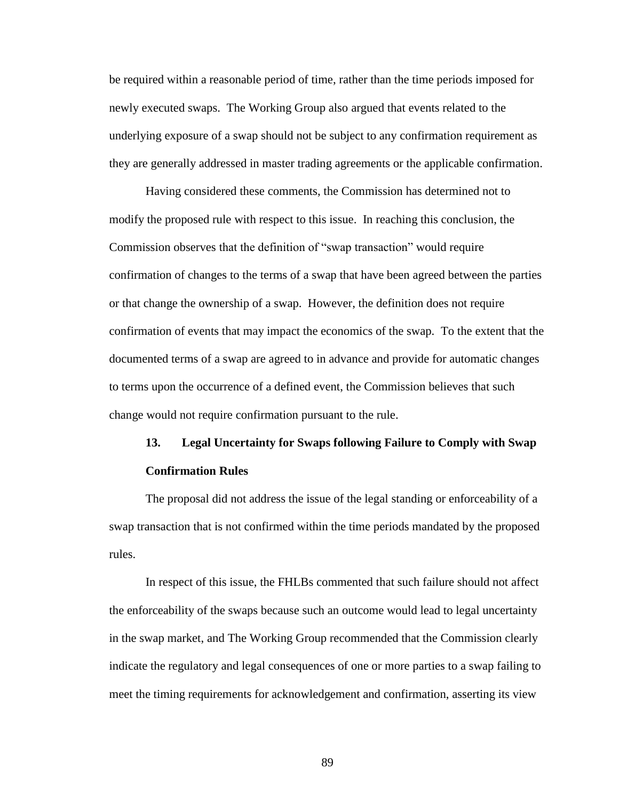be required within a reasonable period of time, rather than the time periods imposed for newly executed swaps. The Working Group also argued that events related to the underlying exposure of a swap should not be subject to any confirmation requirement as they are generally addressed in master trading agreements or the applicable confirmation.

Having considered these comments, the Commission has determined not to modify the proposed rule with respect to this issue. In reaching this conclusion, the Commission observes that the definition of "swap transaction" would require confirmation of changes to the terms of a swap that have been agreed between the parties or that change the ownership of a swap. However, the definition does not require confirmation of events that may impact the economics of the swap. To the extent that the documented terms of a swap are agreed to in advance and provide for automatic changes to terms upon the occurrence of a defined event, the Commission believes that such change would not require confirmation pursuant to the rule.

# **13. Legal Uncertainty for Swaps following Failure to Comply with Swap Confirmation Rules**

The proposal did not address the issue of the legal standing or enforceability of a swap transaction that is not confirmed within the time periods mandated by the proposed rules.

In respect of this issue, the FHLBs commented that such failure should not affect the enforceability of the swaps because such an outcome would lead to legal uncertainty in the swap market, and The Working Group recommended that the Commission clearly indicate the regulatory and legal consequences of one or more parties to a swap failing to meet the timing requirements for acknowledgement and confirmation, asserting its view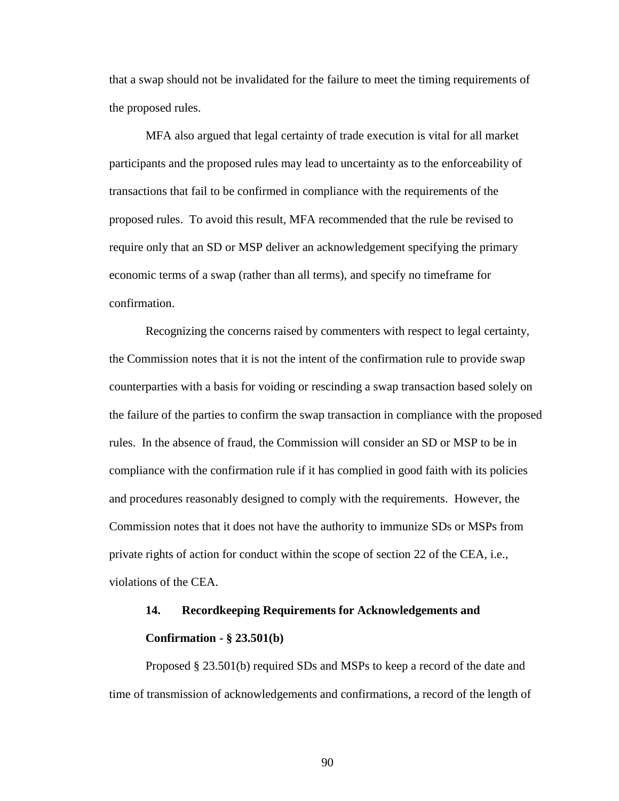that a swap should not be invalidated for the failure to meet the timing requirements of the proposed rules.

MFA also argued that legal certainty of trade execution is vital for all market participants and the proposed rules may lead to uncertainty as to the enforceability of transactions that fail to be confirmed in compliance with the requirements of the proposed rules. To avoid this result, MFA recommended that the rule be revised to require only that an SD or MSP deliver an acknowledgement specifying the primary economic terms of a swap (rather than all terms), and specify no timeframe for confirmation.

Recognizing the concerns raised by commenters with respect to legal certainty, the Commission notes that it is not the intent of the confirmation rule to provide swap counterparties with a basis for voiding or rescinding a swap transaction based solely on the failure of the parties to confirm the swap transaction in compliance with the proposed rules. In the absence of fraud, the Commission will consider an SD or MSP to be in compliance with the confirmation rule if it has complied in good faith with its policies and procedures reasonably designed to comply with the requirements. However, the Commission notes that it does not have the authority to immunize SDs or MSPs from private rights of action for conduct within the scope of section 22 of the CEA, i.e., violations of the CEA.

# **14. Recordkeeping Requirements for Acknowledgements and Confirmation - § 23.501(b)**

Proposed § 23.501(b) required SDs and MSPs to keep a record of the date and time of transmission of acknowledgements and confirmations, a record of the length of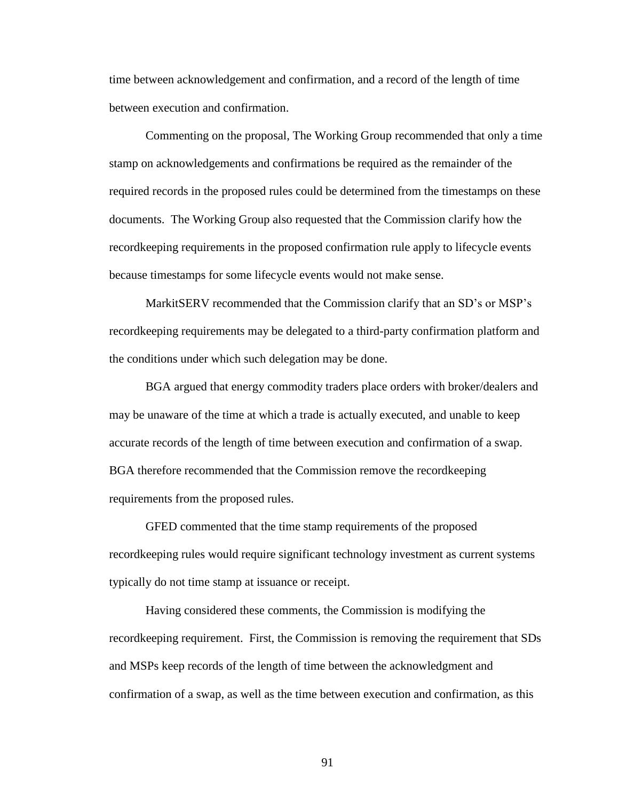time between acknowledgement and confirmation, and a record of the length of time between execution and confirmation.

Commenting on the proposal, The Working Group recommended that only a time stamp on acknowledgements and confirmations be required as the remainder of the required records in the proposed rules could be determined from the timestamps on these documents. The Working Group also requested that the Commission clarify how the recordkeeping requirements in the proposed confirmation rule apply to lifecycle events because timestamps for some lifecycle events would not make sense.

MarkitSERV recommended that the Commission clarify that an SD's or MSP's recordkeeping requirements may be delegated to a third-party confirmation platform and the conditions under which such delegation may be done.

BGA argued that energy commodity traders place orders with broker/dealers and may be unaware of the time at which a trade is actually executed, and unable to keep accurate records of the length of time between execution and confirmation of a swap. BGA therefore recommended that the Commission remove the recordkeeping requirements from the proposed rules.

GFED commented that the time stamp requirements of the proposed recordkeeping rules would require significant technology investment as current systems typically do not time stamp at issuance or receipt.

Having considered these comments, the Commission is modifying the recordkeeping requirement. First, the Commission is removing the requirement that SDs and MSPs keep records of the length of time between the acknowledgment and confirmation of a swap, as well as the time between execution and confirmation, as this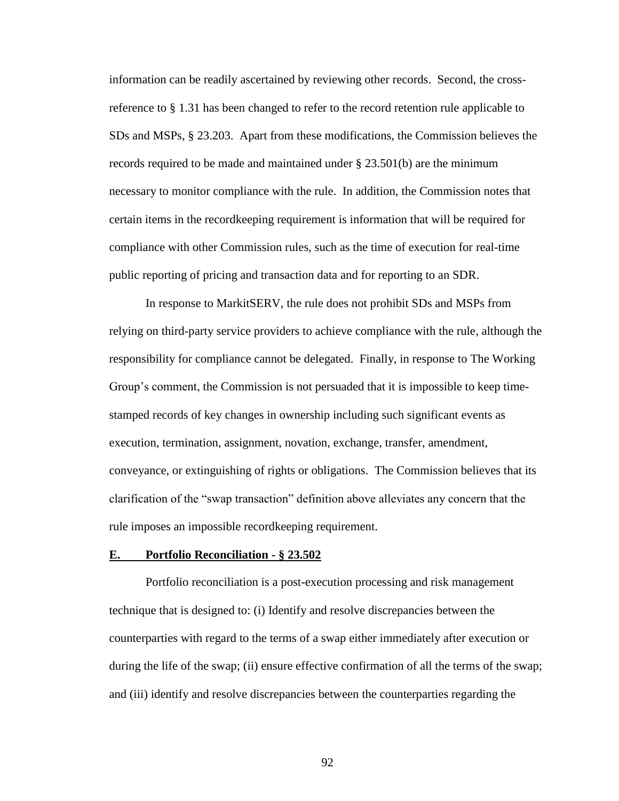information can be readily ascertained by reviewing other records. Second, the crossreference to § 1.31 has been changed to refer to the record retention rule applicable to SDs and MSPs, § 23.203. Apart from these modifications, the Commission believes the records required to be made and maintained under § 23.501(b) are the minimum necessary to monitor compliance with the rule. In addition, the Commission notes that certain items in the recordkeeping requirement is information that will be required for compliance with other Commission rules, such as the time of execution for real-time public reporting of pricing and transaction data and for reporting to an SDR.

In response to MarkitSERV, the rule does not prohibit SDs and MSPs from relying on third-party service providers to achieve compliance with the rule, although the responsibility for compliance cannot be delegated. Finally, in response to The Working Group's comment, the Commission is not persuaded that it is impossible to keep timestamped records of key changes in ownership including such significant events as execution, termination, assignment, novation, exchange, transfer, amendment, conveyance, or extinguishing of rights or obligations. The Commission believes that its clarification of the "swap transaction" definition above alleviates any concern that the rule imposes an impossible recordkeeping requirement.

### **E. Portfolio Reconciliation - § 23.502**

Portfolio reconciliation is a post-execution processing and risk management technique that is designed to: (i) Identify and resolve discrepancies between the counterparties with regard to the terms of a swap either immediately after execution or during the life of the swap; (ii) ensure effective confirmation of all the terms of the swap; and (iii) identify and resolve discrepancies between the counterparties regarding the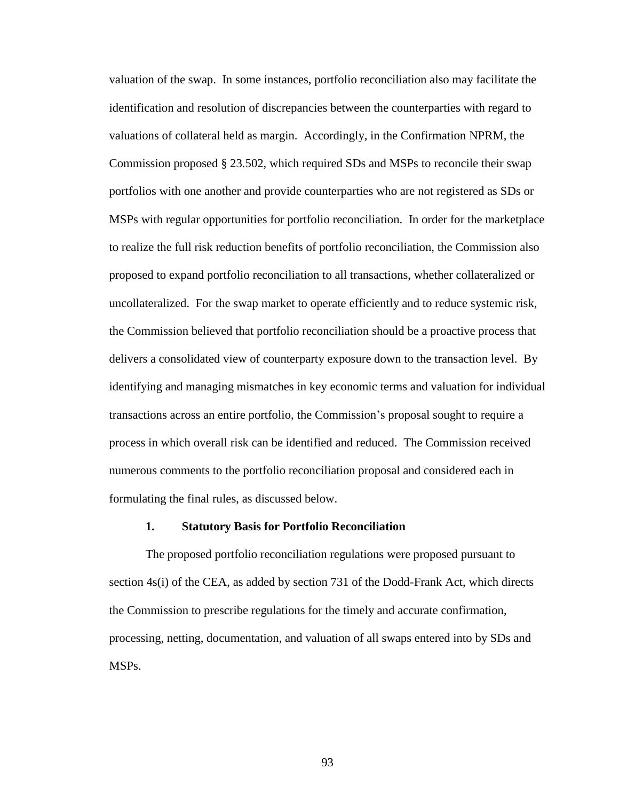valuation of the swap. In some instances, portfolio reconciliation also may facilitate the identification and resolution of discrepancies between the counterparties with regard to valuations of collateral held as margin. Accordingly, in the Confirmation NPRM, the Commission proposed § 23.502, which required SDs and MSPs to reconcile their swap portfolios with one another and provide counterparties who are not registered as SDs or MSPs with regular opportunities for portfolio reconciliation. In order for the marketplace to realize the full risk reduction benefits of portfolio reconciliation, the Commission also proposed to expand portfolio reconciliation to all transactions, whether collateralized or uncollateralized. For the swap market to operate efficiently and to reduce systemic risk, the Commission believed that portfolio reconciliation should be a proactive process that delivers a consolidated view of counterparty exposure down to the transaction level. By identifying and managing mismatches in key economic terms and valuation for individual transactions across an entire portfolio, the Commission's proposal sought to require a process in which overall risk can be identified and reduced. The Commission received numerous comments to the portfolio reconciliation proposal and considered each in formulating the final rules, as discussed below.

#### **1. Statutory Basis for Portfolio Reconciliation**

The proposed portfolio reconciliation regulations were proposed pursuant to section 4s(i) of the CEA, as added by section 731 of the Dodd-Frank Act, which directs the Commission to prescribe regulations for the timely and accurate confirmation, processing, netting, documentation, and valuation of all swaps entered into by SDs and MSPs.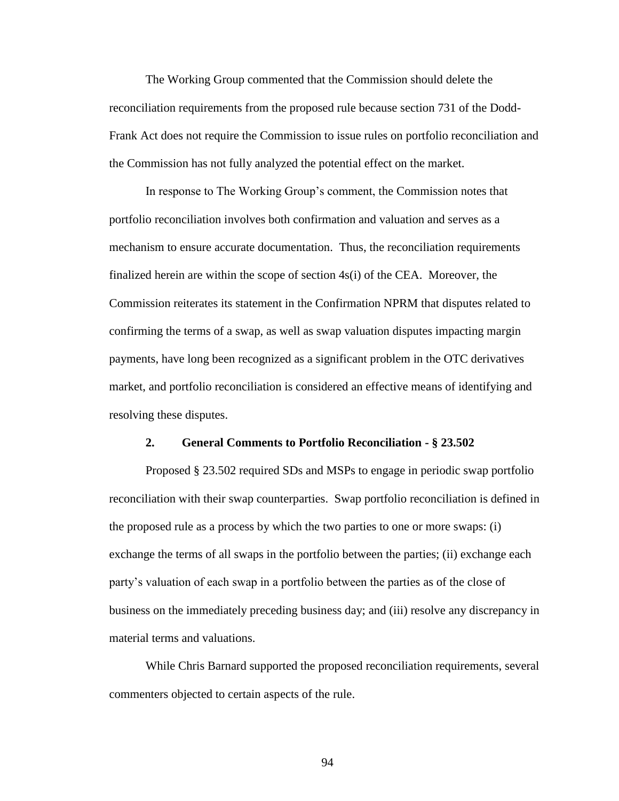The Working Group commented that the Commission should delete the reconciliation requirements from the proposed rule because section 731 of the Dodd-Frank Act does not require the Commission to issue rules on portfolio reconciliation and the Commission has not fully analyzed the potential effect on the market.

In response to The Working Group's comment, the Commission notes that portfolio reconciliation involves both confirmation and valuation and serves as a mechanism to ensure accurate documentation. Thus, the reconciliation requirements finalized herein are within the scope of section 4s(i) of the CEA. Moreover, the Commission reiterates its statement in the Confirmation NPRM that disputes related to confirming the terms of a swap, as well as swap valuation disputes impacting margin payments, have long been recognized as a significant problem in the OTC derivatives market, and portfolio reconciliation is considered an effective means of identifying and resolving these disputes.

## **2. General Comments to Portfolio Reconciliation - § 23.502**

Proposed § 23.502 required SDs and MSPs to engage in periodic swap portfolio reconciliation with their swap counterparties. Swap portfolio reconciliation is defined in the proposed rule as a process by which the two parties to one or more swaps: (i) exchange the terms of all swaps in the portfolio between the parties; (ii) exchange each party's valuation of each swap in a portfolio between the parties as of the close of business on the immediately preceding business day; and (iii) resolve any discrepancy in material terms and valuations.

While Chris Barnard supported the proposed reconciliation requirements, several commenters objected to certain aspects of the rule.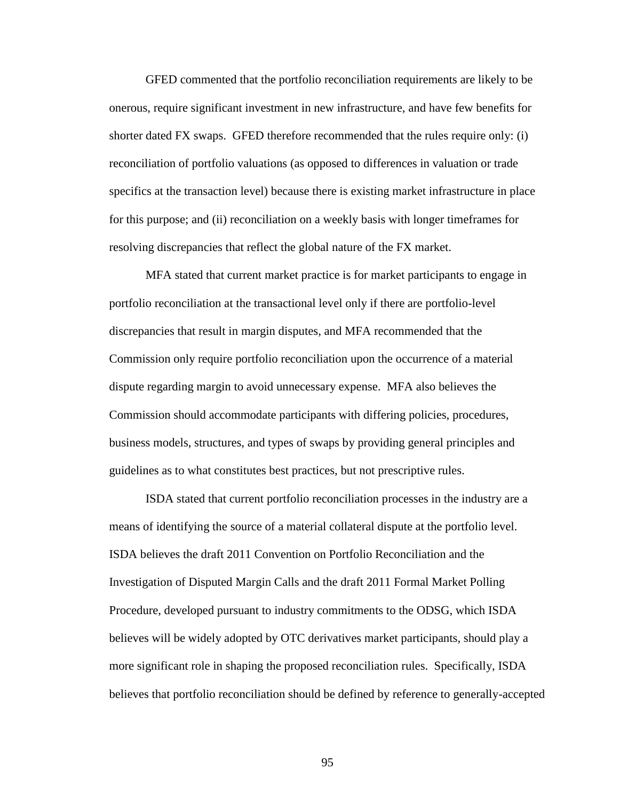GFED commented that the portfolio reconciliation requirements are likely to be onerous, require significant investment in new infrastructure, and have few benefits for shorter dated FX swaps. GFED therefore recommended that the rules require only: (i) reconciliation of portfolio valuations (as opposed to differences in valuation or trade specifics at the transaction level) because there is existing market infrastructure in place for this purpose; and (ii) reconciliation on a weekly basis with longer timeframes for resolving discrepancies that reflect the global nature of the FX market.

MFA stated that current market practice is for market participants to engage in portfolio reconciliation at the transactional level only if there are portfolio-level discrepancies that result in margin disputes, and MFA recommended that the Commission only require portfolio reconciliation upon the occurrence of a material dispute regarding margin to avoid unnecessary expense. MFA also believes the Commission should accommodate participants with differing policies, procedures, business models, structures, and types of swaps by providing general principles and guidelines as to what constitutes best practices, but not prescriptive rules.

ISDA stated that current portfolio reconciliation processes in the industry are a means of identifying the source of a material collateral dispute at the portfolio level. ISDA believes the draft 2011 Convention on Portfolio Reconciliation and the Investigation of Disputed Margin Calls and the draft 2011 Formal Market Polling Procedure, developed pursuant to industry commitments to the ODSG, which ISDA believes will be widely adopted by OTC derivatives market participants, should play a more significant role in shaping the proposed reconciliation rules. Specifically, ISDA believes that portfolio reconciliation should be defined by reference to generally-accepted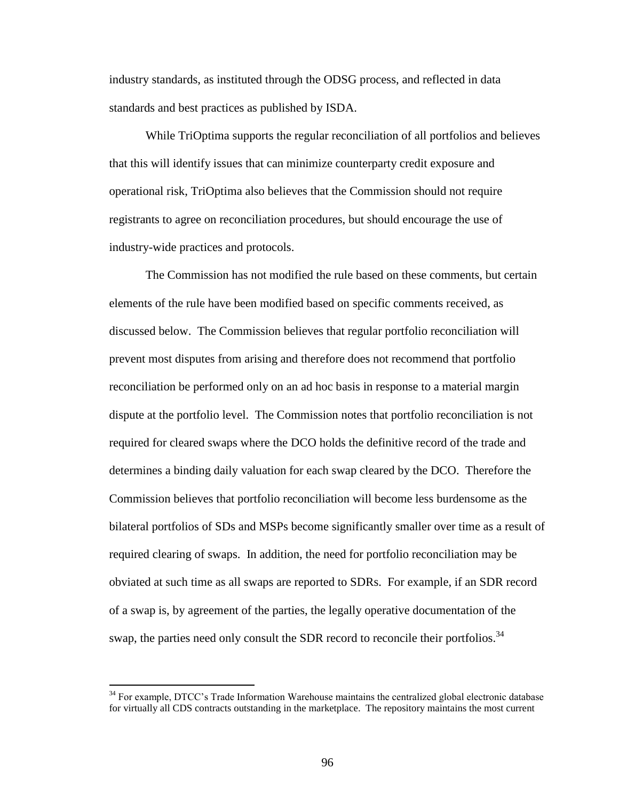industry standards, as instituted through the ODSG process, and reflected in data standards and best practices as published by ISDA.

While TriOptima supports the regular reconciliation of all portfolios and believes that this will identify issues that can minimize counterparty credit exposure and operational risk, TriOptima also believes that the Commission should not require registrants to agree on reconciliation procedures, but should encourage the use of industry-wide practices and protocols.

The Commission has not modified the rule based on these comments, but certain elements of the rule have been modified based on specific comments received, as discussed below. The Commission believes that regular portfolio reconciliation will prevent most disputes from arising and therefore does not recommend that portfolio reconciliation be performed only on an ad hoc basis in response to a material margin dispute at the portfolio level. The Commission notes that portfolio reconciliation is not required for cleared swaps where the DCO holds the definitive record of the trade and determines a binding daily valuation for each swap cleared by the DCO. Therefore the Commission believes that portfolio reconciliation will become less burdensome as the bilateral portfolios of SDs and MSPs become significantly smaller over time as a result of required clearing of swaps. In addition, the need for portfolio reconciliation may be obviated at such time as all swaps are reported to SDRs. For example, if an SDR record of a swap is, by agreement of the parties, the legally operative documentation of the swap, the parties need only consult the SDR record to reconcile their portfolios.<sup>34</sup>

 $34$  For example, DTCC's Trade Information Warehouse maintains the centralized global electronic database for virtually all CDS contracts outstanding in the marketplace. The repository maintains the most current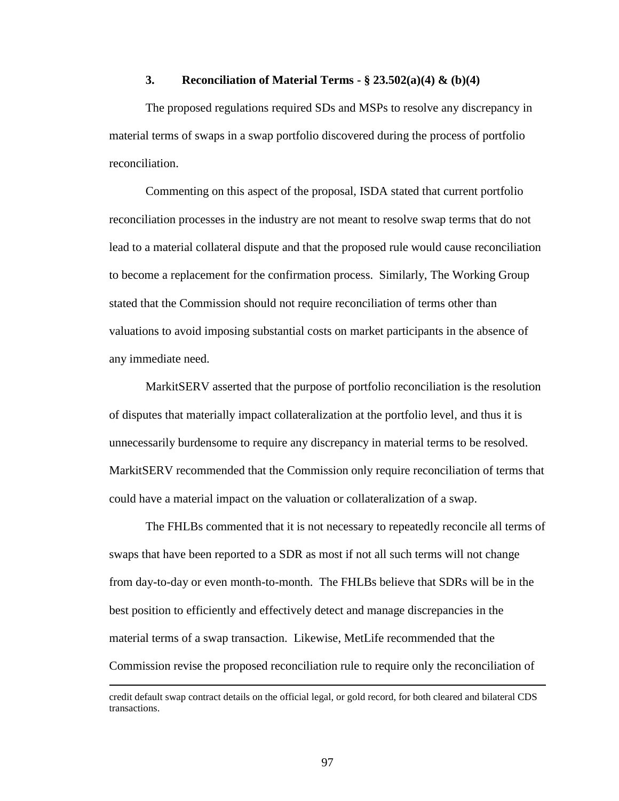# **3. Reconciliation of Material Terms - § 23.502(a)(4) & (b)(4)**

The proposed regulations required SDs and MSPs to resolve any discrepancy in material terms of swaps in a swap portfolio discovered during the process of portfolio reconciliation.

Commenting on this aspect of the proposal, ISDA stated that current portfolio reconciliation processes in the industry are not meant to resolve swap terms that do not lead to a material collateral dispute and that the proposed rule would cause reconciliation to become a replacement for the confirmation process. Similarly, The Working Group stated that the Commission should not require reconciliation of terms other than valuations to avoid imposing substantial costs on market participants in the absence of any immediate need.

MarkitSERV asserted that the purpose of portfolio reconciliation is the resolution of disputes that materially impact collateralization at the portfolio level, and thus it is unnecessarily burdensome to require any discrepancy in material terms to be resolved. MarkitSERV recommended that the Commission only require reconciliation of terms that could have a material impact on the valuation or collateralization of a swap.

The FHLBs commented that it is not necessary to repeatedly reconcile all terms of swaps that have been reported to a SDR as most if not all such terms will not change from day-to-day or even month-to-month. The FHLBs believe that SDRs will be in the best position to efficiently and effectively detect and manage discrepancies in the material terms of a swap transaction. Likewise, MetLife recommended that the Commission revise the proposed reconciliation rule to require only the reconciliation of

credit default swap contract details on the official legal, or gold record, for both cleared and bilateral CDS transactions.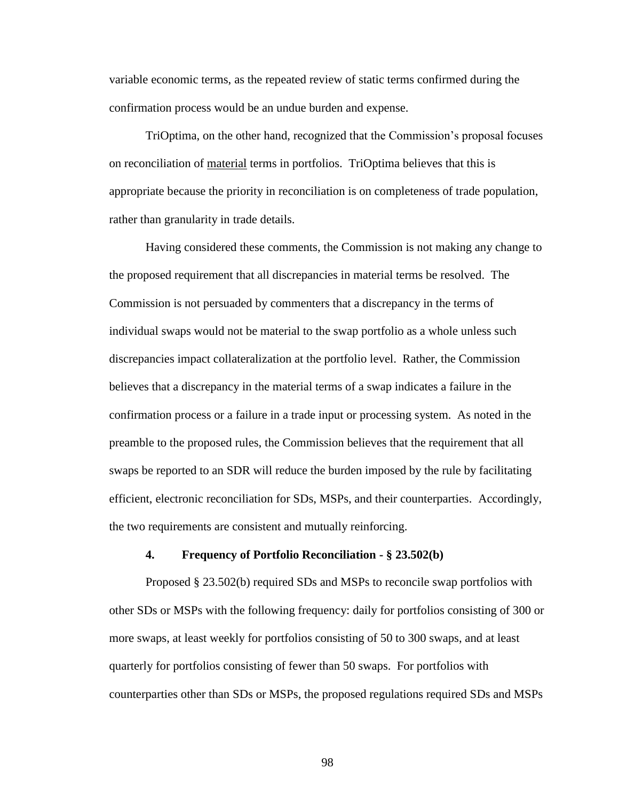variable economic terms, as the repeated review of static terms confirmed during the confirmation process would be an undue burden and expense.

TriOptima, on the other hand, recognized that the Commission's proposal focuses on reconciliation of material terms in portfolios. TriOptima believes that this is appropriate because the priority in reconciliation is on completeness of trade population, rather than granularity in trade details.

Having considered these comments, the Commission is not making any change to the proposed requirement that all discrepancies in material terms be resolved. The Commission is not persuaded by commenters that a discrepancy in the terms of individual swaps would not be material to the swap portfolio as a whole unless such discrepancies impact collateralization at the portfolio level. Rather, the Commission believes that a discrepancy in the material terms of a swap indicates a failure in the confirmation process or a failure in a trade input or processing system. As noted in the preamble to the proposed rules, the Commission believes that the requirement that all swaps be reported to an SDR will reduce the burden imposed by the rule by facilitating efficient, electronic reconciliation for SDs, MSPs, and their counterparties. Accordingly, the two requirements are consistent and mutually reinforcing.

## **4. Frequency of Portfolio Reconciliation - § 23.502(b)**

Proposed § 23.502(b) required SDs and MSPs to reconcile swap portfolios with other SDs or MSPs with the following frequency: daily for portfolios consisting of 300 or more swaps, at least weekly for portfolios consisting of 50 to 300 swaps, and at least quarterly for portfolios consisting of fewer than 50 swaps. For portfolios with counterparties other than SDs or MSPs, the proposed regulations required SDs and MSPs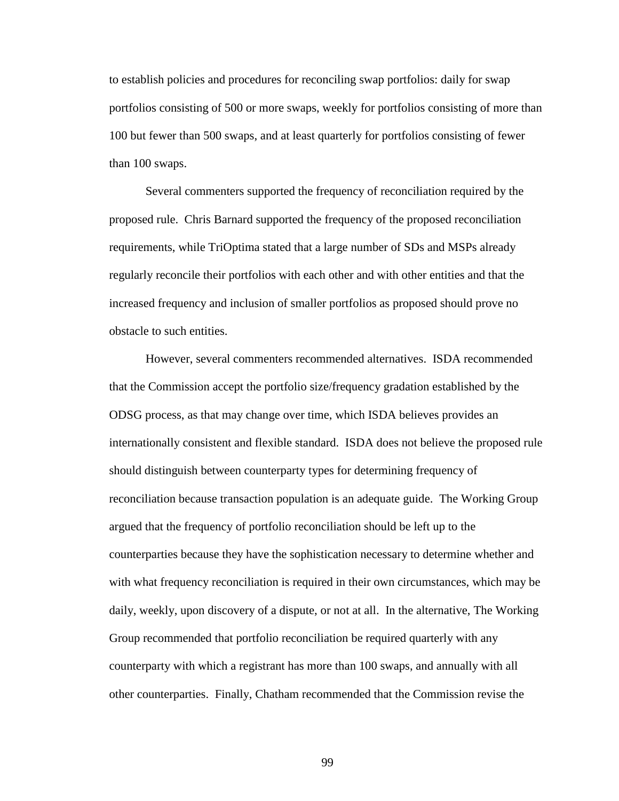to establish policies and procedures for reconciling swap portfolios: daily for swap portfolios consisting of 500 or more swaps, weekly for portfolios consisting of more than 100 but fewer than 500 swaps, and at least quarterly for portfolios consisting of fewer than 100 swaps.

Several commenters supported the frequency of reconciliation required by the proposed rule. Chris Barnard supported the frequency of the proposed reconciliation requirements, while TriOptima stated that a large number of SDs and MSPs already regularly reconcile their portfolios with each other and with other entities and that the increased frequency and inclusion of smaller portfolios as proposed should prove no obstacle to such entities.

However, several commenters recommended alternatives. ISDA recommended that the Commission accept the portfolio size/frequency gradation established by the ODSG process, as that may change over time, which ISDA believes provides an internationally consistent and flexible standard. ISDA does not believe the proposed rule should distinguish between counterparty types for determining frequency of reconciliation because transaction population is an adequate guide. The Working Group argued that the frequency of portfolio reconciliation should be left up to the counterparties because they have the sophistication necessary to determine whether and with what frequency reconciliation is required in their own circumstances, which may be daily, weekly, upon discovery of a dispute, or not at all. In the alternative, The Working Group recommended that portfolio reconciliation be required quarterly with any counterparty with which a registrant has more than 100 swaps, and annually with all other counterparties. Finally, Chatham recommended that the Commission revise the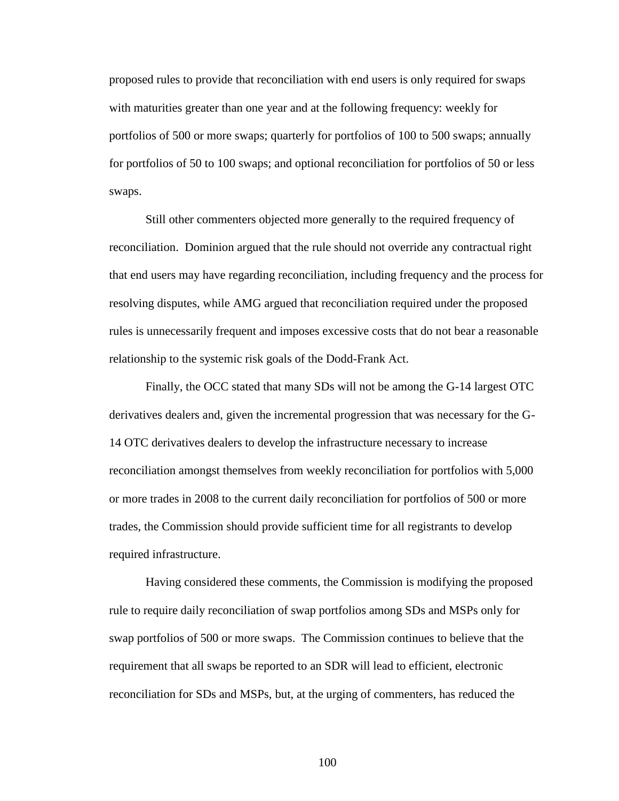proposed rules to provide that reconciliation with end users is only required for swaps with maturities greater than one year and at the following frequency: weekly for portfolios of 500 or more swaps; quarterly for portfolios of 100 to 500 swaps; annually for portfolios of 50 to 100 swaps; and optional reconciliation for portfolios of 50 or less swaps.

Still other commenters objected more generally to the required frequency of reconciliation. Dominion argued that the rule should not override any contractual right that end users may have regarding reconciliation, including frequency and the process for resolving disputes, while AMG argued that reconciliation required under the proposed rules is unnecessarily frequent and imposes excessive costs that do not bear a reasonable relationship to the systemic risk goals of the Dodd-Frank Act.

Finally, the OCC stated that many SDs will not be among the G-14 largest OTC derivatives dealers and, given the incremental progression that was necessary for the G-14 OTC derivatives dealers to develop the infrastructure necessary to increase reconciliation amongst themselves from weekly reconciliation for portfolios with 5,000 or more trades in 2008 to the current daily reconciliation for portfolios of 500 or more trades, the Commission should provide sufficient time for all registrants to develop required infrastructure.

Having considered these comments, the Commission is modifying the proposed rule to require daily reconciliation of swap portfolios among SDs and MSPs only for swap portfolios of 500 or more swaps. The Commission continues to believe that the requirement that all swaps be reported to an SDR will lead to efficient, electronic reconciliation for SDs and MSPs, but, at the urging of commenters, has reduced the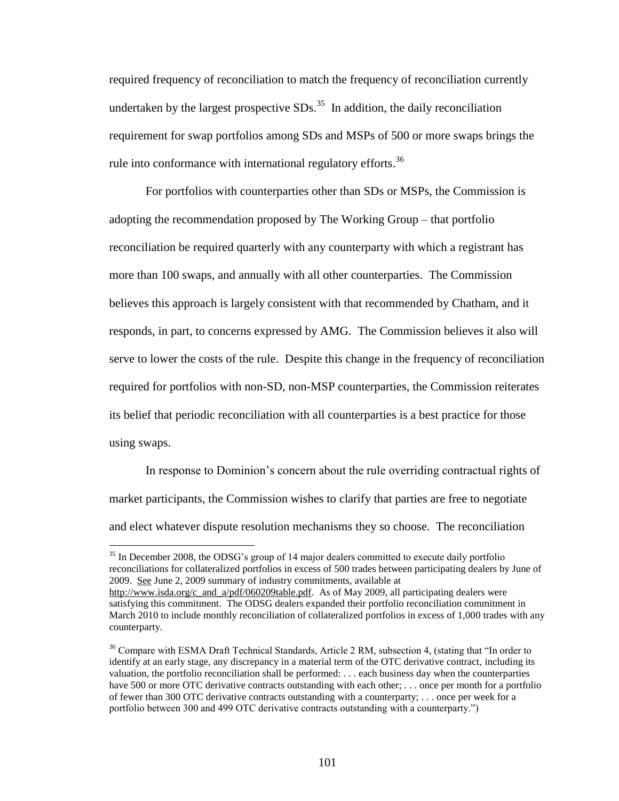required frequency of reconciliation to match the frequency of reconciliation currently undertaken by the largest prospective  $SDs$ .<sup>35</sup> In addition, the daily reconciliation requirement for swap portfolios among SDs and MSPs of 500 or more swaps brings the rule into conformance with international regulatory efforts.<sup>36</sup>

For portfolios with counterparties other than SDs or MSPs, the Commission is adopting the recommendation proposed by The Working Group – that portfolio reconciliation be required quarterly with any counterparty with which a registrant has more than 100 swaps, and annually with all other counterparties. The Commission believes this approach is largely consistent with that recommended by Chatham, and it responds, in part, to concerns expressed by AMG. The Commission believes it also will serve to lower the costs of the rule. Despite this change in the frequency of reconciliation required for portfolios with non-SD, non-MSP counterparties, the Commission reiterates its belief that periodic reconciliation with all counterparties is a best practice for those using swaps.

In response to Dominion's concern about the rule overriding contractual rights of market participants, the Commission wishes to clarify that parties are free to negotiate and elect whatever dispute resolution mechanisms they so choose. The reconciliation

<sup>&</sup>lt;sup>35</sup> In December 2008, the ODSG's group of 14 major dealers committed to execute daily portfolio reconciliations for collateralized portfolios in excess of 500 trades between participating dealers by June of 2009. See June 2, 2009 summary of industry commitments, available at

http://www.isda.org/c and a/pdf/060209table.pdf. As of May 2009, all participating dealers were satisfying this commitment. The ODSG dealers expanded their portfolio reconciliation commitment in March 2010 to include monthly reconciliation of collateralized portfolios in excess of 1,000 trades with any counterparty.

<sup>&</sup>lt;sup>36</sup> Compare with ESMA Draft Technical Standards, Article 2 RM, subsection 4, (stating that "In order to identify at an early stage, any discrepancy in a material term of the OTC derivative contract, including its valuation, the portfolio reconciliation shall be performed: . . . each business day when the counterparties have 500 or more OTC derivative contracts outstanding with each other; ... once per month for a portfolio of fewer than 300 OTC derivative contracts outstanding with a counterparty; . . . once per week for a portfolio between 300 and 499 OTC derivative contracts outstanding with a counterparty.")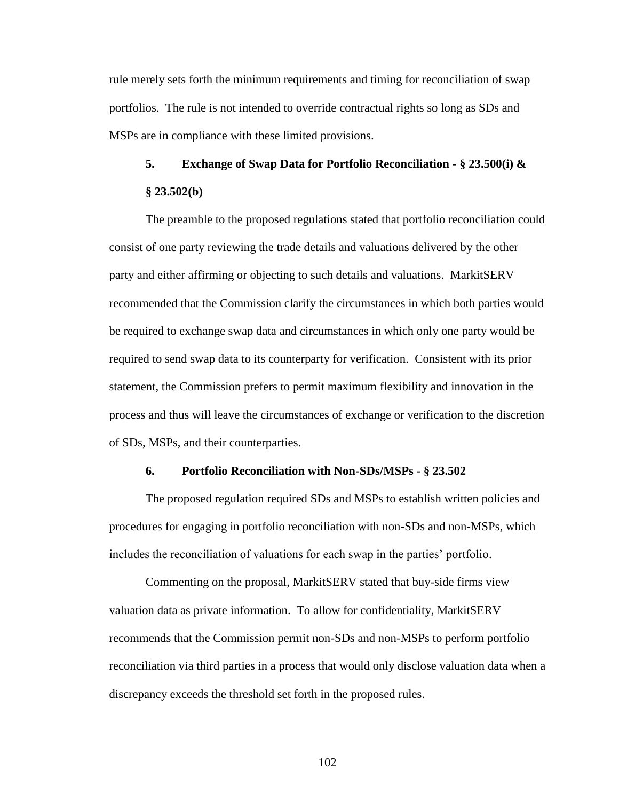rule merely sets forth the minimum requirements and timing for reconciliation of swap portfolios. The rule is not intended to override contractual rights so long as SDs and MSPs are in compliance with these limited provisions.

# **5. Exchange of Swap Data for Portfolio Reconciliation - § 23.500(i) & § 23.502(b)**

The preamble to the proposed regulations stated that portfolio reconciliation could consist of one party reviewing the trade details and valuations delivered by the other party and either affirming or objecting to such details and valuations. MarkitSERV recommended that the Commission clarify the circumstances in which both parties would be required to exchange swap data and circumstances in which only one party would be required to send swap data to its counterparty for verification. Consistent with its prior statement, the Commission prefers to permit maximum flexibility and innovation in the process and thus will leave the circumstances of exchange or verification to the discretion of SDs, MSPs, and their counterparties.

### **6. Portfolio Reconciliation with Non-SDs/MSPs - § 23.502**

The proposed regulation required SDs and MSPs to establish written policies and procedures for engaging in portfolio reconciliation with non-SDs and non-MSPs, which includes the reconciliation of valuations for each swap in the parties' portfolio.

Commenting on the proposal, MarkitSERV stated that buy-side firms view valuation data as private information. To allow for confidentiality, MarkitSERV recommends that the Commission permit non-SDs and non-MSPs to perform portfolio reconciliation via third parties in a process that would only disclose valuation data when a discrepancy exceeds the threshold set forth in the proposed rules.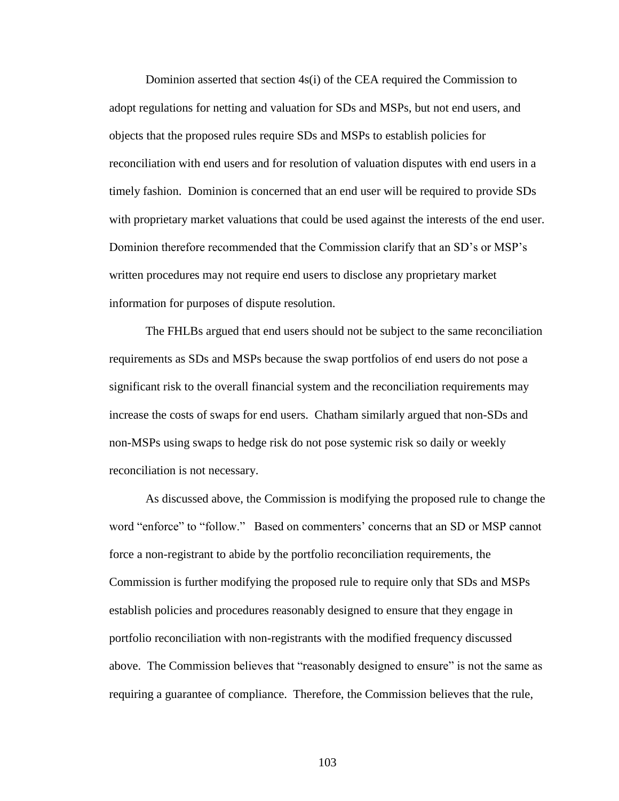Dominion asserted that section 4s(i) of the CEA required the Commission to adopt regulations for netting and valuation for SDs and MSPs, but not end users, and objects that the proposed rules require SDs and MSPs to establish policies for reconciliation with end users and for resolution of valuation disputes with end users in a timely fashion. Dominion is concerned that an end user will be required to provide SDs with proprietary market valuations that could be used against the interests of the end user. Dominion therefore recommended that the Commission clarify that an SD's or MSP's written procedures may not require end users to disclose any proprietary market information for purposes of dispute resolution.

The FHLBs argued that end users should not be subject to the same reconciliation requirements as SDs and MSPs because the swap portfolios of end users do not pose a significant risk to the overall financial system and the reconciliation requirements may increase the costs of swaps for end users. Chatham similarly argued that non-SDs and non-MSPs using swaps to hedge risk do not pose systemic risk so daily or weekly reconciliation is not necessary.

As discussed above, the Commission is modifying the proposed rule to change the word "enforce" to "follow." Based on commenters' concerns that an SD or MSP cannot force a non-registrant to abide by the portfolio reconciliation requirements, the Commission is further modifying the proposed rule to require only that SDs and MSPs establish policies and procedures reasonably designed to ensure that they engage in portfolio reconciliation with non-registrants with the modified frequency discussed above. The Commission believes that "reasonably designed to ensure" is not the same as requiring a guarantee of compliance. Therefore, the Commission believes that the rule,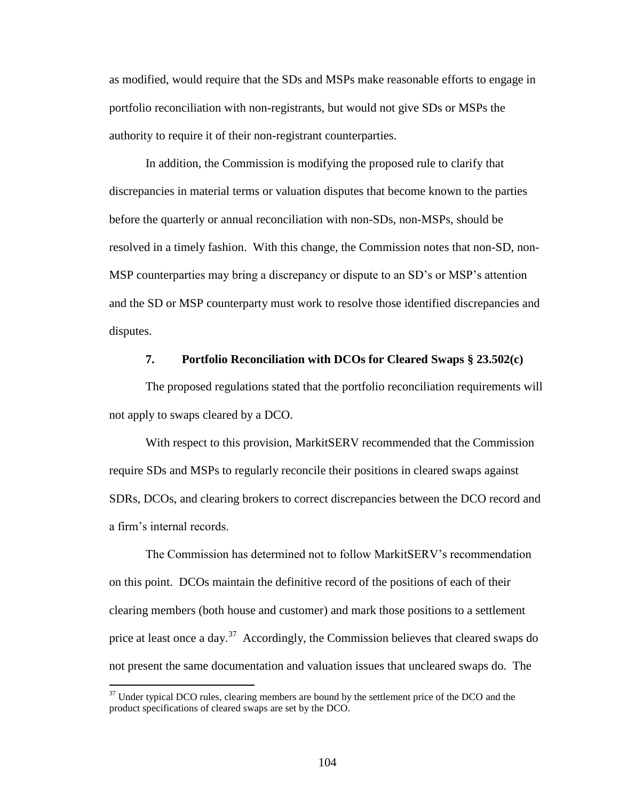as modified, would require that the SDs and MSPs make reasonable efforts to engage in portfolio reconciliation with non-registrants, but would not give SDs or MSPs the authority to require it of their non-registrant counterparties.

In addition, the Commission is modifying the proposed rule to clarify that discrepancies in material terms or valuation disputes that become known to the parties before the quarterly or annual reconciliation with non-SDs, non-MSPs, should be resolved in a timely fashion. With this change, the Commission notes that non-SD, non-MSP counterparties may bring a discrepancy or dispute to an SD's or MSP's attention and the SD or MSP counterparty must work to resolve those identified discrepancies and disputes.

## **7. Portfolio Reconciliation with DCOs for Cleared Swaps § 23.502(c)**

The proposed regulations stated that the portfolio reconciliation requirements will not apply to swaps cleared by a DCO.

With respect to this provision, MarkitSERV recommended that the Commission require SDs and MSPs to regularly reconcile their positions in cleared swaps against SDRs, DCOs, and clearing brokers to correct discrepancies between the DCO record and a firm's internal records.

The Commission has determined not to follow MarkitSERV's recommendation on this point. DCOs maintain the definitive record of the positions of each of their clearing members (both house and customer) and mark those positions to a settlement price at least once a day.<sup>37</sup> Accordingly, the Commission believes that cleared swaps do not present the same documentation and valuation issues that uncleared swaps do. The

<sup>&</sup>lt;sup>37</sup> Under typical DCO rules, clearing members are bound by the settlement price of the DCO and the product specifications of cleared swaps are set by the DCO.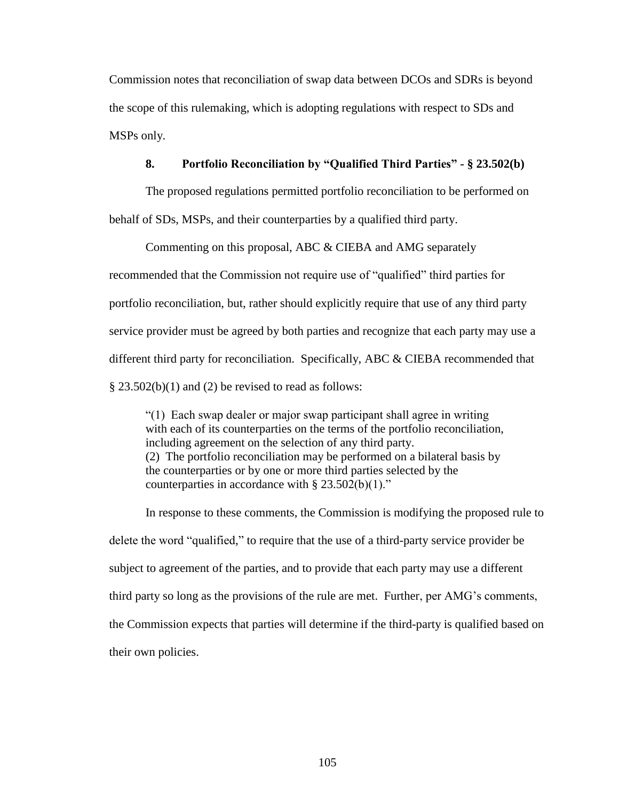Commission notes that reconciliation of swap data between DCOs and SDRs is beyond the scope of this rulemaking, which is adopting regulations with respect to SDs and MSPs only.

# **8. Portfolio Reconciliation by "Qualified Third Parties" - § 23.502(b)**

The proposed regulations permitted portfolio reconciliation to be performed on behalf of SDs, MSPs, and their counterparties by a qualified third party.

Commenting on this proposal, ABC & CIEBA and AMG separately recommended that the Commission not require use of "qualified" third parties for portfolio reconciliation, but, rather should explicitly require that use of any third party service provider must be agreed by both parties and recognize that each party may use a different third party for reconciliation. Specifically, ABC & CIEBA recommended that  $\S$  23.502(b)(1) and (2) be revised to read as follows:

"(1) Each swap dealer or major swap participant shall agree in writing with each of its counterparties on the terms of the portfolio reconciliation, including agreement on the selection of any third party. (2) The portfolio reconciliation may be performed on a bilateral basis by the counterparties or by one or more third parties selected by the counterparties in accordance with  $\S 23.502(b)(1)$ ."

In response to these comments, the Commission is modifying the proposed rule to delete the word "qualified," to require that the use of a third-party service provider be subject to agreement of the parties, and to provide that each party may use a different third party so long as the provisions of the rule are met. Further, per AMG's comments, the Commission expects that parties will determine if the third-party is qualified based on their own policies.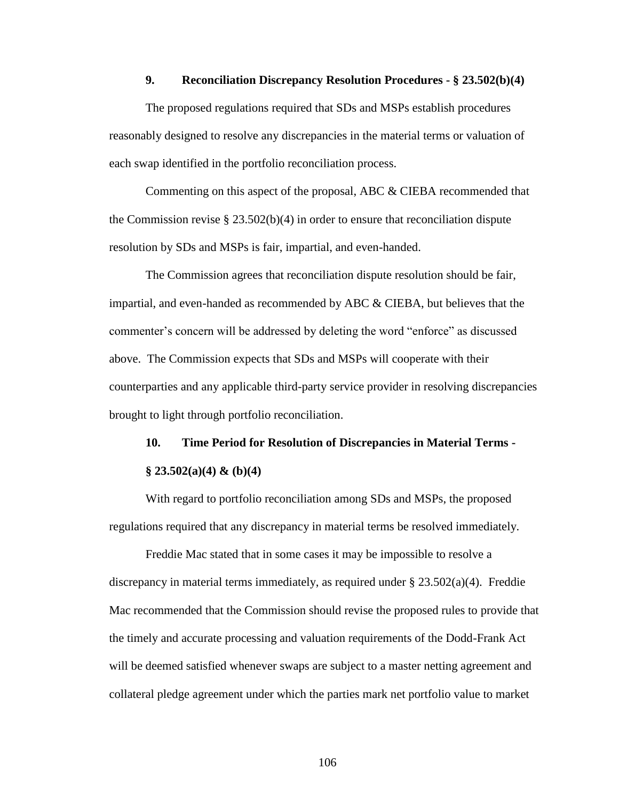## **9. Reconciliation Discrepancy Resolution Procedures - § 23.502(b)(4)**

The proposed regulations required that SDs and MSPs establish procedures reasonably designed to resolve any discrepancies in the material terms or valuation of each swap identified in the portfolio reconciliation process.

Commenting on this aspect of the proposal, ABC & CIEBA recommended that the Commission revise  $\S 23.502(b)(4)$  in order to ensure that reconciliation dispute resolution by SDs and MSPs is fair, impartial, and even-handed.

The Commission agrees that reconciliation dispute resolution should be fair, impartial, and even-handed as recommended by ABC & CIEBA, but believes that the commenter's concern will be addressed by deleting the word "enforce" as discussed above. The Commission expects that SDs and MSPs will cooperate with their counterparties and any applicable third-party service provider in resolving discrepancies brought to light through portfolio reconciliation.

# **10. Time Period for Resolution of Discrepancies in Material Terms -**

# **§ 23.502(a)(4) & (b)(4)**

With regard to portfolio reconciliation among SDs and MSPs, the proposed regulations required that any discrepancy in material terms be resolved immediately.

Freddie Mac stated that in some cases it may be impossible to resolve a discrepancy in material terms immediately, as required under § 23.502(a)(4). Freddie Mac recommended that the Commission should revise the proposed rules to provide that the timely and accurate processing and valuation requirements of the Dodd-Frank Act will be deemed satisfied whenever swaps are subject to a master netting agreement and collateral pledge agreement under which the parties mark net portfolio value to market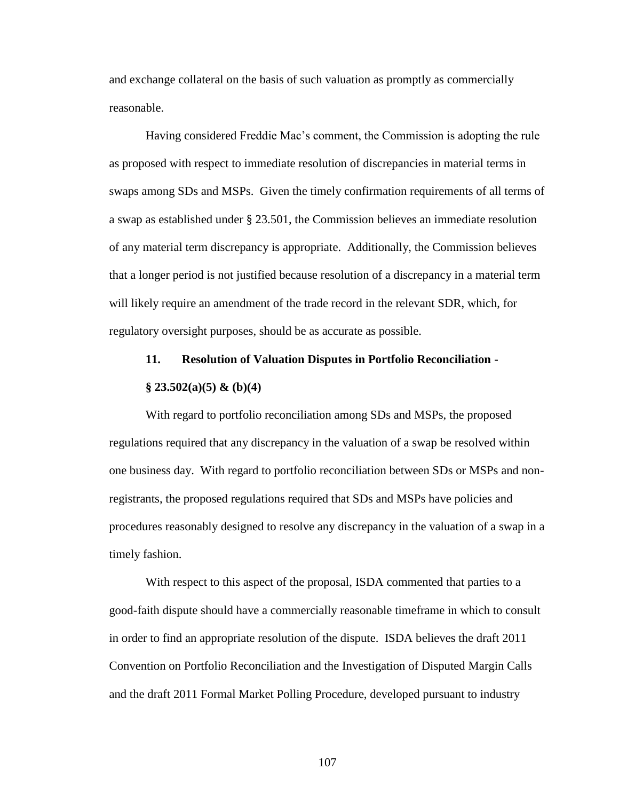and exchange collateral on the basis of such valuation as promptly as commercially reasonable.

Having considered Freddie Mac's comment, the Commission is adopting the rule as proposed with respect to immediate resolution of discrepancies in material terms in swaps among SDs and MSPs. Given the timely confirmation requirements of all terms of a swap as established under § 23.501, the Commission believes an immediate resolution of any material term discrepancy is appropriate. Additionally, the Commission believes that a longer period is not justified because resolution of a discrepancy in a material term will likely require an amendment of the trade record in the relevant SDR, which, for regulatory oversight purposes, should be as accurate as possible.

## **11. Resolution of Valuation Disputes in Portfolio Reconciliation -**

### **§ 23.502(a)(5) & (b)(4)**

With regard to portfolio reconciliation among SDs and MSPs, the proposed regulations required that any discrepancy in the valuation of a swap be resolved within one business day. With regard to portfolio reconciliation between SDs or MSPs and nonregistrants, the proposed regulations required that SDs and MSPs have policies and procedures reasonably designed to resolve any discrepancy in the valuation of a swap in a timely fashion.

With respect to this aspect of the proposal, ISDA commented that parties to a good-faith dispute should have a commercially reasonable timeframe in which to consult in order to find an appropriate resolution of the dispute. ISDA believes the draft 2011 Convention on Portfolio Reconciliation and the Investigation of Disputed Margin Calls and the draft 2011 Formal Market Polling Procedure, developed pursuant to industry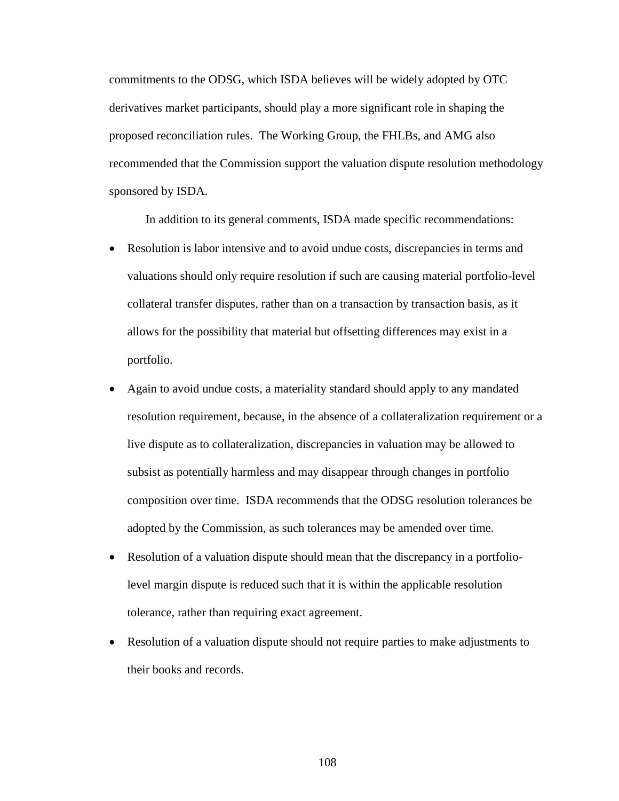commitments to the ODSG, which ISDA believes will be widely adopted by OTC derivatives market participants, should play a more significant role in shaping the proposed reconciliation rules. The Working Group, the FHLBs, and AMG also recommended that the Commission support the valuation dispute resolution methodology sponsored by ISDA.

In addition to its general comments, ISDA made specific recommendations:

- Resolution is labor intensive and to avoid undue costs, discrepancies in terms and valuations should only require resolution if such are causing material portfolio-level collateral transfer disputes, rather than on a transaction by transaction basis, as it allows for the possibility that material but offsetting differences may exist in a portfolio.
- Again to avoid undue costs, a materiality standard should apply to any mandated resolution requirement, because, in the absence of a collateralization requirement or a live dispute as to collateralization, discrepancies in valuation may be allowed to subsist as potentially harmless and may disappear through changes in portfolio composition over time. ISDA recommends that the ODSG resolution tolerances be adopted by the Commission, as such tolerances may be amended over time.
- Resolution of a valuation dispute should mean that the discrepancy in a portfoliolevel margin dispute is reduced such that it is within the applicable resolution tolerance, rather than requiring exact agreement.
- Resolution of a valuation dispute should not require parties to make adjustments to their books and records.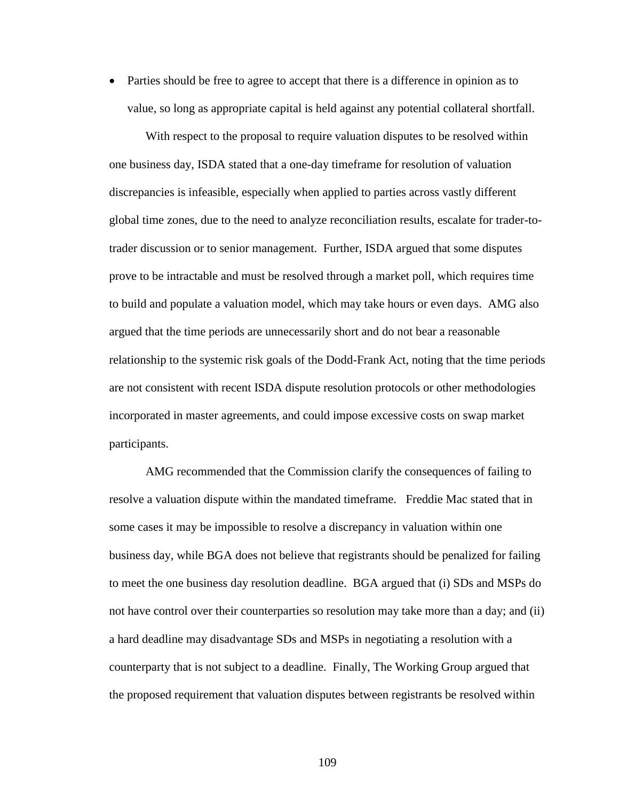• Parties should be free to agree to accept that there is a difference in opinion as to value, so long as appropriate capital is held against any potential collateral shortfall.

With respect to the proposal to require valuation disputes to be resolved within one business day, ISDA stated that a one-day timeframe for resolution of valuation discrepancies is infeasible, especially when applied to parties across vastly different global time zones, due to the need to analyze reconciliation results, escalate for trader-totrader discussion or to senior management. Further, ISDA argued that some disputes prove to be intractable and must be resolved through a market poll, which requires time to build and populate a valuation model, which may take hours or even days. AMG also argued that the time periods are unnecessarily short and do not bear a reasonable relationship to the systemic risk goals of the Dodd-Frank Act, noting that the time periods are not consistent with recent ISDA dispute resolution protocols or other methodologies incorporated in master agreements, and could impose excessive costs on swap market participants.

AMG recommended that the Commission clarify the consequences of failing to resolve a valuation dispute within the mandated timeframe. Freddie Mac stated that in some cases it may be impossible to resolve a discrepancy in valuation within one business day, while BGA does not believe that registrants should be penalized for failing to meet the one business day resolution deadline. BGA argued that (i) SDs and MSPs do not have control over their counterparties so resolution may take more than a day; and (ii) a hard deadline may disadvantage SDs and MSPs in negotiating a resolution with a counterparty that is not subject to a deadline. Finally, The Working Group argued that the proposed requirement that valuation disputes between registrants be resolved within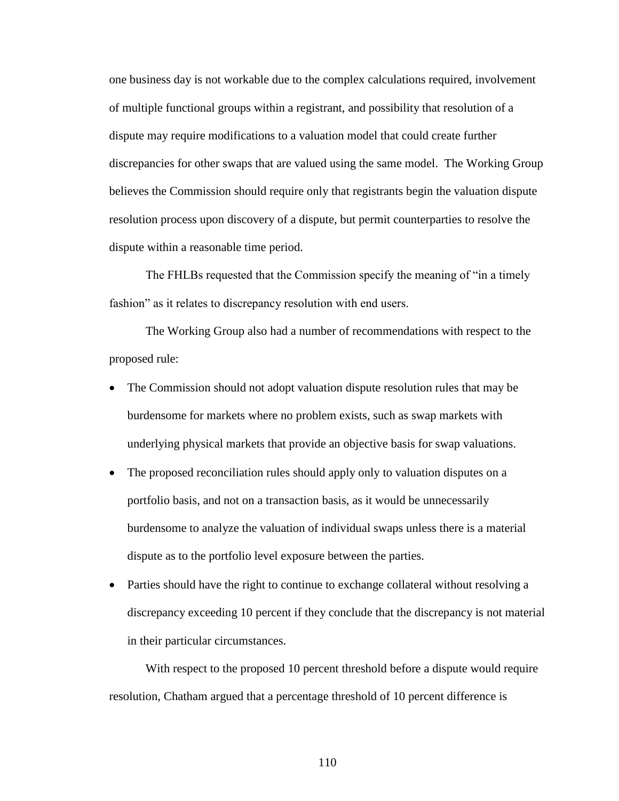one business day is not workable due to the complex calculations required, involvement of multiple functional groups within a registrant, and possibility that resolution of a dispute may require modifications to a valuation model that could create further discrepancies for other swaps that are valued using the same model. The Working Group believes the Commission should require only that registrants begin the valuation dispute resolution process upon discovery of a dispute, but permit counterparties to resolve the dispute within a reasonable time period.

The FHLBs requested that the Commission specify the meaning of "in a timely fashion" as it relates to discrepancy resolution with end users.

The Working Group also had a number of recommendations with respect to the proposed rule:

- The Commission should not adopt valuation dispute resolution rules that may be burdensome for markets where no problem exists, such as swap markets with underlying physical markets that provide an objective basis for swap valuations.
- The proposed reconciliation rules should apply only to valuation disputes on a portfolio basis, and not on a transaction basis, as it would be unnecessarily burdensome to analyze the valuation of individual swaps unless there is a material dispute as to the portfolio level exposure between the parties.
- Parties should have the right to continue to exchange collateral without resolving a discrepancy exceeding 10 percent if they conclude that the discrepancy is not material in their particular circumstances.

With respect to the proposed 10 percent threshold before a dispute would require resolution, Chatham argued that a percentage threshold of 10 percent difference is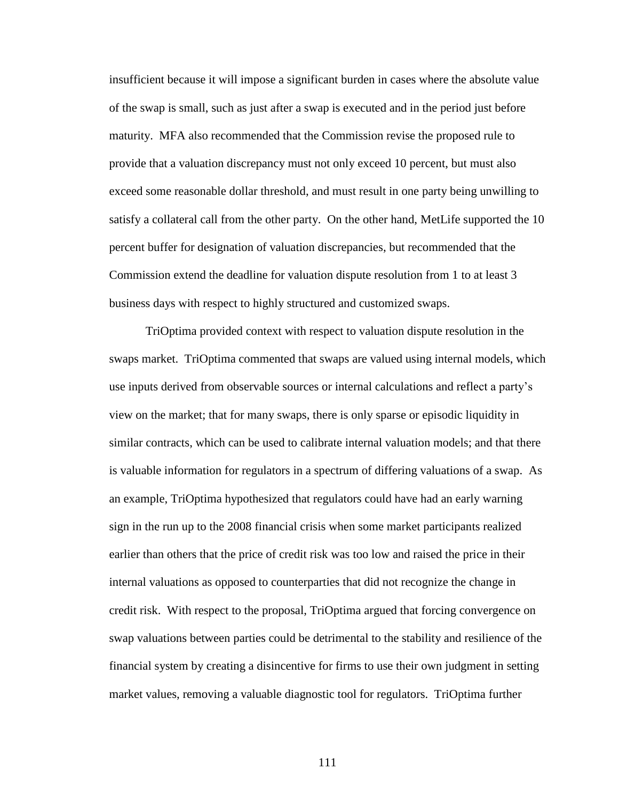insufficient because it will impose a significant burden in cases where the absolute value of the swap is small, such as just after a swap is executed and in the period just before maturity. MFA also recommended that the Commission revise the proposed rule to provide that a valuation discrepancy must not only exceed 10 percent, but must also exceed some reasonable dollar threshold, and must result in one party being unwilling to satisfy a collateral call from the other party. On the other hand, MetLife supported the 10 percent buffer for designation of valuation discrepancies, but recommended that the Commission extend the deadline for valuation dispute resolution from 1 to at least 3 business days with respect to highly structured and customized swaps.

TriOptima provided context with respect to valuation dispute resolution in the swaps market. TriOptima commented that swaps are valued using internal models, which use inputs derived from observable sources or internal calculations and reflect a party's view on the market; that for many swaps, there is only sparse or episodic liquidity in similar contracts, which can be used to calibrate internal valuation models; and that there is valuable information for regulators in a spectrum of differing valuations of a swap. As an example, TriOptima hypothesized that regulators could have had an early warning sign in the run up to the 2008 financial crisis when some market participants realized earlier than others that the price of credit risk was too low and raised the price in their internal valuations as opposed to counterparties that did not recognize the change in credit risk. With respect to the proposal, TriOptima argued that forcing convergence on swap valuations between parties could be detrimental to the stability and resilience of the financial system by creating a disincentive for firms to use their own judgment in setting market values, removing a valuable diagnostic tool for regulators. TriOptima further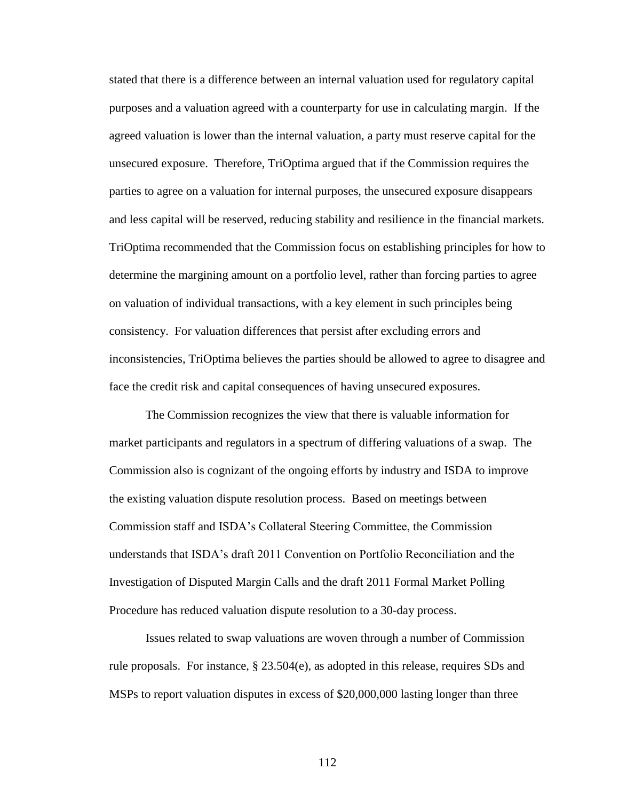stated that there is a difference between an internal valuation used for regulatory capital purposes and a valuation agreed with a counterparty for use in calculating margin. If the agreed valuation is lower than the internal valuation, a party must reserve capital for the unsecured exposure. Therefore, TriOptima argued that if the Commission requires the parties to agree on a valuation for internal purposes, the unsecured exposure disappears and less capital will be reserved, reducing stability and resilience in the financial markets. TriOptima recommended that the Commission focus on establishing principles for how to determine the margining amount on a portfolio level, rather than forcing parties to agree on valuation of individual transactions, with a key element in such principles being consistency. For valuation differences that persist after excluding errors and inconsistencies, TriOptima believes the parties should be allowed to agree to disagree and face the credit risk and capital consequences of having unsecured exposures.

The Commission recognizes the view that there is valuable information for market participants and regulators in a spectrum of differing valuations of a swap. The Commission also is cognizant of the ongoing efforts by industry and ISDA to improve the existing valuation dispute resolution process. Based on meetings between Commission staff and ISDA's Collateral Steering Committee, the Commission understands that ISDA's draft 2011 Convention on Portfolio Reconciliation and the Investigation of Disputed Margin Calls and the draft 2011 Formal Market Polling Procedure has reduced valuation dispute resolution to a 30-day process.

Issues related to swap valuations are woven through a number of Commission rule proposals. For instance, § 23.504(e), as adopted in this release, requires SDs and MSPs to report valuation disputes in excess of \$20,000,000 lasting longer than three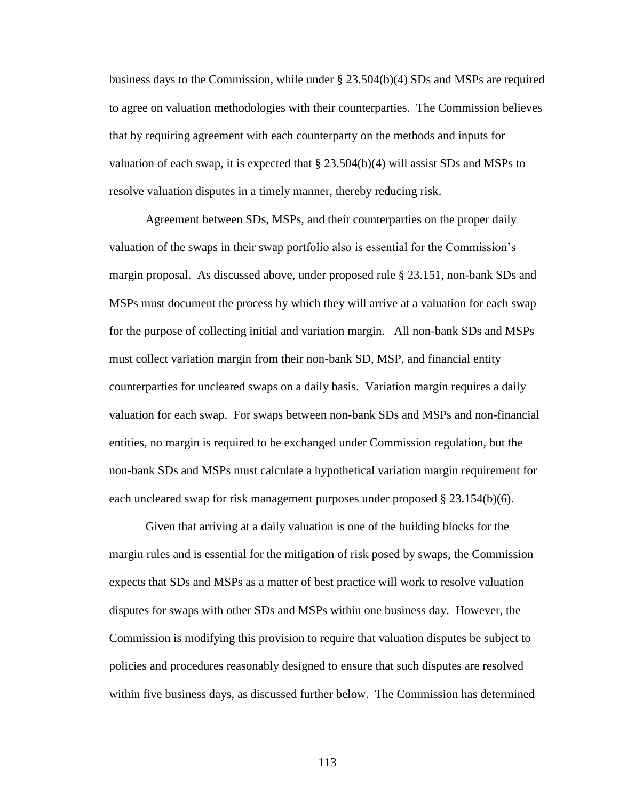business days to the Commission, while under § 23.504(b)(4) SDs and MSPs are required to agree on valuation methodologies with their counterparties. The Commission believes that by requiring agreement with each counterparty on the methods and inputs for valuation of each swap, it is expected that  $\S 23.504(b)(4)$  will assist SDs and MSPs to resolve valuation disputes in a timely manner, thereby reducing risk.

Agreement between SDs, MSPs, and their counterparties on the proper daily valuation of the swaps in their swap portfolio also is essential for the Commission's margin proposal. As discussed above, under proposed rule § 23.151, non-bank SDs and MSPs must document the process by which they will arrive at a valuation for each swap for the purpose of collecting initial and variation margin. All non-bank SDs and MSPs must collect variation margin from their non-bank SD, MSP, and financial entity counterparties for uncleared swaps on a daily basis. Variation margin requires a daily valuation for each swap. For swaps between non-bank SDs and MSPs and non-financial entities, no margin is required to be exchanged under Commission regulation, but the non-bank SDs and MSPs must calculate a hypothetical variation margin requirement for each uncleared swap for risk management purposes under proposed  $\S 23.154(b)(6)$ .

Given that arriving at a daily valuation is one of the building blocks for the margin rules and is essential for the mitigation of risk posed by swaps, the Commission expects that SDs and MSPs as a matter of best practice will work to resolve valuation disputes for swaps with other SDs and MSPs within one business day. However, the Commission is modifying this provision to require that valuation disputes be subject to policies and procedures reasonably designed to ensure that such disputes are resolved within five business days, as discussed further below. The Commission has determined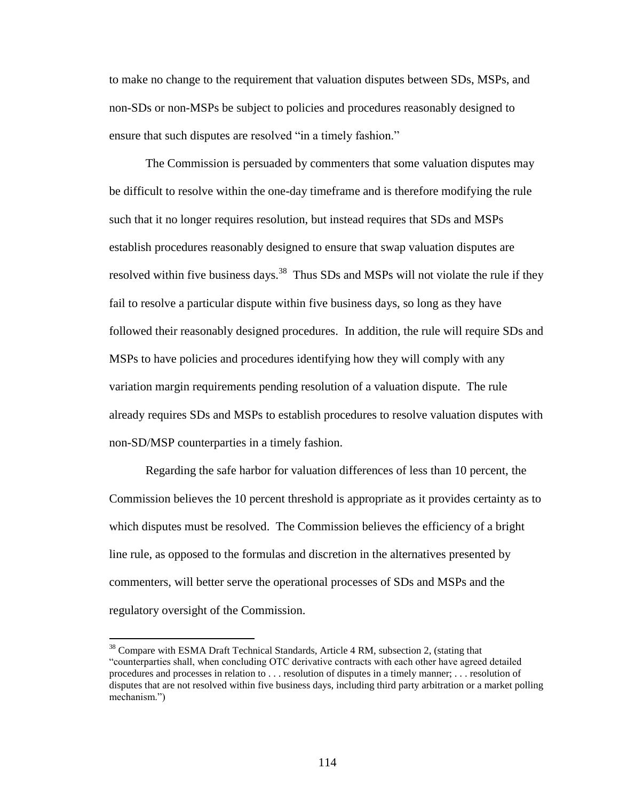to make no change to the requirement that valuation disputes between SDs, MSPs, and non-SDs or non-MSPs be subject to policies and procedures reasonably designed to ensure that such disputes are resolved "in a timely fashion."

The Commission is persuaded by commenters that some valuation disputes may be difficult to resolve within the one-day timeframe and is therefore modifying the rule such that it no longer requires resolution, but instead requires that SDs and MSPs establish procedures reasonably designed to ensure that swap valuation disputes are resolved within five business days.<sup>38</sup> Thus SDs and MSPs will not violate the rule if they fail to resolve a particular dispute within five business days, so long as they have followed their reasonably designed procedures. In addition, the rule will require SDs and MSPs to have policies and procedures identifying how they will comply with any variation margin requirements pending resolution of a valuation dispute. The rule already requires SDs and MSPs to establish procedures to resolve valuation disputes with non-SD/MSP counterparties in a timely fashion.

Regarding the safe harbor for valuation differences of less than 10 percent, the Commission believes the 10 percent threshold is appropriate as it provides certainty as to which disputes must be resolved. The Commission believes the efficiency of a bright line rule, as opposed to the formulas and discretion in the alternatives presented by commenters, will better serve the operational processes of SDs and MSPs and the regulatory oversight of the Commission.

<sup>&</sup>lt;sup>38</sup> Compare with ESMA Draft Technical Standards, Article 4 RM, subsection 2, (stating that "counterparties shall, when concluding OTC derivative contracts with each other have agreed detailed procedures and processes in relation to . . . resolution of disputes in a timely manner; . . . resolution of disputes that are not resolved within five business days, including third party arbitration or a market polling mechanism.")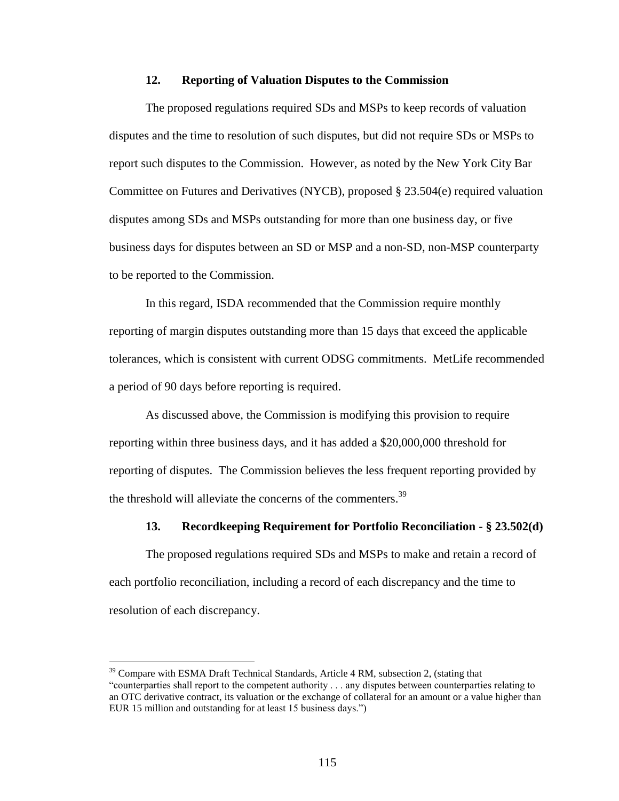# **12. Reporting of Valuation Disputes to the Commission**

The proposed regulations required SDs and MSPs to keep records of valuation disputes and the time to resolution of such disputes, but did not require SDs or MSPs to report such disputes to the Commission. However, as noted by the New York City Bar Committee on Futures and Derivatives (NYCB), proposed § 23.504(e) required valuation disputes among SDs and MSPs outstanding for more than one business day, or five business days for disputes between an SD or MSP and a non-SD, non-MSP counterparty to be reported to the Commission.

In this regard, ISDA recommended that the Commission require monthly reporting of margin disputes outstanding more than 15 days that exceed the applicable tolerances, which is consistent with current ODSG commitments. MetLife recommended a period of 90 days before reporting is required.

As discussed above, the Commission is modifying this provision to require reporting within three business days, and it has added a \$20,000,000 threshold for reporting of disputes. The Commission believes the less frequent reporting provided by the threshold will alleviate the concerns of the commenters.<sup>39</sup>

## **13. Recordkeeping Requirement for Portfolio Reconciliation - § 23.502(d)**

The proposed regulations required SDs and MSPs to make and retain a record of each portfolio reconciliation, including a record of each discrepancy and the time to resolution of each discrepancy.

<sup>&</sup>lt;sup>39</sup> Compare with ESMA Draft Technical Standards, Article 4 RM, subsection 2, (stating that "counterparties shall report to the competent authority . . . any disputes between counterparties relating to an OTC derivative contract, its valuation or the exchange of collateral for an amount or a value higher than EUR 15 million and outstanding for at least 15 business days.")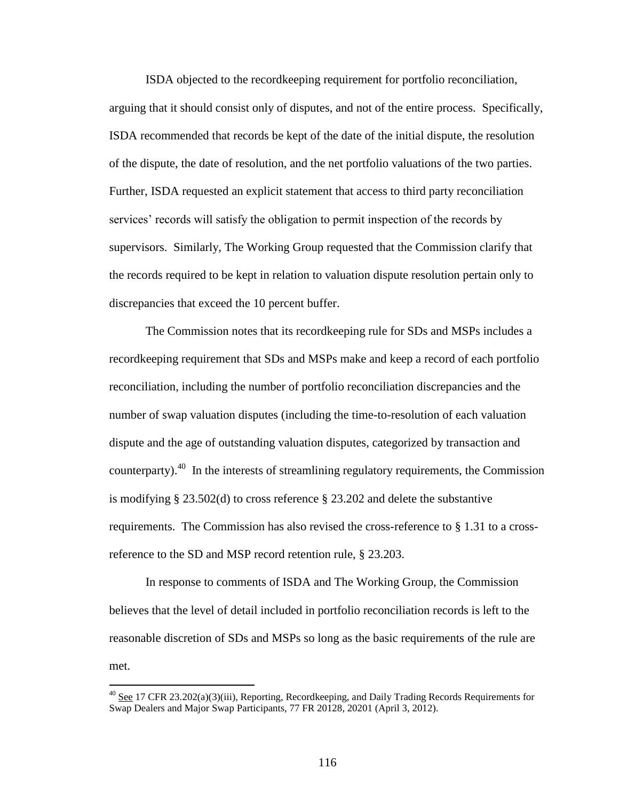ISDA objected to the recordkeeping requirement for portfolio reconciliation, arguing that it should consist only of disputes, and not of the entire process. Specifically, ISDA recommended that records be kept of the date of the initial dispute, the resolution of the dispute, the date of resolution, and the net portfolio valuations of the two parties. Further, ISDA requested an explicit statement that access to third party reconciliation services' records will satisfy the obligation to permit inspection of the records by supervisors. Similarly, The Working Group requested that the Commission clarify that the records required to be kept in relation to valuation dispute resolution pertain only to discrepancies that exceed the 10 percent buffer.

The Commission notes that its recordkeeping rule for SDs and MSPs includes a recordkeeping requirement that SDs and MSPs make and keep a record of each portfolio reconciliation, including the number of portfolio reconciliation discrepancies and the number of swap valuation disputes (including the time-to-resolution of each valuation dispute and the age of outstanding valuation disputes, categorized by transaction and counterparty). $40$  In the interests of streamlining regulatory requirements, the Commission is modifying § 23.502(d) to cross reference § 23.202 and delete the substantive requirements. The Commission has also revised the cross-reference to § 1.31 to a crossreference to the SD and MSP record retention rule, § 23.203.

In response to comments of ISDA and The Working Group, the Commission believes that the level of detail included in portfolio reconciliation records is left to the reasonable discretion of SDs and MSPs so long as the basic requirements of the rule are met.

<sup>&</sup>lt;sup>40</sup> See 17 CFR 23.202(a)(3)(iii), Reporting, Recordkeeping, and Daily Trading Records Requirements for Swap Dealers and Major Swap Participants, 77 FR 20128, 20201 (April 3, 2012).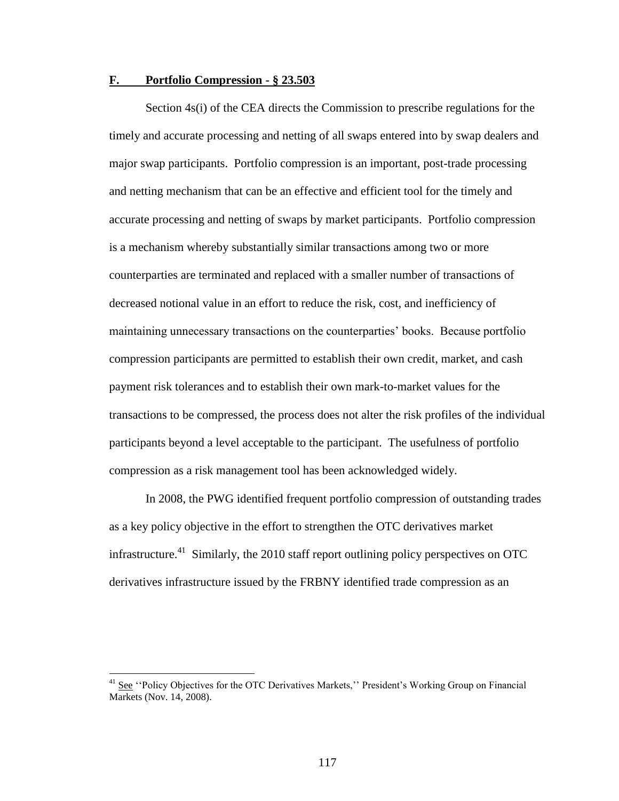# **F. Portfolio Compression - § 23.503**

Section 4s(i) of the CEA directs the Commission to prescribe regulations for the timely and accurate processing and netting of all swaps entered into by swap dealers and major swap participants. Portfolio compression is an important, post-trade processing and netting mechanism that can be an effective and efficient tool for the timely and accurate processing and netting of swaps by market participants. Portfolio compression is a mechanism whereby substantially similar transactions among two or more counterparties are terminated and replaced with a smaller number of transactions of decreased notional value in an effort to reduce the risk, cost, and inefficiency of maintaining unnecessary transactions on the counterparties' books. Because portfolio compression participants are permitted to establish their own credit, market, and cash payment risk tolerances and to establish their own mark-to-market values for the transactions to be compressed, the process does not alter the risk profiles of the individual participants beyond a level acceptable to the participant. The usefulness of portfolio compression as a risk management tool has been acknowledged widely.

In 2008, the PWG identified frequent portfolio compression of outstanding trades as a key policy objective in the effort to strengthen the OTC derivatives market infrastructure.<sup>41</sup> Similarly, the 2010 staff report outlining policy perspectives on OTC derivatives infrastructure issued by the FRBNY identified trade compression as an

 $41$  See "Policy Objectives for the OTC Derivatives Markets," President's Working Group on Financial Markets (Nov. 14, 2008).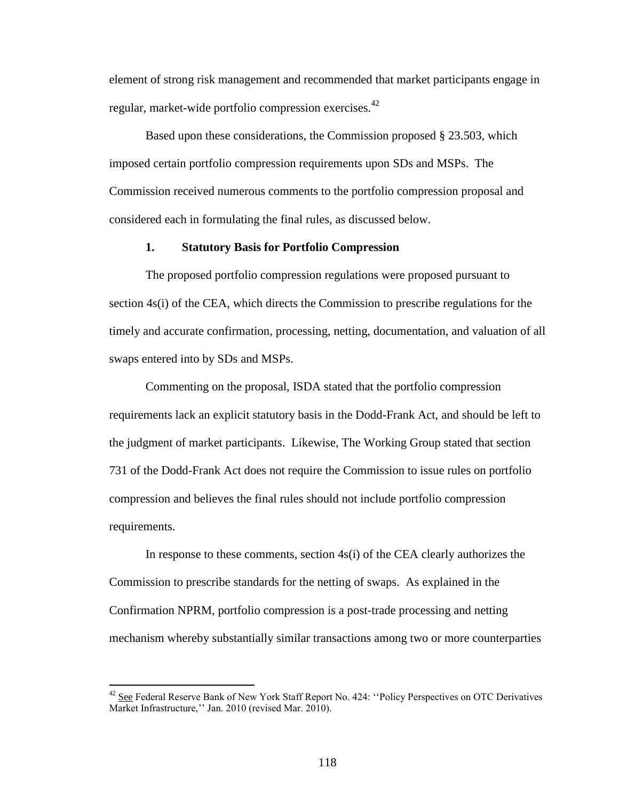element of strong risk management and recommended that market participants engage in regular, market-wide portfolio compression exercises.<sup>42</sup>

Based upon these considerations, the Commission proposed § 23.503, which imposed certain portfolio compression requirements upon SDs and MSPs. The Commission received numerous comments to the portfolio compression proposal and considered each in formulating the final rules, as discussed below.

# **1. Statutory Basis for Portfolio Compression**

The proposed portfolio compression regulations were proposed pursuant to section 4s(i) of the CEA, which directs the Commission to prescribe regulations for the timely and accurate confirmation, processing, netting, documentation, and valuation of all swaps entered into by SDs and MSPs.

Commenting on the proposal, ISDA stated that the portfolio compression requirements lack an explicit statutory basis in the Dodd-Frank Act, and should be left to the judgment of market participants. Likewise, The Working Group stated that section 731 of the Dodd-Frank Act does not require the Commission to issue rules on portfolio compression and believes the final rules should not include portfolio compression requirements.

In response to these comments, section 4s(i) of the CEA clearly authorizes the Commission to prescribe standards for the netting of swaps. As explained in the Confirmation NPRM, portfolio compression is a post-trade processing and netting mechanism whereby substantially similar transactions among two or more counterparties

<sup>&</sup>lt;sup>42</sup> See Federal Reserve Bank of New York Staff Report No. 424: "Policy Perspectives on OTC Derivatives Market Infrastructure,'' Jan. 2010 (revised Mar. 2010).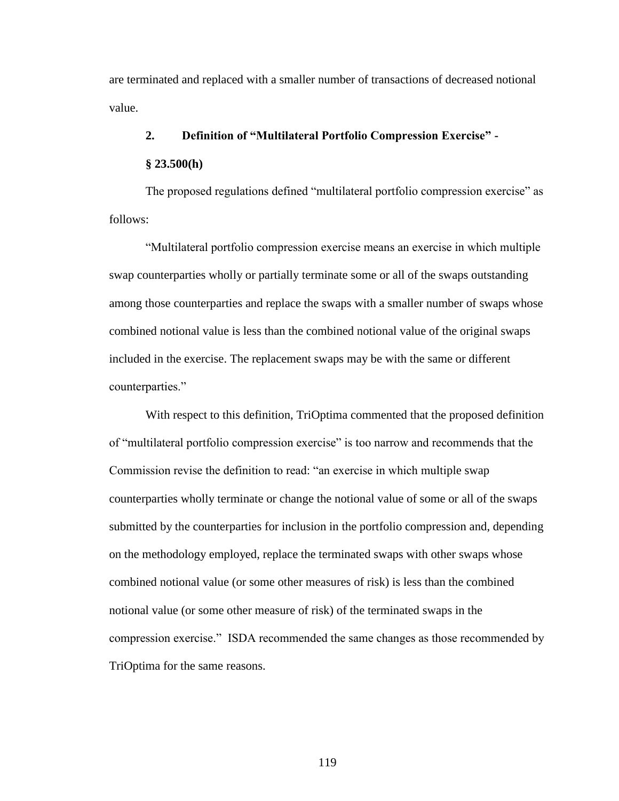are terminated and replaced with a smaller number of transactions of decreased notional value.

# **2. Definition of "Multilateral Portfolio Compression Exercise" -**

# **§ 23.500(h)**

The proposed regulations defined "multilateral portfolio compression exercise" as follows:

"Multilateral portfolio compression exercise means an exercise in which multiple swap counterparties wholly or partially terminate some or all of the swaps outstanding among those counterparties and replace the swaps with a smaller number of swaps whose combined notional value is less than the combined notional value of the original swaps included in the exercise. The replacement swaps may be with the same or different counterparties."

With respect to this definition, TriOptima commented that the proposed definition of "multilateral portfolio compression exercise" is too narrow and recommends that the Commission revise the definition to read: "an exercise in which multiple swap counterparties wholly terminate or change the notional value of some or all of the swaps submitted by the counterparties for inclusion in the portfolio compression and, depending on the methodology employed, replace the terminated swaps with other swaps whose combined notional value (or some other measures of risk) is less than the combined notional value (or some other measure of risk) of the terminated swaps in the compression exercise." ISDA recommended the same changes as those recommended by TriOptima for the same reasons.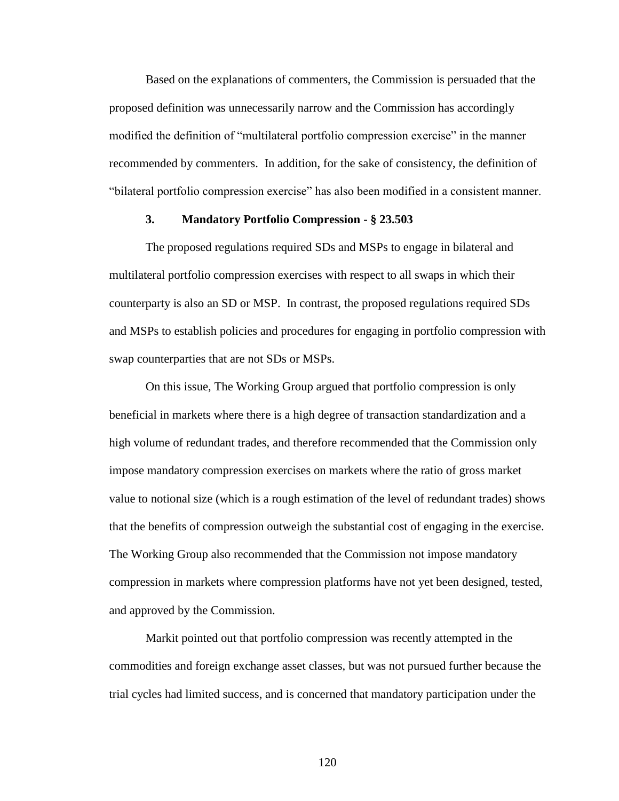Based on the explanations of commenters, the Commission is persuaded that the proposed definition was unnecessarily narrow and the Commission has accordingly modified the definition of "multilateral portfolio compression exercise" in the manner recommended by commenters. In addition, for the sake of consistency, the definition of "bilateral portfolio compression exercise" has also been modified in a consistent manner.

# **3. Mandatory Portfolio Compression - § 23.503**

The proposed regulations required SDs and MSPs to engage in bilateral and multilateral portfolio compression exercises with respect to all swaps in which their counterparty is also an SD or MSP. In contrast, the proposed regulations required SDs and MSPs to establish policies and procedures for engaging in portfolio compression with swap counterparties that are not SDs or MSPs.

On this issue, The Working Group argued that portfolio compression is only beneficial in markets where there is a high degree of transaction standardization and a high volume of redundant trades, and therefore recommended that the Commission only impose mandatory compression exercises on markets where the ratio of gross market value to notional size (which is a rough estimation of the level of redundant trades) shows that the benefits of compression outweigh the substantial cost of engaging in the exercise. The Working Group also recommended that the Commission not impose mandatory compression in markets where compression platforms have not yet been designed, tested, and approved by the Commission.

Markit pointed out that portfolio compression was recently attempted in the commodities and foreign exchange asset classes, but was not pursued further because the trial cycles had limited success, and is concerned that mandatory participation under the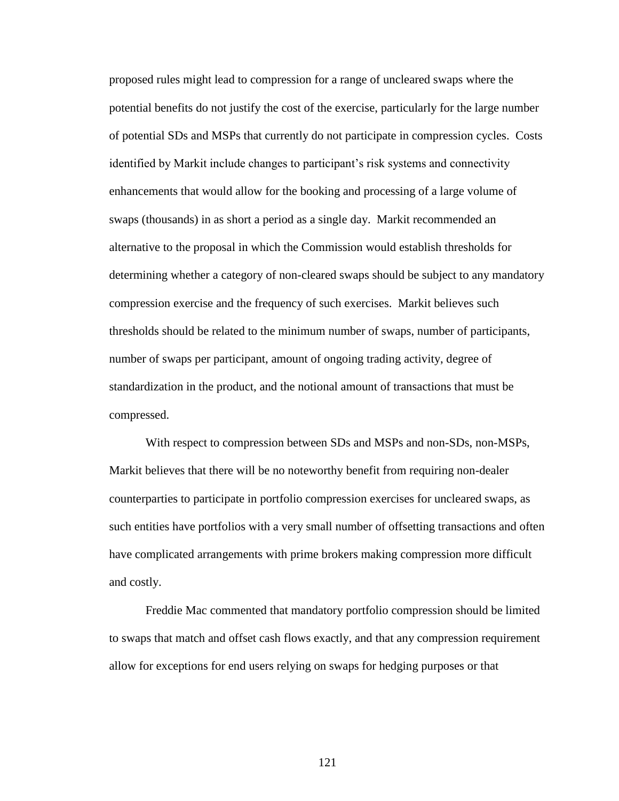proposed rules might lead to compression for a range of uncleared swaps where the potential benefits do not justify the cost of the exercise, particularly for the large number of potential SDs and MSPs that currently do not participate in compression cycles. Costs identified by Markit include changes to participant's risk systems and connectivity enhancements that would allow for the booking and processing of a large volume of swaps (thousands) in as short a period as a single day. Markit recommended an alternative to the proposal in which the Commission would establish thresholds for determining whether a category of non-cleared swaps should be subject to any mandatory compression exercise and the frequency of such exercises. Markit believes such thresholds should be related to the minimum number of swaps, number of participants, number of swaps per participant, amount of ongoing trading activity, degree of standardization in the product, and the notional amount of transactions that must be compressed.

With respect to compression between SDs and MSPs and non-SDs, non-MSPs, Markit believes that there will be no noteworthy benefit from requiring non-dealer counterparties to participate in portfolio compression exercises for uncleared swaps, as such entities have portfolios with a very small number of offsetting transactions and often have complicated arrangements with prime brokers making compression more difficult and costly.

Freddie Mac commented that mandatory portfolio compression should be limited to swaps that match and offset cash flows exactly, and that any compression requirement allow for exceptions for end users relying on swaps for hedging purposes or that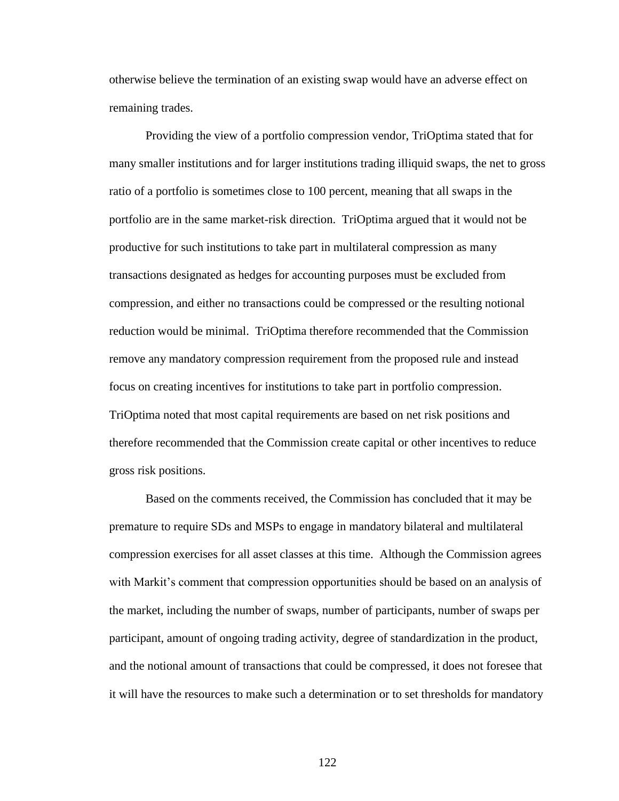otherwise believe the termination of an existing swap would have an adverse effect on remaining trades.

Providing the view of a portfolio compression vendor, TriOptima stated that for many smaller institutions and for larger institutions trading illiquid swaps, the net to gross ratio of a portfolio is sometimes close to 100 percent, meaning that all swaps in the portfolio are in the same market-risk direction. TriOptima argued that it would not be productive for such institutions to take part in multilateral compression as many transactions designated as hedges for accounting purposes must be excluded from compression, and either no transactions could be compressed or the resulting notional reduction would be minimal. TriOptima therefore recommended that the Commission remove any mandatory compression requirement from the proposed rule and instead focus on creating incentives for institutions to take part in portfolio compression. TriOptima noted that most capital requirements are based on net risk positions and therefore recommended that the Commission create capital or other incentives to reduce gross risk positions.

Based on the comments received, the Commission has concluded that it may be premature to require SDs and MSPs to engage in mandatory bilateral and multilateral compression exercises for all asset classes at this time. Although the Commission agrees with Markit's comment that compression opportunities should be based on an analysis of the market, including the number of swaps, number of participants, number of swaps per participant, amount of ongoing trading activity, degree of standardization in the product, and the notional amount of transactions that could be compressed, it does not foresee that it will have the resources to make such a determination or to set thresholds for mandatory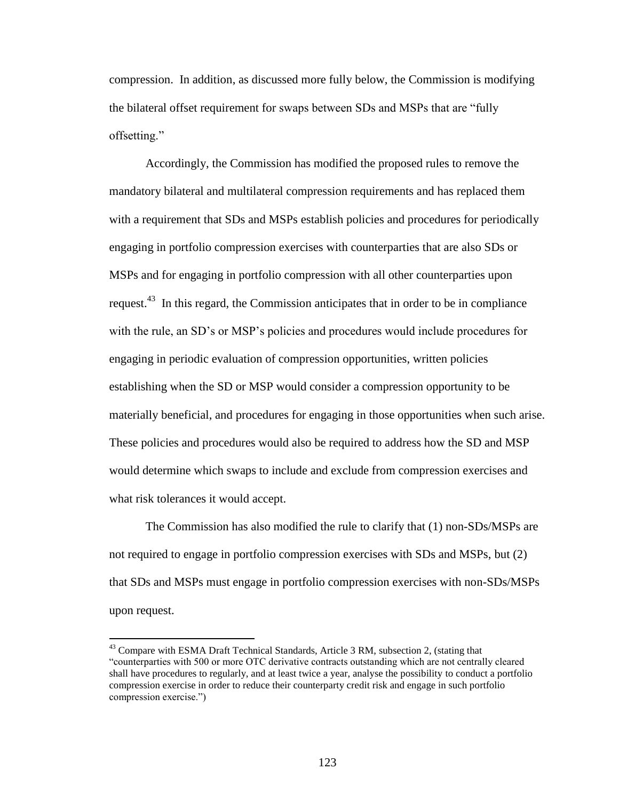compression. In addition, as discussed more fully below, the Commission is modifying the bilateral offset requirement for swaps between SDs and MSPs that are "fully offsetting."

Accordingly, the Commission has modified the proposed rules to remove the mandatory bilateral and multilateral compression requirements and has replaced them with a requirement that SDs and MSPs establish policies and procedures for periodically engaging in portfolio compression exercises with counterparties that are also SDs or MSPs and for engaging in portfolio compression with all other counterparties upon request.<sup>43</sup> In this regard, the Commission anticipates that in order to be in compliance with the rule, an SD's or MSP's policies and procedures would include procedures for engaging in periodic evaluation of compression opportunities, written policies establishing when the SD or MSP would consider a compression opportunity to be materially beneficial, and procedures for engaging in those opportunities when such arise. These policies and procedures would also be required to address how the SD and MSP would determine which swaps to include and exclude from compression exercises and what risk tolerances it would accept.

The Commission has also modified the rule to clarify that (1) non-SDs/MSPs are not required to engage in portfolio compression exercises with SDs and MSPs, but (2) that SDs and MSPs must engage in portfolio compression exercises with non-SDs/MSPs upon request.

<sup>&</sup>lt;sup>43</sup> Compare with ESMA Draft Technical Standards, Article 3 RM, subsection 2, (stating that "counterparties with 500 or more OTC derivative contracts outstanding which are not centrally cleared shall have procedures to regularly, and at least twice a year, analyse the possibility to conduct a portfolio compression exercise in order to reduce their counterparty credit risk and engage in such portfolio compression exercise.")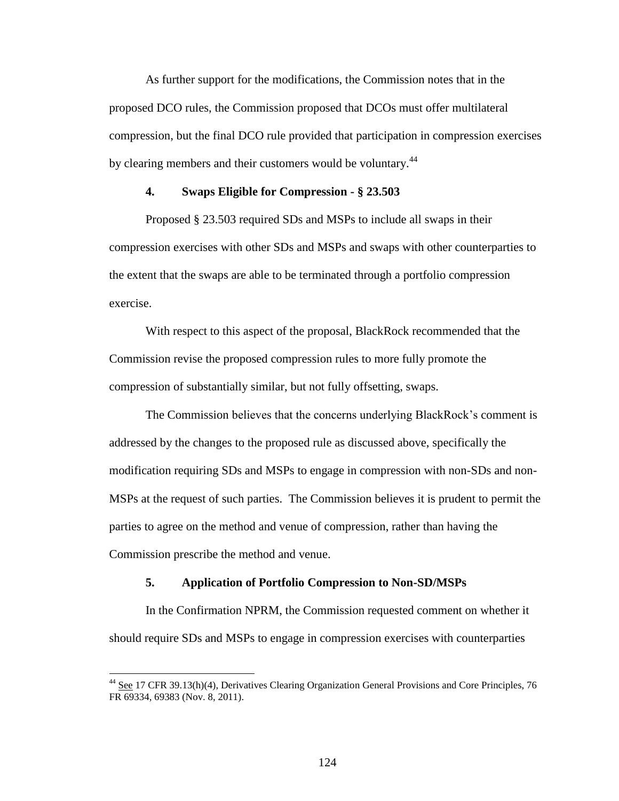As further support for the modifications, the Commission notes that in the proposed DCO rules, the Commission proposed that DCOs must offer multilateral compression, but the final DCO rule provided that participation in compression exercises by clearing members and their customers would be voluntary.<sup>44</sup>

## **4. Swaps Eligible for Compression - § 23.503**

Proposed § 23.503 required SDs and MSPs to include all swaps in their compression exercises with other SDs and MSPs and swaps with other counterparties to the extent that the swaps are able to be terminated through a portfolio compression exercise.

With respect to this aspect of the proposal, BlackRock recommended that the Commission revise the proposed compression rules to more fully promote the compression of substantially similar, but not fully offsetting, swaps.

The Commission believes that the concerns underlying BlackRock's comment is addressed by the changes to the proposed rule as discussed above, specifically the modification requiring SDs and MSPs to engage in compression with non-SDs and non-MSPs at the request of such parties. The Commission believes it is prudent to permit the parties to agree on the method and venue of compression, rather than having the Commission prescribe the method and venue.

# **5. Application of Portfolio Compression to Non-SD/MSPs**

 $\overline{a}$ 

In the Confirmation NPRM, the Commission requested comment on whether it should require SDs and MSPs to engage in compression exercises with counterparties

<sup>&</sup>lt;sup>44</sup> See 17 CFR 39.13(h)(4), Derivatives Clearing Organization General Provisions and Core Principles, 76 FR 69334, 69383 (Nov. 8, 2011).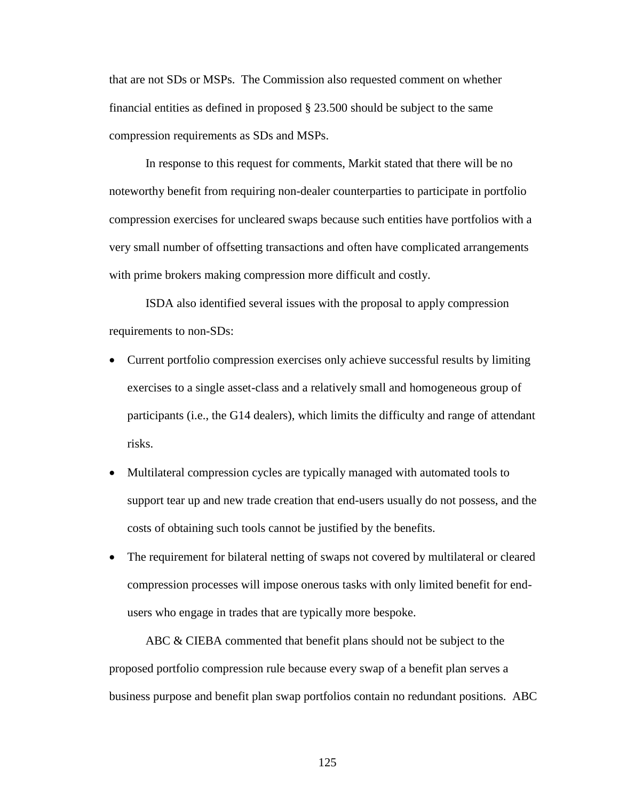that are not SDs or MSPs. The Commission also requested comment on whether financial entities as defined in proposed § 23.500 should be subject to the same compression requirements as SDs and MSPs.

In response to this request for comments, Markit stated that there will be no noteworthy benefit from requiring non-dealer counterparties to participate in portfolio compression exercises for uncleared swaps because such entities have portfolios with a very small number of offsetting transactions and often have complicated arrangements with prime brokers making compression more difficult and costly.

ISDA also identified several issues with the proposal to apply compression requirements to non-SDs:

- Current portfolio compression exercises only achieve successful results by limiting exercises to a single asset-class and a relatively small and homogeneous group of participants (i.e., the G14 dealers), which limits the difficulty and range of attendant risks.
- Multilateral compression cycles are typically managed with automated tools to support tear up and new trade creation that end-users usually do not possess, and the costs of obtaining such tools cannot be justified by the benefits.
- The requirement for bilateral netting of swaps not covered by multilateral or cleared compression processes will impose onerous tasks with only limited benefit for endusers who engage in trades that are typically more bespoke.

ABC & CIEBA commented that benefit plans should not be subject to the proposed portfolio compression rule because every swap of a benefit plan serves a business purpose and benefit plan swap portfolios contain no redundant positions. ABC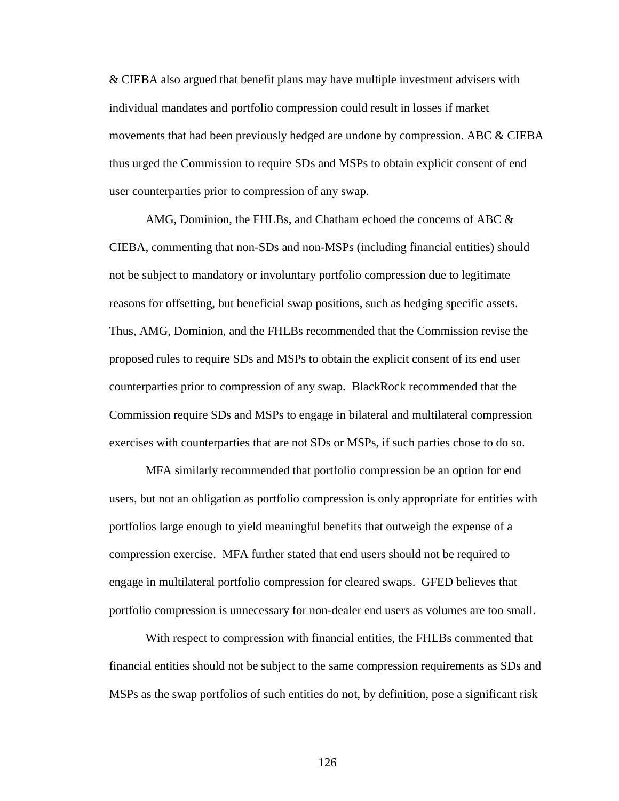& CIEBA also argued that benefit plans may have multiple investment advisers with individual mandates and portfolio compression could result in losses if market movements that had been previously hedged are undone by compression. ABC & CIEBA thus urged the Commission to require SDs and MSPs to obtain explicit consent of end user counterparties prior to compression of any swap.

AMG, Dominion, the FHLBs, and Chatham echoed the concerns of ABC & CIEBA, commenting that non-SDs and non-MSPs (including financial entities) should not be subject to mandatory or involuntary portfolio compression due to legitimate reasons for offsetting, but beneficial swap positions, such as hedging specific assets. Thus, AMG, Dominion, and the FHLBs recommended that the Commission revise the proposed rules to require SDs and MSPs to obtain the explicit consent of its end user counterparties prior to compression of any swap. BlackRock recommended that the Commission require SDs and MSPs to engage in bilateral and multilateral compression exercises with counterparties that are not SDs or MSPs, if such parties chose to do so.

MFA similarly recommended that portfolio compression be an option for end users, but not an obligation as portfolio compression is only appropriate for entities with portfolios large enough to yield meaningful benefits that outweigh the expense of a compression exercise. MFA further stated that end users should not be required to engage in multilateral portfolio compression for cleared swaps. GFED believes that portfolio compression is unnecessary for non-dealer end users as volumes are too small.

With respect to compression with financial entities, the FHLBs commented that financial entities should not be subject to the same compression requirements as SDs and MSPs as the swap portfolios of such entities do not, by definition, pose a significant risk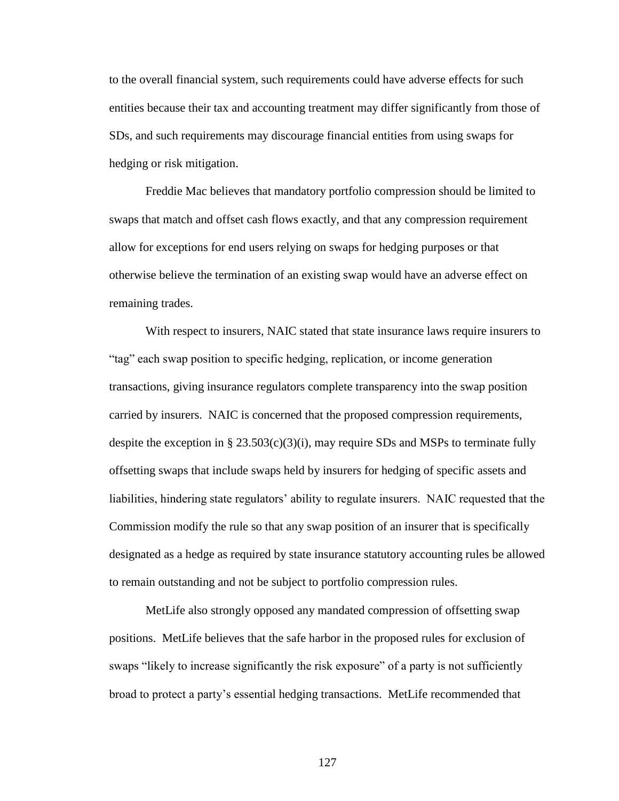to the overall financial system, such requirements could have adverse effects for such entities because their tax and accounting treatment may differ significantly from those of SDs, and such requirements may discourage financial entities from using swaps for hedging or risk mitigation.

Freddie Mac believes that mandatory portfolio compression should be limited to swaps that match and offset cash flows exactly, and that any compression requirement allow for exceptions for end users relying on swaps for hedging purposes or that otherwise believe the termination of an existing swap would have an adverse effect on remaining trades.

With respect to insurers, NAIC stated that state insurance laws require insurers to "tag" each swap position to specific hedging, replication, or income generation transactions, giving insurance regulators complete transparency into the swap position carried by insurers. NAIC is concerned that the proposed compression requirements, despite the exception in §  $23.503(c)(3)(i)$ , may require SDs and MSPs to terminate fully offsetting swaps that include swaps held by insurers for hedging of specific assets and liabilities, hindering state regulators' ability to regulate insurers. NAIC requested that the Commission modify the rule so that any swap position of an insurer that is specifically designated as a hedge as required by state insurance statutory accounting rules be allowed to remain outstanding and not be subject to portfolio compression rules.

MetLife also strongly opposed any mandated compression of offsetting swap positions. MetLife believes that the safe harbor in the proposed rules for exclusion of swaps "likely to increase significantly the risk exposure" of a party is not sufficiently broad to protect a party's essential hedging transactions. MetLife recommended that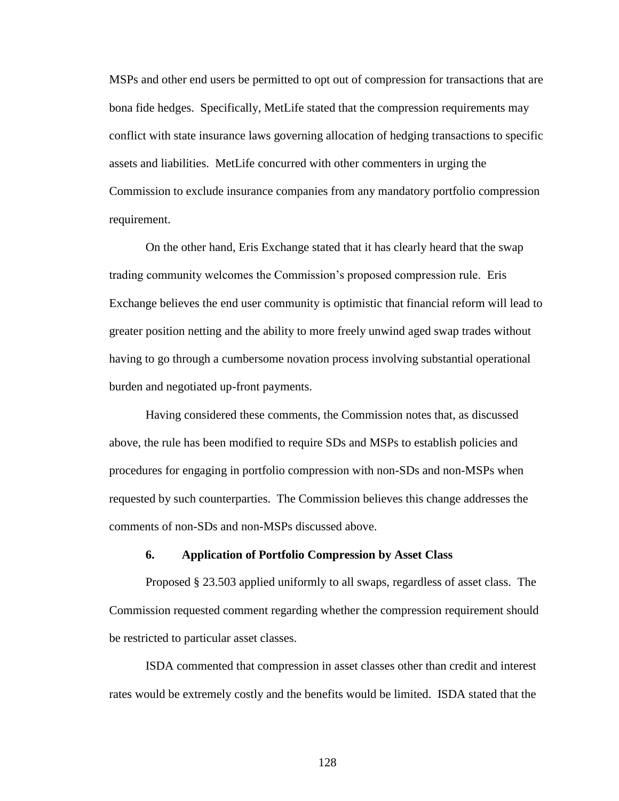MSPs and other end users be permitted to opt out of compression for transactions that are bona fide hedges. Specifically, MetLife stated that the compression requirements may conflict with state insurance laws governing allocation of hedging transactions to specific assets and liabilities. MetLife concurred with other commenters in urging the Commission to exclude insurance companies from any mandatory portfolio compression requirement.

On the other hand, Eris Exchange stated that it has clearly heard that the swap trading community welcomes the Commission's proposed compression rule. Eris Exchange believes the end user community is optimistic that financial reform will lead to greater position netting and the ability to more freely unwind aged swap trades without having to go through a cumbersome novation process involving substantial operational burden and negotiated up-front payments.

Having considered these comments, the Commission notes that, as discussed above, the rule has been modified to require SDs and MSPs to establish policies and procedures for engaging in portfolio compression with non-SDs and non-MSPs when requested by such counterparties. The Commission believes this change addresses the comments of non-SDs and non-MSPs discussed above.

# **6. Application of Portfolio Compression by Asset Class**

Proposed § 23.503 applied uniformly to all swaps, regardless of asset class. The Commission requested comment regarding whether the compression requirement should be restricted to particular asset classes.

ISDA commented that compression in asset classes other than credit and interest rates would be extremely costly and the benefits would be limited. ISDA stated that the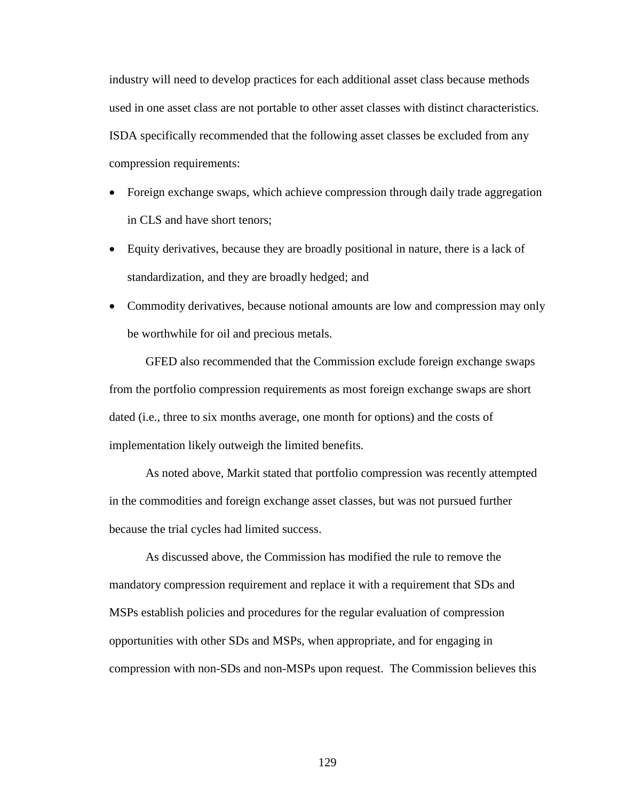industry will need to develop practices for each additional asset class because methods used in one asset class are not portable to other asset classes with distinct characteristics. ISDA specifically recommended that the following asset classes be excluded from any compression requirements:

- Foreign exchange swaps, which achieve compression through daily trade aggregation in CLS and have short tenors;
- Equity derivatives, because they are broadly positional in nature, there is a lack of standardization, and they are broadly hedged; and
- Commodity derivatives, because notional amounts are low and compression may only be worthwhile for oil and precious metals.

GFED also recommended that the Commission exclude foreign exchange swaps from the portfolio compression requirements as most foreign exchange swaps are short dated (i.e., three to six months average, one month for options) and the costs of implementation likely outweigh the limited benefits.

As noted above, Markit stated that portfolio compression was recently attempted in the commodities and foreign exchange asset classes, but was not pursued further because the trial cycles had limited success.

As discussed above, the Commission has modified the rule to remove the mandatory compression requirement and replace it with a requirement that SDs and MSPs establish policies and procedures for the regular evaluation of compression opportunities with other SDs and MSPs, when appropriate, and for engaging in compression with non-SDs and non-MSPs upon request. The Commission believes this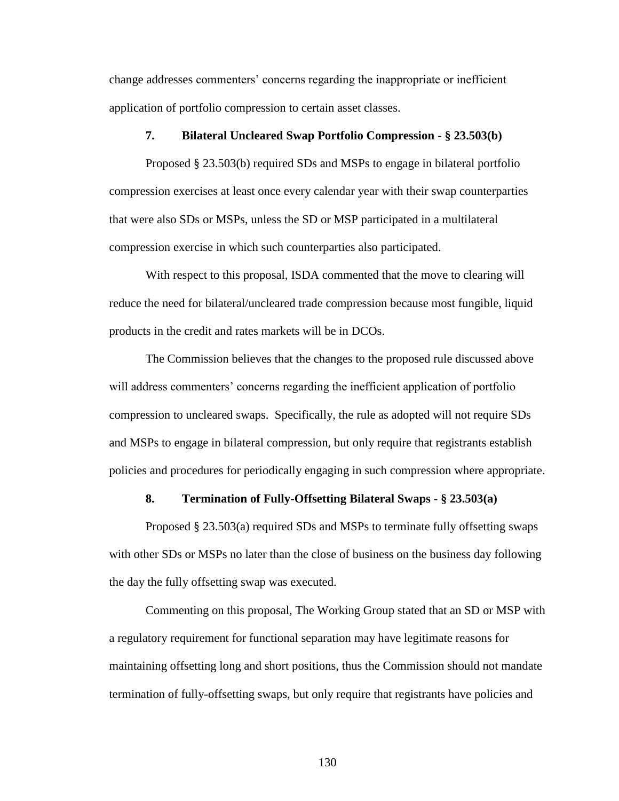change addresses commenters' concerns regarding the inappropriate or inefficient application of portfolio compression to certain asset classes.

# **7. Bilateral Uncleared Swap Portfolio Compression - § 23.503(b)**

Proposed § 23.503(b) required SDs and MSPs to engage in bilateral portfolio compression exercises at least once every calendar year with their swap counterparties that were also SDs or MSPs, unless the SD or MSP participated in a multilateral compression exercise in which such counterparties also participated.

With respect to this proposal, ISDA commented that the move to clearing will reduce the need for bilateral/uncleared trade compression because most fungible, liquid products in the credit and rates markets will be in DCOs.

The Commission believes that the changes to the proposed rule discussed above will address commenters' concerns regarding the inefficient application of portfolio compression to uncleared swaps. Specifically, the rule as adopted will not require SDs and MSPs to engage in bilateral compression, but only require that registrants establish policies and procedures for periodically engaging in such compression where appropriate.

### **8. Termination of Fully-Offsetting Bilateral Swaps - § 23.503(a)**

Proposed § 23.503(a) required SDs and MSPs to terminate fully offsetting swaps with other SDs or MSPs no later than the close of business on the business day following the day the fully offsetting swap was executed.

Commenting on this proposal, The Working Group stated that an SD or MSP with a regulatory requirement for functional separation may have legitimate reasons for maintaining offsetting long and short positions, thus the Commission should not mandate termination of fully-offsetting swaps, but only require that registrants have policies and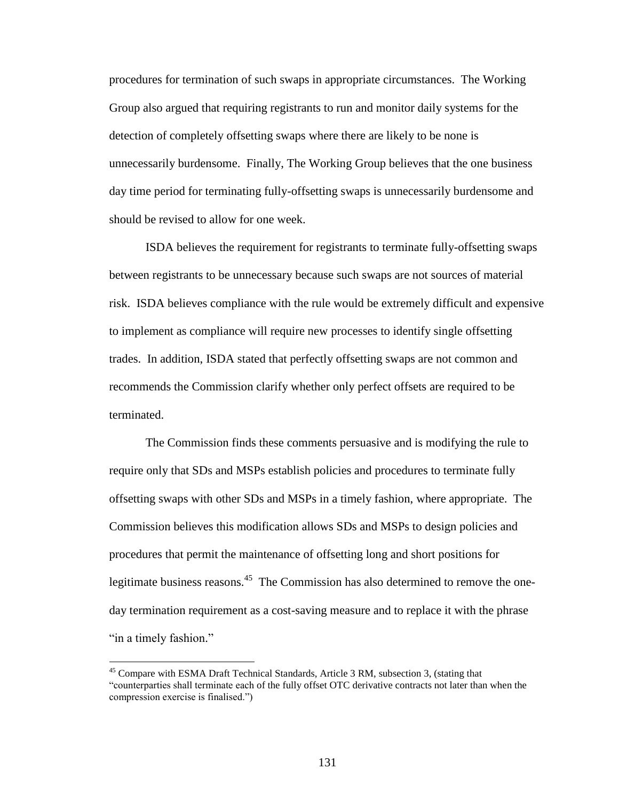procedures for termination of such swaps in appropriate circumstances. The Working Group also argued that requiring registrants to run and monitor daily systems for the detection of completely offsetting swaps where there are likely to be none is unnecessarily burdensome. Finally, The Working Group believes that the one business day time period for terminating fully-offsetting swaps is unnecessarily burdensome and should be revised to allow for one week.

ISDA believes the requirement for registrants to terminate fully-offsetting swaps between registrants to be unnecessary because such swaps are not sources of material risk. ISDA believes compliance with the rule would be extremely difficult and expensive to implement as compliance will require new processes to identify single offsetting trades. In addition, ISDA stated that perfectly offsetting swaps are not common and recommends the Commission clarify whether only perfect offsets are required to be terminated.

The Commission finds these comments persuasive and is modifying the rule to require only that SDs and MSPs establish policies and procedures to terminate fully offsetting swaps with other SDs and MSPs in a timely fashion, where appropriate. The Commission believes this modification allows SDs and MSPs to design policies and procedures that permit the maintenance of offsetting long and short positions for legitimate business reasons.<sup>45</sup> The Commission has also determined to remove the oneday termination requirement as a cost-saving measure and to replace it with the phrase "in a timely fashion."

<sup>&</sup>lt;sup>45</sup> Compare with ESMA Draft Technical Standards, Article 3 RM, subsection 3, (stating that "counterparties shall terminate each of the fully offset OTC derivative contracts not later than when the compression exercise is finalised.")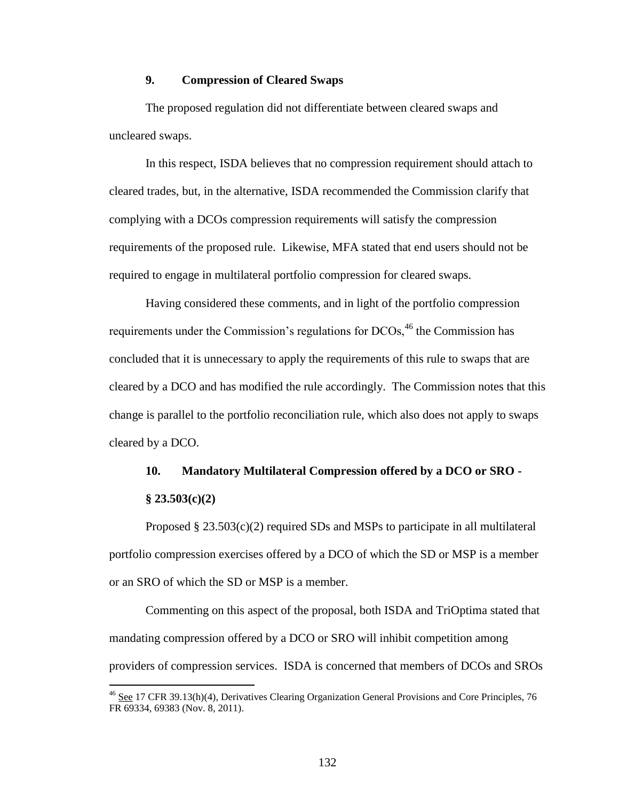# **9. Compression of Cleared Swaps**

The proposed regulation did not differentiate between cleared swaps and uncleared swaps.

In this respect, ISDA believes that no compression requirement should attach to cleared trades, but, in the alternative, ISDA recommended the Commission clarify that complying with a DCOs compression requirements will satisfy the compression requirements of the proposed rule. Likewise, MFA stated that end users should not be required to engage in multilateral portfolio compression for cleared swaps.

Having considered these comments, and in light of the portfolio compression requirements under the Commission's regulations for DCOs,<sup>46</sup> the Commission has concluded that it is unnecessary to apply the requirements of this rule to swaps that are cleared by a DCO and has modified the rule accordingly. The Commission notes that this change is parallel to the portfolio reconciliation rule, which also does not apply to swaps cleared by a DCO.

# **10. Mandatory Multilateral Compression offered by a DCO or SRO - § 23.503(c)(2)**

Proposed  $\S 23.503(c)(2)$  required SDs and MSPs to participate in all multilateral portfolio compression exercises offered by a DCO of which the SD or MSP is a member or an SRO of which the SD or MSP is a member.

Commenting on this aspect of the proposal, both ISDA and TriOptima stated that mandating compression offered by a DCO or SRO will inhibit competition among providers of compression services. ISDA is concerned that members of DCOs and SROs

<sup>&</sup>lt;sup>46</sup> See 17 CFR 39.13(h)(4), Derivatives Clearing Organization General Provisions and Core Principles, 76 FR 69334, 69383 (Nov. 8, 2011).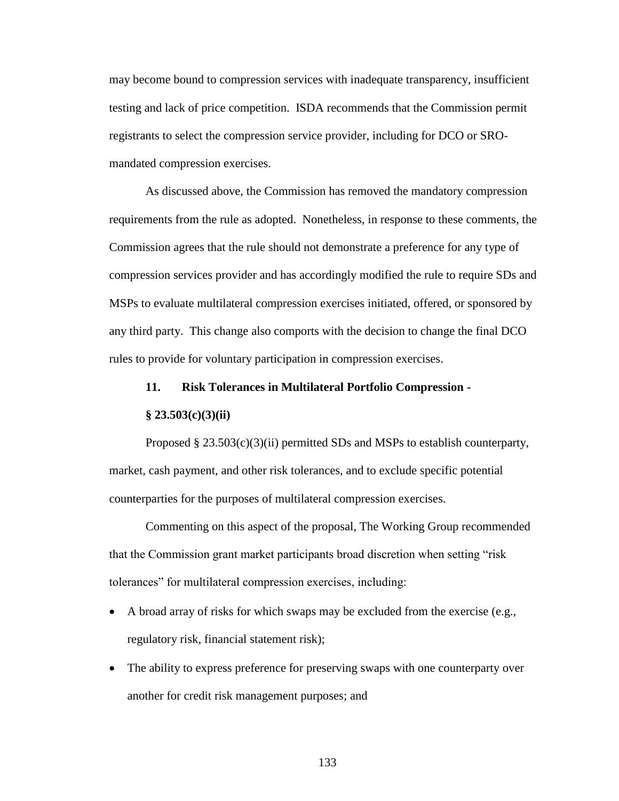may become bound to compression services with inadequate transparency, insufficient testing and lack of price competition. ISDA recommends that the Commission permit registrants to select the compression service provider, including for DCO or SROmandated compression exercises.

As discussed above, the Commission has removed the mandatory compression requirements from the rule as adopted. Nonetheless, in response to these comments, the Commission agrees that the rule should not demonstrate a preference for any type of compression services provider and has accordingly modified the rule to require SDs and MSPs to evaluate multilateral compression exercises initiated, offered, or sponsored by any third party. This change also comports with the decision to change the final DCO rules to provide for voluntary participation in compression exercises.

## **11. Risk Tolerances in Multilateral Portfolio Compression -**

#### **§ 23.503(c)(3)(ii)**

Proposed  $\S 23.503(c)(3)(ii)$  permitted SDs and MSPs to establish counterparty, market, cash payment, and other risk tolerances, and to exclude specific potential counterparties for the purposes of multilateral compression exercises.

Commenting on this aspect of the proposal, The Working Group recommended that the Commission grant market participants broad discretion when setting "risk tolerances" for multilateral compression exercises, including:

- A broad array of risks for which swaps may be excluded from the exercise (e.g., regulatory risk, financial statement risk);
- The ability to express preference for preserving swaps with one counterparty over another for credit risk management purposes; and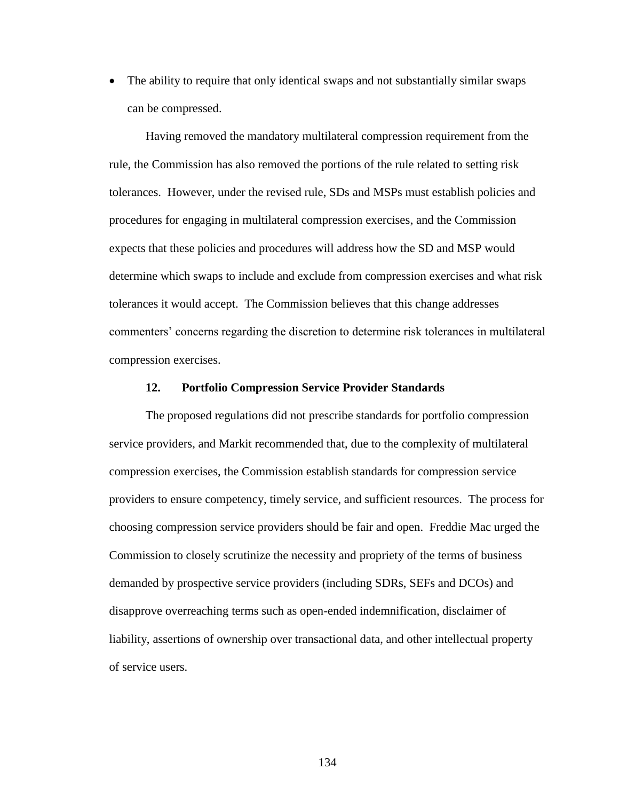• The ability to require that only identical swaps and not substantially similar swaps can be compressed.

Having removed the mandatory multilateral compression requirement from the rule, the Commission has also removed the portions of the rule related to setting risk tolerances. However, under the revised rule, SDs and MSPs must establish policies and procedures for engaging in multilateral compression exercises, and the Commission expects that these policies and procedures will address how the SD and MSP would determine which swaps to include and exclude from compression exercises and what risk tolerances it would accept. The Commission believes that this change addresses commenters' concerns regarding the discretion to determine risk tolerances in multilateral compression exercises.

# **12. Portfolio Compression Service Provider Standards**

The proposed regulations did not prescribe standards for portfolio compression service providers, and Markit recommended that, due to the complexity of multilateral compression exercises, the Commission establish standards for compression service providers to ensure competency, timely service, and sufficient resources. The process for choosing compression service providers should be fair and open. Freddie Mac urged the Commission to closely scrutinize the necessity and propriety of the terms of business demanded by prospective service providers (including SDRs, SEFs and DCOs) and disapprove overreaching terms such as open-ended indemnification, disclaimer of liability, assertions of ownership over transactional data, and other intellectual property of service users.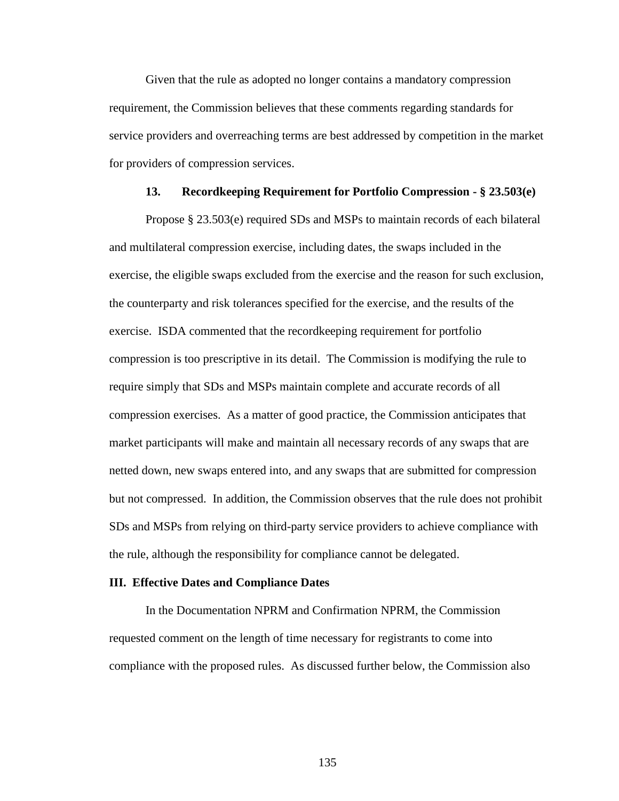Given that the rule as adopted no longer contains a mandatory compression requirement, the Commission believes that these comments regarding standards for service providers and overreaching terms are best addressed by competition in the market for providers of compression services.

# **13. Recordkeeping Requirement for Portfolio Compression - § 23.503(e)**

Propose § 23.503(e) required SDs and MSPs to maintain records of each bilateral and multilateral compression exercise, including dates, the swaps included in the exercise, the eligible swaps excluded from the exercise and the reason for such exclusion, the counterparty and risk tolerances specified for the exercise, and the results of the exercise. ISDA commented that the recordkeeping requirement for portfolio compression is too prescriptive in its detail. The Commission is modifying the rule to require simply that SDs and MSPs maintain complete and accurate records of all compression exercises. As a matter of good practice, the Commission anticipates that market participants will make and maintain all necessary records of any swaps that are netted down, new swaps entered into, and any swaps that are submitted for compression but not compressed. In addition, the Commission observes that the rule does not prohibit SDs and MSPs from relying on third-party service providers to achieve compliance with the rule, although the responsibility for compliance cannot be delegated.

#### **III. Effective Dates and Compliance Dates**

In the Documentation NPRM and Confirmation NPRM, the Commission requested comment on the length of time necessary for registrants to come into compliance with the proposed rules. As discussed further below, the Commission also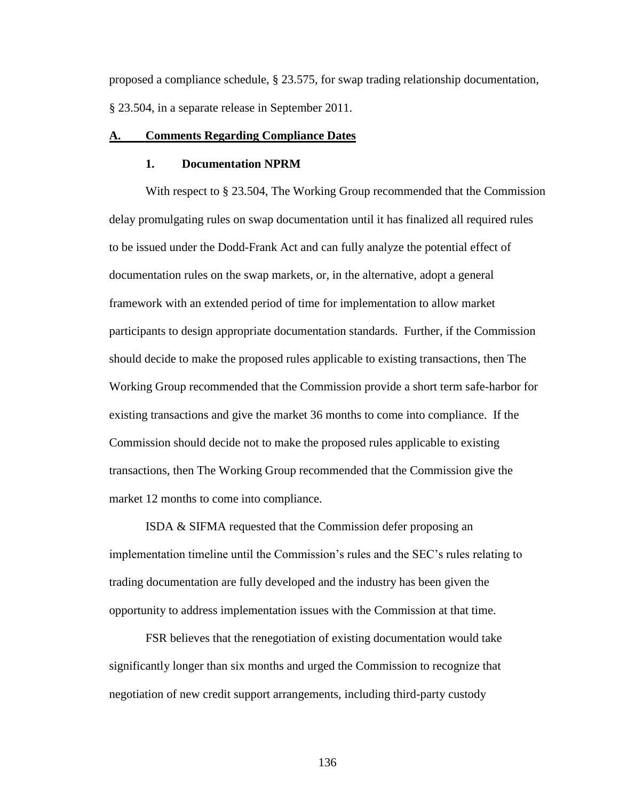proposed a compliance schedule, § 23.575, for swap trading relationship documentation, § 23.504, in a separate release in September 2011.

## **A. Comments Regarding Compliance Dates**

#### **1. Documentation NPRM**

With respect to § 23.504, The Working Group recommended that the Commission delay promulgating rules on swap documentation until it has finalized all required rules to be issued under the Dodd-Frank Act and can fully analyze the potential effect of documentation rules on the swap markets, or, in the alternative, adopt a general framework with an extended period of time for implementation to allow market participants to design appropriate documentation standards. Further, if the Commission should decide to make the proposed rules applicable to existing transactions, then The Working Group recommended that the Commission provide a short term safe-harbor for existing transactions and give the market 36 months to come into compliance. If the Commission should decide not to make the proposed rules applicable to existing transactions, then The Working Group recommended that the Commission give the market 12 months to come into compliance.

ISDA & SIFMA requested that the Commission defer proposing an implementation timeline until the Commission's rules and the SEC's rules relating to trading documentation are fully developed and the industry has been given the opportunity to address implementation issues with the Commission at that time.

FSR believes that the renegotiation of existing documentation would take significantly longer than six months and urged the Commission to recognize that negotiation of new credit support arrangements, including third-party custody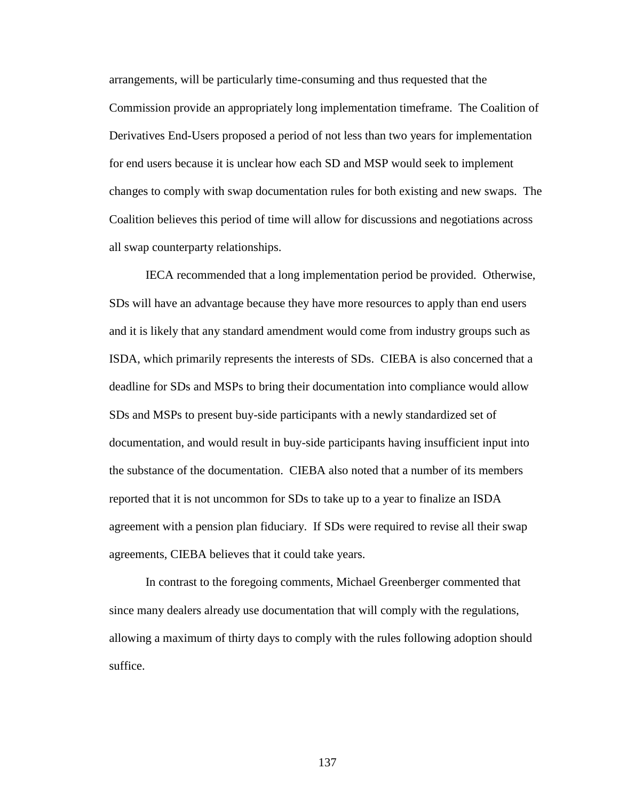arrangements, will be particularly time-consuming and thus requested that the Commission provide an appropriately long implementation timeframe. The Coalition of Derivatives End-Users proposed a period of not less than two years for implementation for end users because it is unclear how each SD and MSP would seek to implement changes to comply with swap documentation rules for both existing and new swaps. The Coalition believes this period of time will allow for discussions and negotiations across all swap counterparty relationships.

IECA recommended that a long implementation period be provided. Otherwise, SDs will have an advantage because they have more resources to apply than end users and it is likely that any standard amendment would come from industry groups such as ISDA, which primarily represents the interests of SDs. CIEBA is also concerned that a deadline for SDs and MSPs to bring their documentation into compliance would allow SDs and MSPs to present buy-side participants with a newly standardized set of documentation, and would result in buy-side participants having insufficient input into the substance of the documentation. CIEBA also noted that a number of its members reported that it is not uncommon for SDs to take up to a year to finalize an ISDA agreement with a pension plan fiduciary. If SDs were required to revise all their swap agreements, CIEBA believes that it could take years.

In contrast to the foregoing comments, Michael Greenberger commented that since many dealers already use documentation that will comply with the regulations, allowing a maximum of thirty days to comply with the rules following adoption should suffice.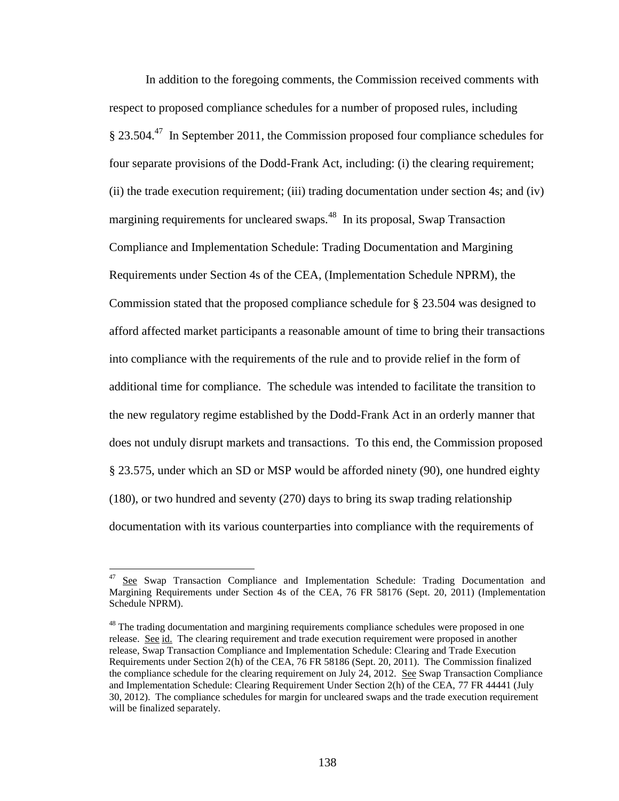In addition to the foregoing comments, the Commission received comments with respect to proposed compliance schedules for a number of proposed rules, including § 23.504.<sup>47</sup> In September 2011, the Commission proposed four compliance schedules for four separate provisions of the Dodd-Frank Act, including: (i) the clearing requirement; (ii) the trade execution requirement; (iii) trading documentation under section 4s; and (iv) margining requirements for uncleared swaps.<sup>48</sup> In its proposal, Swap Transaction Compliance and Implementation Schedule: Trading Documentation and Margining Requirements under Section 4s of the CEA, (Implementation Schedule NPRM), the Commission stated that the proposed compliance schedule for § 23.504 was designed to afford affected market participants a reasonable amount of time to bring their transactions into compliance with the requirements of the rule and to provide relief in the form of additional time for compliance. The schedule was intended to facilitate the transition to the new regulatory regime established by the Dodd-Frank Act in an orderly manner that does not unduly disrupt markets and transactions. To this end, the Commission proposed § 23.575, under which an SD or MSP would be afforded ninety (90), one hundred eighty (180), or two hundred and seventy (270) days to bring its swap trading relationship documentation with its various counterparties into compliance with the requirements of

<sup>&</sup>lt;sup>47</sup> See Swap Transaction Compliance and Implementation Schedule: Trading Documentation and Margining Requirements under Section 4s of the CEA, 76 FR 58176 (Sept. 20, 2011) (Implementation Schedule NPRM).

<sup>&</sup>lt;sup>48</sup> The trading documentation and margining requirements compliance schedules were proposed in one release. See id. The clearing requirement and trade execution requirement were proposed in another release, Swap Transaction Compliance and Implementation Schedule: Clearing and Trade Execution Requirements under Section 2(h) of the CEA, 76 FR 58186 (Sept. 20, 2011). The Commission finalized the compliance schedule for the clearing requirement on July 24, 2012. See Swap Transaction Compliance and Implementation Schedule: Clearing Requirement Under Section 2(h) of the CEA, 77 FR 44441 (July 30, 2012). The compliance schedules for margin for uncleared swaps and the trade execution requirement will be finalized separately.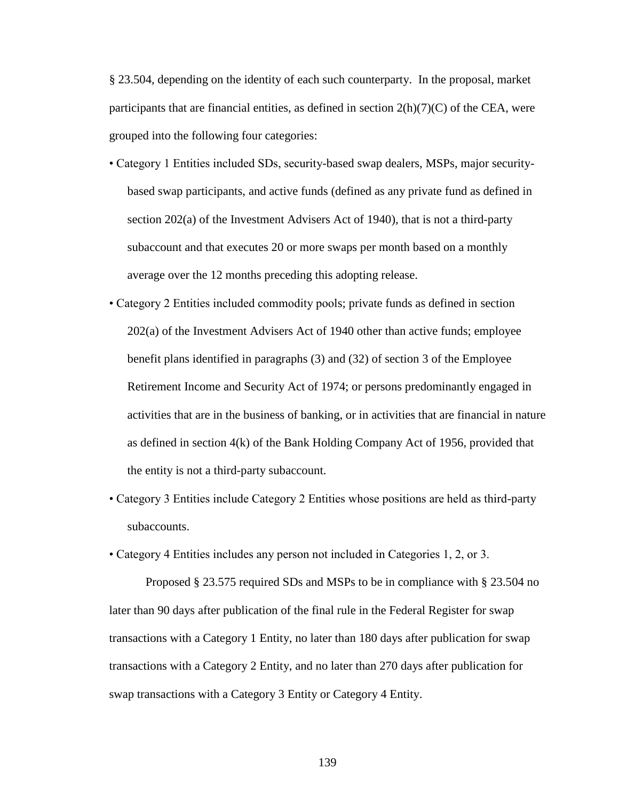§ 23.504, depending on the identity of each such counterparty. In the proposal, market participants that are financial entities, as defined in section  $2(h)(7)(C)$  of the CEA, were grouped into the following four categories:

- Category 1 Entities included SDs, security-based swap dealers, MSPs, major securitybased swap participants, and active funds (defined as any private fund as defined in section 202(a) of the Investment Advisers Act of 1940), that is not a third-party subaccount and that executes 20 or more swaps per month based on a monthly average over the 12 months preceding this adopting release.
- Category 2 Entities included commodity pools; private funds as defined in section 202(a) of the Investment Advisers Act of 1940 other than active funds; employee benefit plans identified in paragraphs (3) and (32) of section 3 of the Employee Retirement Income and Security Act of 1974; or persons predominantly engaged in activities that are in the business of banking, or in activities that are financial in nature as defined in section 4(k) of the Bank Holding Company Act of 1956, provided that the entity is not a third-party subaccount.
- Category 3 Entities include Category 2 Entities whose positions are held as third-party subaccounts.
- Category 4 Entities includes any person not included in Categories 1, 2, or 3.

Proposed § 23.575 required SDs and MSPs to be in compliance with § 23.504 no later than 90 days after publication of the final rule in the Federal Register for swap transactions with a Category 1 Entity, no later than 180 days after publication for swap transactions with a Category 2 Entity, and no later than 270 days after publication for swap transactions with a Category 3 Entity or Category 4 Entity.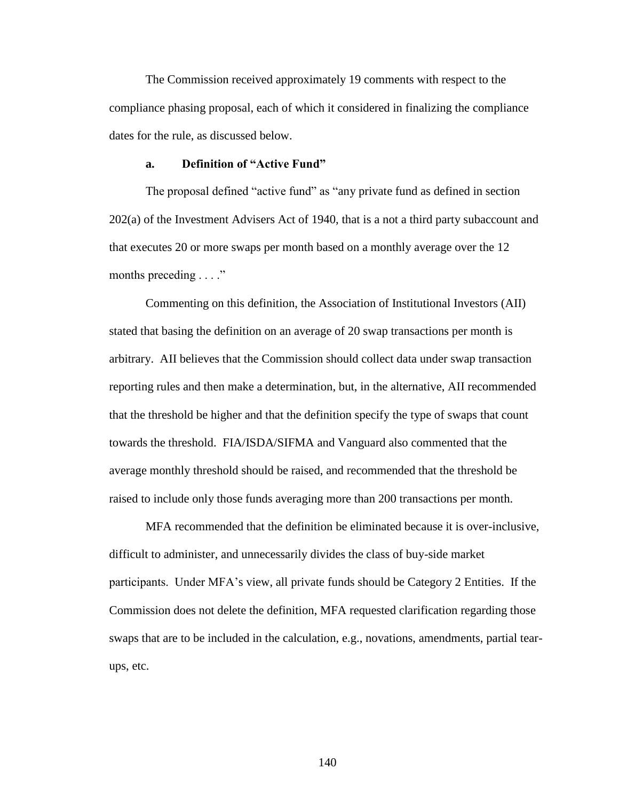The Commission received approximately 19 comments with respect to the compliance phasing proposal, each of which it considered in finalizing the compliance dates for the rule, as discussed below.

## **a. Definition of "Active Fund"**

The proposal defined "active fund" as "any private fund as defined in section 202(a) of the Investment Advisers Act of 1940, that is a not a third party subaccount and that executes 20 or more swaps per month based on a monthly average over the 12 months preceding . . . ."

Commenting on this definition, the Association of Institutional Investors (AII) stated that basing the definition on an average of 20 swap transactions per month is arbitrary. AII believes that the Commission should collect data under swap transaction reporting rules and then make a determination, but, in the alternative, AII recommended that the threshold be higher and that the definition specify the type of swaps that count towards the threshold. FIA/ISDA/SIFMA and Vanguard also commented that the average monthly threshold should be raised, and recommended that the threshold be raised to include only those funds averaging more than 200 transactions per month.

MFA recommended that the definition be eliminated because it is over-inclusive, difficult to administer, and unnecessarily divides the class of buy-side market participants. Under MFA's view, all private funds should be Category 2 Entities. If the Commission does not delete the definition, MFA requested clarification regarding those swaps that are to be included in the calculation, e.g., novations, amendments, partial tearups, etc.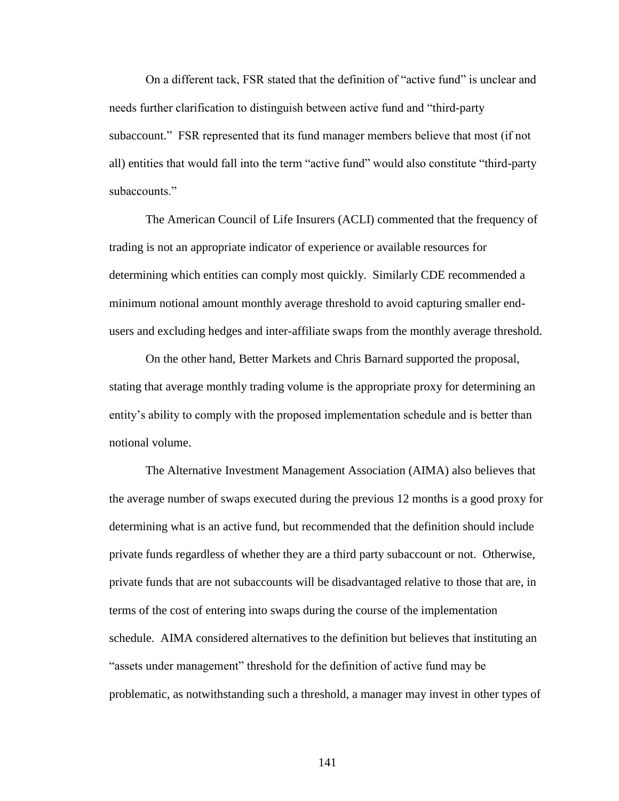On a different tack, FSR stated that the definition of "active fund" is unclear and needs further clarification to distinguish between active fund and "third-party subaccount." FSR represented that its fund manager members believe that most (if not all) entities that would fall into the term "active fund" would also constitute "third-party subaccounts."

The American Council of Life Insurers (ACLI) commented that the frequency of trading is not an appropriate indicator of experience or available resources for determining which entities can comply most quickly. Similarly CDE recommended a minimum notional amount monthly average threshold to avoid capturing smaller endusers and excluding hedges and inter-affiliate swaps from the monthly average threshold.

On the other hand, Better Markets and Chris Barnard supported the proposal, stating that average monthly trading volume is the appropriate proxy for determining an entity's ability to comply with the proposed implementation schedule and is better than notional volume.

The Alternative Investment Management Association (AIMA) also believes that the average number of swaps executed during the previous 12 months is a good proxy for determining what is an active fund, but recommended that the definition should include private funds regardless of whether they are a third party subaccount or not. Otherwise, private funds that are not subaccounts will be disadvantaged relative to those that are, in terms of the cost of entering into swaps during the course of the implementation schedule. AIMA considered alternatives to the definition but believes that instituting an "assets under management" threshold for the definition of active fund may be problematic, as notwithstanding such a threshold, a manager may invest in other types of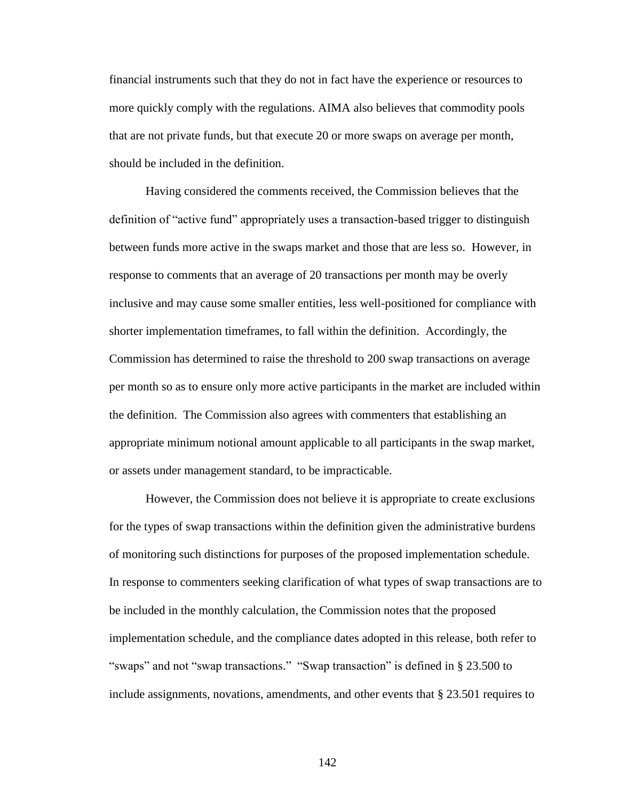financial instruments such that they do not in fact have the experience or resources to more quickly comply with the regulations. AIMA also believes that commodity pools that are not private funds, but that execute 20 or more swaps on average per month, should be included in the definition.

Having considered the comments received, the Commission believes that the definition of "active fund" appropriately uses a transaction-based trigger to distinguish between funds more active in the swaps market and those that are less so. However, in response to comments that an average of 20 transactions per month may be overly inclusive and may cause some smaller entities, less well-positioned for compliance with shorter implementation timeframes, to fall within the definition. Accordingly, the Commission has determined to raise the threshold to 200 swap transactions on average per month so as to ensure only more active participants in the market are included within the definition. The Commission also agrees with commenters that establishing an appropriate minimum notional amount applicable to all participants in the swap market, or assets under management standard, to be impracticable.

However, the Commission does not believe it is appropriate to create exclusions for the types of swap transactions within the definition given the administrative burdens of monitoring such distinctions for purposes of the proposed implementation schedule. In response to commenters seeking clarification of what types of swap transactions are to be included in the monthly calculation, the Commission notes that the proposed implementation schedule, and the compliance dates adopted in this release, both refer to "swaps" and not "swap transactions." "Swap transaction" is defined in § 23.500 to include assignments, novations, amendments, and other events that  $\S 23.501$  requires to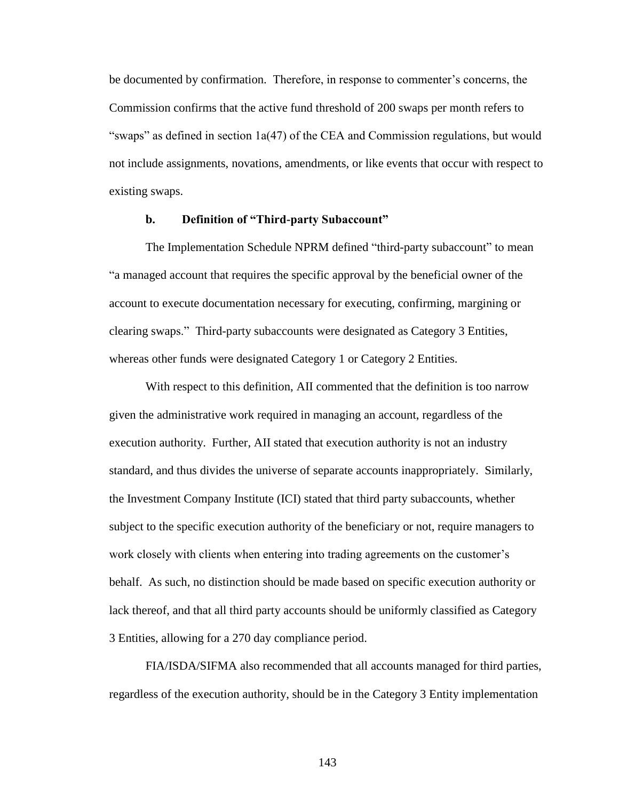be documented by confirmation. Therefore, in response to commenter's concerns, the Commission confirms that the active fund threshold of 200 swaps per month refers to "swaps" as defined in section  $1a(47)$  of the CEA and Commission regulations, but would not include assignments, novations, amendments, or like events that occur with respect to existing swaps.

# **b. Definition of "Third-party Subaccount"**

The Implementation Schedule NPRM defined "third-party subaccount" to mean "a managed account that requires the specific approval by the beneficial owner of the account to execute documentation necessary for executing, confirming, margining or clearing swaps." Third-party subaccounts were designated as Category 3 Entities, whereas other funds were designated Category 1 or Category 2 Entities.

With respect to this definition, AII commented that the definition is too narrow given the administrative work required in managing an account, regardless of the execution authority. Further, AII stated that execution authority is not an industry standard, and thus divides the universe of separate accounts inappropriately. Similarly, the Investment Company Institute (ICI) stated that third party subaccounts, whether subject to the specific execution authority of the beneficiary or not, require managers to work closely with clients when entering into trading agreements on the customer's behalf. As such, no distinction should be made based on specific execution authority or lack thereof, and that all third party accounts should be uniformly classified as Category 3 Entities, allowing for a 270 day compliance period.

FIA/ISDA/SIFMA also recommended that all accounts managed for third parties, regardless of the execution authority, should be in the Category 3 Entity implementation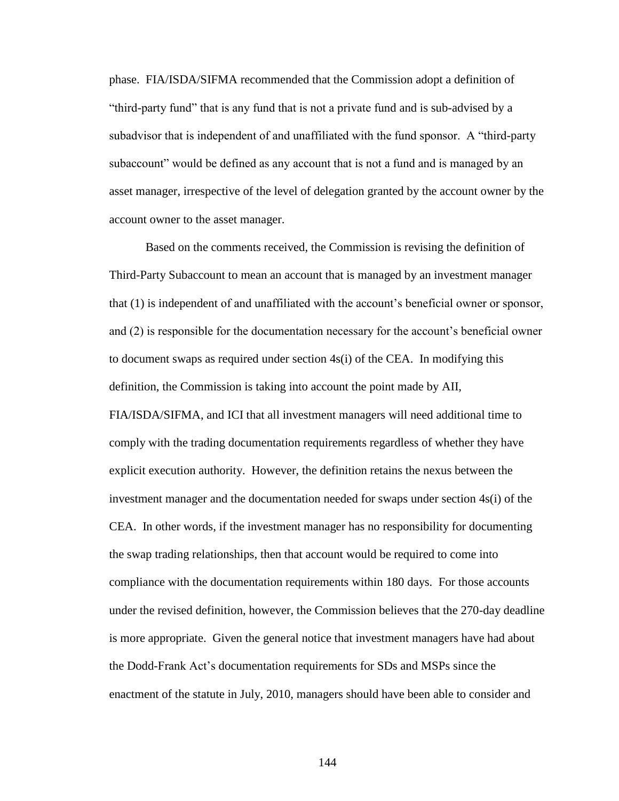phase. FIA/ISDA/SIFMA recommended that the Commission adopt a definition of "third-party fund" that is any fund that is not a private fund and is sub-advised by a subadvisor that is independent of and unaffiliated with the fund sponsor. A "third-party subaccount" would be defined as any account that is not a fund and is managed by an asset manager, irrespective of the level of delegation granted by the account owner by the account owner to the asset manager.

Based on the comments received, the Commission is revising the definition of Third-Party Subaccount to mean an account that is managed by an investment manager that (1) is independent of and unaffiliated with the account's beneficial owner or sponsor, and (2) is responsible for the documentation necessary for the account's beneficial owner to document swaps as required under section 4s(i) of the CEA. In modifying this definition, the Commission is taking into account the point made by AII, FIA/ISDA/SIFMA, and ICI that all investment managers will need additional time to comply with the trading documentation requirements regardless of whether they have explicit execution authority. However, the definition retains the nexus between the investment manager and the documentation needed for swaps under section 4s(i) of the CEA. In other words, if the investment manager has no responsibility for documenting the swap trading relationships, then that account would be required to come into compliance with the documentation requirements within 180 days. For those accounts under the revised definition, however, the Commission believes that the 270-day deadline is more appropriate. Given the general notice that investment managers have had about the Dodd-Frank Act's documentation requirements for SDs and MSPs since the enactment of the statute in July, 2010, managers should have been able to consider and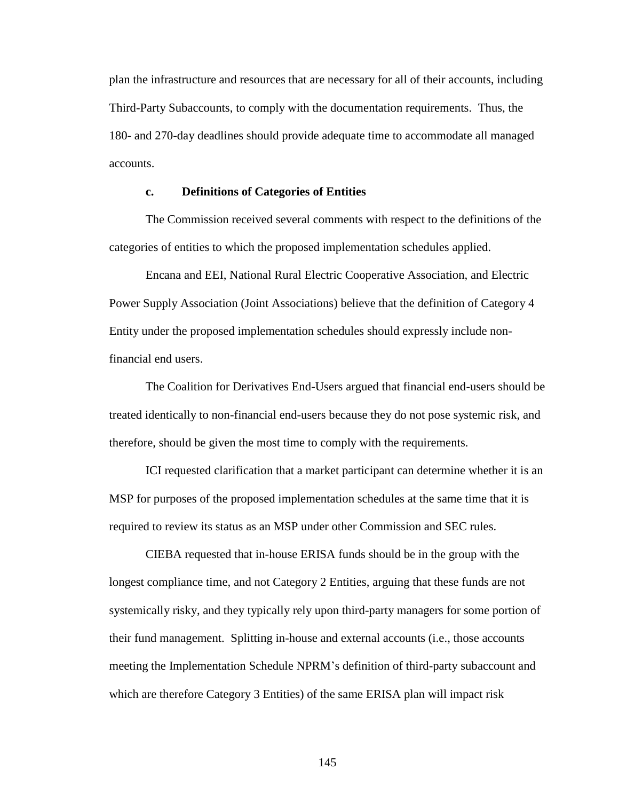plan the infrastructure and resources that are necessary for all of their accounts, including Third-Party Subaccounts, to comply with the documentation requirements. Thus, the 180- and 270-day deadlines should provide adequate time to accommodate all managed accounts.

## **c. Definitions of Categories of Entities**

The Commission received several comments with respect to the definitions of the categories of entities to which the proposed implementation schedules applied.

Encana and EEI, National Rural Electric Cooperative Association, and Electric Power Supply Association (Joint Associations) believe that the definition of Category 4 Entity under the proposed implementation schedules should expressly include nonfinancial end users.

The Coalition for Derivatives End-Users argued that financial end-users should be treated identically to non-financial end-users because they do not pose systemic risk, and therefore, should be given the most time to comply with the requirements.

ICI requested clarification that a market participant can determine whether it is an MSP for purposes of the proposed implementation schedules at the same time that it is required to review its status as an MSP under other Commission and SEC rules.

CIEBA requested that in-house ERISA funds should be in the group with the longest compliance time, and not Category 2 Entities, arguing that these funds are not systemically risky, and they typically rely upon third-party managers for some portion of their fund management. Splitting in-house and external accounts (i.e., those accounts meeting the Implementation Schedule NPRM's definition of third-party subaccount and which are therefore Category 3 Entities) of the same ERISA plan will impact risk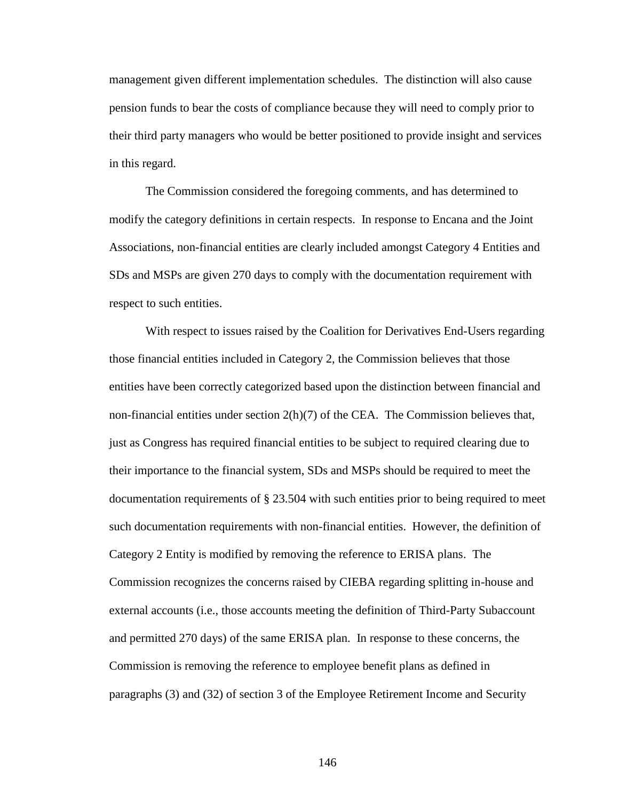management given different implementation schedules. The distinction will also cause pension funds to bear the costs of compliance because they will need to comply prior to their third party managers who would be better positioned to provide insight and services in this regard.

The Commission considered the foregoing comments, and has determined to modify the category definitions in certain respects. In response to Encana and the Joint Associations, non-financial entities are clearly included amongst Category 4 Entities and SDs and MSPs are given 270 days to comply with the documentation requirement with respect to such entities.

With respect to issues raised by the Coalition for Derivatives End-Users regarding those financial entities included in Category 2, the Commission believes that those entities have been correctly categorized based upon the distinction between financial and non-financial entities under section  $2(h)(7)$  of the CEA. The Commission believes that, just as Congress has required financial entities to be subject to required clearing due to their importance to the financial system, SDs and MSPs should be required to meet the documentation requirements of § 23.504 with such entities prior to being required to meet such documentation requirements with non-financial entities. However, the definition of Category 2 Entity is modified by removing the reference to ERISA plans. The Commission recognizes the concerns raised by CIEBA regarding splitting in-house and external accounts (i.e., those accounts meeting the definition of Third-Party Subaccount and permitted 270 days) of the same ERISA plan. In response to these concerns, the Commission is removing the reference to employee benefit plans as defined in paragraphs (3) and (32) of section 3 of the Employee Retirement Income and Security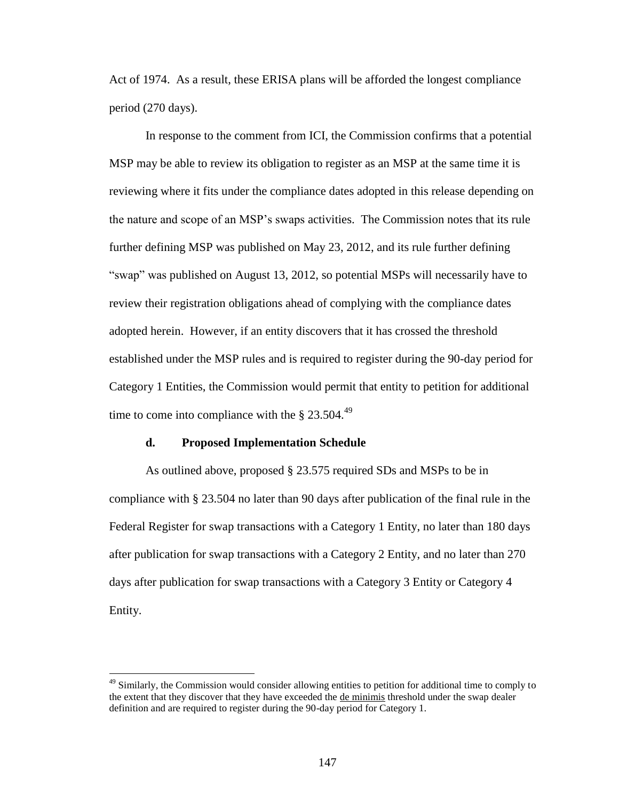Act of 1974. As a result, these ERISA plans will be afforded the longest compliance period (270 days).

In response to the comment from ICI, the Commission confirms that a potential MSP may be able to review its obligation to register as an MSP at the same time it is reviewing where it fits under the compliance dates adopted in this release depending on the nature and scope of an MSP's swaps activities. The Commission notes that its rule further defining MSP was published on May 23, 2012, and its rule further defining "swap" was published on August 13, 2012, so potential MSPs will necessarily have to review their registration obligations ahead of complying with the compliance dates adopted herein. However, if an entity discovers that it has crossed the threshold established under the MSP rules and is required to register during the 90-day period for Category 1 Entities, the Commission would permit that entity to petition for additional time to come into compliance with the  $\S 23.504.<sup>49</sup>$ 

#### **d. Proposed Implementation Schedule**

 $\overline{a}$ 

As outlined above, proposed § 23.575 required SDs and MSPs to be in compliance with § 23.504 no later than 90 days after publication of the final rule in the Federal Register for swap transactions with a Category 1 Entity, no later than 180 days after publication for swap transactions with a Category 2 Entity, and no later than 270 days after publication for swap transactions with a Category 3 Entity or Category 4 Entity.

<sup>&</sup>lt;sup>49</sup> Similarly, the Commission would consider allowing entities to petition for additional time to comply to the extent that they discover that they have exceeded the de minimis threshold under the swap dealer definition and are required to register during the 90-day period for Category 1.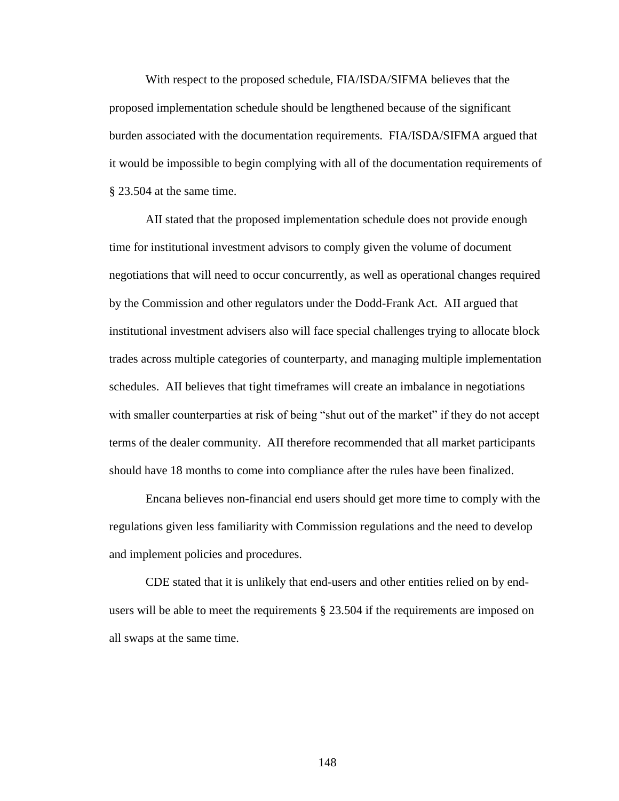With respect to the proposed schedule, FIA/ISDA/SIFMA believes that the proposed implementation schedule should be lengthened because of the significant burden associated with the documentation requirements. FIA/ISDA/SIFMA argued that it would be impossible to begin complying with all of the documentation requirements of § 23.504 at the same time.

AII stated that the proposed implementation schedule does not provide enough time for institutional investment advisors to comply given the volume of document negotiations that will need to occur concurrently, as well as operational changes required by the Commission and other regulators under the Dodd-Frank Act. AII argued that institutional investment advisers also will face special challenges trying to allocate block trades across multiple categories of counterparty, and managing multiple implementation schedules. AII believes that tight timeframes will create an imbalance in negotiations with smaller counterparties at risk of being "shut out of the market" if they do not accept terms of the dealer community. AII therefore recommended that all market participants should have 18 months to come into compliance after the rules have been finalized.

Encana believes non-financial end users should get more time to comply with the regulations given less familiarity with Commission regulations and the need to develop and implement policies and procedures.

CDE stated that it is unlikely that end-users and other entities relied on by endusers will be able to meet the requirements § 23.504 if the requirements are imposed on all swaps at the same time.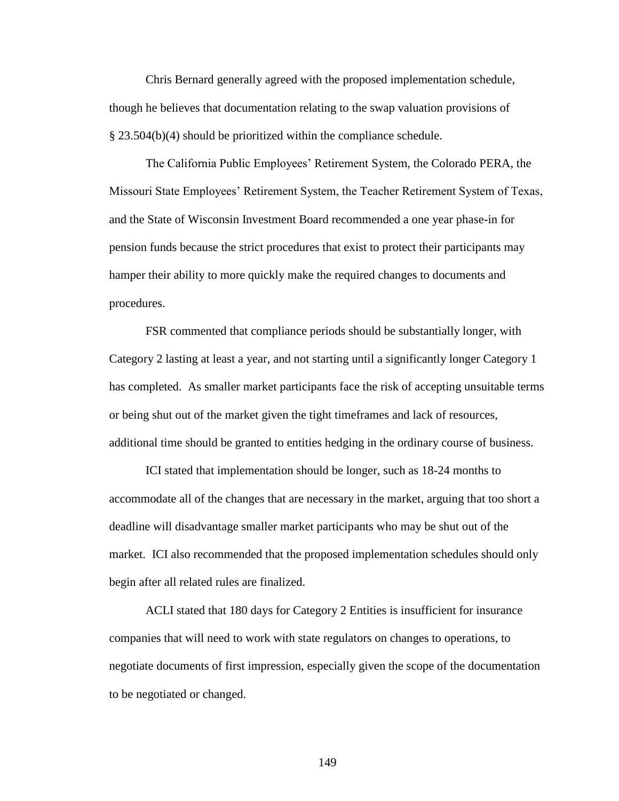Chris Bernard generally agreed with the proposed implementation schedule, though he believes that documentation relating to the swap valuation provisions of § 23.504(b)(4) should be prioritized within the compliance schedule.

The California Public Employees' Retirement System, the Colorado PERA, the Missouri State Employees' Retirement System, the Teacher Retirement System of Texas, and the State of Wisconsin Investment Board recommended a one year phase-in for pension funds because the strict procedures that exist to protect their participants may hamper their ability to more quickly make the required changes to documents and procedures.

FSR commented that compliance periods should be substantially longer, with Category 2 lasting at least a year, and not starting until a significantly longer Category 1 has completed. As smaller market participants face the risk of accepting unsuitable terms or being shut out of the market given the tight timeframes and lack of resources, additional time should be granted to entities hedging in the ordinary course of business.

ICI stated that implementation should be longer, such as 18-24 months to accommodate all of the changes that are necessary in the market, arguing that too short a deadline will disadvantage smaller market participants who may be shut out of the market. ICI also recommended that the proposed implementation schedules should only begin after all related rules are finalized.

ACLI stated that 180 days for Category 2 Entities is insufficient for insurance companies that will need to work with state regulators on changes to operations, to negotiate documents of first impression, especially given the scope of the documentation to be negotiated or changed.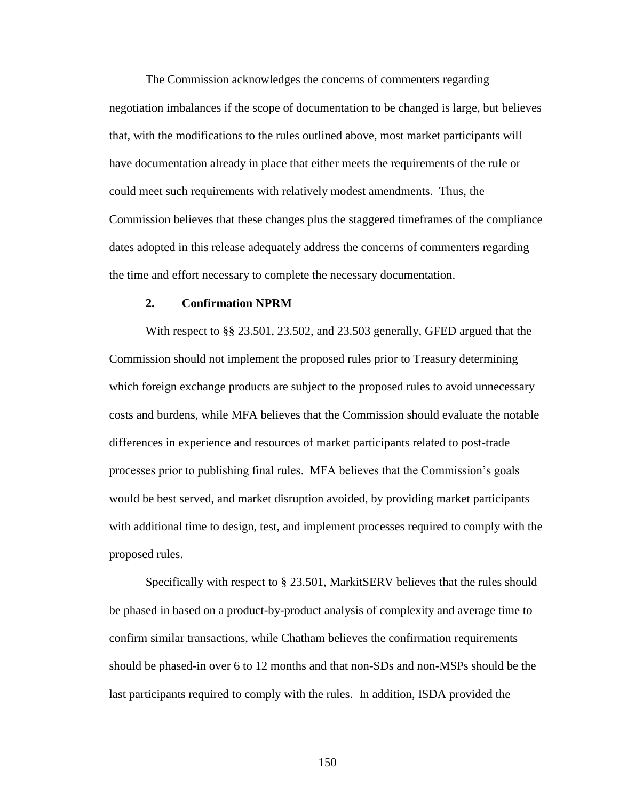The Commission acknowledges the concerns of commenters regarding negotiation imbalances if the scope of documentation to be changed is large, but believes that, with the modifications to the rules outlined above, most market participants will have documentation already in place that either meets the requirements of the rule or could meet such requirements with relatively modest amendments. Thus, the Commission believes that these changes plus the staggered timeframes of the compliance dates adopted in this release adequately address the concerns of commenters regarding the time and effort necessary to complete the necessary documentation.

### **2. Confirmation NPRM**

With respect to §§ 23.501, 23.502, and 23.503 generally, GFED argued that the Commission should not implement the proposed rules prior to Treasury determining which foreign exchange products are subject to the proposed rules to avoid unnecessary costs and burdens, while MFA believes that the Commission should evaluate the notable differences in experience and resources of market participants related to post-trade processes prior to publishing final rules. MFA believes that the Commission's goals would be best served, and market disruption avoided, by providing market participants with additional time to design, test, and implement processes required to comply with the proposed rules.

Specifically with respect to § 23.501, MarkitSERV believes that the rules should be phased in based on a product-by-product analysis of complexity and average time to confirm similar transactions, while Chatham believes the confirmation requirements should be phased-in over 6 to 12 months and that non-SDs and non-MSPs should be the last participants required to comply with the rules. In addition, ISDA provided the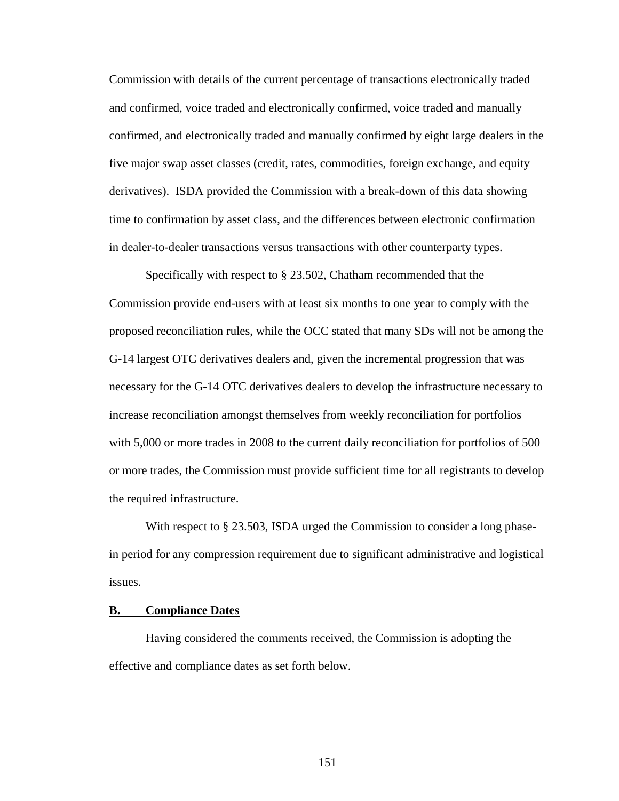Commission with details of the current percentage of transactions electronically traded and confirmed, voice traded and electronically confirmed, voice traded and manually confirmed, and electronically traded and manually confirmed by eight large dealers in the five major swap asset classes (credit, rates, commodities, foreign exchange, and equity derivatives). ISDA provided the Commission with a break-down of this data showing time to confirmation by asset class, and the differences between electronic confirmation in dealer-to-dealer transactions versus transactions with other counterparty types.

Specifically with respect to § 23.502, Chatham recommended that the Commission provide end-users with at least six months to one year to comply with the proposed reconciliation rules, while the OCC stated that many SDs will not be among the G-14 largest OTC derivatives dealers and, given the incremental progression that was necessary for the G-14 OTC derivatives dealers to develop the infrastructure necessary to increase reconciliation amongst themselves from weekly reconciliation for portfolios with 5,000 or more trades in 2008 to the current daily reconciliation for portfolios of 500 or more trades, the Commission must provide sufficient time for all registrants to develop the required infrastructure.

With respect to § 23.503, ISDA urged the Commission to consider a long phasein period for any compression requirement due to significant administrative and logistical issues.

#### **B. Compliance Dates**

Having considered the comments received, the Commission is adopting the effective and compliance dates as set forth below.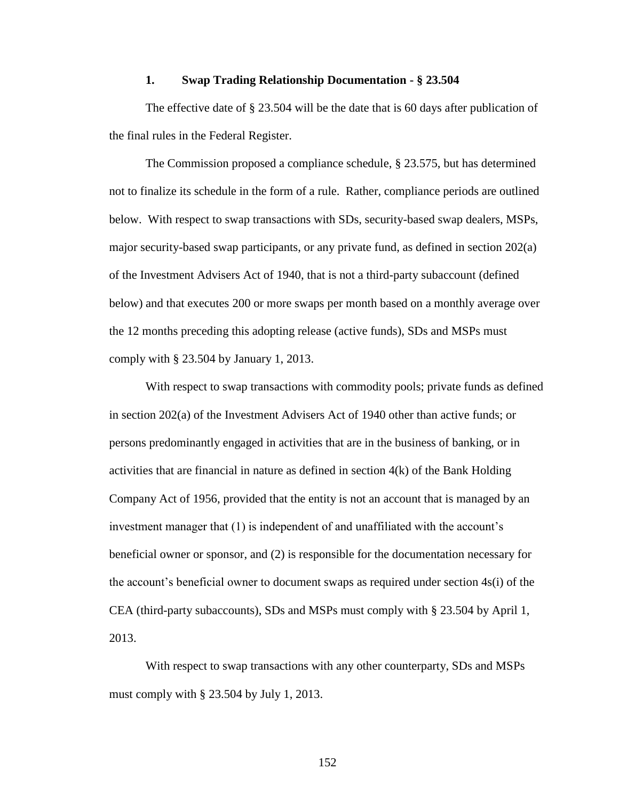## **1. Swap Trading Relationship Documentation - § 23.504**

The effective date of § 23.504 will be the date that is 60 days after publication of the final rules in the Federal Register.

The Commission proposed a compliance schedule, § 23.575, but has determined not to finalize its schedule in the form of a rule. Rather, compliance periods are outlined below. With respect to swap transactions with SDs, security-based swap dealers, MSPs, major security-based swap participants, or any private fund, as defined in section 202(a) of the Investment Advisers Act of 1940, that is not a third-party subaccount (defined below) and that executes 200 or more swaps per month based on a monthly average over the 12 months preceding this adopting release (active funds), SDs and MSPs must comply with § 23.504 by January 1, 2013.

With respect to swap transactions with commodity pools; private funds as defined in section 202(a) of the Investment Advisers Act of 1940 other than active funds; or persons predominantly engaged in activities that are in the business of banking, or in activities that are financial in nature as defined in section  $4(k)$  of the Bank Holding Company Act of 1956, provided that the entity is not an account that is managed by an investment manager that (1) is independent of and unaffiliated with the account's beneficial owner or sponsor, and (2) is responsible for the documentation necessary for the account's beneficial owner to document swaps as required under section 4s(i) of the CEA (third-party subaccounts), SDs and MSPs must comply with § 23.504 by April 1, 2013.

With respect to swap transactions with any other counterparty, SDs and MSPs must comply with § 23.504 by July 1, 2013.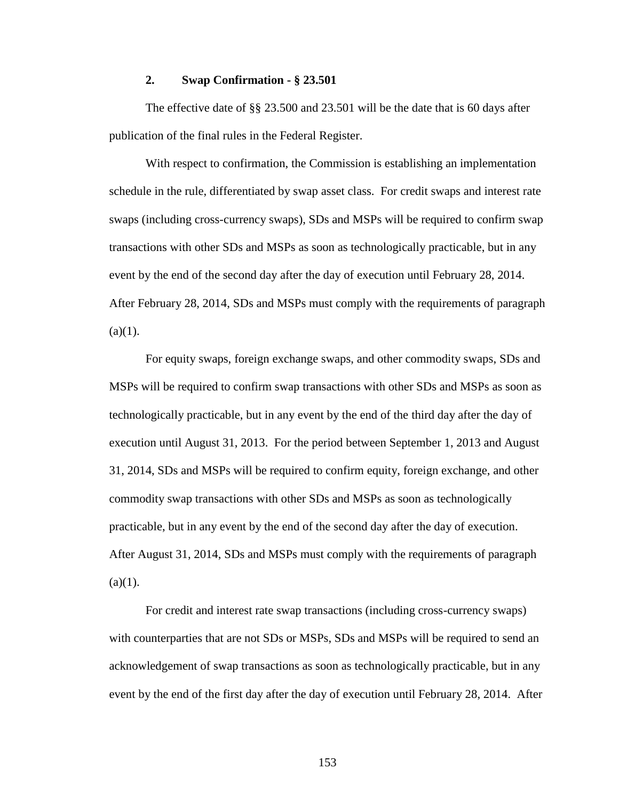## **2. Swap Confirmation - § 23.501**

The effective date of §§ 23.500 and 23.501 will be the date that is 60 days after publication of the final rules in the Federal Register.

With respect to confirmation, the Commission is establishing an implementation schedule in the rule, differentiated by swap asset class. For credit swaps and interest rate swaps (including cross-currency swaps), SDs and MSPs will be required to confirm swap transactions with other SDs and MSPs as soon as technologically practicable, but in any event by the end of the second day after the day of execution until February 28, 2014. After February 28, 2014, SDs and MSPs must comply with the requirements of paragraph  $(a)(1)$ .

For equity swaps, foreign exchange swaps, and other commodity swaps, SDs and MSPs will be required to confirm swap transactions with other SDs and MSPs as soon as technologically practicable, but in any event by the end of the third day after the day of execution until August 31, 2013. For the period between September 1, 2013 and August 31, 2014, SDs and MSPs will be required to confirm equity, foreign exchange, and other commodity swap transactions with other SDs and MSPs as soon as technologically practicable, but in any event by the end of the second day after the day of execution. After August 31, 2014, SDs and MSPs must comply with the requirements of paragraph  $(a)(1)$ .

For credit and interest rate swap transactions (including cross-currency swaps) with counterparties that are not SDs or MSPs, SDs and MSPs will be required to send an acknowledgement of swap transactions as soon as technologically practicable, but in any event by the end of the first day after the day of execution until February 28, 2014. After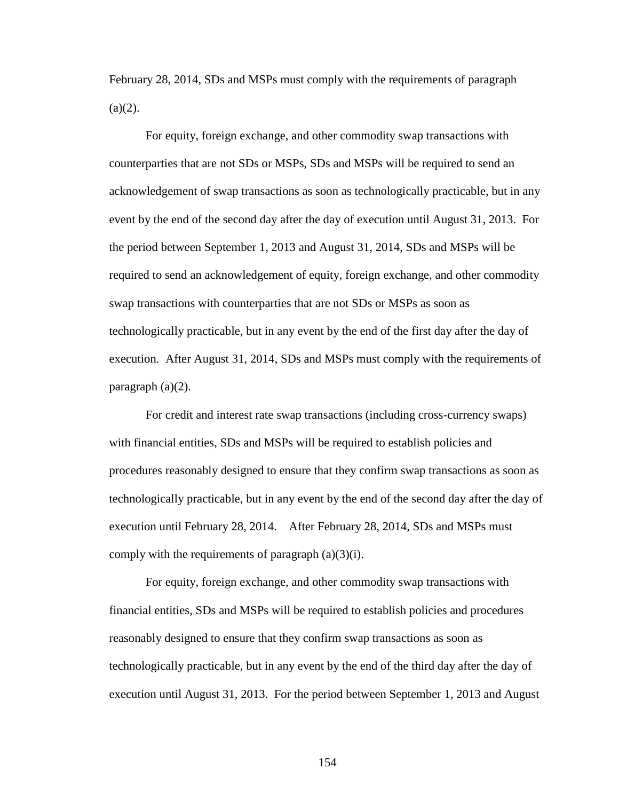February 28, 2014, SDs and MSPs must comply with the requirements of paragraph  $(a)(2)$ .

For equity, foreign exchange, and other commodity swap transactions with counterparties that are not SDs or MSPs, SDs and MSPs will be required to send an acknowledgement of swap transactions as soon as technologically practicable, but in any event by the end of the second day after the day of execution until August 31, 2013. For the period between September 1, 2013 and August 31, 2014, SDs and MSPs will be required to send an acknowledgement of equity, foreign exchange, and other commodity swap transactions with counterparties that are not SDs or MSPs as soon as technologically practicable, but in any event by the end of the first day after the day of execution. After August 31, 2014, SDs and MSPs must comply with the requirements of paragraph (a)(2).

For credit and interest rate swap transactions (including cross-currency swaps) with financial entities, SDs and MSPs will be required to establish policies and procedures reasonably designed to ensure that they confirm swap transactions as soon as technologically practicable, but in any event by the end of the second day after the day of execution until February 28, 2014. After February 28, 2014, SDs and MSPs must comply with the requirements of paragraph  $(a)(3)(i)$ .

For equity, foreign exchange, and other commodity swap transactions with financial entities, SDs and MSPs will be required to establish policies and procedures reasonably designed to ensure that they confirm swap transactions as soon as technologically practicable, but in any event by the end of the third day after the day of execution until August 31, 2013. For the period between September 1, 2013 and August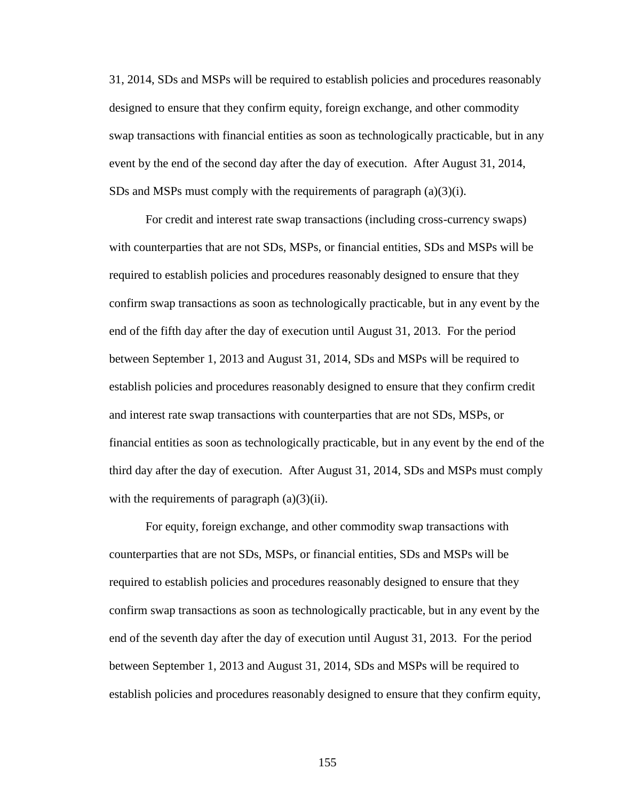31, 2014, SDs and MSPs will be required to establish policies and procedures reasonably designed to ensure that they confirm equity, foreign exchange, and other commodity swap transactions with financial entities as soon as technologically practicable, but in any event by the end of the second day after the day of execution. After August 31, 2014, SDs and MSPs must comply with the requirements of paragraph  $(a)(3)(i)$ .

For credit and interest rate swap transactions (including cross-currency swaps) with counterparties that are not SDs, MSPs, or financial entities, SDs and MSPs will be required to establish policies and procedures reasonably designed to ensure that they confirm swap transactions as soon as technologically practicable, but in any event by the end of the fifth day after the day of execution until August 31, 2013. For the period between September 1, 2013 and August 31, 2014, SDs and MSPs will be required to establish policies and procedures reasonably designed to ensure that they confirm credit and interest rate swap transactions with counterparties that are not SDs, MSPs, or financial entities as soon as technologically practicable, but in any event by the end of the third day after the day of execution. After August 31, 2014, SDs and MSPs must comply with the requirements of paragraph  $(a)(3)(ii)$ .

For equity, foreign exchange, and other commodity swap transactions with counterparties that are not SDs, MSPs, or financial entities, SDs and MSPs will be required to establish policies and procedures reasonably designed to ensure that they confirm swap transactions as soon as technologically practicable, but in any event by the end of the seventh day after the day of execution until August 31, 2013. For the period between September 1, 2013 and August 31, 2014, SDs and MSPs will be required to establish policies and procedures reasonably designed to ensure that they confirm equity,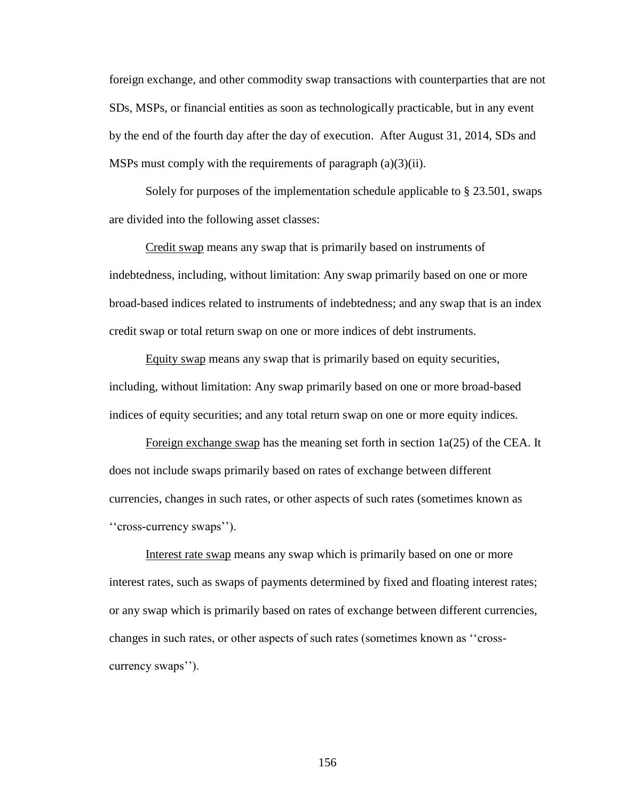foreign exchange, and other commodity swap transactions with counterparties that are not SDs, MSPs, or financial entities as soon as technologically practicable, but in any event by the end of the fourth day after the day of execution. After August 31, 2014, SDs and MSPs must comply with the requirements of paragraph (a)(3)(ii).

Solely for purposes of the implementation schedule applicable to § 23.501, swaps are divided into the following asset classes:

Credit swap means any swap that is primarily based on instruments of indebtedness, including, without limitation: Any swap primarily based on one or more broad-based indices related to instruments of indebtedness; and any swap that is an index credit swap or total return swap on one or more indices of debt instruments.

Equity swap means any swap that is primarily based on equity securities, including, without limitation: Any swap primarily based on one or more broad-based indices of equity securities; and any total return swap on one or more equity indices.

Foreign exchange swap has the meaning set forth in section 1a(25) of the CEA. It does not include swaps primarily based on rates of exchange between different currencies, changes in such rates, or other aspects of such rates (sometimes known as ''cross-currency swaps'').

Interest rate swap means any swap which is primarily based on one or more interest rates, such as swaps of payments determined by fixed and floating interest rates; or any swap which is primarily based on rates of exchange between different currencies, changes in such rates, or other aspects of such rates (sometimes known as ''crosscurrency swaps'').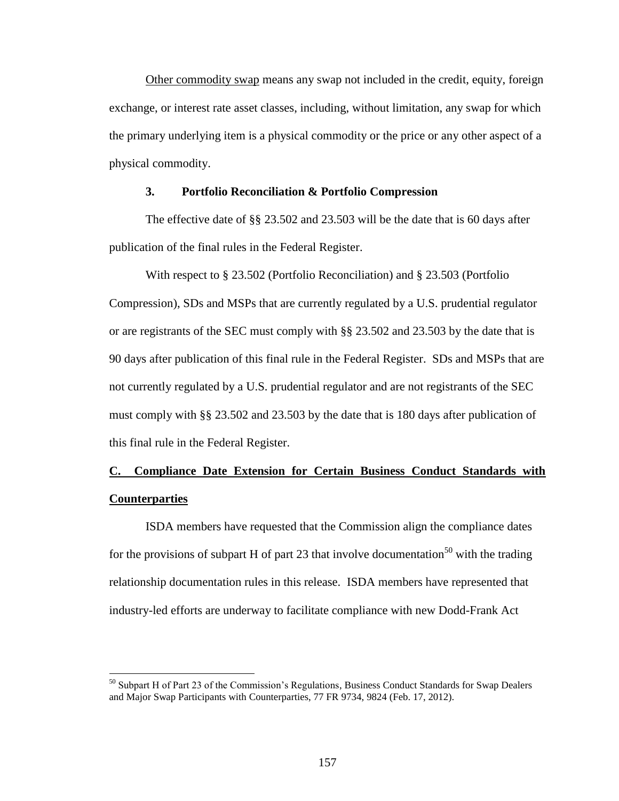Other commodity swap means any swap not included in the credit, equity, foreign exchange, or interest rate asset classes, including, without limitation, any swap for which the primary underlying item is a physical commodity or the price or any other aspect of a physical commodity.

## **3. Portfolio Reconciliation & Portfolio Compression**

The effective date of §§ 23.502 and 23.503 will be the date that is 60 days after publication of the final rules in the Federal Register.

With respect to § 23.502 (Portfolio Reconciliation) and § 23.503 (Portfolio Compression), SDs and MSPs that are currently regulated by a U.S. prudential regulator or are registrants of the SEC must comply with §§ 23.502 and 23.503 by the date that is 90 days after publication of this final rule in the Federal Register. SDs and MSPs that are not currently regulated by a U.S. prudential regulator and are not registrants of the SEC must comply with §§ 23.502 and 23.503 by the date that is 180 days after publication of this final rule in the Federal Register.

# **C. Compliance Date Extension for Certain Business Conduct Standards with Counterparties**

ISDA members have requested that the Commission align the compliance dates for the provisions of subpart H of part 23 that involve documentation<sup>50</sup> with the trading relationship documentation rules in this release. ISDA members have represented that industry-led efforts are underway to facilitate compliance with new Dodd-Frank Act

 $50$  Subpart H of Part 23 of the Commission's Regulations, Business Conduct Standards for Swap Dealers and Major Swap Participants with Counterparties, 77 FR 9734, 9824 (Feb. 17, 2012).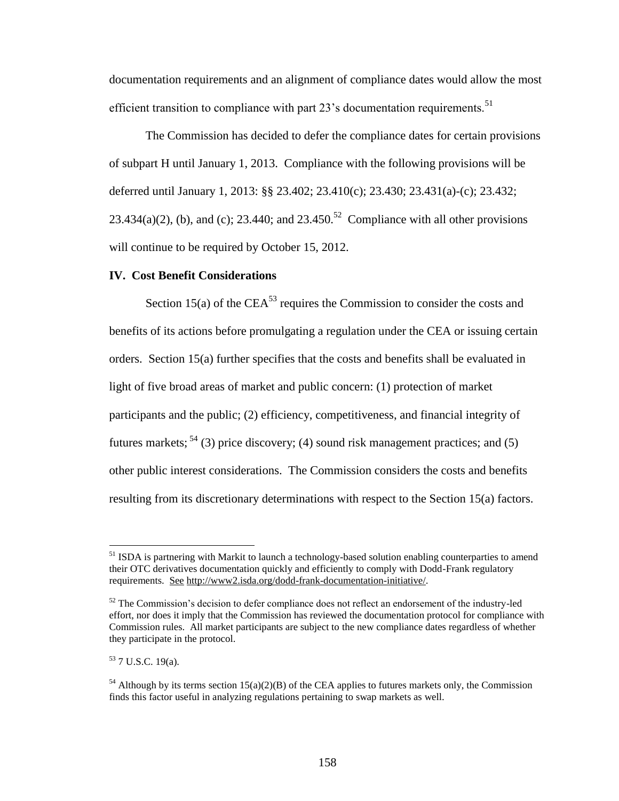documentation requirements and an alignment of compliance dates would allow the most efficient transition to compliance with part  $23$ 's documentation requirements.<sup>51</sup>

The Commission has decided to defer the compliance dates for certain provisions of subpart H until January 1, 2013. Compliance with the following provisions will be deferred until January 1, 2013: §§ 23.402; 23.410(c); 23.430; 23.431(a)-(c); 23.432; 23.434(a)(2), (b), and (c); 23.440; and 23.450.<sup>52</sup> Compliance with all other provisions will continue to be required by October 15, 2012.

## **IV. Cost Benefit Considerations**

Section 15(a) of the CEA<sup>53</sup> requires the Commission to consider the costs and benefits of its actions before promulgating a regulation under the CEA or issuing certain orders. Section 15(a) further specifies that the costs and benefits shall be evaluated in light of five broad areas of market and public concern: (1) protection of market participants and the public; (2) efficiency, competitiveness, and financial integrity of futures markets;  $5^4$  (3) price discovery; (4) sound risk management practices; and (5) other public interest considerations. The Commission considers the costs and benefits resulting from its discretionary determinations with respect to the Section 15(a) factors.

<sup>&</sup>lt;sup>51</sup> ISDA is partnering with Markit to launch a technology-based solution enabling counterparties to amend their OTC derivatives documentation quickly and efficiently to comply with Dodd-Frank regulatory requirements. See http://www2.isda.org/dodd-frank-documentation-initiative/.

 $52$  The Commission's decision to defer compliance does not reflect an endorsement of the industry-led effort, nor does it imply that the Commission has reviewed the documentation protocol for compliance with Commission rules. All market participants are subject to the new compliance dates regardless of whether they participate in the protocol.

<sup>53</sup> 7 U.S.C. 19(a).

 $54$  Although by its terms section 15(a)(2)(B) of the CEA applies to futures markets only, the Commission finds this factor useful in analyzing regulations pertaining to swap markets as well.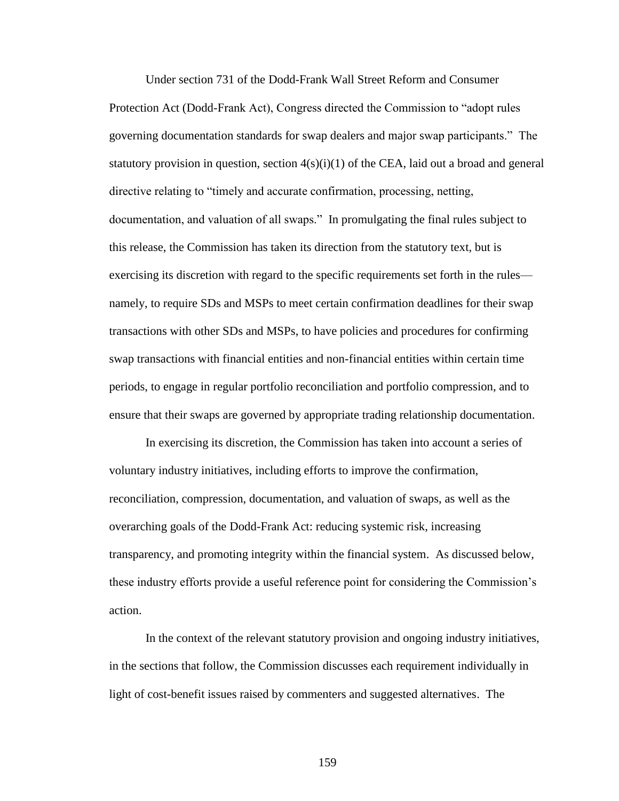Under section 731 of the Dodd-Frank Wall Street Reform and Consumer Protection Act (Dodd-Frank Act), Congress directed the Commission to "adopt rules governing documentation standards for swap dealers and major swap participants." The statutory provision in question, section  $4(s)(i)(1)$  of the CEA, laid out a broad and general directive relating to "timely and accurate confirmation, processing, netting, documentation, and valuation of all swaps." In promulgating the final rules subject to this release, the Commission has taken its direction from the statutory text, but is exercising its discretion with regard to the specific requirements set forth in the rules namely, to require SDs and MSPs to meet certain confirmation deadlines for their swap transactions with other SDs and MSPs, to have policies and procedures for confirming swap transactions with financial entities and non-financial entities within certain time periods, to engage in regular portfolio reconciliation and portfolio compression, and to ensure that their swaps are governed by appropriate trading relationship documentation.

In exercising its discretion, the Commission has taken into account a series of voluntary industry initiatives, including efforts to improve the confirmation, reconciliation, compression, documentation, and valuation of swaps, as well as the overarching goals of the Dodd-Frank Act: reducing systemic risk, increasing transparency, and promoting integrity within the financial system. As discussed below, these industry efforts provide a useful reference point for considering the Commission's action.

In the context of the relevant statutory provision and ongoing industry initiatives, in the sections that follow, the Commission discusses each requirement individually in light of cost-benefit issues raised by commenters and suggested alternatives. The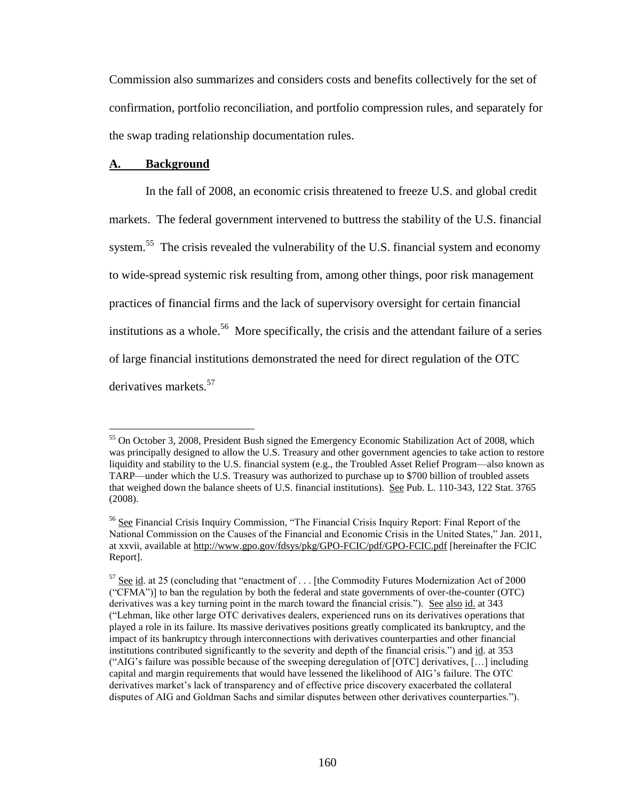Commission also summarizes and considers costs and benefits collectively for the set of confirmation, portfolio reconciliation, and portfolio compression rules, and separately for the swap trading relationship documentation rules.

## **A. Background**

 $\overline{a}$ 

In the fall of 2008, an economic crisis threatened to freeze U.S. and global credit markets. The federal government intervened to buttress the stability of the U.S. financial system.<sup>55</sup> The crisis revealed the vulnerability of the U.S. financial system and economy to wide-spread systemic risk resulting from, among other things, poor risk management practices of financial firms and the lack of supervisory oversight for certain financial institutions as a whole.<sup>56</sup> More specifically, the crisis and the attendant failure of a series of large financial institutions demonstrated the need for direct regulation of the OTC derivatives markets.<sup>57</sup>

<sup>&</sup>lt;sup>55</sup> On October 3, 2008, President Bush signed the Emergency Economic Stabilization Act of 2008, which was principally designed to allow the U.S. Treasury and other government agencies to take action to restore liquidity and stability to the U.S. financial system (e.g., the Troubled Asset Relief Program—also known as TARP—under which the U.S. Treasury was authorized to purchase up to \$700 billion of troubled assets that weighed down the balance sheets of U.S. financial institutions). See Pub. L. 110-343, 122 Stat. 3765 (2008).

<sup>&</sup>lt;sup>56</sup> See Financial Crisis Inquiry Commission, "The Financial Crisis Inquiry Report: Final Report of the National Commission on the Causes of the Financial and Economic Crisis in the United States," Jan. 2011, at xxvii, available at http://www.gpo.gov/fdsys/pkg/GPO-FCIC/pdf/GPO-FCIC.pdf [hereinafter the FCIC Report].

<sup>57</sup> See id. at 25 (concluding that "enactment of . . . [the Commodity Futures Modernization Act of 2000 ("CFMA")] to ban the regulation by both the federal and state governments of over-the-counter (OTC) derivatives was a key turning point in the march toward the financial crisis."). See also id. at 343 ("Lehman, like other large OTC derivatives dealers, experienced runs on its derivatives operations that played a role in its failure. Its massive derivatives positions greatly complicated its bankruptcy, and the impact of its bankruptcy through interconnections with derivatives counterparties and other financial institutions contributed significantly to the severity and depth of the financial crisis.") and id. at 353 ("AIG's failure was possible because of the sweeping deregulation of [OTC] derivatives, […] including capital and margin requirements that would have lessened the likelihood of AIG's failure. The OTC derivatives market's lack of transparency and of effective price discovery exacerbated the collateral disputes of AIG and Goldman Sachs and similar disputes between other derivatives counterparties.").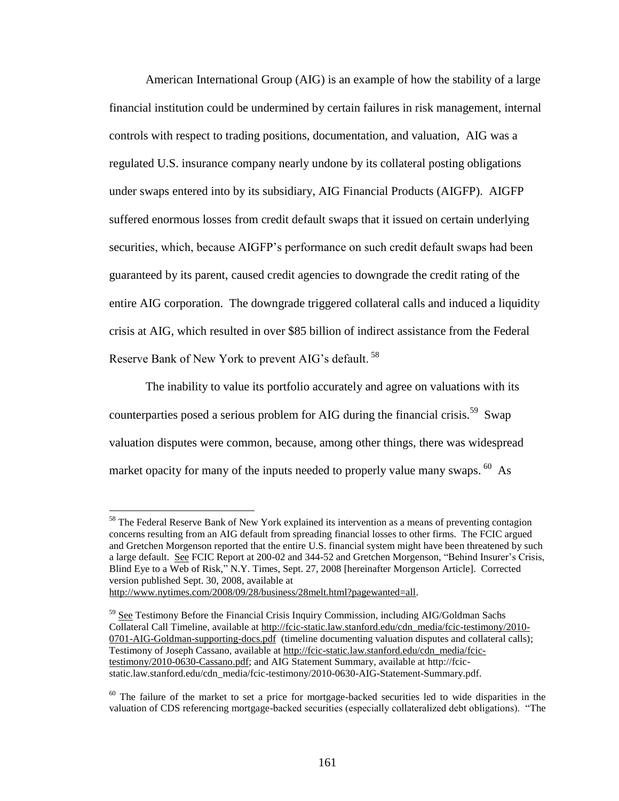American International Group (AIG) is an example of how the stability of a large financial institution could be undermined by certain failures in risk management, internal controls with respect to trading positions, documentation, and valuation, AIG was a regulated U.S. insurance company nearly undone by its collateral posting obligations under swaps entered into by its subsidiary, AIG Financial Products (AIGFP). AIGFP suffered enormous losses from credit default swaps that it issued on certain underlying securities, which, because AIGFP's performance on such credit default swaps had been guaranteed by its parent, caused credit agencies to downgrade the credit rating of the entire AIG corporation. The downgrade triggered collateral calls and induced a liquidity crisis at AIG, which resulted in over \$85 billion of indirect assistance from the Federal Reserve Bank of New York to prevent AIG's default.<sup>58</sup>

The inability to value its portfolio accurately and agree on valuations with its counterparties posed a serious problem for AIG during the financial crisis.<sup>59</sup> Swap valuation disputes were common, because, among other things, there was widespread market opacity for many of the inputs needed to properly value many swaps.  $^{60}$  As

 $<sup>58</sup>$  The Federal Reserve Bank of New York explained its intervention as a means of preventing contagion</sup> concerns resulting from an AIG default from spreading financial losses to other firms. The FCIC argued and Gretchen Morgenson reported that the entire U.S. financial system might have been threatened by such a large default. See FCIC Report at 200-02 and 344-52 and Gretchen Morgenson, "Behind Insurer's Crisis, Blind Eye to a Web of Risk," N.Y. Times, Sept. 27, 2008 [hereinafter Morgenson Article]. Corrected version published Sept. 30, 2008, available at

http://www.nytimes.com/2008/09/28/business/28melt.html?pagewanted=all.

<sup>&</sup>lt;sup>59</sup> See Testimony Before the Financial Crisis Inquiry Commission, including AIG/Goldman Sachs Collateral Call Timeline, available at http://fcic-static.law.stanford.edu/cdn\_media/fcic-testimony/2010- 0701-AIG-Goldman-supporting-docs.pdf (timeline documenting valuation disputes and collateral calls); Testimony of Joseph Cassano, available at http://fcic-static.law.stanford.edu/cdn\_media/fcictestimony/2010-0630-Cassano.pdf; and AIG Statement Summary, available at http://fcicstatic.law.stanford.edu/cdn\_media/fcic-testimony/2010-0630-AIG-Statement-Summary.pdf.

 $60$  The failure of the market to set a price for mortgage-backed securities led to wide disparities in the valuation of CDS referencing mortgage-backed securities (especially collateralized debt obligations). "The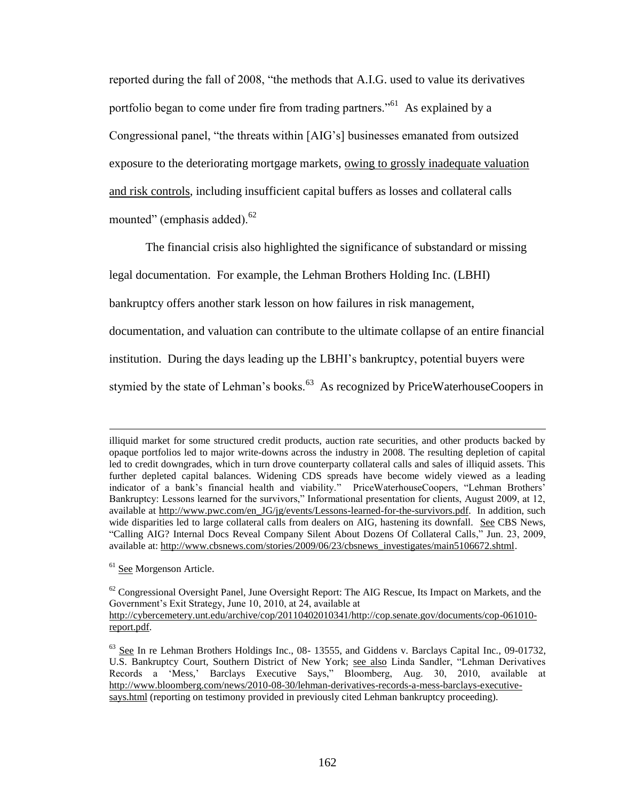reported during the fall of 2008, "the methods that A.I.G. used to value its derivatives portfolio began to come under fire from trading partners."<sup>61</sup> As explained by a Congressional panel, "the threats within [AIG's] businesses emanated from outsized exposure to the deteriorating mortgage markets, owing to grossly inadequate valuation and risk controls, including insufficient capital buffers as losses and collateral calls mounted" (emphasis added). $62$ 

The financial crisis also highlighted the significance of substandard or missing legal documentation. For example, the Lehman Brothers Holding Inc. (LBHI) bankruptcy offers another stark lesson on how failures in risk management, documentation, and valuation can contribute to the ultimate collapse of an entire financial institution. During the days leading up the LBHI's bankruptcy, potential buyers were stymied by the state of Lehman's books.<sup>63</sup> As recognized by PriceWaterhouseCoopers in

<sup>61</sup> See Morgenson Article.

illiquid market for some structured credit products, auction rate securities, and other products backed by opaque portfolios led to major write-downs across the industry in 2008. The resulting depletion of capital led to credit downgrades, which in turn drove counterparty collateral calls and sales of illiquid assets. This further depleted capital balances. Widening CDS spreads have become widely viewed as a leading indicator of a bank's financial health and viability." PriceWaterhouseCoopers, "Lehman Brothers' Bankruptcy: Lessons learned for the survivors," Informational presentation for clients, August 2009, at 12, available at http://www.pwc.com/en\_JG/jg/events/Lessons-learned-for-the-survivors.pdf. In addition, such wide disparities led to large collateral calls from dealers on AIG, hastening its downfall. See CBS News, "Calling AIG? Internal Docs Reveal Company Silent About Dozens Of Collateral Calls," Jun. 23, 2009, available at: http://www.cbsnews.com/stories/2009/06/23/cbsnews\_investigates/main5106672.shtml.

 $62$  Congressional Oversight Panel, June Oversight Report: The AIG Rescue, Its Impact on Markets, and the Government's Exit Strategy, June 10, 2010, at 24, available at http://cybercemetery.unt.edu/archive/cop/20110402010341/http://cop.senate.gov/documents/cop-061010 report.pdf.

<sup>&</sup>lt;sup>63</sup> See In re Lehman Brothers Holdings Inc., 08- 13555, and Giddens v. Barclays Capital Inc., 09-01732, U.S. Bankruptcy Court, Southern District of New York; see also Linda Sandler, "Lehman Derivatives Records a 'Mess,' Barclays Executive Says," Bloomberg, Aug. 30, 2010, available at http://www.bloomberg.com/news/2010-08-30/lehman-derivatives-records-a-mess-barclays-executivesays.html (reporting on testimony provided in previously cited Lehman bankruptcy proceeding).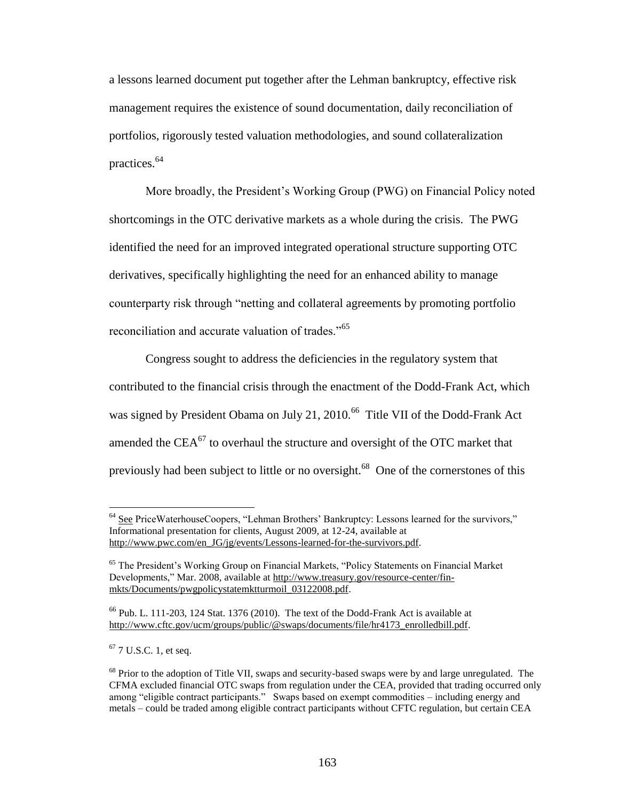a lessons learned document put together after the Lehman bankruptcy, effective risk management requires the existence of sound documentation, daily reconciliation of portfolios, rigorously tested valuation methodologies, and sound collateralization practices.<sup>64</sup>

More broadly, the President's Working Group (PWG) on Financial Policy noted shortcomings in the OTC derivative markets as a whole during the crisis. The PWG identified the need for an improved integrated operational structure supporting OTC derivatives, specifically highlighting the need for an enhanced ability to manage counterparty risk through "netting and collateral agreements by promoting portfolio reconciliation and accurate valuation of trades."<sup>65</sup>

Congress sought to address the deficiencies in the regulatory system that contributed to the financial crisis through the enactment of the Dodd-Frank Act, which was signed by President Obama on July 21, 2010.<sup>66</sup> Title VII of the Dodd-Frank Act amended the  $CEA<sup>67</sup>$  to overhaul the structure and oversight of the OTC market that previously had been subject to little or no oversight.<sup>68</sup> One of the cornerstones of this

 $64$  See PriceWaterhouseCoopers, "Lehman Brothers' Bankruptcy: Lessons learned for the survivors," Informational presentation for clients, August 2009, at 12-24, available at http://www.pwc.com/en\_JG/jg/events/Lessons-learned-for-the-survivors.pdf.

<sup>&</sup>lt;sup>65</sup> The President's Working Group on Financial Markets, "Policy Statements on Financial Market Developments," Mar. 2008, available at http://www.treasury.gov/resource-center/finmkts/Documents/pwgpolicystatemktturmoil\_03122008.pdf.

 $66$  Pub. L. 111-203, 124 Stat. 1376 (2010). The text of the Dodd-Frank Act is available at http://www.cftc.gov/ucm/groups/public/@swaps/documents/file/hr4173\_enrolledbill.pdf.

 $67$  7 U.S.C. 1, et seq.

<sup>&</sup>lt;sup>68</sup> Prior to the adoption of Title VII, swaps and security-based swaps were by and large unregulated. The CFMA excluded financial OTC swaps from regulation under the CEA, provided that trading occurred only among "eligible contract participants." Swaps based on exempt commodities – including energy and metals – could be traded among eligible contract participants without CFTC regulation, but certain CEA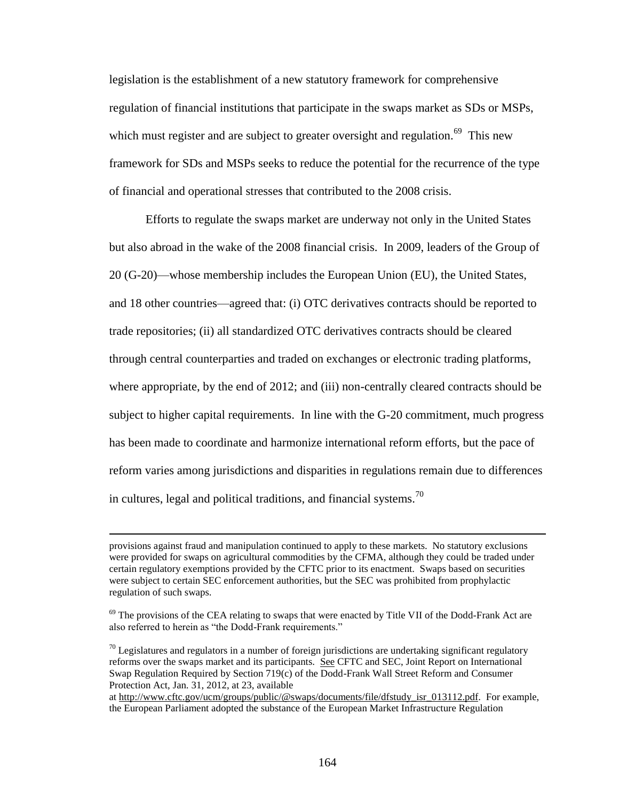legislation is the establishment of a new statutory framework for comprehensive regulation of financial institutions that participate in the swaps market as SDs or MSPs, which must register and are subject to greater oversight and regulation.<sup>69</sup> This new framework for SDs and MSPs seeks to reduce the potential for the recurrence of the type of financial and operational stresses that contributed to the 2008 crisis.

Efforts to regulate the swaps market are underway not only in the United States but also abroad in the wake of the 2008 financial crisis. In 2009, leaders of the Group of 20 (G-20)—whose membership includes the European Union (EU), the United States, and 18 other countries—agreed that: (i) OTC derivatives contracts should be reported to trade repositories; (ii) all standardized OTC derivatives contracts should be cleared through central counterparties and traded on exchanges or electronic trading platforms, where appropriate, by the end of 2012; and (iii) non-centrally cleared contracts should be subject to higher capital requirements. In line with the G-20 commitment, much progress has been made to coordinate and harmonize international reform efforts, but the pace of reform varies among jurisdictions and disparities in regulations remain due to differences in cultures, legal and political traditions, and financial systems.<sup>70</sup>

provisions against fraud and manipulation continued to apply to these markets. No statutory exclusions were provided for swaps on agricultural commodities by the CFMA, although they could be traded under certain regulatory exemptions provided by the CFTC prior to its enactment. Swaps based on securities were subject to certain SEC enforcement authorities, but the SEC was prohibited from prophylactic regulation of such swaps.

<sup>&</sup>lt;sup>69</sup> The provisions of the CEA relating to swaps that were enacted by Title VII of the Dodd-Frank Act are also referred to herein as "the Dodd-Frank requirements."

 $70$  Legislatures and regulators in a number of foreign jurisdictions are undertaking significant regulatory reforms over the swaps market and its participants. See CFTC and SEC, Joint Report on International Swap Regulation Required by Section 719(c) of the Dodd-Frank Wall Street Reform and Consumer Protection Act, Jan. 31, 2012, at 23, available

at http://www.cftc.gov/ucm/groups/public/@swaps/documents/file/dfstudy\_isr\_013112.pdf. For example, the European Parliament adopted the substance of the European Market Infrastructure Regulation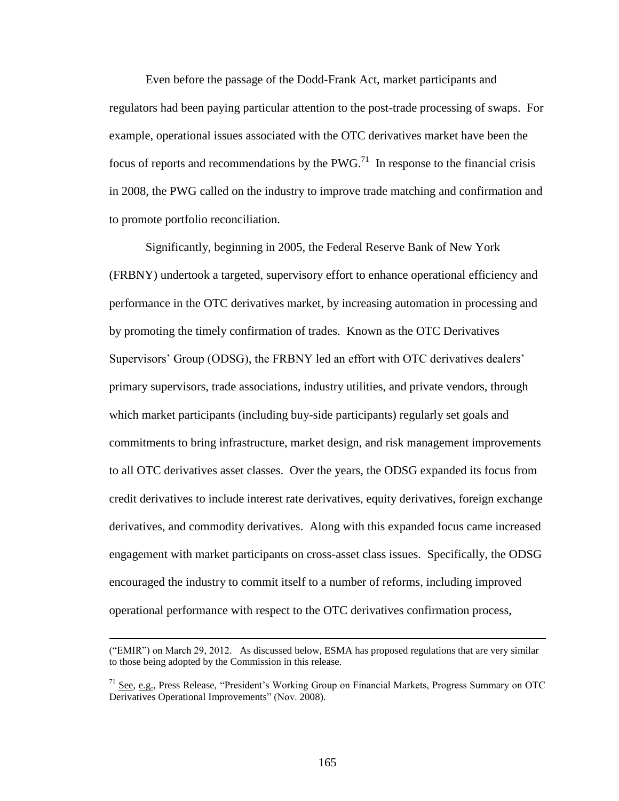Even before the passage of the Dodd-Frank Act, market participants and regulators had been paying particular attention to the post-trade processing of swaps. For example, operational issues associated with the OTC derivatives market have been the focus of reports and recommendations by the PWG.<sup>71</sup> In response to the financial crisis in 2008, the PWG called on the industry to improve trade matching and confirmation and to promote portfolio reconciliation.

Significantly, beginning in 2005, the Federal Reserve Bank of New York (FRBNY) undertook a targeted, supervisory effort to enhance operational efficiency and performance in the OTC derivatives market, by increasing automation in processing and by promoting the timely confirmation of trades. Known as the OTC Derivatives Supervisors' Group (ODSG), the FRBNY led an effort with OTC derivatives dealers' primary supervisors, trade associations, industry utilities, and private vendors, through which market participants (including buy-side participants) regularly set goals and commitments to bring infrastructure, market design, and risk management improvements to all OTC derivatives asset classes. Over the years, the ODSG expanded its focus from credit derivatives to include interest rate derivatives, equity derivatives, foreign exchange derivatives, and commodity derivatives. Along with this expanded focus came increased engagement with market participants on cross-asset class issues. Specifically, the ODSG encouraged the industry to commit itself to a number of reforms, including improved operational performance with respect to the OTC derivatives confirmation process,

<sup>(&</sup>quot;EMIR") on March 29, 2012. As discussed below, ESMA has proposed regulations that are very similar to those being adopted by the Commission in this release.

 $71$  See, e.g., Press Release, "President's Working Group on Financial Markets, Progress Summary on OTC Derivatives Operational Improvements" (Nov. 2008).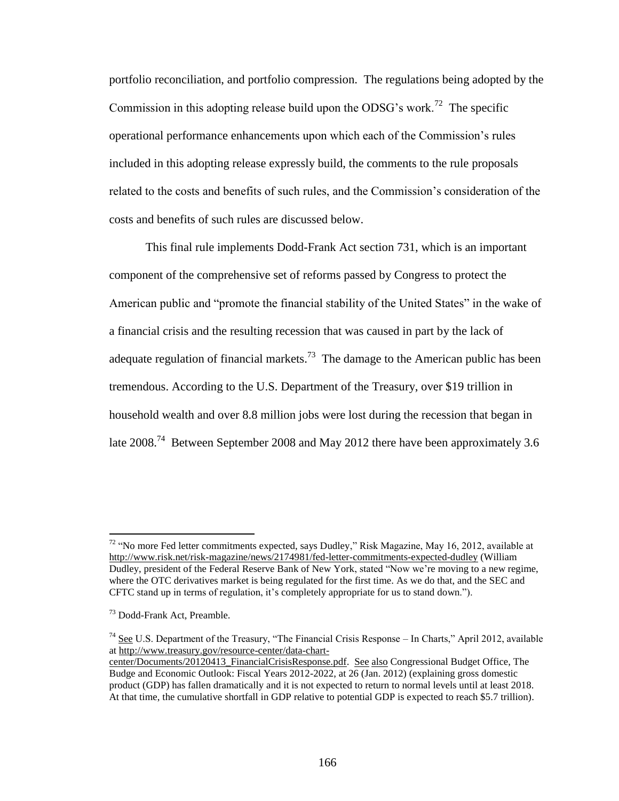portfolio reconciliation, and portfolio compression. The regulations being adopted by the Commission in this adopting release build upon the ODSG's work.<sup>72</sup> The specific operational performance enhancements upon which each of the Commission's rules included in this adopting release expressly build, the comments to the rule proposals related to the costs and benefits of such rules, and the Commission's consideration of the costs and benefits of such rules are discussed below.

This final rule implements Dodd-Frank Act section 731, which is an important component of the comprehensive set of reforms passed by Congress to protect the American public and "promote the financial stability of the United States" in the wake of a financial crisis and the resulting recession that was caused in part by the lack of adequate regulation of financial markets.<sup>73</sup> The damage to the American public has been tremendous. According to the U.S. Department of the Treasury, over \$19 trillion in household wealth and over 8.8 million jobs were lost during the recession that began in late  $2008.^{74}$  Between September 2008 and May 2012 there have been approximately 3.6

<sup>&</sup>lt;sup>72</sup> "No more Fed letter commitments expected, says Dudley," Risk Magazine, May 16, 2012, available at http://www.risk.net/risk-magazine/news/2174981/fed-letter-commitments-expected-dudley (William Dudley, president of the Federal Reserve Bank of New York, stated "Now we're moving to a new regime, where the OTC derivatives market is being regulated for the first time. As we do that, and the SEC and CFTC stand up in terms of regulation, it's completely appropriate for us to stand down.").

<sup>&</sup>lt;sup>73</sup> Dodd-Frank Act, Preamble.

<sup>&</sup>lt;sup>74</sup> See U.S. Department of the Treasury, "The Financial Crisis Response – In Charts," April 2012, available at http://www.treasury.gov/resource-center/data-chart-

center/Documents/20120413\_FinancialCrisisResponse.pdf. See also Congressional Budget Office, The Budge and Economic Outlook: Fiscal Years 2012-2022, at 26 (Jan. 2012) (explaining gross domestic product (GDP) has fallen dramatically and it is not expected to return to normal levels until at least 2018. At that time, the cumulative shortfall in GDP relative to potential GDP is expected to reach \$5.7 trillion).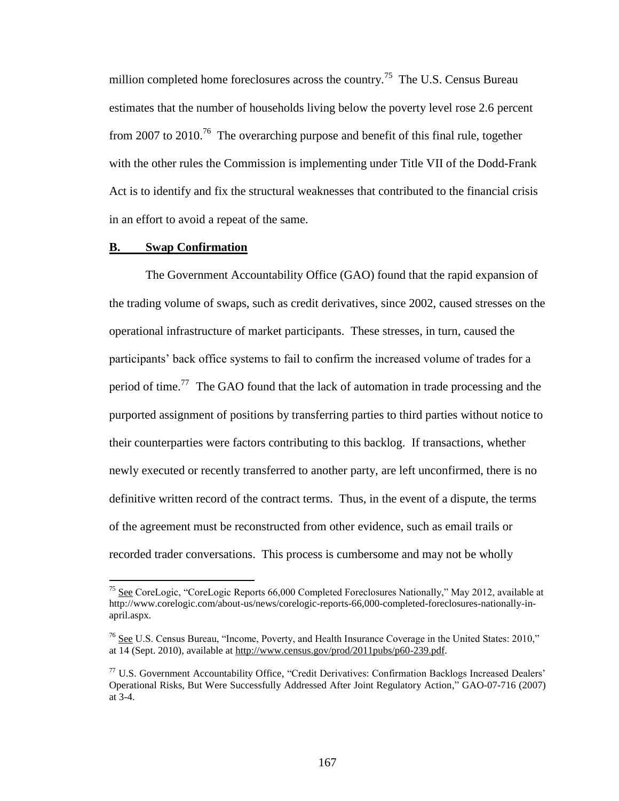million completed home foreclosures across the country.<sup>75</sup> The U.S. Census Bureau estimates that the number of households living below the poverty level rose 2.6 percent from 2007 to 2010.<sup>76</sup> The overarching purpose and benefit of this final rule, together with the other rules the Commission is implementing under Title VII of the Dodd-Frank Act is to identify and fix the structural weaknesses that contributed to the financial crisis in an effort to avoid a repeat of the same.

## **B. Swap Confirmation**

 $\overline{a}$ 

The Government Accountability Office (GAO) found that the rapid expansion of the trading volume of swaps, such as credit derivatives, since 2002, caused stresses on the operational infrastructure of market participants. These stresses, in turn, caused the participants' back office systems to fail to confirm the increased volume of trades for a period of time.<sup>77</sup> The GAO found that the lack of automation in trade processing and the purported assignment of positions by transferring parties to third parties without notice to their counterparties were factors contributing to this backlog. If transactions, whether newly executed or recently transferred to another party, are left unconfirmed, there is no definitive written record of the contract terms. Thus, in the event of a dispute, the terms of the agreement must be reconstructed from other evidence, such as email trails or recorded trader conversations. This process is cumbersome and may not be wholly

<sup>&</sup>lt;sup>75</sup> See CoreLogic, "CoreLogic Reports  $66,000$  Completed Foreclosures Nationally," May 2012, available at http://www.corelogic.com/about-us/news/corelogic-reports-66,000-completed-foreclosures-nationally-inapril.aspx.

<sup>76</sup> See U.S. Census Bureau, "Income, Poverty, and Health Insurance Coverage in the United States: 2010," at 14 (Sept. 2010), available at http://www.census.gov/prod/2011pubs/p60-239.pdf.

<sup>77</sup> U.S. Government Accountability Office, "Credit Derivatives: Confirmation Backlogs Increased Dealers' Operational Risks, But Were Successfully Addressed After Joint Regulatory Action," GAO-07-716 (2007) at 3-4.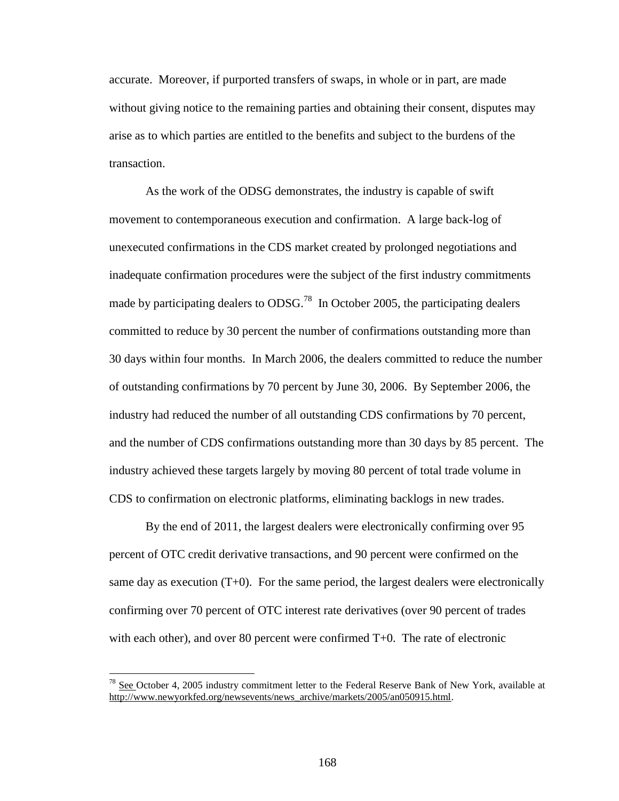accurate. Moreover, if purported transfers of swaps, in whole or in part, are made without giving notice to the remaining parties and obtaining their consent, disputes may arise as to which parties are entitled to the benefits and subject to the burdens of the transaction.

As the work of the ODSG demonstrates, the industry is capable of swift movement to contemporaneous execution and confirmation. A large back-log of unexecuted confirmations in the CDS market created by prolonged negotiations and inadequate confirmation procedures were the subject of the first industry commitments made by participating dealers to  $ODSG.<sup>78</sup>$  In October 2005, the participating dealers committed to reduce by 30 percent the number of confirmations outstanding more than 30 days within four months. In March 2006, the dealers committed to reduce the number of outstanding confirmations by 70 percent by June 30, 2006. By September 2006, the industry had reduced the number of all outstanding CDS confirmations by 70 percent, and the number of CDS confirmations outstanding more than 30 days by 85 percent. The industry achieved these targets largely by moving 80 percent of total trade volume in CDS to confirmation on electronic platforms, eliminating backlogs in new trades.

By the end of 2011, the largest dealers were electronically confirming over 95 percent of OTC credit derivative transactions, and 90 percent were confirmed on the same day as execution  $(T+0)$ . For the same period, the largest dealers were electronically confirming over 70 percent of OTC interest rate derivatives (over 90 percent of trades with each other), and over 80 percent were confirmed T+0. The rate of electronic

 $^{78}$  See October 4, 2005 industry commitment letter to the Federal Reserve Bank of New York, available at http://www.newyorkfed.org/newsevents/news\_archive/markets/2005/an050915.html.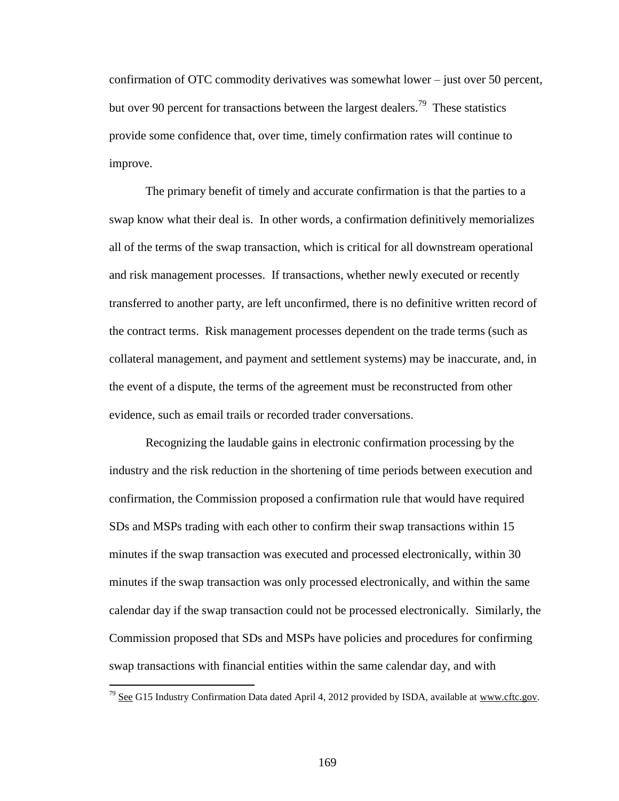confirmation of OTC commodity derivatives was somewhat lower – just over 50 percent, but over 90 percent for transactions between the largest dealers.<sup>79</sup> These statistics provide some confidence that, over time, timely confirmation rates will continue to improve.

The primary benefit of timely and accurate confirmation is that the parties to a swap know what their deal is. In other words, a confirmation definitively memorializes all of the terms of the swap transaction, which is critical for all downstream operational and risk management processes. If transactions, whether newly executed or recently transferred to another party, are left unconfirmed, there is no definitive written record of the contract terms. Risk management processes dependent on the trade terms (such as collateral management, and payment and settlement systems) may be inaccurate, and, in the event of a dispute, the terms of the agreement must be reconstructed from other evidence, such as email trails or recorded trader conversations.

Recognizing the laudable gains in electronic confirmation processing by the industry and the risk reduction in the shortening of time periods between execution and confirmation, the Commission proposed a confirmation rule that would have required SDs and MSPs trading with each other to confirm their swap transactions within 15 minutes if the swap transaction was executed and processed electronically, within 30 minutes if the swap transaction was only processed electronically, and within the same calendar day if the swap transaction could not be processed electronically. Similarly, the Commission proposed that SDs and MSPs have policies and procedures for confirming swap transactions with financial entities within the same calendar day, and with

 $^{79}$  See G15 Industry Confirmation Data dated April 4, 2012 provided by ISDA, available at www.cftc.gov.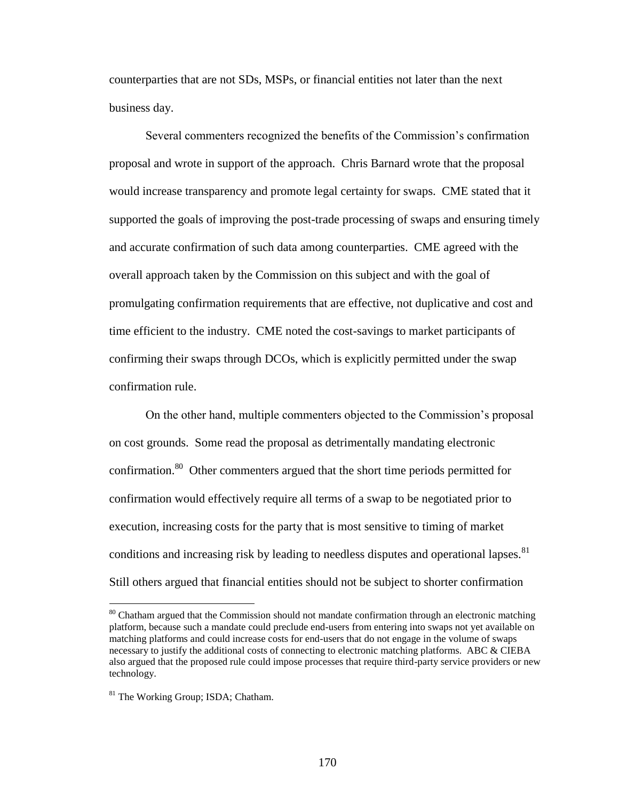counterparties that are not SDs, MSPs, or financial entities not later than the next business day.

Several commenters recognized the benefits of the Commission's confirmation proposal and wrote in support of the approach. Chris Barnard wrote that the proposal would increase transparency and promote legal certainty for swaps. CME stated that it supported the goals of improving the post-trade processing of swaps and ensuring timely and accurate confirmation of such data among counterparties. CME agreed with the overall approach taken by the Commission on this subject and with the goal of promulgating confirmation requirements that are effective, not duplicative and cost and time efficient to the industry. CME noted the cost-savings to market participants of confirming their swaps through DCOs, which is explicitly permitted under the swap confirmation rule.

On the other hand, multiple commenters objected to the Commission's proposal on cost grounds. Some read the proposal as detrimentally mandating electronic confirmation.<sup>80</sup> Other commenters argued that the short time periods permitted for confirmation would effectively require all terms of a swap to be negotiated prior to execution, increasing costs for the party that is most sensitive to timing of market conditions and increasing risk by leading to needless disputes and operational lapses. $81$ Still others argued that financial entities should not be subject to shorter confirmation

 $80$  Chatham argued that the Commission should not mandate confirmation through an electronic matching platform, because such a mandate could preclude end-users from entering into swaps not yet available on matching platforms and could increase costs for end-users that do not engage in the volume of swaps necessary to justify the additional costs of connecting to electronic matching platforms. ABC & CIEBA also argued that the proposed rule could impose processes that require third-party service providers or new technology.

<sup>&</sup>lt;sup>81</sup> The Working Group; ISDA; Chatham.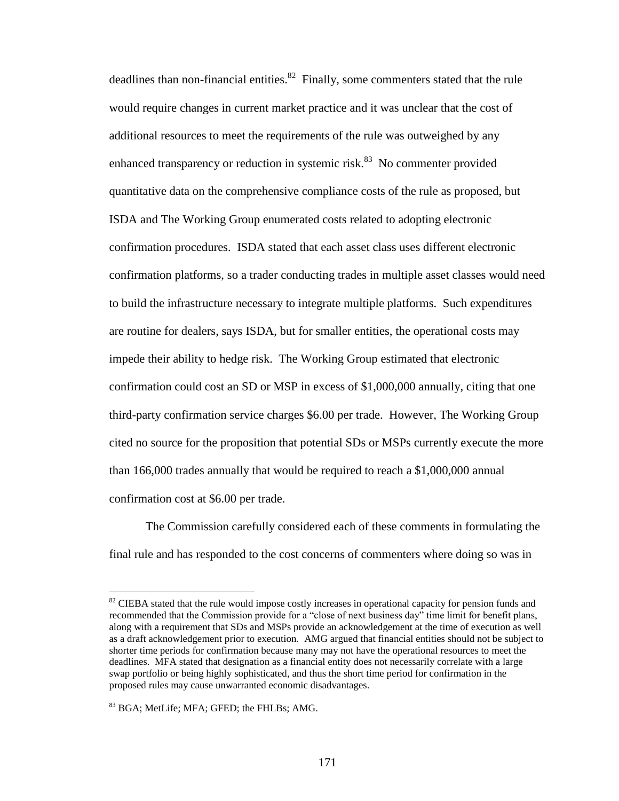deadlines than non-financial entities. $82$  Finally, some commenters stated that the rule would require changes in current market practice and it was unclear that the cost of additional resources to meet the requirements of the rule was outweighed by any enhanced transparency or reduction in systemic risk. $83$  No commenter provided quantitative data on the comprehensive compliance costs of the rule as proposed, but ISDA and The Working Group enumerated costs related to adopting electronic confirmation procedures. ISDA stated that each asset class uses different electronic confirmation platforms, so a trader conducting trades in multiple asset classes would need to build the infrastructure necessary to integrate multiple platforms. Such expenditures are routine for dealers, says ISDA, but for smaller entities, the operational costs may impede their ability to hedge risk. The Working Group estimated that electronic confirmation could cost an SD or MSP in excess of \$1,000,000 annually, citing that one third-party confirmation service charges \$6.00 per trade. However, The Working Group cited no source for the proposition that potential SDs or MSPs currently execute the more than 166,000 trades annually that would be required to reach a \$1,000,000 annual confirmation cost at \$6.00 per trade.

The Commission carefully considered each of these comments in formulating the final rule and has responded to the cost concerns of commenters where doing so was in

<sup>&</sup>lt;sup>82</sup> CIEBA stated that the rule would impose costly increases in operational capacity for pension funds and recommended that the Commission provide for a "close of next business day" time limit for benefit plans, along with a requirement that SDs and MSPs provide an acknowledgement at the time of execution as well as a draft acknowledgement prior to execution. AMG argued that financial entities should not be subject to shorter time periods for confirmation because many may not have the operational resources to meet the deadlines. MFA stated that designation as a financial entity does not necessarily correlate with a large swap portfolio or being highly sophisticated, and thus the short time period for confirmation in the proposed rules may cause unwarranted economic disadvantages.

<sup>&</sup>lt;sup>83</sup> BGA; MetLife: MFA: GFED; the FHLBs: AMG.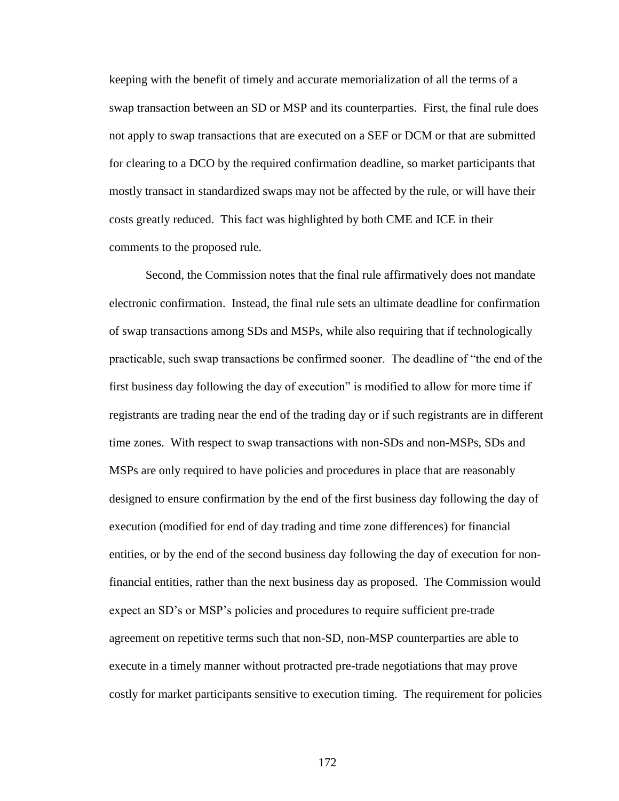keeping with the benefit of timely and accurate memorialization of all the terms of a swap transaction between an SD or MSP and its counterparties. First, the final rule does not apply to swap transactions that are executed on a SEF or DCM or that are submitted for clearing to a DCO by the required confirmation deadline, so market participants that mostly transact in standardized swaps may not be affected by the rule, or will have their costs greatly reduced. This fact was highlighted by both CME and ICE in their comments to the proposed rule.

Second, the Commission notes that the final rule affirmatively does not mandate electronic confirmation. Instead, the final rule sets an ultimate deadline for confirmation of swap transactions among SDs and MSPs, while also requiring that if technologically practicable, such swap transactions be confirmed sooner. The deadline of "the end of the first business day following the day of execution" is modified to allow for more time if registrants are trading near the end of the trading day or if such registrants are in different time zones. With respect to swap transactions with non-SDs and non-MSPs, SDs and MSPs are only required to have policies and procedures in place that are reasonably designed to ensure confirmation by the end of the first business day following the day of execution (modified for end of day trading and time zone differences) for financial entities, or by the end of the second business day following the day of execution for nonfinancial entities, rather than the next business day as proposed. The Commission would expect an SD's or MSP's policies and procedures to require sufficient pre-trade agreement on repetitive terms such that non-SD, non-MSP counterparties are able to execute in a timely manner without protracted pre-trade negotiations that may prove costly for market participants sensitive to execution timing. The requirement for policies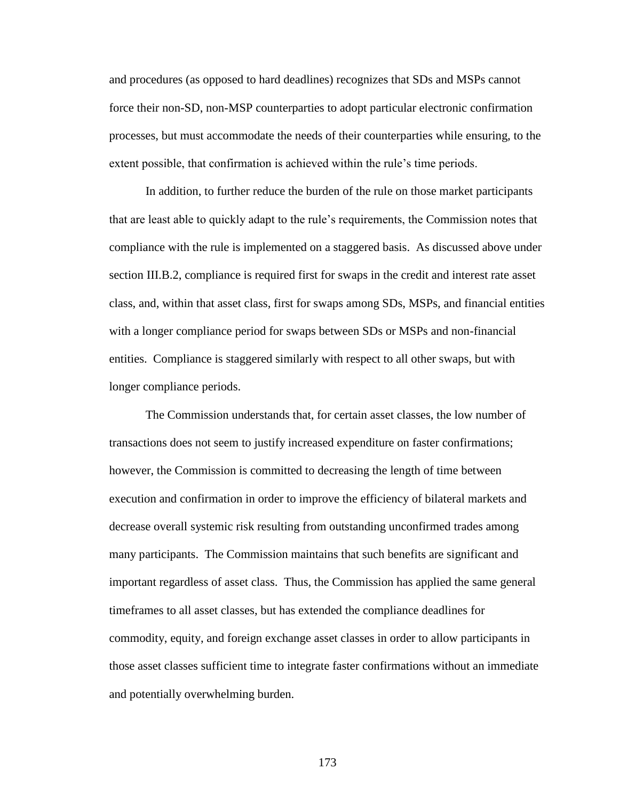and procedures (as opposed to hard deadlines) recognizes that SDs and MSPs cannot force their non-SD, non-MSP counterparties to adopt particular electronic confirmation processes, but must accommodate the needs of their counterparties while ensuring, to the extent possible, that confirmation is achieved within the rule's time periods.

In addition, to further reduce the burden of the rule on those market participants that are least able to quickly adapt to the rule's requirements, the Commission notes that compliance with the rule is implemented on a staggered basis. As discussed above under section III.B.2, compliance is required first for swaps in the credit and interest rate asset class, and, within that asset class, first for swaps among SDs, MSPs, and financial entities with a longer compliance period for swaps between SDs or MSPs and non-financial entities. Compliance is staggered similarly with respect to all other swaps, but with longer compliance periods.

The Commission understands that, for certain asset classes, the low number of transactions does not seem to justify increased expenditure on faster confirmations; however, the Commission is committed to decreasing the length of time between execution and confirmation in order to improve the efficiency of bilateral markets and decrease overall systemic risk resulting from outstanding unconfirmed trades among many participants. The Commission maintains that such benefits are significant and important regardless of asset class. Thus, the Commission has applied the same general timeframes to all asset classes, but has extended the compliance deadlines for commodity, equity, and foreign exchange asset classes in order to allow participants in those asset classes sufficient time to integrate faster confirmations without an immediate and potentially overwhelming burden.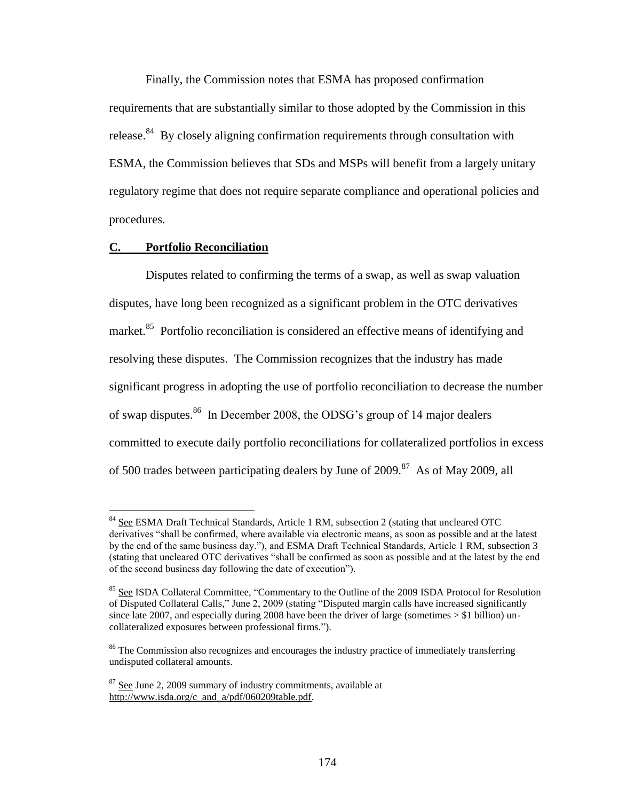Finally, the Commission notes that ESMA has proposed confirmation requirements that are substantially similar to those adopted by the Commission in this release.<sup>84</sup> By closely aligning confirmation requirements through consultation with ESMA, the Commission believes that SDs and MSPs will benefit from a largely unitary regulatory regime that does not require separate compliance and operational policies and procedures.

## **C. Portfolio Reconciliation**

 $\overline{a}$ 

Disputes related to confirming the terms of a swap, as well as swap valuation disputes, have long been recognized as a significant problem in the OTC derivatives market.<sup>85</sup> Portfolio reconciliation is considered an effective means of identifying and resolving these disputes. The Commission recognizes that the industry has made significant progress in adopting the use of portfolio reconciliation to decrease the number of swap disputes.<sup>86</sup> In December 2008, the ODSG's group of 14 major dealers committed to execute daily portfolio reconciliations for collateralized portfolios in excess of 500 trades between participating dealers by June of 2009.<sup>87</sup> As of May 2009, all

<sup>&</sup>lt;sup>84</sup> See ESMA Draft Technical Standards, Article 1 RM, subsection 2 (stating that uncleared OTC derivatives "shall be confirmed, where available via electronic means, as soon as possible and at the latest by the end of the same business day."), and ESMA Draft Technical Standards, Article 1 RM, subsection 3 (stating that uncleared OTC derivatives "shall be confirmed as soon as possible and at the latest by the end of the second business day following the date of execution").

<sup>&</sup>lt;sup>85</sup> See ISDA Collateral Committee, "Commentary to the Outline of the 2009 ISDA Protocol for Resolution of Disputed Collateral Calls," June 2, 2009 (stating "Disputed margin calls have increased significantly since late 2007, and especially during 2008 have been the driver of large (sometimes  $> $1$  billion) uncollateralized exposures between professional firms.").

<sup>&</sup>lt;sup>86</sup> The Commission also recognizes and encourages the industry practice of immediately transferring undisputed collateral amounts.

 $87$  See June 2, 2009 summary of industry commitments, available at http://www.isda.org/c\_and\_a/pdf/060209table.pdf.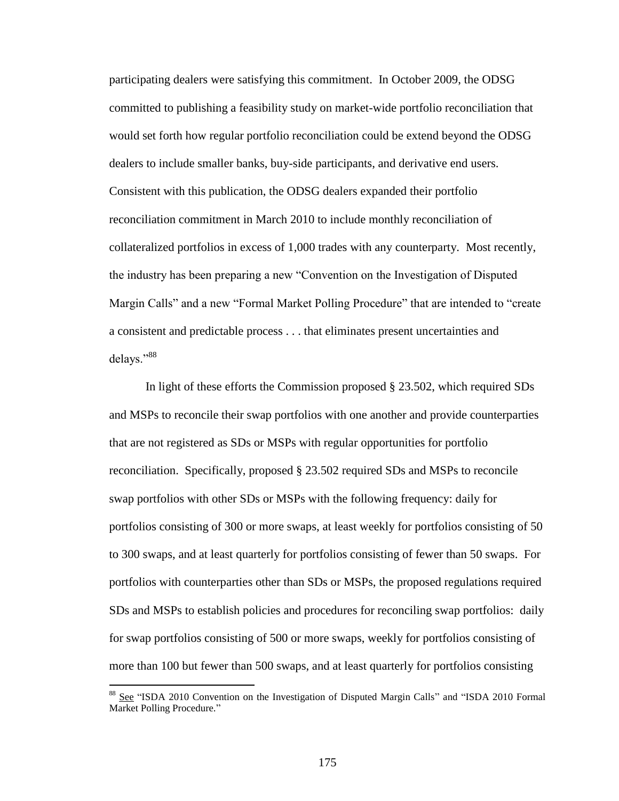participating dealers were satisfying this commitment. In October 2009, the ODSG committed to publishing a feasibility study on market-wide portfolio reconciliation that would set forth how regular portfolio reconciliation could be extend beyond the ODSG dealers to include smaller banks, buy-side participants, and derivative end users. Consistent with this publication, the ODSG dealers expanded their portfolio reconciliation commitment in March 2010 to include monthly reconciliation of collateralized portfolios in excess of 1,000 trades with any counterparty. Most recently, the industry has been preparing a new "Convention on the Investigation of Disputed Margin Calls" and a new "Formal Market Polling Procedure" that are intended to "create a consistent and predictable process . . . that eliminates present uncertainties and delays."<sup>88</sup>

In light of these efforts the Commission proposed § 23.502, which required SDs and MSPs to reconcile their swap portfolios with one another and provide counterparties that are not registered as SDs or MSPs with regular opportunities for portfolio reconciliation. Specifically, proposed § 23.502 required SDs and MSPs to reconcile swap portfolios with other SDs or MSPs with the following frequency: daily for portfolios consisting of 300 or more swaps, at least weekly for portfolios consisting of 50 to 300 swaps, and at least quarterly for portfolios consisting of fewer than 50 swaps. For portfolios with counterparties other than SDs or MSPs, the proposed regulations required SDs and MSPs to establish policies and procedures for reconciling swap portfolios: daily for swap portfolios consisting of 500 or more swaps, weekly for portfolios consisting of more than 100 but fewer than 500 swaps, and at least quarterly for portfolios consisting

<sup>88</sup> See "ISDA 2010 Convention on the Investigation of Disputed Margin Calls" and "ISDA 2010 Formal Market Polling Procedure."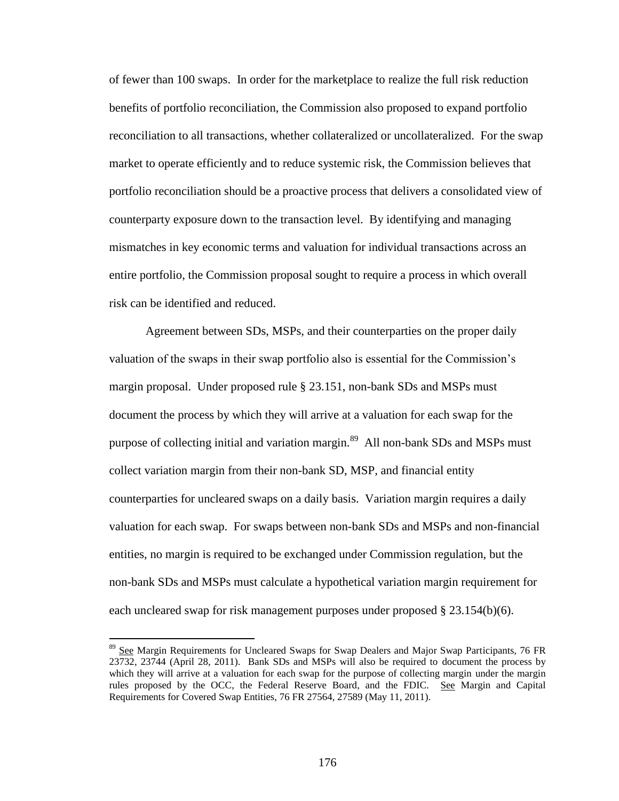of fewer than 100 swaps. In order for the marketplace to realize the full risk reduction benefits of portfolio reconciliation, the Commission also proposed to expand portfolio reconciliation to all transactions, whether collateralized or uncollateralized. For the swap market to operate efficiently and to reduce systemic risk, the Commission believes that portfolio reconciliation should be a proactive process that delivers a consolidated view of counterparty exposure down to the transaction level. By identifying and managing mismatches in key economic terms and valuation for individual transactions across an entire portfolio, the Commission proposal sought to require a process in which overall risk can be identified and reduced.

Agreement between SDs, MSPs, and their counterparties on the proper daily valuation of the swaps in their swap portfolio also is essential for the Commission's margin proposal. Under proposed rule § 23.151, non-bank SDs and MSPs must document the process by which they will arrive at a valuation for each swap for the purpose of collecting initial and variation margin.<sup>89</sup> All non-bank SDs and MSPs must collect variation margin from their non-bank SD, MSP, and financial entity counterparties for uncleared swaps on a daily basis. Variation margin requires a daily valuation for each swap. For swaps between non-bank SDs and MSPs and non-financial entities, no margin is required to be exchanged under Commission regulation, but the non-bank SDs and MSPs must calculate a hypothetical variation margin requirement for each uncleared swap for risk management purposes under proposed  $\S 23.154(b)(6)$ .

<sup>&</sup>lt;sup>89</sup> See Margin Requirements for Uncleared Swaps for Swap Dealers and Major Swap Participants, 76 FR 23732, 23744 (April 28, 2011). Bank SDs and MSPs will also be required to document the process by which they will arrive at a valuation for each swap for the purpose of collecting margin under the margin rules proposed by the OCC, the Federal Reserve Board, and the FDIC. See Margin and Capital Requirements for Covered Swap Entities, 76 FR 27564, 27589 (May 11, 2011).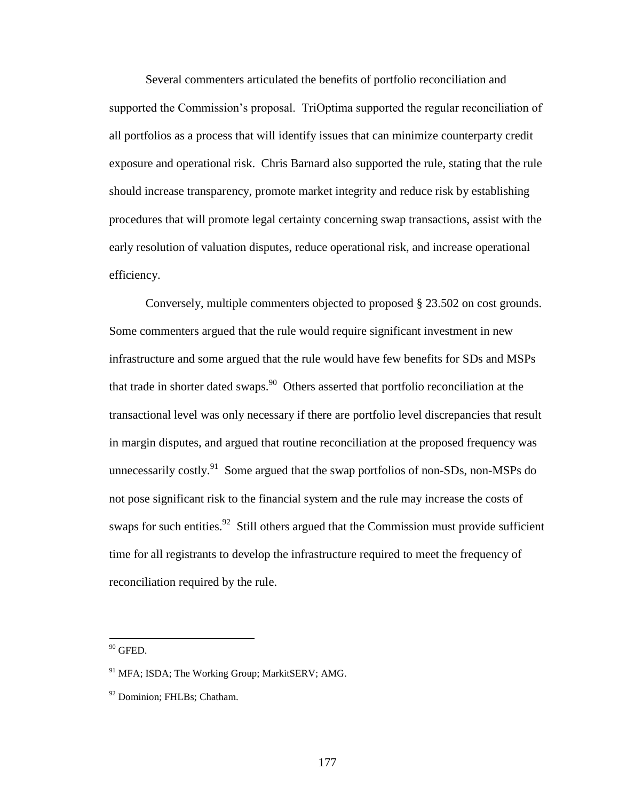Several commenters articulated the benefits of portfolio reconciliation and supported the Commission's proposal. TriOptima supported the regular reconciliation of all portfolios as a process that will identify issues that can minimize counterparty credit exposure and operational risk. Chris Barnard also supported the rule, stating that the rule should increase transparency, promote market integrity and reduce risk by establishing procedures that will promote legal certainty concerning swap transactions, assist with the early resolution of valuation disputes, reduce operational risk, and increase operational efficiency.

Conversely, multiple commenters objected to proposed § 23.502 on cost grounds. Some commenters argued that the rule would require significant investment in new infrastructure and some argued that the rule would have few benefits for SDs and MSPs that trade in shorter dated swaps.<sup>90</sup> Others asserted that portfolio reconciliation at the transactional level was only necessary if there are portfolio level discrepancies that result in margin disputes, and argued that routine reconciliation at the proposed frequency was unnecessarily costly.<sup>91</sup> Some argued that the swap portfolios of non-SDs, non-MSPs do not pose significant risk to the financial system and the rule may increase the costs of swaps for such entities.  $92$  Still others argued that the Commission must provide sufficient time for all registrants to develop the infrastructure required to meet the frequency of reconciliation required by the rule.

 $90$  GFED.

<sup>&</sup>lt;sup>91</sup> MFA; ISDA; The Working Group; MarkitSERV; AMG.

<sup>&</sup>lt;sup>92</sup> Dominion: FHLBs: Chatham.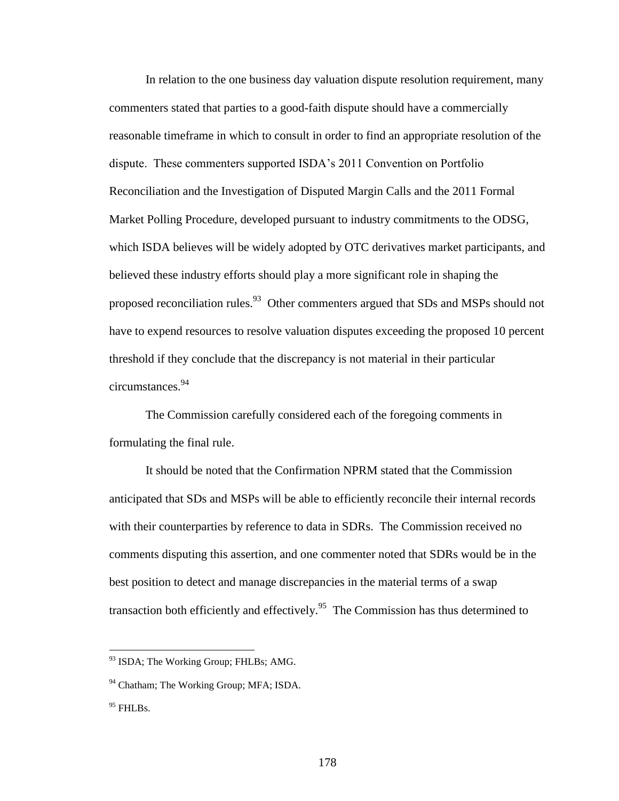In relation to the one business day valuation dispute resolution requirement, many commenters stated that parties to a good-faith dispute should have a commercially reasonable timeframe in which to consult in order to find an appropriate resolution of the dispute. These commenters supported ISDA's 2011 Convention on Portfolio Reconciliation and the Investigation of Disputed Margin Calls and the 2011 Formal Market Polling Procedure, developed pursuant to industry commitments to the ODSG, which ISDA believes will be widely adopted by OTC derivatives market participants, and believed these industry efforts should play a more significant role in shaping the proposed reconciliation rules.<sup>93</sup> Other commenters argued that SDs and MSPs should not have to expend resources to resolve valuation disputes exceeding the proposed 10 percent threshold if they conclude that the discrepancy is not material in their particular circumstances.<sup>94</sup>

The Commission carefully considered each of the foregoing comments in formulating the final rule.

It should be noted that the Confirmation NPRM stated that the Commission anticipated that SDs and MSPs will be able to efficiently reconcile their internal records with their counterparties by reference to data in SDRs. The Commission received no comments disputing this assertion, and one commenter noted that SDRs would be in the best position to detect and manage discrepancies in the material terms of a swap transaction both efficiently and effectively.<sup>95</sup> The Commission has thus determined to

<sup>&</sup>lt;sup>93</sup> ISDA; The Working Group; FHLBs; AMG.

<sup>&</sup>lt;sup>94</sup> Chatham; The Working Group; MFA; ISDA.

 $95$  FHLBs.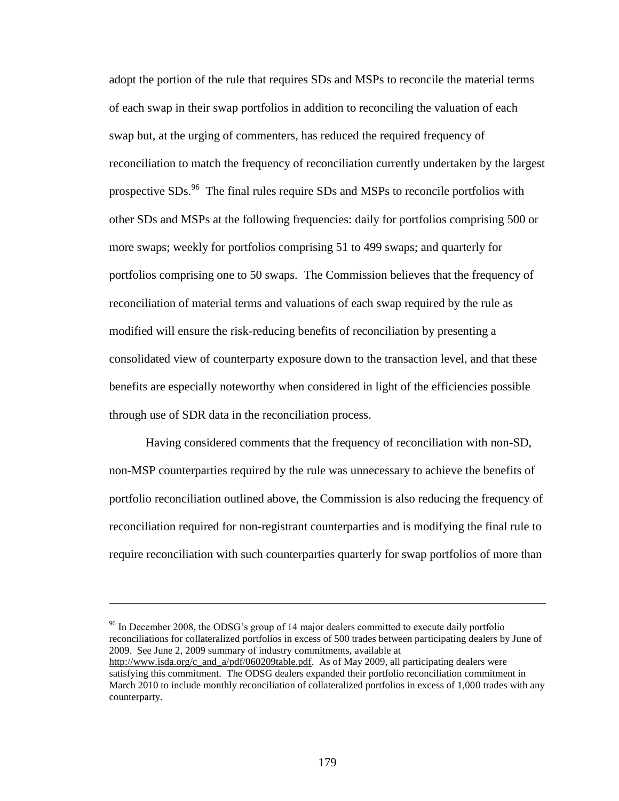adopt the portion of the rule that requires SDs and MSPs to reconcile the material terms of each swap in their swap portfolios in addition to reconciling the valuation of each swap but, at the urging of commenters, has reduced the required frequency of reconciliation to match the frequency of reconciliation currently undertaken by the largest prospective SDs.<sup>96</sup> The final rules require SDs and MSPs to reconcile portfolios with other SDs and MSPs at the following frequencies: daily for portfolios comprising 500 or more swaps; weekly for portfolios comprising 51 to 499 swaps; and quarterly for portfolios comprising one to 50 swaps. The Commission believes that the frequency of reconciliation of material terms and valuations of each swap required by the rule as modified will ensure the risk-reducing benefits of reconciliation by presenting a consolidated view of counterparty exposure down to the transaction level, and that these benefits are especially noteworthy when considered in light of the efficiencies possible through use of SDR data in the reconciliation process.

Having considered comments that the frequency of reconciliation with non-SD, non-MSP counterparties required by the rule was unnecessary to achieve the benefits of portfolio reconciliation outlined above, the Commission is also reducing the frequency of reconciliation required for non-registrant counterparties and is modifying the final rule to require reconciliation with such counterparties quarterly for swap portfolios of more than

<sup>96</sup> In December 2008, the ODSG's group of 14 major dealers committed to execute daily portfolio reconciliations for collateralized portfolios in excess of 500 trades between participating dealers by June of 2009. See June 2, 2009 summary of industry commitments, available at http://www.isda.org/c\_and\_a/pdf/060209table.pdf. As of May 2009, all participating dealers were satisfying this commitment. The ODSG dealers expanded their portfolio reconciliation commitment in March 2010 to include monthly reconciliation of collateralized portfolios in excess of 1,000 trades with any counterparty.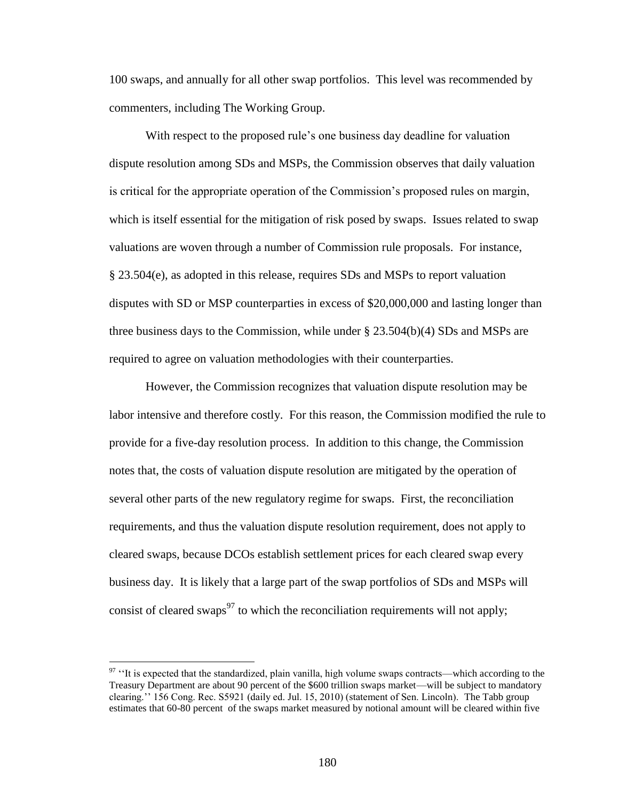100 swaps, and annually for all other swap portfolios. This level was recommended by commenters, including The Working Group.

With respect to the proposed rule's one business day deadline for valuation dispute resolution among SDs and MSPs, the Commission observes that daily valuation is critical for the appropriate operation of the Commission's proposed rules on margin, which is itself essential for the mitigation of risk posed by swaps. Issues related to swap valuations are woven through a number of Commission rule proposals. For instance, § 23.504(e), as adopted in this release, requires SDs and MSPs to report valuation disputes with SD or MSP counterparties in excess of \$20,000,000 and lasting longer than three business days to the Commission, while under § 23.504(b)(4) SDs and MSPs are required to agree on valuation methodologies with their counterparties.

However, the Commission recognizes that valuation dispute resolution may be labor intensive and therefore costly. For this reason, the Commission modified the rule to provide for a five-day resolution process. In addition to this change, the Commission notes that, the costs of valuation dispute resolution are mitigated by the operation of several other parts of the new regulatory regime for swaps. First, the reconciliation requirements, and thus the valuation dispute resolution requirement, does not apply to cleared swaps, because DCOs establish settlement prices for each cleared swap every business day. It is likely that a large part of the swap portfolios of SDs and MSPs will consist of cleared swaps<sup>97</sup> to which the reconciliation requirements will not apply;

<sup>&</sup>lt;sup>97</sup> "It is expected that the standardized, plain vanilla, high volume swaps contracts—which according to the Treasury Department are about 90 percent of the \$600 trillion swaps market—will be subject to mandatory clearing.'' 156 Cong. Rec. S5921 (daily ed. Jul. 15, 2010) (statement of Sen. Lincoln). The Tabb group estimates that 60-80 percent of the swaps market measured by notional amount will be cleared within five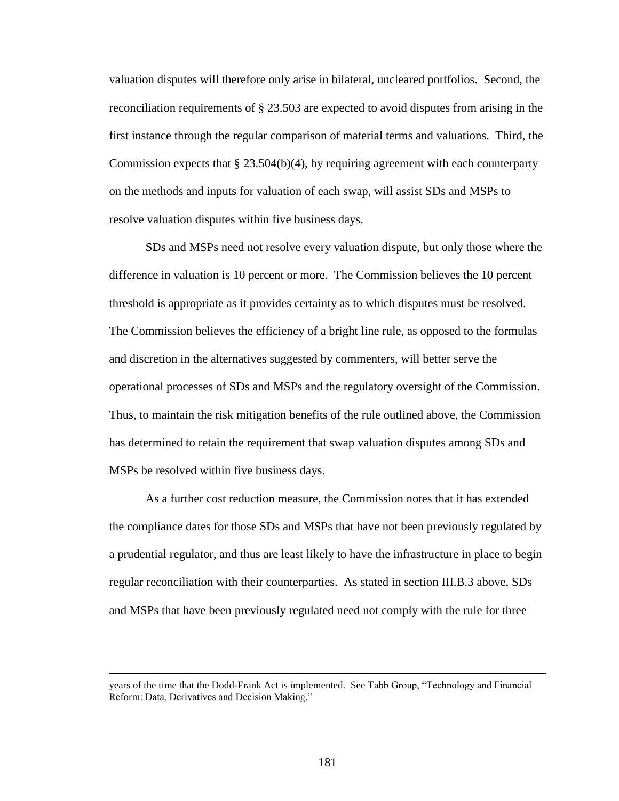valuation disputes will therefore only arise in bilateral, uncleared portfolios. Second, the reconciliation requirements of § 23.503 are expected to avoid disputes from arising in the first instance through the regular comparison of material terms and valuations. Third, the Commission expects that  $\S 23.504(b)(4)$ , by requiring agreement with each counterparty on the methods and inputs for valuation of each swap, will assist SDs and MSPs to resolve valuation disputes within five business days.

SDs and MSPs need not resolve every valuation dispute, but only those where the difference in valuation is 10 percent or more. The Commission believes the 10 percent threshold is appropriate as it provides certainty as to which disputes must be resolved. The Commission believes the efficiency of a bright line rule, as opposed to the formulas and discretion in the alternatives suggested by commenters, will better serve the operational processes of SDs and MSPs and the regulatory oversight of the Commission. Thus, to maintain the risk mitigation benefits of the rule outlined above, the Commission has determined to retain the requirement that swap valuation disputes among SDs and MSPs be resolved within five business days.

As a further cost reduction measure, the Commission notes that it has extended the compliance dates for those SDs and MSPs that have not been previously regulated by a prudential regulator, and thus are least likely to have the infrastructure in place to begin regular reconciliation with their counterparties. As stated in section III.B.3 above, SDs and MSPs that have been previously regulated need not comply with the rule for three

years of the time that the Dodd-Frank Act is implemented. See Tabb Group, "Technology and Financial Reform: Data, Derivatives and Decision Making."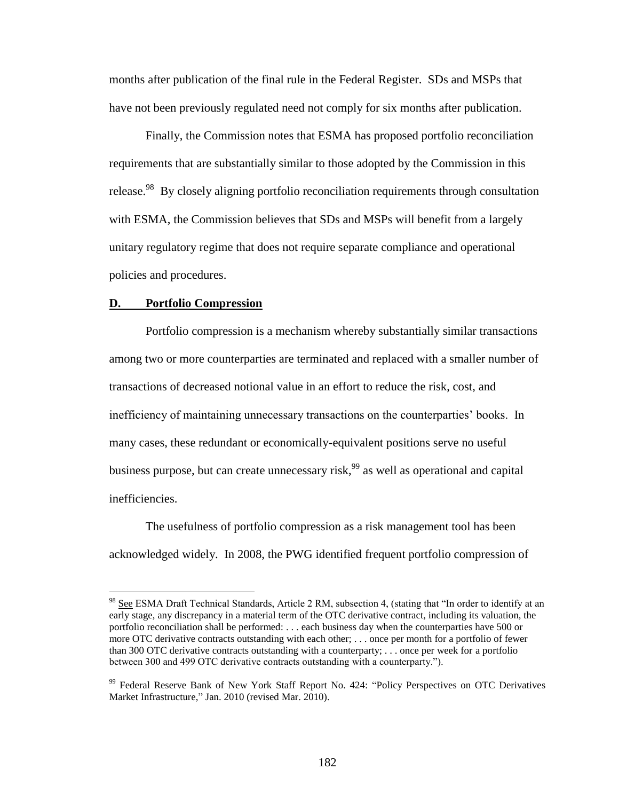months after publication of the final rule in the Federal Register. SDs and MSPs that have not been previously regulated need not comply for six months after publication.

Finally, the Commission notes that ESMA has proposed portfolio reconciliation requirements that are substantially similar to those adopted by the Commission in this release.<sup>98</sup> By closely aligning portfolio reconciliation requirements through consultation with ESMA, the Commission believes that SDs and MSPs will benefit from a largely unitary regulatory regime that does not require separate compliance and operational policies and procedures.

#### **D. Portfolio Compression**

 $\overline{a}$ 

Portfolio compression is a mechanism whereby substantially similar transactions among two or more counterparties are terminated and replaced with a smaller number of transactions of decreased notional value in an effort to reduce the risk, cost, and inefficiency of maintaining unnecessary transactions on the counterparties' books. In many cases, these redundant or economically-equivalent positions serve no useful business purpose, but can create unnecessary risk,<sup>99</sup> as well as operational and capital inefficiencies.

The usefulness of portfolio compression as a risk management tool has been acknowledged widely. In 2008, the PWG identified frequent portfolio compression of

<sup>&</sup>lt;sup>98</sup> See ESMA Draft Technical Standards, Article 2 RM, subsection 4, (stating that "In order to identify at an early stage, any discrepancy in a material term of the OTC derivative contract, including its valuation, the portfolio reconciliation shall be performed: . . . each business day when the counterparties have 500 or more OTC derivative contracts outstanding with each other; . . . once per month for a portfolio of fewer than 300 OTC derivative contracts outstanding with a counterparty; . . . once per week for a portfolio between 300 and 499 OTC derivative contracts outstanding with a counterparty.").

<sup>99</sup> Federal Reserve Bank of New York Staff Report No. 424: "Policy Perspectives on OTC Derivatives Market Infrastructure," Jan. 2010 (revised Mar. 2010).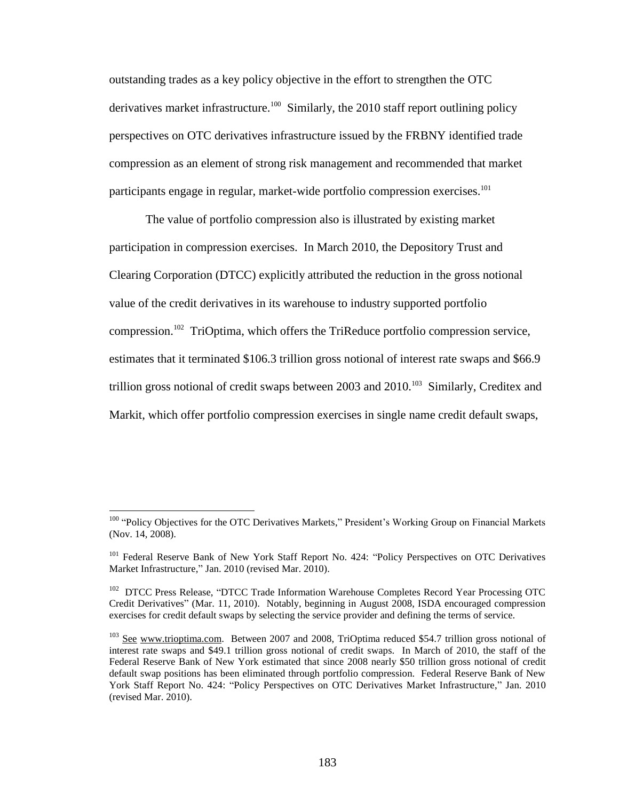outstanding trades as a key policy objective in the effort to strengthen the OTC derivatives market infrastructure.<sup>100</sup> Similarly, the 2010 staff report outlining policy perspectives on OTC derivatives infrastructure issued by the FRBNY identified trade compression as an element of strong risk management and recommended that market participants engage in regular, market-wide portfolio compression exercises.<sup>101</sup>

The value of portfolio compression also is illustrated by existing market participation in compression exercises. In March 2010, the Depository Trust and Clearing Corporation (DTCC) explicitly attributed the reduction in the gross notional value of the credit derivatives in its warehouse to industry supported portfolio compression.<sup>102</sup> TriOptima, which offers the TriReduce portfolio compression service, estimates that it terminated \$106.3 trillion gross notional of interest rate swaps and \$66.9 trillion gross notional of credit swaps between  $2003$  and  $2010$ .<sup>103</sup> Similarly, Creditex and Markit, which offer portfolio compression exercises in single name credit default swaps,

<sup>&</sup>lt;sup>100</sup> "Policy Objectives for the OTC Derivatives Markets," President's Working Group on Financial Markets (Nov. 14, 2008).

<sup>&</sup>lt;sup>101</sup> Federal Reserve Bank of New York Staff Report No. 424: "Policy Perspectives on OTC Derivatives Market Infrastructure," Jan. 2010 (revised Mar. 2010).

<sup>&</sup>lt;sup>102</sup> DTCC Press Release, "DTCC Trade Information Warehouse Completes Record Year Processing OTC Credit Derivatives" (Mar. 11, 2010). Notably, beginning in August 2008, ISDA encouraged compression exercises for credit default swaps by selecting the service provider and defining the terms of service.

<sup>&</sup>lt;sup>103</sup> See www.trioptima.com. Between 2007 and 2008, TriOptima reduced \$54.7 trillion gross notional of interest rate swaps and \$49.1 trillion gross notional of credit swaps. In March of 2010, the staff of the Federal Reserve Bank of New York estimated that since 2008 nearly \$50 trillion gross notional of credit default swap positions has been eliminated through portfolio compression. Federal Reserve Bank of New York Staff Report No. 424: "Policy Perspectives on OTC Derivatives Market Infrastructure," Jan. 2010 (revised Mar. 2010).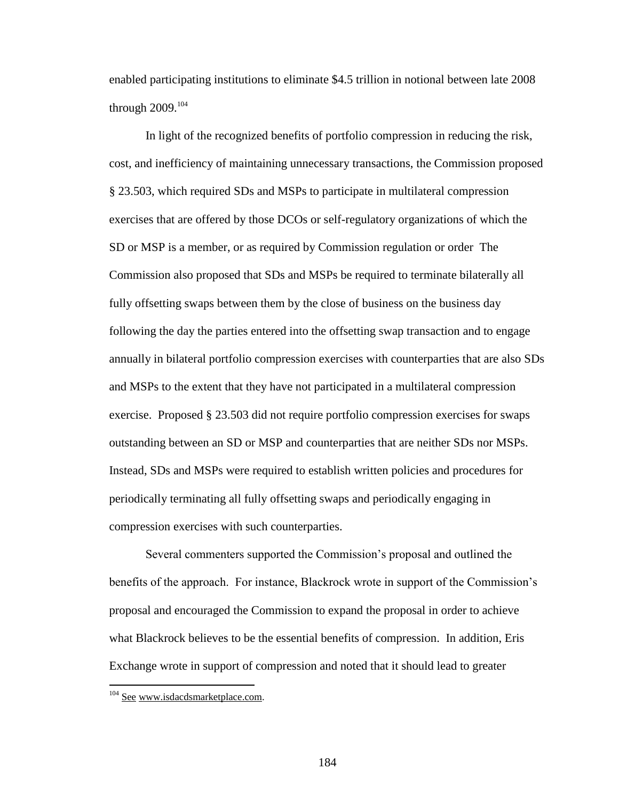enabled participating institutions to eliminate \$4.5 trillion in notional between late 2008 through  $2009.<sup>104</sup>$ 

In light of the recognized benefits of portfolio compression in reducing the risk, cost, and inefficiency of maintaining unnecessary transactions, the Commission proposed § 23.503, which required SDs and MSPs to participate in multilateral compression exercises that are offered by those DCOs or self-regulatory organizations of which the SD or MSP is a member, or as required by Commission regulation or order The Commission also proposed that SDs and MSPs be required to terminate bilaterally all fully offsetting swaps between them by the close of business on the business day following the day the parties entered into the offsetting swap transaction and to engage annually in bilateral portfolio compression exercises with counterparties that are also SDs and MSPs to the extent that they have not participated in a multilateral compression exercise. Proposed § 23.503 did not require portfolio compression exercises for swaps outstanding between an SD or MSP and counterparties that are neither SDs nor MSPs. Instead, SDs and MSPs were required to establish written policies and procedures for periodically terminating all fully offsetting swaps and periodically engaging in compression exercises with such counterparties.

Several commenters supported the Commission's proposal and outlined the benefits of the approach. For instance, Blackrock wrote in support of the Commission's proposal and encouraged the Commission to expand the proposal in order to achieve what Blackrock believes to be the essential benefits of compression. In addition, Eris Exchange wrote in support of compression and noted that it should lead to greater

<sup>&</sup>lt;sup>104</sup> See www.isdacdsmarketplace.com.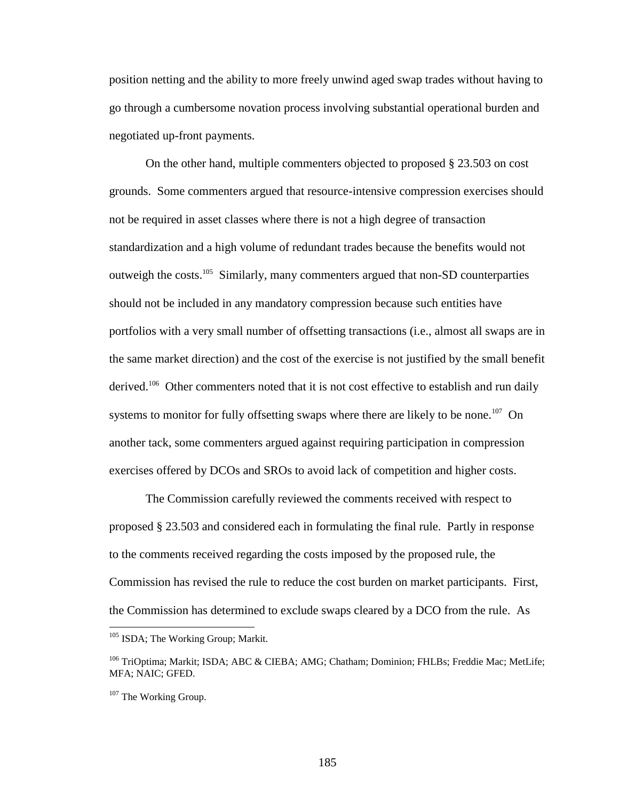position netting and the ability to more freely unwind aged swap trades without having to go through a cumbersome novation process involving substantial operational burden and negotiated up-front payments.

On the other hand, multiple commenters objected to proposed § 23.503 on cost grounds. Some commenters argued that resource-intensive compression exercises should not be required in asset classes where there is not a high degree of transaction standardization and a high volume of redundant trades because the benefits would not outweigh the costs.<sup>105</sup> Similarly, many commenters argued that non-SD counterparties should not be included in any mandatory compression because such entities have portfolios with a very small number of offsetting transactions (i.e., almost all swaps are in the same market direction) and the cost of the exercise is not justified by the small benefit derived.<sup>106</sup> Other commenters noted that it is not cost effective to establish and run daily systems to monitor for fully offsetting swaps where there are likely to be none.<sup>107</sup> On another tack, some commenters argued against requiring participation in compression exercises offered by DCOs and SROs to avoid lack of competition and higher costs.

The Commission carefully reviewed the comments received with respect to proposed § 23.503 and considered each in formulating the final rule. Partly in response to the comments received regarding the costs imposed by the proposed rule, the Commission has revised the rule to reduce the cost burden on market participants. First, the Commission has determined to exclude swaps cleared by a DCO from the rule. As

<sup>&</sup>lt;sup>105</sup> ISDA; The Working Group; Markit.

<sup>&</sup>lt;sup>106</sup> TriOptima; Markit; ISDA; ABC & CIEBA; AMG; Chatham; Dominion; FHLBs; Freddie Mac; MetLife; MFA; NAIC; GFED.

<sup>&</sup>lt;sup>107</sup> The Working Group.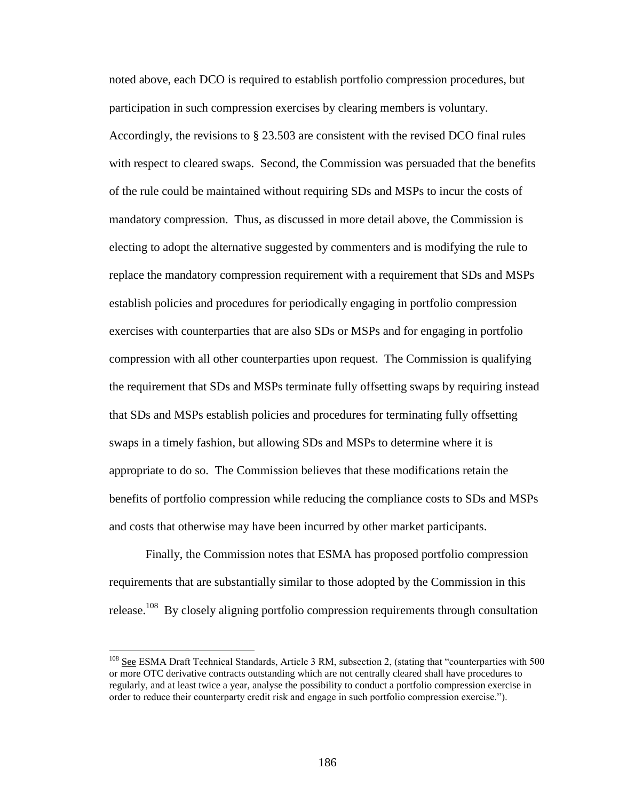noted above, each DCO is required to establish portfolio compression procedures, but participation in such compression exercises by clearing members is voluntary. Accordingly, the revisions to § 23.503 are consistent with the revised DCO final rules with respect to cleared swaps. Second, the Commission was persuaded that the benefits of the rule could be maintained without requiring SDs and MSPs to incur the costs of mandatory compression. Thus, as discussed in more detail above, the Commission is electing to adopt the alternative suggested by commenters and is modifying the rule to replace the mandatory compression requirement with a requirement that SDs and MSPs establish policies and procedures for periodically engaging in portfolio compression exercises with counterparties that are also SDs or MSPs and for engaging in portfolio compression with all other counterparties upon request. The Commission is qualifying the requirement that SDs and MSPs terminate fully offsetting swaps by requiring instead that SDs and MSPs establish policies and procedures for terminating fully offsetting swaps in a timely fashion, but allowing SDs and MSPs to determine where it is appropriate to do so. The Commission believes that these modifications retain the benefits of portfolio compression while reducing the compliance costs to SDs and MSPs and costs that otherwise may have been incurred by other market participants.

Finally, the Commission notes that ESMA has proposed portfolio compression requirements that are substantially similar to those adopted by the Commission in this release.<sup>108</sup> By closely aligning portfolio compression requirements through consultation

<sup>&</sup>lt;sup>108</sup> See ESMA Draft Technical Standards, Article 3 RM, subsection 2, (stating that "counterparties with 500 or more OTC derivative contracts outstanding which are not centrally cleared shall have procedures to regularly, and at least twice a year, analyse the possibility to conduct a portfolio compression exercise in order to reduce their counterparty credit risk and engage in such portfolio compression exercise.").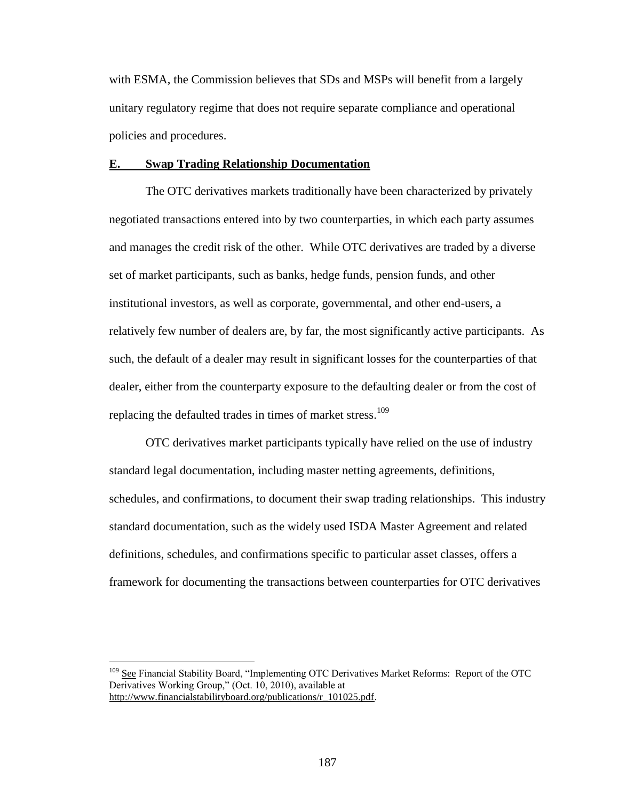with ESMA, the Commission believes that SDs and MSPs will benefit from a largely unitary regulatory regime that does not require separate compliance and operational policies and procedures.

#### **E. Swap Trading Relationship Documentation**

The OTC derivatives markets traditionally have been characterized by privately negotiated transactions entered into by two counterparties, in which each party assumes and manages the credit risk of the other. While OTC derivatives are traded by a diverse set of market participants, such as banks, hedge funds, pension funds, and other institutional investors, as well as corporate, governmental, and other end-users, a relatively few number of dealers are, by far, the most significantly active participants. As such, the default of a dealer may result in significant losses for the counterparties of that dealer, either from the counterparty exposure to the defaulting dealer or from the cost of replacing the defaulted trades in times of market stress.<sup>109</sup>

OTC derivatives market participants typically have relied on the use of industry standard legal documentation, including master netting agreements, definitions, schedules, and confirmations, to document their swap trading relationships. This industry standard documentation, such as the widely used ISDA Master Agreement and related definitions, schedules, and confirmations specific to particular asset classes, offers a framework for documenting the transactions between counterparties for OTC derivatives

<sup>&</sup>lt;sup>109</sup> See Financial Stability Board, "Implementing OTC Derivatives Market Reforms: Report of the OTC Derivatives Working Group," (Oct. 10, 2010), available at http://www.financialstabilityboard.org/publications/r\_101025.pdf.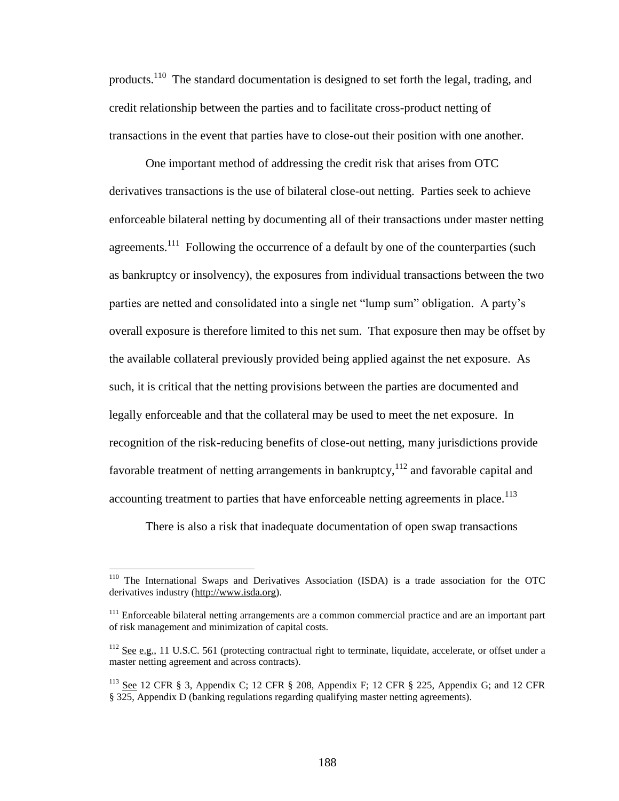products.<sup>110</sup> The standard documentation is designed to set forth the legal, trading, and credit relationship between the parties and to facilitate cross-product netting of transactions in the event that parties have to close-out their position with one another.

One important method of addressing the credit risk that arises from OTC derivatives transactions is the use of bilateral close-out netting. Parties seek to achieve enforceable bilateral netting by documenting all of their transactions under master netting agreements.<sup>111</sup> Following the occurrence of a default by one of the counterparties (such as bankruptcy or insolvency), the exposures from individual transactions between the two parties are netted and consolidated into a single net "lump sum" obligation. A party's overall exposure is therefore limited to this net sum. That exposure then may be offset by the available collateral previously provided being applied against the net exposure. As such, it is critical that the netting provisions between the parties are documented and legally enforceable and that the collateral may be used to meet the net exposure. In recognition of the risk-reducing benefits of close-out netting, many jurisdictions provide favorable treatment of netting arrangements in bankruptcy,  $12$  and favorable capital and accounting treatment to parties that have enforceable netting agreements in place.<sup>113</sup>

There is also a risk that inadequate documentation of open swap transactions

<sup>110</sup> The International Swaps and Derivatives Association (ISDA) is a trade association for the OTC derivatives industry (http://www.isda.org).

<sup>&</sup>lt;sup>111</sup> Enforceable bilateral netting arrangements are a common commercial practice and are an important part of risk management and minimization of capital costs.

 $112$  See e.g., 11 U.S.C. 561 (protecting contractual right to terminate, liquidate, accelerate, or offset under a master netting agreement and across contracts).

<sup>&</sup>lt;sup>113</sup> See 12 CFR § 3, Appendix C; 12 CFR § 208, Appendix F; 12 CFR § 225, Appendix G; and 12 CFR § 325, Appendix D (banking regulations regarding qualifying master netting agreements).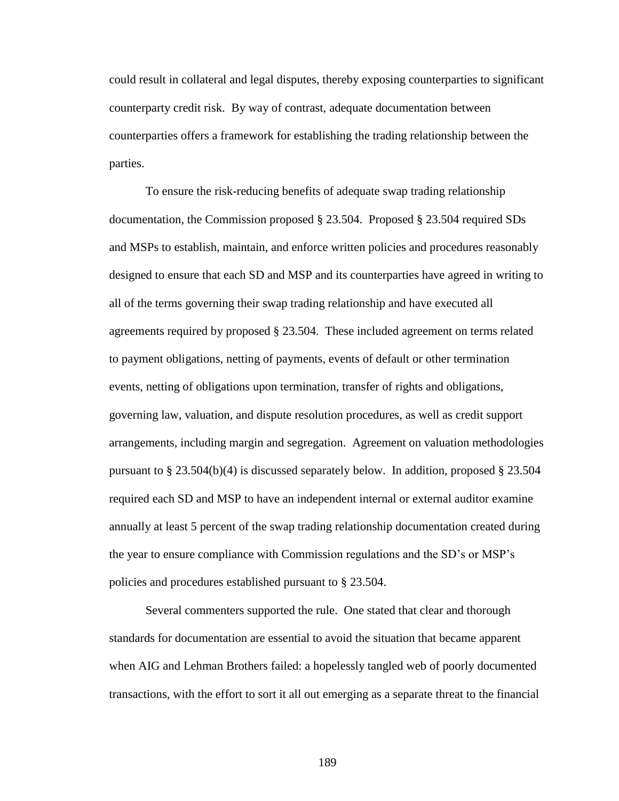could result in collateral and legal disputes, thereby exposing counterparties to significant counterparty credit risk. By way of contrast, adequate documentation between counterparties offers a framework for establishing the trading relationship between the parties.

To ensure the risk-reducing benefits of adequate swap trading relationship documentation, the Commission proposed § 23.504. Proposed § 23.504 required SDs and MSPs to establish, maintain, and enforce written policies and procedures reasonably designed to ensure that each SD and MSP and its counterparties have agreed in writing to all of the terms governing their swap trading relationship and have executed all agreements required by proposed § 23.504. These included agreement on terms related to payment obligations, netting of payments, events of default or other termination events, netting of obligations upon termination, transfer of rights and obligations, governing law, valuation, and dispute resolution procedures, as well as credit support arrangements, including margin and segregation. Agreement on valuation methodologies pursuant to § 23.504(b)(4) is discussed separately below. In addition, proposed § 23.504 required each SD and MSP to have an independent internal or external auditor examine annually at least 5 percent of the swap trading relationship documentation created during the year to ensure compliance with Commission regulations and the SD's or MSP's policies and procedures established pursuant to § 23.504.

Several commenters supported the rule. One stated that clear and thorough standards for documentation are essential to avoid the situation that became apparent when AIG and Lehman Brothers failed: a hopelessly tangled web of poorly documented transactions, with the effort to sort it all out emerging as a separate threat to the financial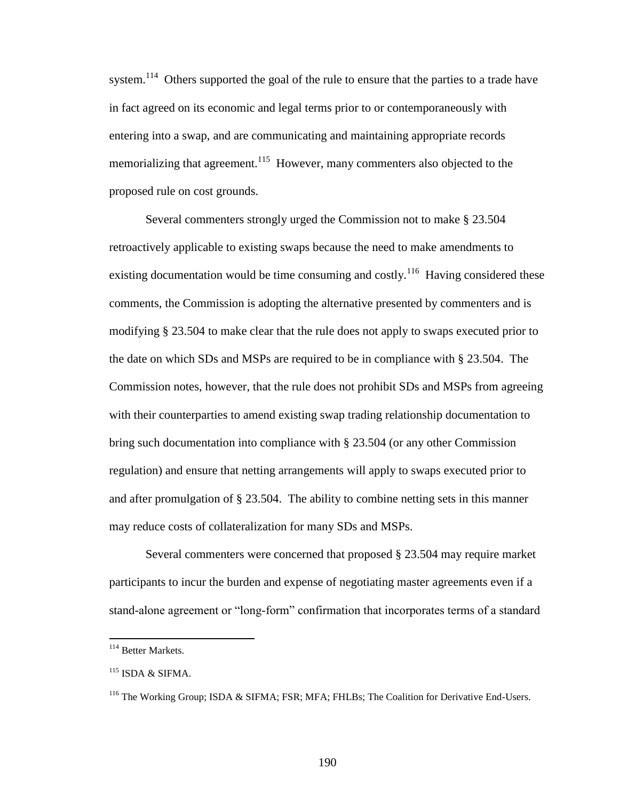system.<sup>114</sup> Others supported the goal of the rule to ensure that the parties to a trade have in fact agreed on its economic and legal terms prior to or contemporaneously with entering into a swap, and are communicating and maintaining appropriate records memorializing that agreement.<sup>115</sup> However, many commenters also objected to the proposed rule on cost grounds.

Several commenters strongly urged the Commission not to make § 23.504 retroactively applicable to existing swaps because the need to make amendments to existing documentation would be time consuming and costly.<sup>116</sup> Having considered these comments, the Commission is adopting the alternative presented by commenters and is modifying § 23.504 to make clear that the rule does not apply to swaps executed prior to the date on which SDs and MSPs are required to be in compliance with § 23.504. The Commission notes, however, that the rule does not prohibit SDs and MSPs from agreeing with their counterparties to amend existing swap trading relationship documentation to bring such documentation into compliance with § 23.504 (or any other Commission regulation) and ensure that netting arrangements will apply to swaps executed prior to and after promulgation of § 23.504. The ability to combine netting sets in this manner may reduce costs of collateralization for many SDs and MSPs.

Several commenters were concerned that proposed § 23.504 may require market participants to incur the burden and expense of negotiating master agreements even if a stand-alone agreement or "long-form" confirmation that incorporates terms of a standard

<sup>114</sup> Better Markets.

 $115$  ISDA & SIFMA.

<sup>116</sup> The Working Group; ISDA & SIFMA; FSR; MFA; FHLBs; The Coalition for Derivative End-Users.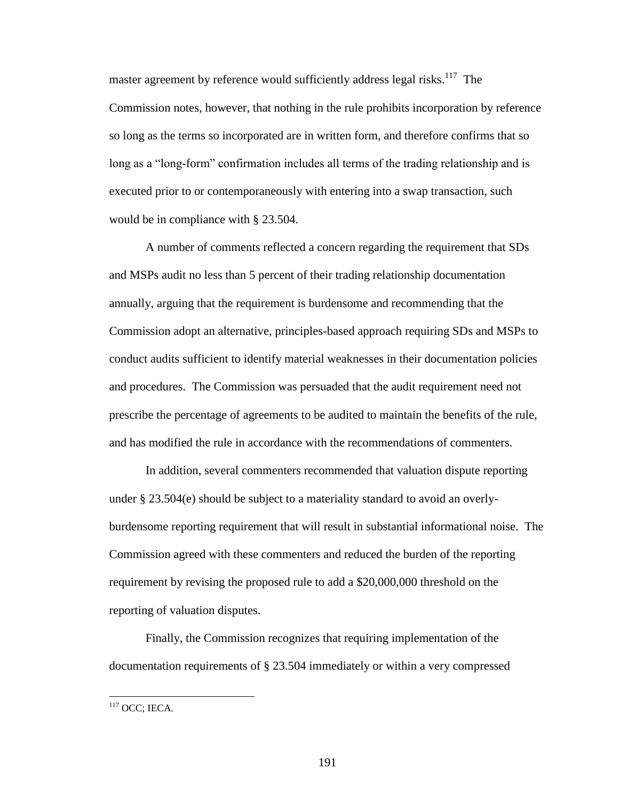master agreement by reference would sufficiently address legal risks.<sup>117</sup> The Commission notes, however, that nothing in the rule prohibits incorporation by reference so long as the terms so incorporated are in written form, and therefore confirms that so long as a "long-form" confirmation includes all terms of the trading relationship and is executed prior to or contemporaneously with entering into a swap transaction, such would be in compliance with § 23.504.

A number of comments reflected a concern regarding the requirement that SDs and MSPs audit no less than 5 percent of their trading relationship documentation annually, arguing that the requirement is burdensome and recommending that the Commission adopt an alternative, principles-based approach requiring SDs and MSPs to conduct audits sufficient to identify material weaknesses in their documentation policies and procedures. The Commission was persuaded that the audit requirement need not prescribe the percentage of agreements to be audited to maintain the benefits of the rule, and has modified the rule in accordance with the recommendations of commenters.

In addition, several commenters recommended that valuation dispute reporting under § 23.504(e) should be subject to a materiality standard to avoid an overlyburdensome reporting requirement that will result in substantial informational noise. The Commission agreed with these commenters and reduced the burden of the reporting requirement by revising the proposed rule to add a \$20,000,000 threshold on the reporting of valuation disputes.

Finally, the Commission recognizes that requiring implementation of the documentation requirements of § 23.504 immediately or within a very compressed

 $117$  OCC; IECA.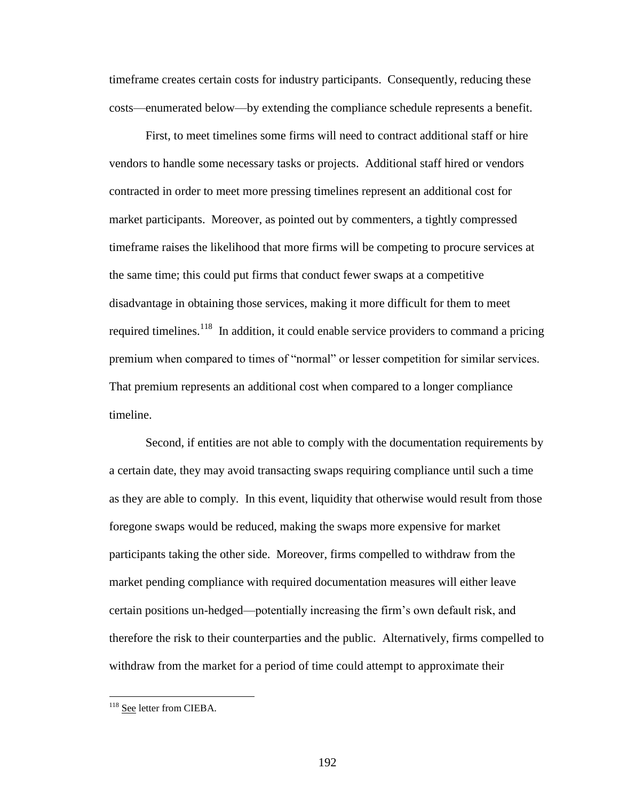timeframe creates certain costs for industry participants. Consequently, reducing these costs—enumerated below—by extending the compliance schedule represents a benefit.

First, to meet timelines some firms will need to contract additional staff or hire vendors to handle some necessary tasks or projects. Additional staff hired or vendors contracted in order to meet more pressing timelines represent an additional cost for market participants. Moreover, as pointed out by commenters, a tightly compressed timeframe raises the likelihood that more firms will be competing to procure services at the same time; this could put firms that conduct fewer swaps at a competitive disadvantage in obtaining those services, making it more difficult for them to meet required timelines.<sup>118</sup> In addition, it could enable service providers to command a pricing premium when compared to times of "normal" or lesser competition for similar services. That premium represents an additional cost when compared to a longer compliance timeline.

Second, if entities are not able to comply with the documentation requirements by a certain date, they may avoid transacting swaps requiring compliance until such a time as they are able to comply. In this event, liquidity that otherwise would result from those foregone swaps would be reduced, making the swaps more expensive for market participants taking the other side. Moreover, firms compelled to withdraw from the market pending compliance with required documentation measures will either leave certain positions un-hedged—potentially increasing the firm's own default risk, and therefore the risk to their counterparties and the public. Alternatively, firms compelled to withdraw from the market for a period of time could attempt to approximate their

<sup>&</sup>lt;sup>118</sup> See letter from CIEBA.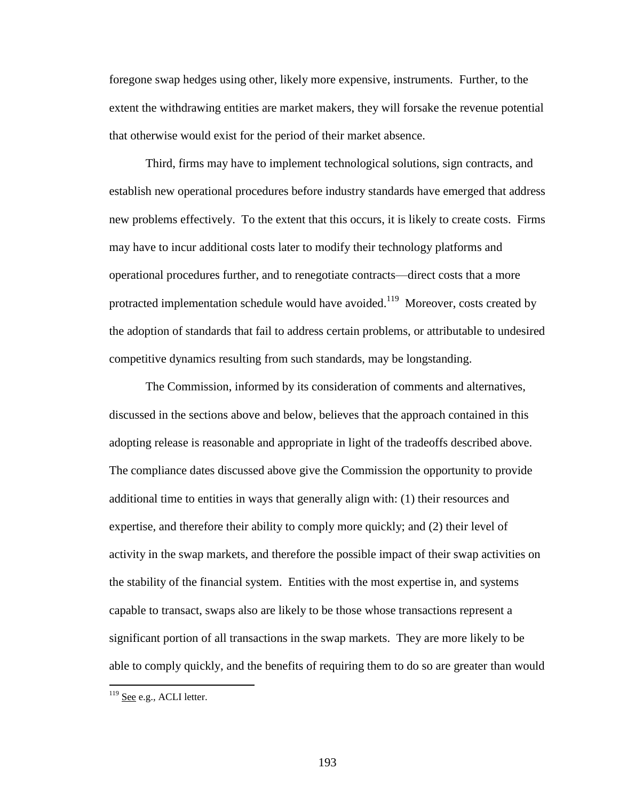foregone swap hedges using other, likely more expensive, instruments. Further, to the extent the withdrawing entities are market makers, they will forsake the revenue potential that otherwise would exist for the period of their market absence.

Third, firms may have to implement technological solutions, sign contracts, and establish new operational procedures before industry standards have emerged that address new problems effectively. To the extent that this occurs, it is likely to create costs. Firms may have to incur additional costs later to modify their technology platforms and operational procedures further, and to renegotiate contracts—direct costs that a more protracted implementation schedule would have avoided.<sup>119</sup> Moreover, costs created by the adoption of standards that fail to address certain problems, or attributable to undesired competitive dynamics resulting from such standards, may be longstanding.

The Commission, informed by its consideration of comments and alternatives, discussed in the sections above and below, believes that the approach contained in this adopting release is reasonable and appropriate in light of the tradeoffs described above. The compliance dates discussed above give the Commission the opportunity to provide additional time to entities in ways that generally align with: (1) their resources and expertise, and therefore their ability to comply more quickly; and (2) their level of activity in the swap markets, and therefore the possible impact of their swap activities on the stability of the financial system. Entities with the most expertise in, and systems capable to transact, swaps also are likely to be those whose transactions represent a significant portion of all transactions in the swap markets. They are more likely to be able to comply quickly, and the benefits of requiring them to do so are greater than would

 $119$  See e.g., ACLI letter.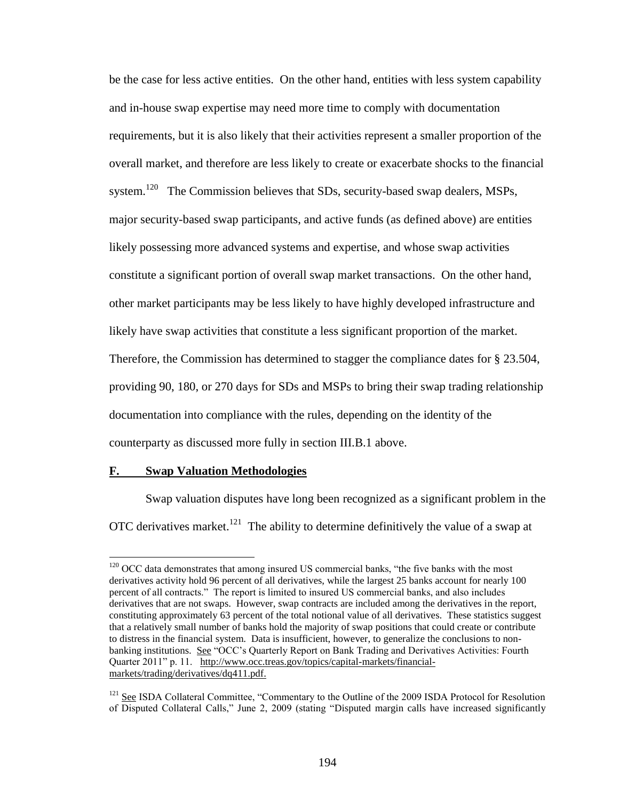be the case for less active entities. On the other hand, entities with less system capability and in-house swap expertise may need more time to comply with documentation requirements, but it is also likely that their activities represent a smaller proportion of the overall market, and therefore are less likely to create or exacerbate shocks to the financial system.<sup>120</sup> The Commission believes that SDs, security-based swap dealers, MSPs, major security-based swap participants, and active funds (as defined above) are entities likely possessing more advanced systems and expertise, and whose swap activities constitute a significant portion of overall swap market transactions. On the other hand, other market participants may be less likely to have highly developed infrastructure and likely have swap activities that constitute a less significant proportion of the market. Therefore, the Commission has determined to stagger the compliance dates for § 23.504, providing 90, 180, or 270 days for SDs and MSPs to bring their swap trading relationship documentation into compliance with the rules, depending on the identity of the counterparty as discussed more fully in section III.B.1 above.

### **F. Swap Valuation Methodologies**

 $\overline{a}$ 

Swap valuation disputes have long been recognized as a significant problem in the OTC derivatives market.<sup>121</sup> The ability to determine definitively the value of a swap at

<sup>&</sup>lt;sup>120</sup> OCC data demonstrates that among insured US commercial banks, "the five banks with the most derivatives activity hold 96 percent of all derivatives, while the largest 25 banks account for nearly 100 percent of all contracts." The report is limited to insured US commercial banks, and also includes derivatives that are not swaps. However, swap contracts are included among the derivatives in the report, constituting approximately 63 percent of the total notional value of all derivatives. These statistics suggest that a relatively small number of banks hold the majority of swap positions that could create or contribute to distress in the financial system. Data is insufficient, however, to generalize the conclusions to nonbanking institutions. See "OCC's Quarterly Report on Bank Trading and Derivatives Activities: Fourth Quarter 2011" p. 11. http://www.occ.treas.gov/topics/capital-markets/financialmarkets/trading/derivatives/dq411.pdf.

<sup>&</sup>lt;sup>121</sup> See ISDA Collateral Committee, "Commentary to the Outline of the 2009 ISDA Protocol for Resolution of Disputed Collateral Calls," June 2, 2009 (stating "Disputed margin calls have increased significantly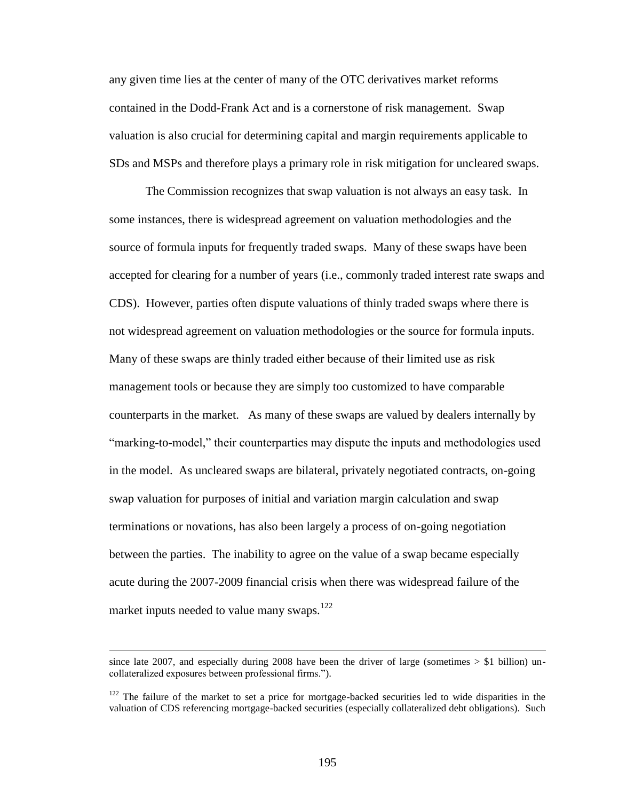any given time lies at the center of many of the OTC derivatives market reforms contained in the Dodd-Frank Act and is a cornerstone of risk management. Swap valuation is also crucial for determining capital and margin requirements applicable to SDs and MSPs and therefore plays a primary role in risk mitigation for uncleared swaps.

The Commission recognizes that swap valuation is not always an easy task. In some instances, there is widespread agreement on valuation methodologies and the source of formula inputs for frequently traded swaps. Many of these swaps have been accepted for clearing for a number of years (i.e., commonly traded interest rate swaps and CDS). However, parties often dispute valuations of thinly traded swaps where there is not widespread agreement on valuation methodologies or the source for formula inputs. Many of these swaps are thinly traded either because of their limited use as risk management tools or because they are simply too customized to have comparable counterparts in the market. As many of these swaps are valued by dealers internally by "marking-to-model," their counterparties may dispute the inputs and methodologies used in the model. As uncleared swaps are bilateral, privately negotiated contracts, on-going swap valuation for purposes of initial and variation margin calculation and swap terminations or novations, has also been largely a process of on-going negotiation between the parties. The inability to agree on the value of a swap became especially acute during the 2007-2009 financial crisis when there was widespread failure of the market inputs needed to value many swaps.<sup>122</sup>

since late 2007, and especially during 2008 have been the driver of large (sometimes  $>$  \$1 billion) uncollateralized exposures between professional firms.").

 $122$  The failure of the market to set a price for mortgage-backed securities led to wide disparities in the valuation of CDS referencing mortgage-backed securities (especially collateralized debt obligations). Such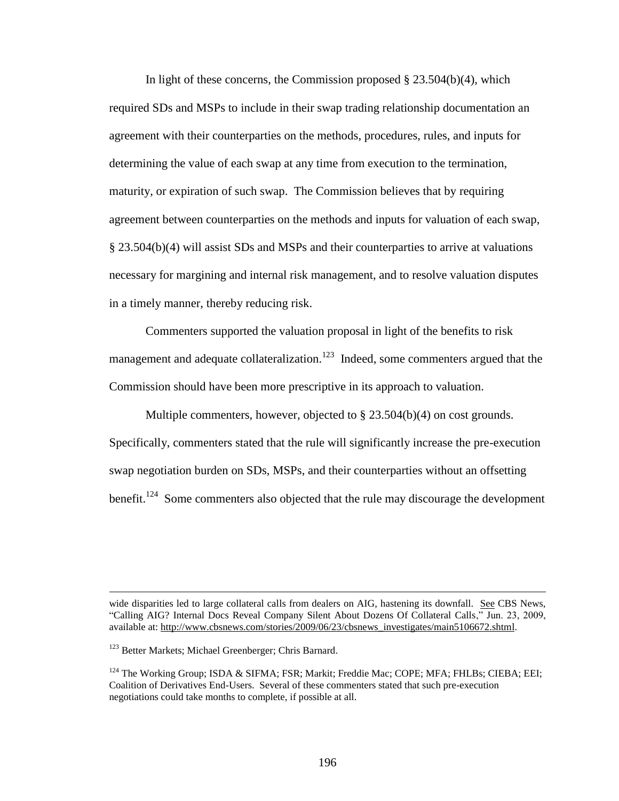In light of these concerns, the Commission proposed § 23.504(b)(4), which required SDs and MSPs to include in their swap trading relationship documentation an agreement with their counterparties on the methods, procedures, rules, and inputs for determining the value of each swap at any time from execution to the termination, maturity, or expiration of such swap. The Commission believes that by requiring agreement between counterparties on the methods and inputs for valuation of each swap, § 23.504(b)(4) will assist SDs and MSPs and their counterparties to arrive at valuations necessary for margining and internal risk management, and to resolve valuation disputes in a timely manner, thereby reducing risk.

Commenters supported the valuation proposal in light of the benefits to risk management and adequate collateralization.<sup>123</sup> Indeed, some commenters argued that the Commission should have been more prescriptive in its approach to valuation.

Multiple commenters, however, objected to § 23.504(b)(4) on cost grounds. Specifically, commenters stated that the rule will significantly increase the pre-execution swap negotiation burden on SDs, MSPs, and their counterparties without an offsetting benefit.<sup>124</sup> Some commenters also objected that the rule may discourage the development

wide disparities led to large collateral calls from dealers on AIG, hastening its downfall. See CBS News, "Calling AIG? Internal Docs Reveal Company Silent About Dozens Of Collateral Calls," Jun. 23, 2009, available at: http://www.cbsnews.com/stories/2009/06/23/cbsnews\_investigates/main5106672.shtml.

<sup>&</sup>lt;sup>123</sup> Better Markets; Michael Greenberger; Chris Barnard.

<sup>&</sup>lt;sup>124</sup> The Working Group; ISDA & SIFMA; FSR; Markit; Freddie Mac; COPE; MFA; FHLBs; CIEBA; EEI; Coalition of Derivatives End-Users. Several of these commenters stated that such pre-execution negotiations could take months to complete, if possible at all.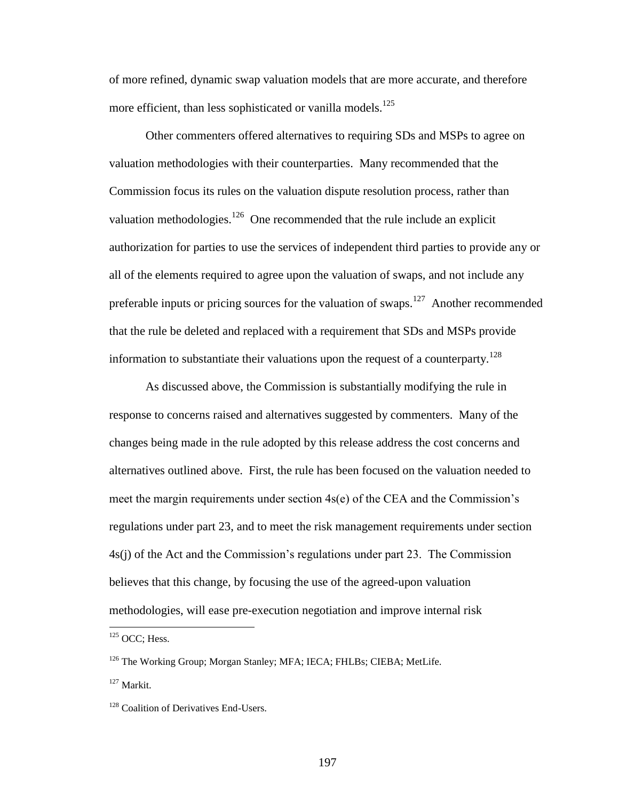of more refined, dynamic swap valuation models that are more accurate, and therefore more efficient, than less sophisticated or vanilla models.<sup>125</sup>

Other commenters offered alternatives to requiring SDs and MSPs to agree on valuation methodologies with their counterparties. Many recommended that the Commission focus its rules on the valuation dispute resolution process, rather than valuation methodologies. $126$  One recommended that the rule include an explicit authorization for parties to use the services of independent third parties to provide any or all of the elements required to agree upon the valuation of swaps, and not include any preferable inputs or pricing sources for the valuation of swaps.<sup>127</sup> Another recommended that the rule be deleted and replaced with a requirement that SDs and MSPs provide information to substantiate their valuations upon the request of a counterparty.<sup>128</sup>

As discussed above, the Commission is substantially modifying the rule in response to concerns raised and alternatives suggested by commenters. Many of the changes being made in the rule adopted by this release address the cost concerns and alternatives outlined above. First, the rule has been focused on the valuation needed to meet the margin requirements under section 4s(e) of the CEA and the Commission's regulations under part 23, and to meet the risk management requirements under section 4s(j) of the Act and the Commission's regulations under part 23. The Commission believes that this change, by focusing the use of the agreed-upon valuation methodologies, will ease pre-execution negotiation and improve internal risk

 $125$  OCC; Hess.

<sup>&</sup>lt;sup>126</sup> The Working Group; Morgan Stanley; MFA; IECA; FHLBs; CIEBA; MetLife.

<sup>127</sup> Markit.

<sup>&</sup>lt;sup>128</sup> Coalition of Derivatives End-Users.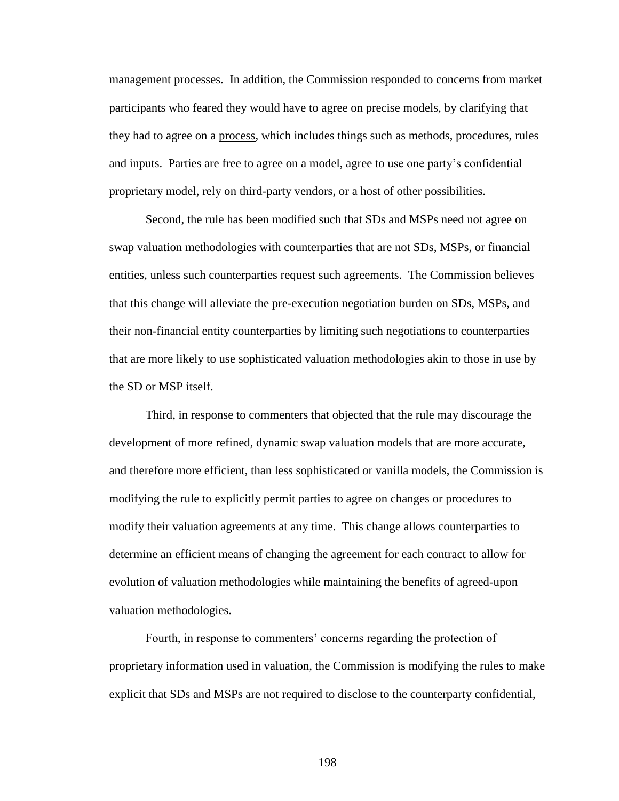management processes. In addition, the Commission responded to concerns from market participants who feared they would have to agree on precise models, by clarifying that they had to agree on a process, which includes things such as methods, procedures, rules and inputs. Parties are free to agree on a model, agree to use one party's confidential proprietary model, rely on third-party vendors, or a host of other possibilities.

Second, the rule has been modified such that SDs and MSPs need not agree on swap valuation methodologies with counterparties that are not SDs, MSPs, or financial entities, unless such counterparties request such agreements. The Commission believes that this change will alleviate the pre-execution negotiation burden on SDs, MSPs, and their non-financial entity counterparties by limiting such negotiations to counterparties that are more likely to use sophisticated valuation methodologies akin to those in use by the SD or MSP itself.

Third, in response to commenters that objected that the rule may discourage the development of more refined, dynamic swap valuation models that are more accurate, and therefore more efficient, than less sophisticated or vanilla models, the Commission is modifying the rule to explicitly permit parties to agree on changes or procedures to modify their valuation agreements at any time. This change allows counterparties to determine an efficient means of changing the agreement for each contract to allow for evolution of valuation methodologies while maintaining the benefits of agreed-upon valuation methodologies.

Fourth, in response to commenters' concerns regarding the protection of proprietary information used in valuation, the Commission is modifying the rules to make explicit that SDs and MSPs are not required to disclose to the counterparty confidential,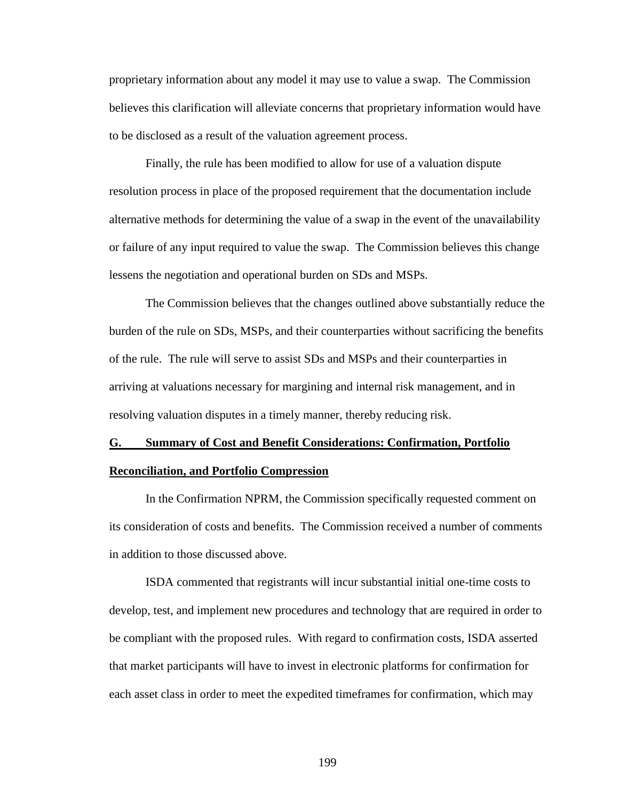proprietary information about any model it may use to value a swap. The Commission believes this clarification will alleviate concerns that proprietary information would have to be disclosed as a result of the valuation agreement process.

Finally, the rule has been modified to allow for use of a valuation dispute resolution process in place of the proposed requirement that the documentation include alternative methods for determining the value of a swap in the event of the unavailability or failure of any input required to value the swap. The Commission believes this change lessens the negotiation and operational burden on SDs and MSPs.

The Commission believes that the changes outlined above substantially reduce the burden of the rule on SDs, MSPs, and their counterparties without sacrificing the benefits of the rule. The rule will serve to assist SDs and MSPs and their counterparties in arriving at valuations necessary for margining and internal risk management, and in resolving valuation disputes in a timely manner, thereby reducing risk.

### **G. Summary of Cost and Benefit Considerations: Confirmation, Portfolio**

#### **Reconciliation, and Portfolio Compression**

In the Confirmation NPRM, the Commission specifically requested comment on its consideration of costs and benefits. The Commission received a number of comments in addition to those discussed above.

ISDA commented that registrants will incur substantial initial one-time costs to develop, test, and implement new procedures and technology that are required in order to be compliant with the proposed rules. With regard to confirmation costs, ISDA asserted that market participants will have to invest in electronic platforms for confirmation for each asset class in order to meet the expedited timeframes for confirmation, which may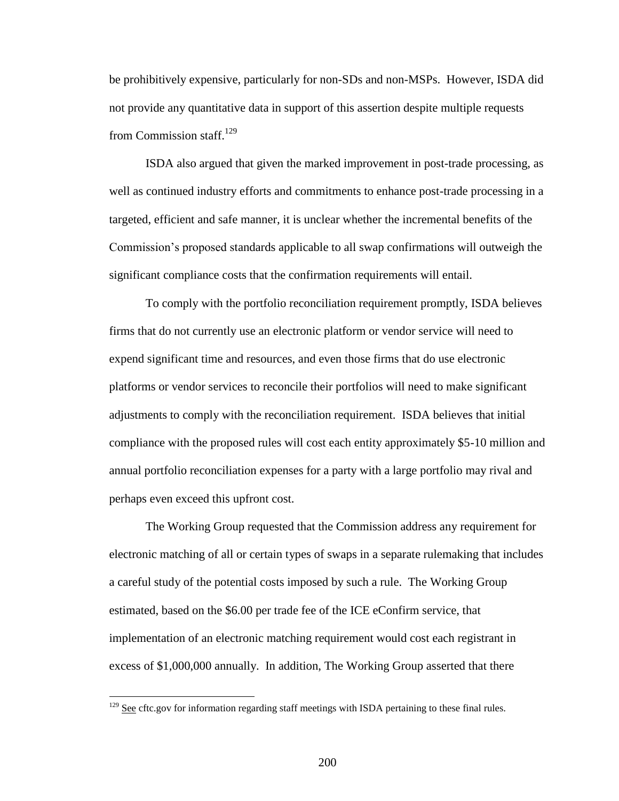be prohibitively expensive, particularly for non-SDs and non-MSPs. However, ISDA did not provide any quantitative data in support of this assertion despite multiple requests from Commission staff.<sup>129</sup>

ISDA also argued that given the marked improvement in post-trade processing, as well as continued industry efforts and commitments to enhance post-trade processing in a targeted, efficient and safe manner, it is unclear whether the incremental benefits of the Commission's proposed standards applicable to all swap confirmations will outweigh the significant compliance costs that the confirmation requirements will entail.

To comply with the portfolio reconciliation requirement promptly, ISDA believes firms that do not currently use an electronic platform or vendor service will need to expend significant time and resources, and even those firms that do use electronic platforms or vendor services to reconcile their portfolios will need to make significant adjustments to comply with the reconciliation requirement. ISDA believes that initial compliance with the proposed rules will cost each entity approximately \$5-10 million and annual portfolio reconciliation expenses for a party with a large portfolio may rival and perhaps even exceed this upfront cost.

The Working Group requested that the Commission address any requirement for electronic matching of all or certain types of swaps in a separate rulemaking that includes a careful study of the potential costs imposed by such a rule. The Working Group estimated, based on the \$6.00 per trade fee of the ICE eConfirm service, that implementation of an electronic matching requirement would cost each registrant in excess of \$1,000,000 annually. In addition, The Working Group asserted that there

 $129$  See cftc.gov for information regarding staff meetings with ISDA pertaining to these final rules.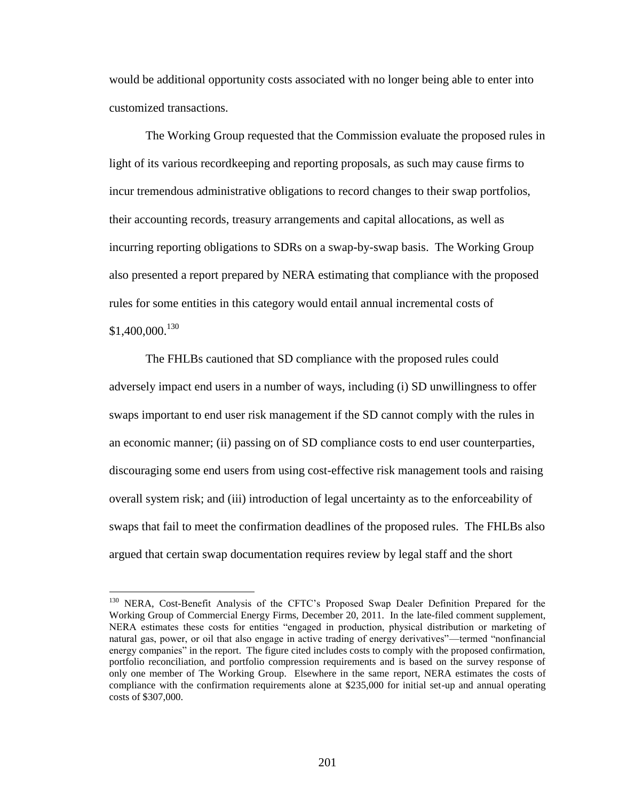would be additional opportunity costs associated with no longer being able to enter into customized transactions.

The Working Group requested that the Commission evaluate the proposed rules in light of its various recordkeeping and reporting proposals, as such may cause firms to incur tremendous administrative obligations to record changes to their swap portfolios, their accounting records, treasury arrangements and capital allocations, as well as incurring reporting obligations to SDRs on a swap-by-swap basis. The Working Group also presented a report prepared by NERA estimating that compliance with the proposed rules for some entities in this category would entail annual incremental costs of  $$1,400,000.<sup>130</sup>$ 

The FHLBs cautioned that SD compliance with the proposed rules could adversely impact end users in a number of ways, including (i) SD unwillingness to offer swaps important to end user risk management if the SD cannot comply with the rules in an economic manner; (ii) passing on of SD compliance costs to end user counterparties, discouraging some end users from using cost-effective risk management tools and raising overall system risk; and (iii) introduction of legal uncertainty as to the enforceability of swaps that fail to meet the confirmation deadlines of the proposed rules. The FHLBs also argued that certain swap documentation requires review by legal staff and the short

<sup>&</sup>lt;sup>130</sup> NERA, Cost-Benefit Analysis of the CFTC's Proposed Swap Dealer Definition Prepared for the Working Group of Commercial Energy Firms, December 20, 2011. In the late-filed comment supplement, NERA estimates these costs for entities "engaged in production, physical distribution or marketing of natural gas, power, or oil that also engage in active trading of energy derivatives"—termed "nonfinancial energy companies" in the report. The figure cited includes costs to comply with the proposed confirmation, portfolio reconciliation, and portfolio compression requirements and is based on the survey response of only one member of The Working Group. Elsewhere in the same report, NERA estimates the costs of compliance with the confirmation requirements alone at \$235,000 for initial set-up and annual operating costs of \$307,000.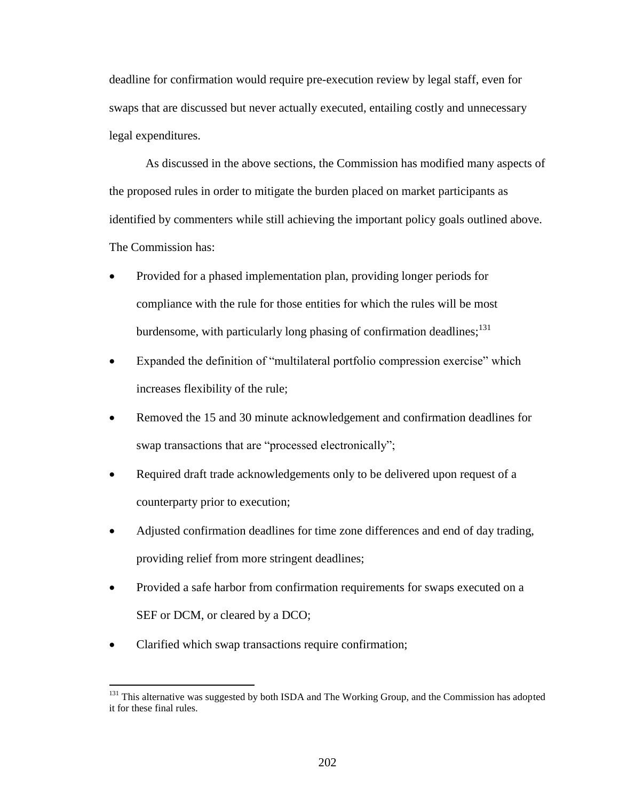deadline for confirmation would require pre-execution review by legal staff, even for swaps that are discussed but never actually executed, entailing costly and unnecessary legal expenditures.

As discussed in the above sections, the Commission has modified many aspects of the proposed rules in order to mitigate the burden placed on market participants as identified by commenters while still achieving the important policy goals outlined above. The Commission has:

- Provided for a phased implementation plan, providing longer periods for compliance with the rule for those entities for which the rules will be most burdensome, with particularly long phasing of confirmation deadlines;  $131$
- Expanded the definition of "multilateral portfolio compression exercise" which increases flexibility of the rule;
- Removed the 15 and 30 minute acknowledgement and confirmation deadlines for swap transactions that are "processed electronically";
- Required draft trade acknowledgements only to be delivered upon request of a counterparty prior to execution;
- Adjusted confirmation deadlines for time zone differences and end of day trading, providing relief from more stringent deadlines;
- Provided a safe harbor from confirmation requirements for swaps executed on a SEF or DCM, or cleared by a DCO;
- Clarified which swap transactions require confirmation;

<sup>&</sup>lt;sup>131</sup> This alternative was suggested by both ISDA and The Working Group, and the Commission has adopted it for these final rules.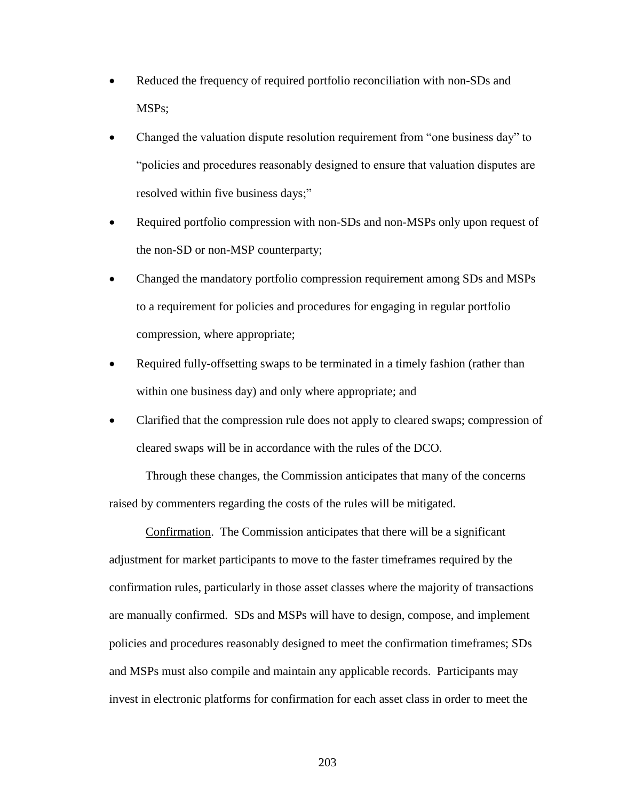- Reduced the frequency of required portfolio reconciliation with non-SDs and MSPs;
- Changed the valuation dispute resolution requirement from "one business day" to "policies and procedures reasonably designed to ensure that valuation disputes are resolved within five business days;"
- Required portfolio compression with non-SDs and non-MSPs only upon request of the non-SD or non-MSP counterparty;
- Changed the mandatory portfolio compression requirement among SDs and MSPs to a requirement for policies and procedures for engaging in regular portfolio compression, where appropriate;
- Required fully-offsetting swaps to be terminated in a timely fashion (rather than within one business day) and only where appropriate; and
- Clarified that the compression rule does not apply to cleared swaps; compression of cleared swaps will be in accordance with the rules of the DCO.

Through these changes, the Commission anticipates that many of the concerns raised by commenters regarding the costs of the rules will be mitigated.

Confirmation. The Commission anticipates that there will be a significant adjustment for market participants to move to the faster timeframes required by the confirmation rules, particularly in those asset classes where the majority of transactions are manually confirmed. SDs and MSPs will have to design, compose, and implement policies and procedures reasonably designed to meet the confirmation timeframes; SDs and MSPs must also compile and maintain any applicable records. Participants may invest in electronic platforms for confirmation for each asset class in order to meet the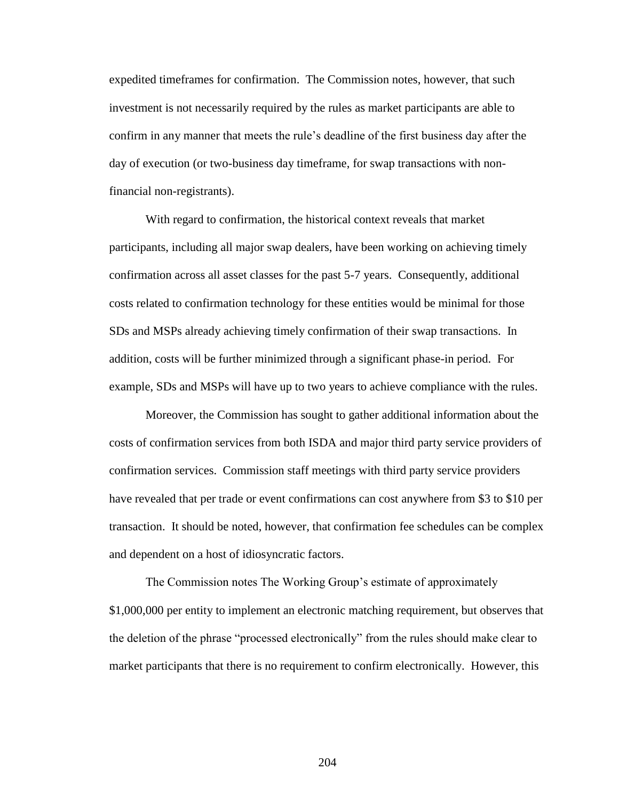expedited timeframes for confirmation. The Commission notes, however, that such investment is not necessarily required by the rules as market participants are able to confirm in any manner that meets the rule's deadline of the first business day after the day of execution (or two-business day timeframe, for swap transactions with nonfinancial non-registrants).

With regard to confirmation, the historical context reveals that market participants, including all major swap dealers, have been working on achieving timely confirmation across all asset classes for the past 5-7 years. Consequently, additional costs related to confirmation technology for these entities would be minimal for those SDs and MSPs already achieving timely confirmation of their swap transactions. In addition, costs will be further minimized through a significant phase-in period. For example, SDs and MSPs will have up to two years to achieve compliance with the rules.

Moreover, the Commission has sought to gather additional information about the costs of confirmation services from both ISDA and major third party service providers of confirmation services. Commission staff meetings with third party service providers have revealed that per trade or event confirmations can cost anywhere from \$3 to \$10 per transaction. It should be noted, however, that confirmation fee schedules can be complex and dependent on a host of idiosyncratic factors.

The Commission notes The Working Group's estimate of approximately \$1,000,000 per entity to implement an electronic matching requirement, but observes that the deletion of the phrase "processed electronically" from the rules should make clear to market participants that there is no requirement to confirm electronically. However, this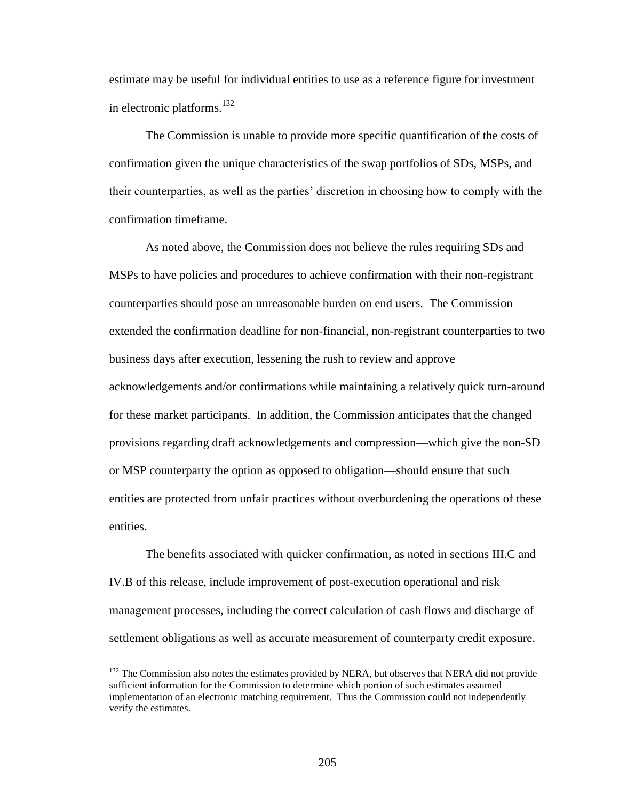estimate may be useful for individual entities to use as a reference figure for investment in electronic platforms.<sup>132</sup>

The Commission is unable to provide more specific quantification of the costs of confirmation given the unique characteristics of the swap portfolios of SDs, MSPs, and their counterparties, as well as the parties' discretion in choosing how to comply with the confirmation timeframe.

As noted above, the Commission does not believe the rules requiring SDs and MSPs to have policies and procedures to achieve confirmation with their non-registrant counterparties should pose an unreasonable burden on end users. The Commission extended the confirmation deadline for non-financial, non-registrant counterparties to two business days after execution, lessening the rush to review and approve acknowledgements and/or confirmations while maintaining a relatively quick turn-around for these market participants. In addition, the Commission anticipates that the changed provisions regarding draft acknowledgements and compression—which give the non-SD or MSP counterparty the option as opposed to obligation—should ensure that such entities are protected from unfair practices without overburdening the operations of these entities.

The benefits associated with quicker confirmation, as noted in sections III.C and IV.B of this release, include improvement of post-execution operational and risk management processes, including the correct calculation of cash flows and discharge of settlement obligations as well as accurate measurement of counterparty credit exposure.

<sup>&</sup>lt;sup>132</sup> The Commission also notes the estimates provided by NERA, but observes that NERA did not provide sufficient information for the Commission to determine which portion of such estimates assumed implementation of an electronic matching requirement. Thus the Commission could not independently verify the estimates.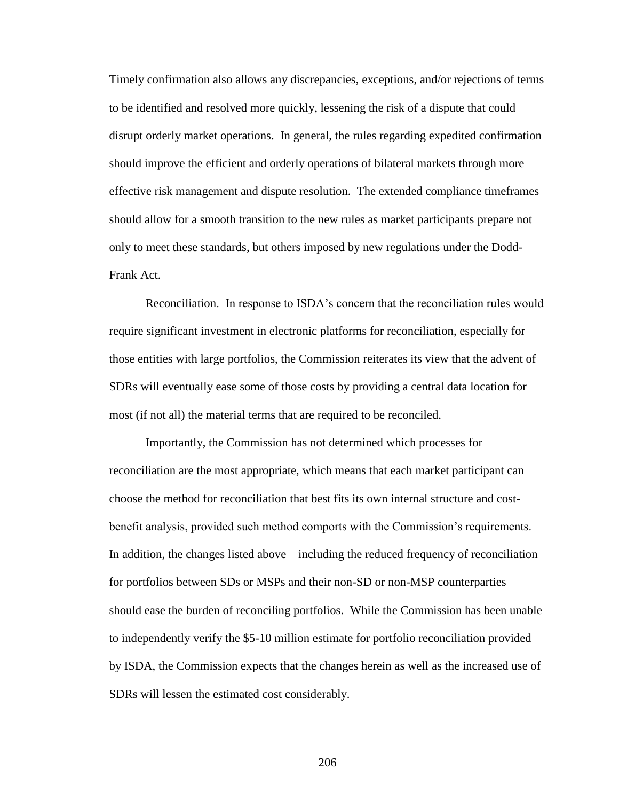Timely confirmation also allows any discrepancies, exceptions, and/or rejections of terms to be identified and resolved more quickly, lessening the risk of a dispute that could disrupt orderly market operations. In general, the rules regarding expedited confirmation should improve the efficient and orderly operations of bilateral markets through more effective risk management and dispute resolution. The extended compliance timeframes should allow for a smooth transition to the new rules as market participants prepare not only to meet these standards, but others imposed by new regulations under the Dodd-Frank Act.

Reconciliation. In response to ISDA's concern that the reconciliation rules would require significant investment in electronic platforms for reconciliation, especially for those entities with large portfolios, the Commission reiterates its view that the advent of SDRs will eventually ease some of those costs by providing a central data location for most (if not all) the material terms that are required to be reconciled.

Importantly, the Commission has not determined which processes for reconciliation are the most appropriate, which means that each market participant can choose the method for reconciliation that best fits its own internal structure and costbenefit analysis, provided such method comports with the Commission's requirements. In addition, the changes listed above—including the reduced frequency of reconciliation for portfolios between SDs or MSPs and their non-SD or non-MSP counterparties should ease the burden of reconciling portfolios. While the Commission has been unable to independently verify the \$5-10 million estimate for portfolio reconciliation provided by ISDA, the Commission expects that the changes herein as well as the increased use of SDRs will lessen the estimated cost considerably.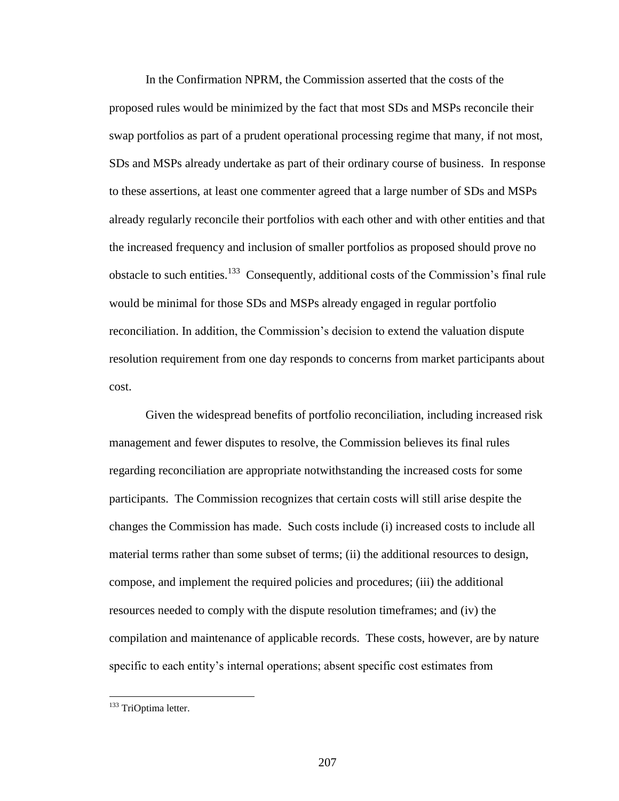In the Confirmation NPRM, the Commission asserted that the costs of the proposed rules would be minimized by the fact that most SDs and MSPs reconcile their swap portfolios as part of a prudent operational processing regime that many, if not most, SDs and MSPs already undertake as part of their ordinary course of business. In response to these assertions, at least one commenter agreed that a large number of SDs and MSPs already regularly reconcile their portfolios with each other and with other entities and that the increased frequency and inclusion of smaller portfolios as proposed should prove no obstacle to such entities.<sup>133</sup> Consequently, additional costs of the Commission's final rule would be minimal for those SDs and MSPs already engaged in regular portfolio reconciliation. In addition, the Commission's decision to extend the valuation dispute resolution requirement from one day responds to concerns from market participants about cost.

Given the widespread benefits of portfolio reconciliation, including increased risk management and fewer disputes to resolve, the Commission believes its final rules regarding reconciliation are appropriate notwithstanding the increased costs for some participants. The Commission recognizes that certain costs will still arise despite the changes the Commission has made. Such costs include (i) increased costs to include all material terms rather than some subset of terms; (ii) the additional resources to design, compose, and implement the required policies and procedures; (iii) the additional resources needed to comply with the dispute resolution timeframes; and (iv) the compilation and maintenance of applicable records. These costs, however, are by nature specific to each entity's internal operations; absent specific cost estimates from

<sup>&</sup>lt;sup>133</sup> TriOptima letter.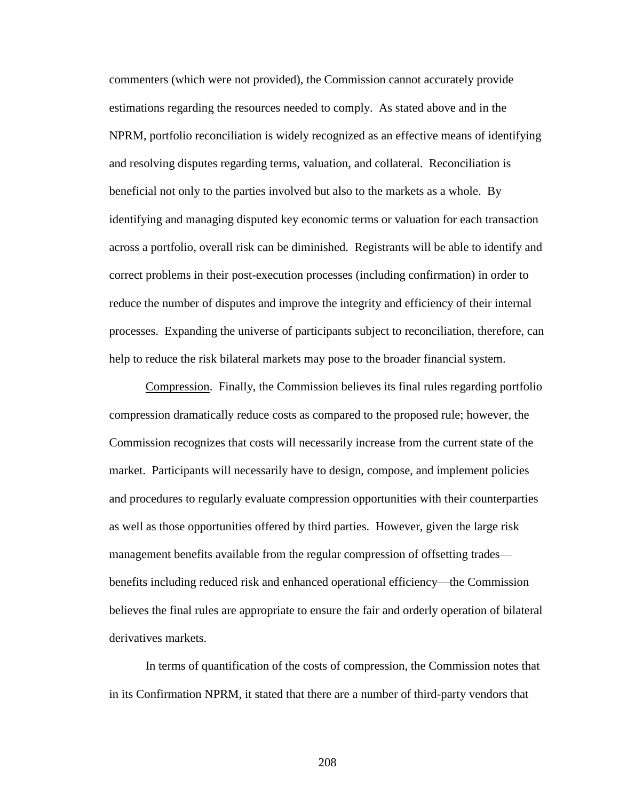commenters (which were not provided), the Commission cannot accurately provide estimations regarding the resources needed to comply. As stated above and in the NPRM, portfolio reconciliation is widely recognized as an effective means of identifying and resolving disputes regarding terms, valuation, and collateral. Reconciliation is beneficial not only to the parties involved but also to the markets as a whole. By identifying and managing disputed key economic terms or valuation for each transaction across a portfolio, overall risk can be diminished. Registrants will be able to identify and correct problems in their post-execution processes (including confirmation) in order to reduce the number of disputes and improve the integrity and efficiency of their internal processes. Expanding the universe of participants subject to reconciliation, therefore, can help to reduce the risk bilateral markets may pose to the broader financial system.

Compression. Finally, the Commission believes its final rules regarding portfolio compression dramatically reduce costs as compared to the proposed rule; however, the Commission recognizes that costs will necessarily increase from the current state of the market. Participants will necessarily have to design, compose, and implement policies and procedures to regularly evaluate compression opportunities with their counterparties as well as those opportunities offered by third parties. However, given the large risk management benefits available from the regular compression of offsetting trades benefits including reduced risk and enhanced operational efficiency—the Commission believes the final rules are appropriate to ensure the fair and orderly operation of bilateral derivatives markets.

In terms of quantification of the costs of compression, the Commission notes that in its Confirmation NPRM, it stated that there are a number of third-party vendors that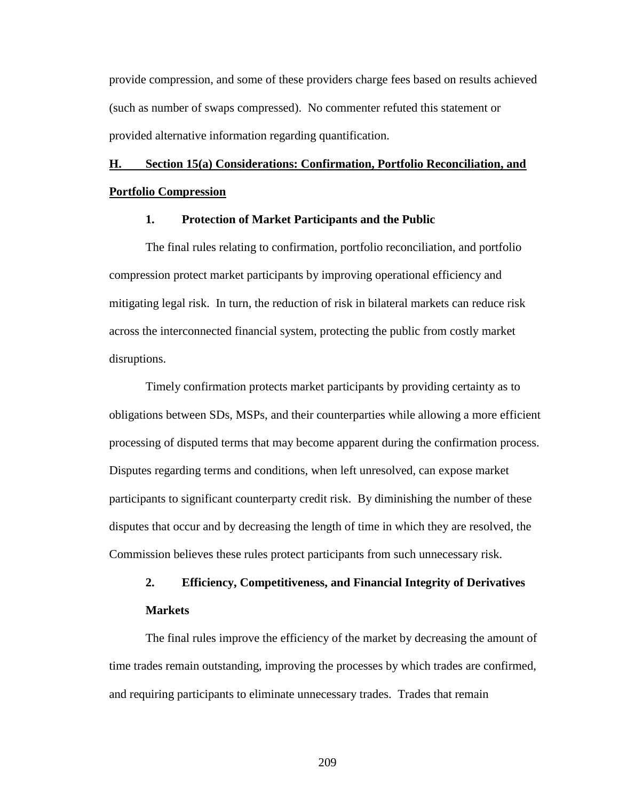provide compression, and some of these providers charge fees based on results achieved (such as number of swaps compressed). No commenter refuted this statement or provided alternative information regarding quantification.

# **H. Section 15(a) Considerations: Confirmation, Portfolio Reconciliation, and Portfolio Compression**

### **1. Protection of Market Participants and the Public**

The final rules relating to confirmation, portfolio reconciliation, and portfolio compression protect market participants by improving operational efficiency and mitigating legal risk. In turn, the reduction of risk in bilateral markets can reduce risk across the interconnected financial system, protecting the public from costly market disruptions.

Timely confirmation protects market participants by providing certainty as to obligations between SDs, MSPs, and their counterparties while allowing a more efficient processing of disputed terms that may become apparent during the confirmation process. Disputes regarding terms and conditions, when left unresolved, can expose market participants to significant counterparty credit risk. By diminishing the number of these disputes that occur and by decreasing the length of time in which they are resolved, the Commission believes these rules protect participants from such unnecessary risk.

# **2. Efficiency, Competitiveness, and Financial Integrity of Derivatives Markets**

The final rules improve the efficiency of the market by decreasing the amount of time trades remain outstanding, improving the processes by which trades are confirmed, and requiring participants to eliminate unnecessary trades. Trades that remain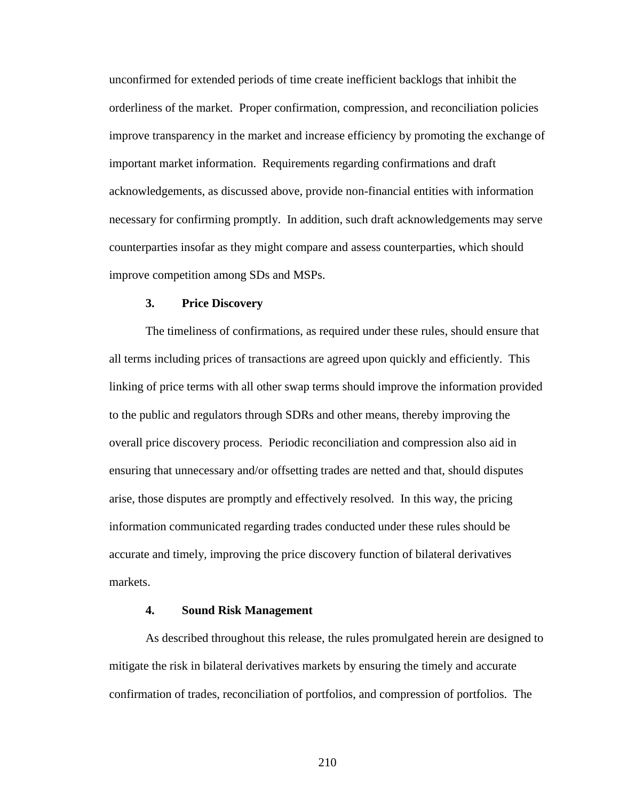unconfirmed for extended periods of time create inefficient backlogs that inhibit the orderliness of the market. Proper confirmation, compression, and reconciliation policies improve transparency in the market and increase efficiency by promoting the exchange of important market information. Requirements regarding confirmations and draft acknowledgements, as discussed above, provide non-financial entities with information necessary for confirming promptly. In addition, such draft acknowledgements may serve counterparties insofar as they might compare and assess counterparties, which should improve competition among SDs and MSPs.

### **3. Price Discovery**

The timeliness of confirmations, as required under these rules, should ensure that all terms including prices of transactions are agreed upon quickly and efficiently. This linking of price terms with all other swap terms should improve the information provided to the public and regulators through SDRs and other means, thereby improving the overall price discovery process. Periodic reconciliation and compression also aid in ensuring that unnecessary and/or offsetting trades are netted and that, should disputes arise, those disputes are promptly and effectively resolved. In this way, the pricing information communicated regarding trades conducted under these rules should be accurate and timely, improving the price discovery function of bilateral derivatives markets.

## **4. Sound Risk Management**

As described throughout this release, the rules promulgated herein are designed to mitigate the risk in bilateral derivatives markets by ensuring the timely and accurate confirmation of trades, reconciliation of portfolios, and compression of portfolios. The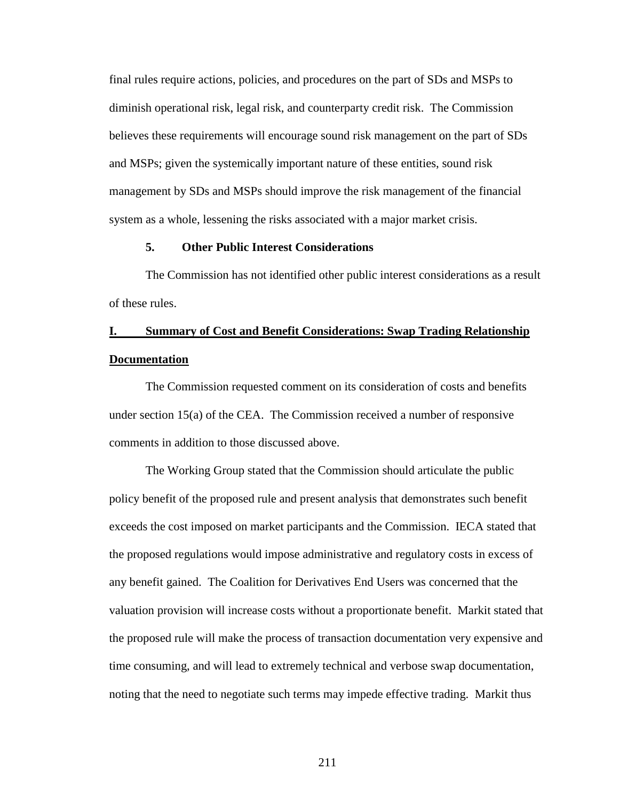final rules require actions, policies, and procedures on the part of SDs and MSPs to diminish operational risk, legal risk, and counterparty credit risk. The Commission believes these requirements will encourage sound risk management on the part of SDs and MSPs; given the systemically important nature of these entities, sound risk management by SDs and MSPs should improve the risk management of the financial system as a whole, lessening the risks associated with a major market crisis.

#### **5. Other Public Interest Considerations**

The Commission has not identified other public interest considerations as a result of these rules.

## **I. Summary of Cost and Benefit Considerations: Swap Trading Relationship Documentation**

The Commission requested comment on its consideration of costs and benefits under section 15(a) of the CEA. The Commission received a number of responsive comments in addition to those discussed above.

The Working Group stated that the Commission should articulate the public policy benefit of the proposed rule and present analysis that demonstrates such benefit exceeds the cost imposed on market participants and the Commission. IECA stated that the proposed regulations would impose administrative and regulatory costs in excess of any benefit gained. The Coalition for Derivatives End Users was concerned that the valuation provision will increase costs without a proportionate benefit. Markit stated that the proposed rule will make the process of transaction documentation very expensive and time consuming, and will lead to extremely technical and verbose swap documentation, noting that the need to negotiate such terms may impede effective trading. Markit thus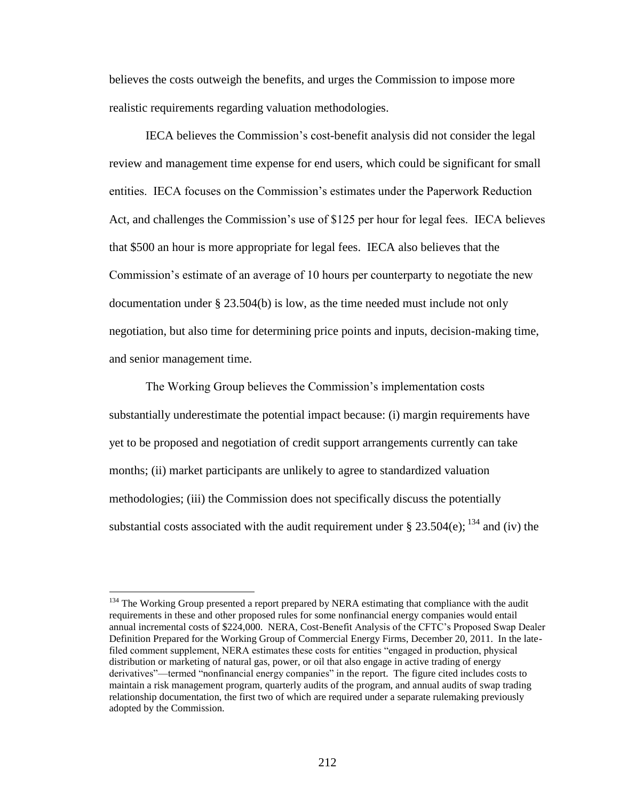believes the costs outweigh the benefits, and urges the Commission to impose more realistic requirements regarding valuation methodologies.

IECA believes the Commission's cost-benefit analysis did not consider the legal review and management time expense for end users, which could be significant for small entities. IECA focuses on the Commission's estimates under the Paperwork Reduction Act, and challenges the Commission's use of \$125 per hour for legal fees. IECA believes that \$500 an hour is more appropriate for legal fees. IECA also believes that the Commission's estimate of an average of 10 hours per counterparty to negotiate the new documentation under § 23.504(b) is low, as the time needed must include not only negotiation, but also time for determining price points and inputs, decision-making time, and senior management time.

The Working Group believes the Commission's implementation costs substantially underestimate the potential impact because: (i) margin requirements have yet to be proposed and negotiation of credit support arrangements currently can take months; (ii) market participants are unlikely to agree to standardized valuation methodologies; (iii) the Commission does not specifically discuss the potentially substantial costs associated with the audit requirement under § 23.504(e);  $^{134}$  and (iv) the

<sup>&</sup>lt;sup>134</sup> The Working Group presented a report prepared by NERA estimating that compliance with the audit requirements in these and other proposed rules for some nonfinancial energy companies would entail annual incremental costs of \$224,000. NERA, Cost-Benefit Analysis of the CFTC's Proposed Swap Dealer Definition Prepared for the Working Group of Commercial Energy Firms, December 20, 2011. In the latefiled comment supplement, NERA estimates these costs for entities "engaged in production, physical distribution or marketing of natural gas, power, or oil that also engage in active trading of energy derivatives"—termed "nonfinancial energy companies" in the report. The figure cited includes costs to maintain a risk management program, quarterly audits of the program, and annual audits of swap trading relationship documentation, the first two of which are required under a separate rulemaking previously adopted by the Commission.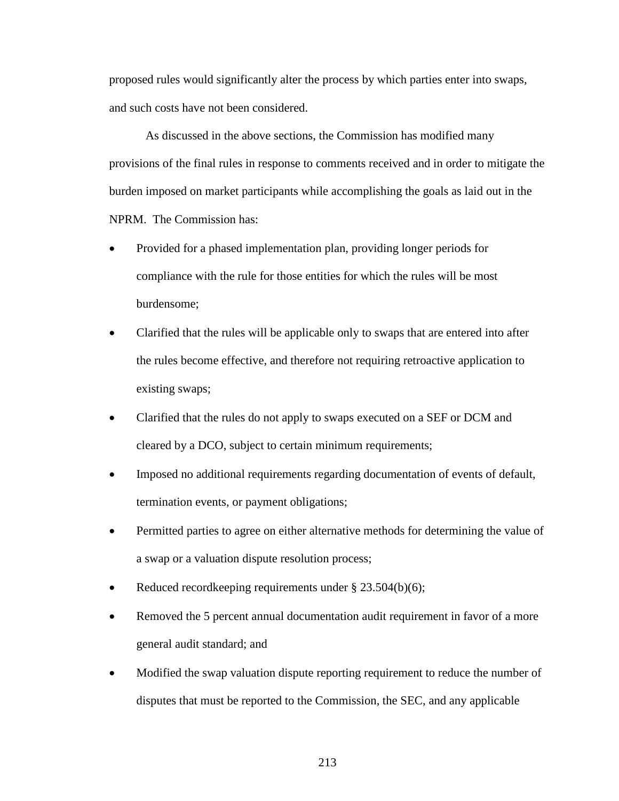proposed rules would significantly alter the process by which parties enter into swaps, and such costs have not been considered.

As discussed in the above sections, the Commission has modified many provisions of the final rules in response to comments received and in order to mitigate the burden imposed on market participants while accomplishing the goals as laid out in the NPRM. The Commission has:

- Provided for a phased implementation plan, providing longer periods for compliance with the rule for those entities for which the rules will be most burdensome;
- Clarified that the rules will be applicable only to swaps that are entered into after the rules become effective, and therefore not requiring retroactive application to existing swaps;
- Clarified that the rules do not apply to swaps executed on a SEF or DCM and cleared by a DCO, subject to certain minimum requirements;
- Imposed no additional requirements regarding documentation of events of default, termination events, or payment obligations;
- Permitted parties to agree on either alternative methods for determining the value of a swap or a valuation dispute resolution process;
- Reduced recordkeeping requirements under § 23.504(b)(6);
- Removed the 5 percent annual documentation audit requirement in favor of a more general audit standard; and
- Modified the swap valuation dispute reporting requirement to reduce the number of disputes that must be reported to the Commission, the SEC, and any applicable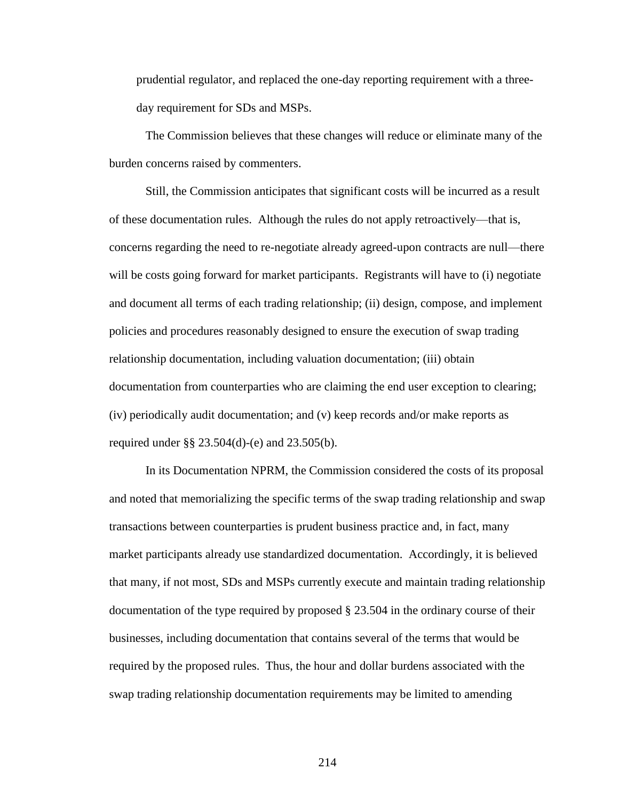prudential regulator, and replaced the one-day reporting requirement with a threeday requirement for SDs and MSPs.

The Commission believes that these changes will reduce or eliminate many of the burden concerns raised by commenters.

Still, the Commission anticipates that significant costs will be incurred as a result of these documentation rules. Although the rules do not apply retroactively—that is, concerns regarding the need to re-negotiate already agreed-upon contracts are null—there will be costs going forward for market participants. Registrants will have to (i) negotiate and document all terms of each trading relationship; (ii) design, compose, and implement policies and procedures reasonably designed to ensure the execution of swap trading relationship documentation, including valuation documentation; (iii) obtain documentation from counterparties who are claiming the end user exception to clearing; (iv) periodically audit documentation; and (v) keep records and/or make reports as required under §§ 23.504(d)-(e) and 23.505(b).

In its Documentation NPRM, the Commission considered the costs of its proposal and noted that memorializing the specific terms of the swap trading relationship and swap transactions between counterparties is prudent business practice and, in fact, many market participants already use standardized documentation. Accordingly, it is believed that many, if not most, SDs and MSPs currently execute and maintain trading relationship documentation of the type required by proposed § 23.504 in the ordinary course of their businesses, including documentation that contains several of the terms that would be required by the proposed rules. Thus, the hour and dollar burdens associated with the swap trading relationship documentation requirements may be limited to amending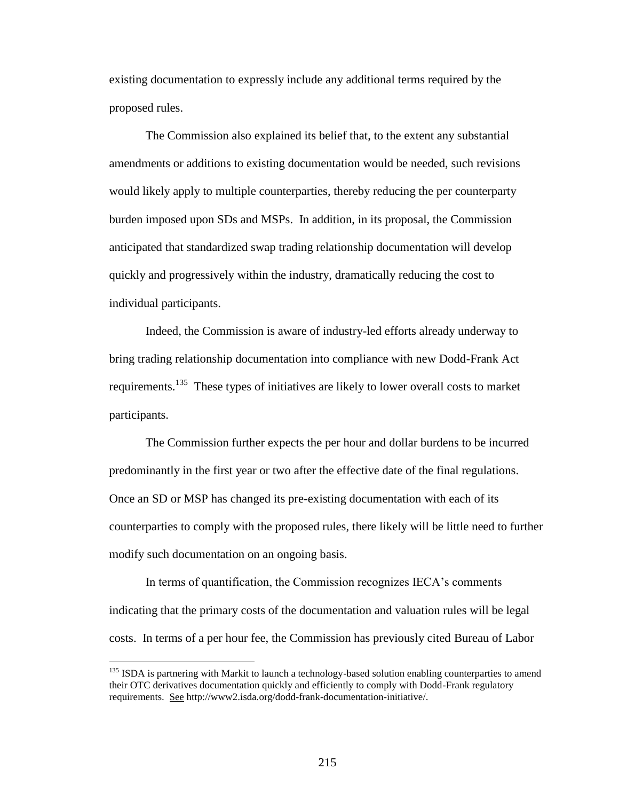existing documentation to expressly include any additional terms required by the proposed rules.

The Commission also explained its belief that, to the extent any substantial amendments or additions to existing documentation would be needed, such revisions would likely apply to multiple counterparties, thereby reducing the per counterparty burden imposed upon SDs and MSPs. In addition, in its proposal, the Commission anticipated that standardized swap trading relationship documentation will develop quickly and progressively within the industry, dramatically reducing the cost to individual participants.

Indeed, the Commission is aware of industry-led efforts already underway to bring trading relationship documentation into compliance with new Dodd-Frank Act requirements.<sup>135</sup> These types of initiatives are likely to lower overall costs to market participants.

The Commission further expects the per hour and dollar burdens to be incurred predominantly in the first year or two after the effective date of the final regulations. Once an SD or MSP has changed its pre-existing documentation with each of its counterparties to comply with the proposed rules, there likely will be little need to further modify such documentation on an ongoing basis.

In terms of quantification, the Commission recognizes IECA's comments indicating that the primary costs of the documentation and valuation rules will be legal costs. In terms of a per hour fee, the Commission has previously cited Bureau of Labor

<sup>&</sup>lt;sup>135</sup> ISDA is partnering with Markit to launch a technology-based solution enabling counterparties to amend their OTC derivatives documentation quickly and efficiently to comply with Dodd-Frank regulatory requirements. See http://www2.isda.org/dodd-frank-documentation-initiative/.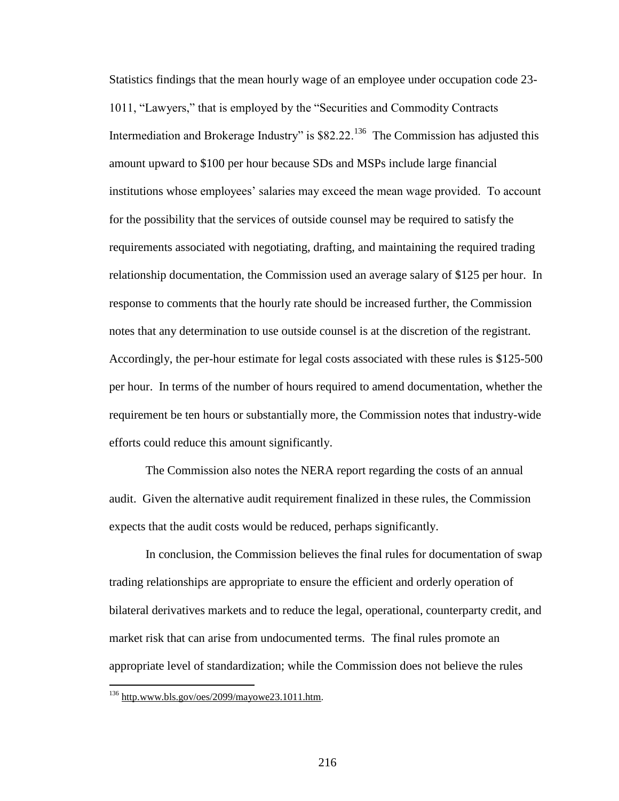Statistics findings that the mean hourly wage of an employee under occupation code 23- 1011, "Lawyers," that is employed by the "Securities and Commodity Contracts Intermediation and Brokerage Industry" is  $$82.22$ <sup>136</sup> The Commission has adjusted this amount upward to \$100 per hour because SDs and MSPs include large financial institutions whose employees' salaries may exceed the mean wage provided. To account for the possibility that the services of outside counsel may be required to satisfy the requirements associated with negotiating, drafting, and maintaining the required trading relationship documentation, the Commission used an average salary of \$125 per hour. In response to comments that the hourly rate should be increased further, the Commission notes that any determination to use outside counsel is at the discretion of the registrant. Accordingly, the per-hour estimate for legal costs associated with these rules is \$125-500 per hour. In terms of the number of hours required to amend documentation, whether the requirement be ten hours or substantially more, the Commission notes that industry-wide efforts could reduce this amount significantly.

The Commission also notes the NERA report regarding the costs of an annual audit. Given the alternative audit requirement finalized in these rules, the Commission expects that the audit costs would be reduced, perhaps significantly.

In conclusion, the Commission believes the final rules for documentation of swap trading relationships are appropriate to ensure the efficient and orderly operation of bilateral derivatives markets and to reduce the legal, operational, counterparty credit, and market risk that can arise from undocumented terms. The final rules promote an appropriate level of standardization; while the Commission does not believe the rules

 $136$  http.www.bls.gov/oes/2099/mayowe23.1011.htm.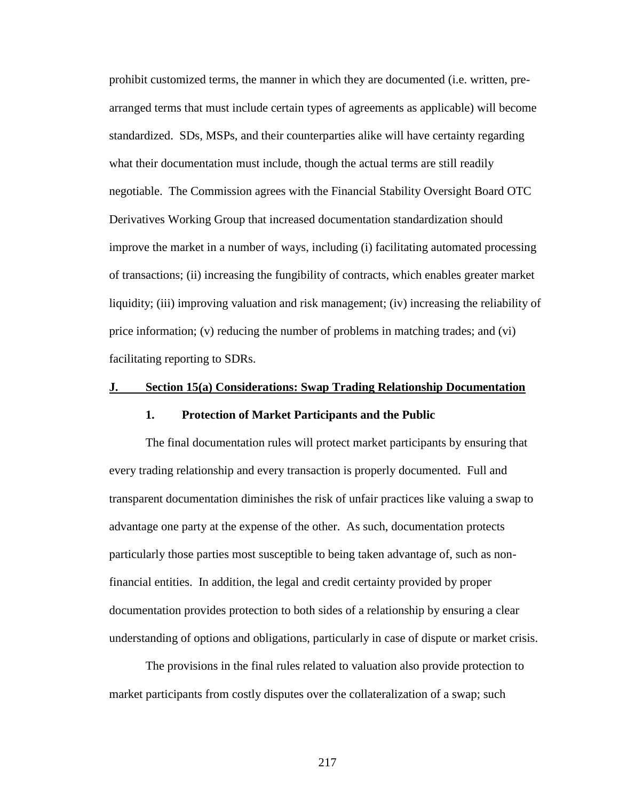prohibit customized terms, the manner in which they are documented (i.e. written, prearranged terms that must include certain types of agreements as applicable) will become standardized. SDs, MSPs, and their counterparties alike will have certainty regarding what their documentation must include, though the actual terms are still readily negotiable. The Commission agrees with the Financial Stability Oversight Board OTC Derivatives Working Group that increased documentation standardization should improve the market in a number of ways, including (i) facilitating automated processing of transactions; (ii) increasing the fungibility of contracts, which enables greater market liquidity; (iii) improving valuation and risk management; (iv) increasing the reliability of price information; (v) reducing the number of problems in matching trades; and (vi) facilitating reporting to SDRs.

#### **J. Section 15(a) Considerations: Swap Trading Relationship Documentation**

# **1. Protection of Market Participants and the Public**

The final documentation rules will protect market participants by ensuring that every trading relationship and every transaction is properly documented. Full and transparent documentation diminishes the risk of unfair practices like valuing a swap to advantage one party at the expense of the other. As such, documentation protects particularly those parties most susceptible to being taken advantage of, such as nonfinancial entities. In addition, the legal and credit certainty provided by proper documentation provides protection to both sides of a relationship by ensuring a clear understanding of options and obligations, particularly in case of dispute or market crisis.

The provisions in the final rules related to valuation also provide protection to market participants from costly disputes over the collateralization of a swap; such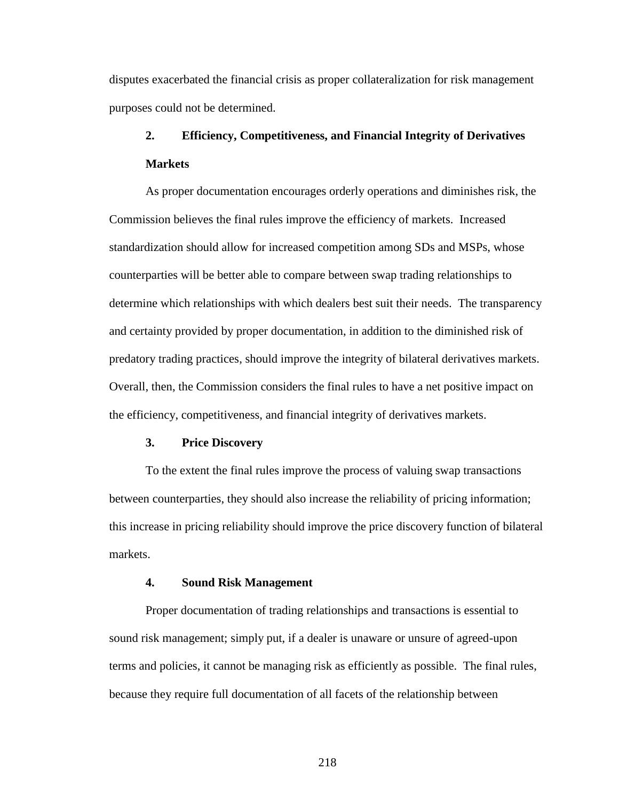disputes exacerbated the financial crisis as proper collateralization for risk management purposes could not be determined.

# **2. Efficiency, Competitiveness, and Financial Integrity of Derivatives Markets**

As proper documentation encourages orderly operations and diminishes risk, the Commission believes the final rules improve the efficiency of markets. Increased standardization should allow for increased competition among SDs and MSPs, whose counterparties will be better able to compare between swap trading relationships to determine which relationships with which dealers best suit their needs. The transparency and certainty provided by proper documentation, in addition to the diminished risk of predatory trading practices, should improve the integrity of bilateral derivatives markets. Overall, then, the Commission considers the final rules to have a net positive impact on the efficiency, competitiveness, and financial integrity of derivatives markets.

#### **3. Price Discovery**

To the extent the final rules improve the process of valuing swap transactions between counterparties, they should also increase the reliability of pricing information; this increase in pricing reliability should improve the price discovery function of bilateral markets.

#### **4. Sound Risk Management**

Proper documentation of trading relationships and transactions is essential to sound risk management; simply put, if a dealer is unaware or unsure of agreed-upon terms and policies, it cannot be managing risk as efficiently as possible. The final rules, because they require full documentation of all facets of the relationship between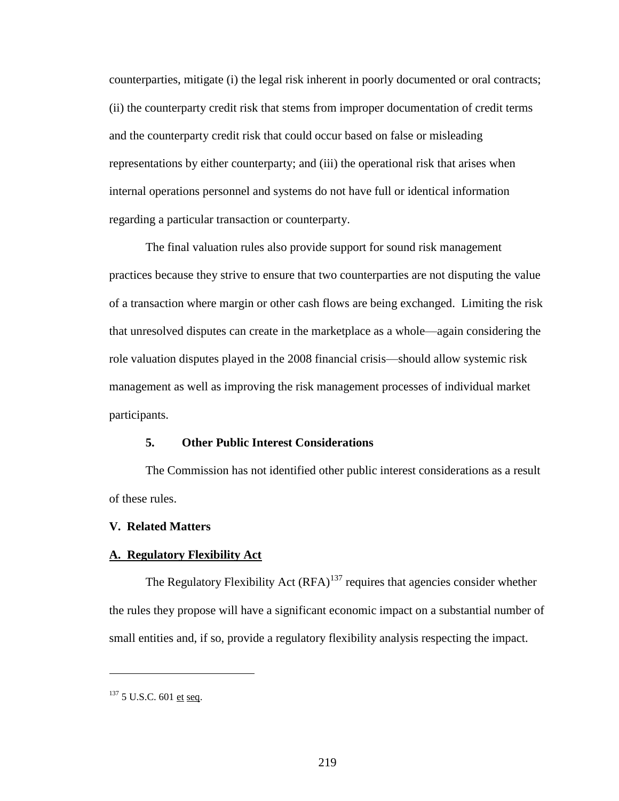counterparties, mitigate (i) the legal risk inherent in poorly documented or oral contracts; (ii) the counterparty credit risk that stems from improper documentation of credit terms and the counterparty credit risk that could occur based on false or misleading representations by either counterparty; and (iii) the operational risk that arises when internal operations personnel and systems do not have full or identical information regarding a particular transaction or counterparty.

The final valuation rules also provide support for sound risk management practices because they strive to ensure that two counterparties are not disputing the value of a transaction where margin or other cash flows are being exchanged. Limiting the risk that unresolved disputes can create in the marketplace as a whole—again considering the role valuation disputes played in the 2008 financial crisis—should allow systemic risk management as well as improving the risk management processes of individual market participants.

# **5. Other Public Interest Considerations**

The Commission has not identified other public interest considerations as a result of these rules.

#### **V. Related Matters**

#### **A. Regulatory Flexibility Act**

The Regulatory Flexibility Act  $(RFA)^{137}$  requires that agencies consider whether the rules they propose will have a significant economic impact on a substantial number of small entities and, if so, provide a regulatory flexibility analysis respecting the impact.

<sup>&</sup>lt;sup>137</sup> 5 U.S.C. 601 et seq.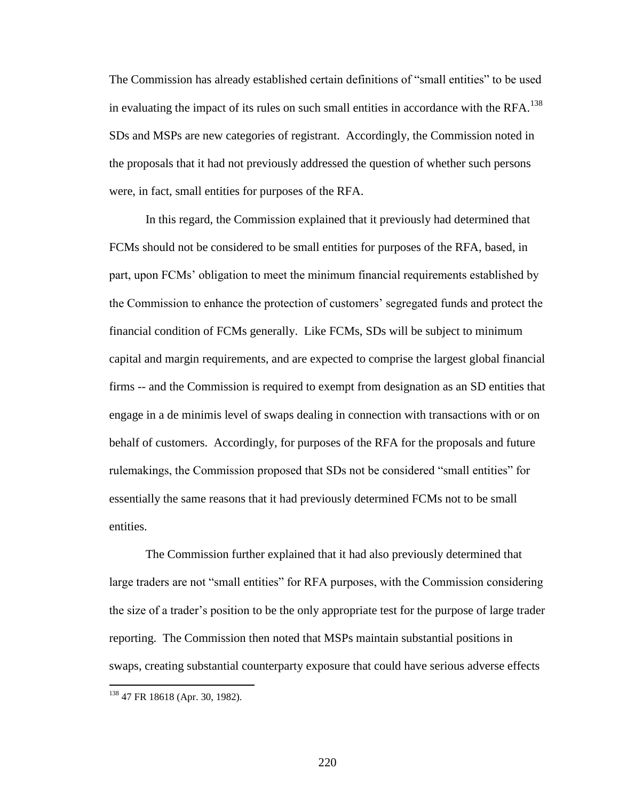The Commission has already established certain definitions of "small entities" to be used in evaluating the impact of its rules on such small entities in accordance with the RFA.<sup>138</sup> SDs and MSPs are new categories of registrant. Accordingly, the Commission noted in the proposals that it had not previously addressed the question of whether such persons were, in fact, small entities for purposes of the RFA.

In this regard, the Commission explained that it previously had determined that FCMs should not be considered to be small entities for purposes of the RFA, based, in part, upon FCMs' obligation to meet the minimum financial requirements established by the Commission to enhance the protection of customers' segregated funds and protect the financial condition of FCMs generally. Like FCMs, SDs will be subject to minimum capital and margin requirements, and are expected to comprise the largest global financial firms -- and the Commission is required to exempt from designation as an SD entities that engage in a de minimis level of swaps dealing in connection with transactions with or on behalf of customers. Accordingly, for purposes of the RFA for the proposals and future rulemakings, the Commission proposed that SDs not be considered "small entities" for essentially the same reasons that it had previously determined FCMs not to be small entities.

The Commission further explained that it had also previously determined that large traders are not "small entities" for RFA purposes, with the Commission considering the size of a trader's position to be the only appropriate test for the purpose of large trader reporting. The Commission then noted that MSPs maintain substantial positions in swaps, creating substantial counterparty exposure that could have serious adverse effects

<sup>&</sup>lt;sup>138</sup> 47 FR 18618 (Apr. 30, 1982).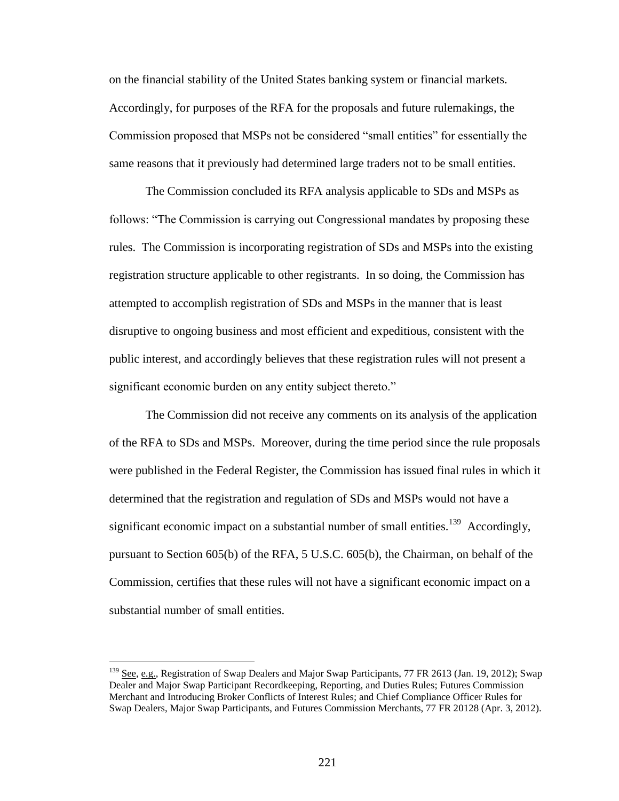on the financial stability of the United States banking system or financial markets. Accordingly, for purposes of the RFA for the proposals and future rulemakings, the Commission proposed that MSPs not be considered "small entities" for essentially the same reasons that it previously had determined large traders not to be small entities.

The Commission concluded its RFA analysis applicable to SDs and MSPs as follows: "The Commission is carrying out Congressional mandates by proposing these rules. The Commission is incorporating registration of SDs and MSPs into the existing registration structure applicable to other registrants. In so doing, the Commission has attempted to accomplish registration of SDs and MSPs in the manner that is least disruptive to ongoing business and most efficient and expeditious, consistent with the public interest, and accordingly believes that these registration rules will not present a significant economic burden on any entity subject thereto."

The Commission did not receive any comments on its analysis of the application of the RFA to SDs and MSPs. Moreover, during the time period since the rule proposals were published in the Federal Register, the Commission has issued final rules in which it determined that the registration and regulation of SDs and MSPs would not have a significant economic impact on a substantial number of small entities.<sup>139</sup> Accordingly, pursuant to Section 605(b) of the RFA, 5 U.S.C. 605(b), the Chairman, on behalf of the Commission, certifies that these rules will not have a significant economic impact on a substantial number of small entities.

<sup>&</sup>lt;sup>139</sup> See, e.g., Registration of Swap Dealers and Major Swap Participants, 77 FR 2613 (Jan. 19, 2012); Swap Dealer and Major Swap Participant Recordkeeping, Reporting, and Duties Rules; Futures Commission Merchant and Introducing Broker Conflicts of Interest Rules; and Chief Compliance Officer Rules for Swap Dealers, Major Swap Participants, and Futures Commission Merchants, 77 FR 20128 (Apr. 3, 2012).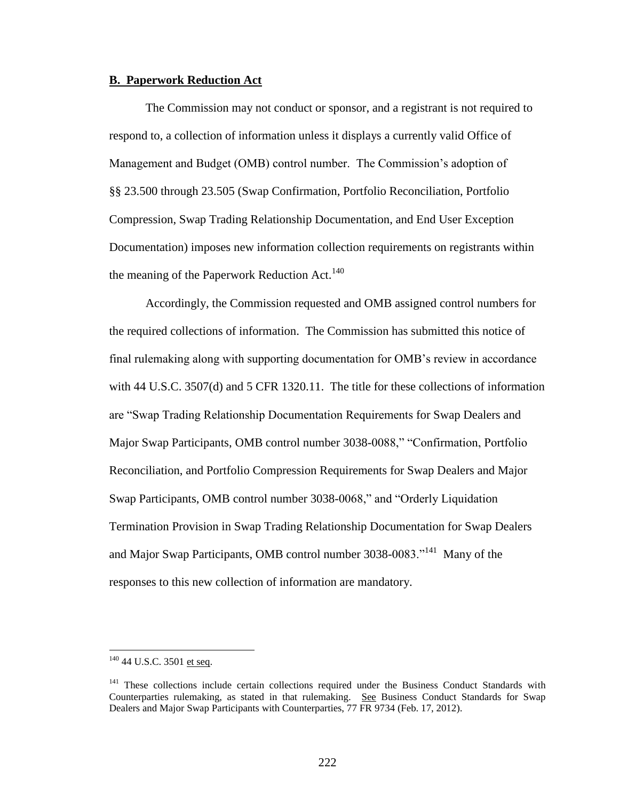#### **B. Paperwork Reduction Act**

The Commission may not conduct or sponsor, and a registrant is not required to respond to, a collection of information unless it displays a currently valid Office of Management and Budget (OMB) control number. The Commission's adoption of §§ 23.500 through 23.505 (Swap Confirmation, Portfolio Reconciliation, Portfolio Compression, Swap Trading Relationship Documentation, and End User Exception Documentation) imposes new information collection requirements on registrants within the meaning of the Paperwork Reduction Act.<sup>140</sup>

Accordingly, the Commission requested and OMB assigned control numbers for the required collections of information. The Commission has submitted this notice of final rulemaking along with supporting documentation for OMB's review in accordance with 44 U.S.C. 3507(d) and 5 CFR 1320.11. The title for these collections of information are "Swap Trading Relationship Documentation Requirements for Swap Dealers and Major Swap Participants, OMB control number 3038-0088," "Confirmation, Portfolio Reconciliation, and Portfolio Compression Requirements for Swap Dealers and Major Swap Participants, OMB control number 3038-0068," and "Orderly Liquidation Termination Provision in Swap Trading Relationship Documentation for Swap Dealers and Major Swap Participants, OMB control number 3038-0083."<sup>141</sup> Many of the responses to this new collection of information are mandatory.

<sup>&</sup>lt;sup>140</sup> 44 U.S.C. 3501 et seq.

<sup>&</sup>lt;sup>141</sup> These collections include certain collections required under the Business Conduct Standards with Counterparties rulemaking, as stated in that rulemaking. See Business Conduct Standards for Swap Dealers and Major Swap Participants with Counterparties, 77 FR 9734 (Feb. 17, 2012).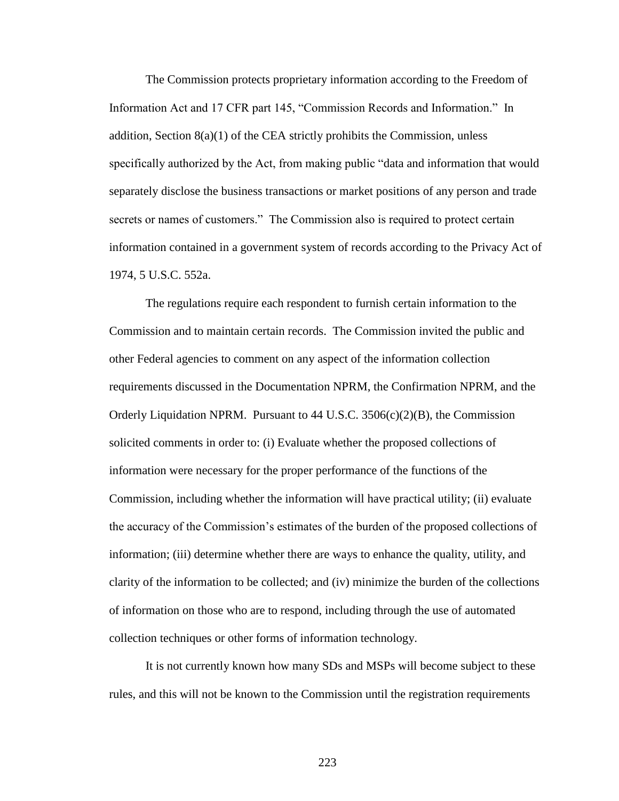The Commission protects proprietary information according to the Freedom of Information Act and 17 CFR part 145, "Commission Records and Information." In addition, Section  $8(a)(1)$  of the CEA strictly prohibits the Commission, unless specifically authorized by the Act, from making public "data and information that would separately disclose the business transactions or market positions of any person and trade secrets or names of customers." The Commission also is required to protect certain information contained in a government system of records according to the Privacy Act of 1974, 5 U.S.C. 552a.

The regulations require each respondent to furnish certain information to the Commission and to maintain certain records. The Commission invited the public and other Federal agencies to comment on any aspect of the information collection requirements discussed in the Documentation NPRM, the Confirmation NPRM, and the Orderly Liquidation NPRM. Pursuant to  $44 \text{ U.S.C. } 3506(c)(2)(B)$ , the Commission solicited comments in order to: (i) Evaluate whether the proposed collections of information were necessary for the proper performance of the functions of the Commission, including whether the information will have practical utility; (ii) evaluate the accuracy of the Commission's estimates of the burden of the proposed collections of information; (iii) determine whether there are ways to enhance the quality, utility, and clarity of the information to be collected; and (iv) minimize the burden of the collections of information on those who are to respond, including through the use of automated collection techniques or other forms of information technology.

It is not currently known how many SDs and MSPs will become subject to these rules, and this will not be known to the Commission until the registration requirements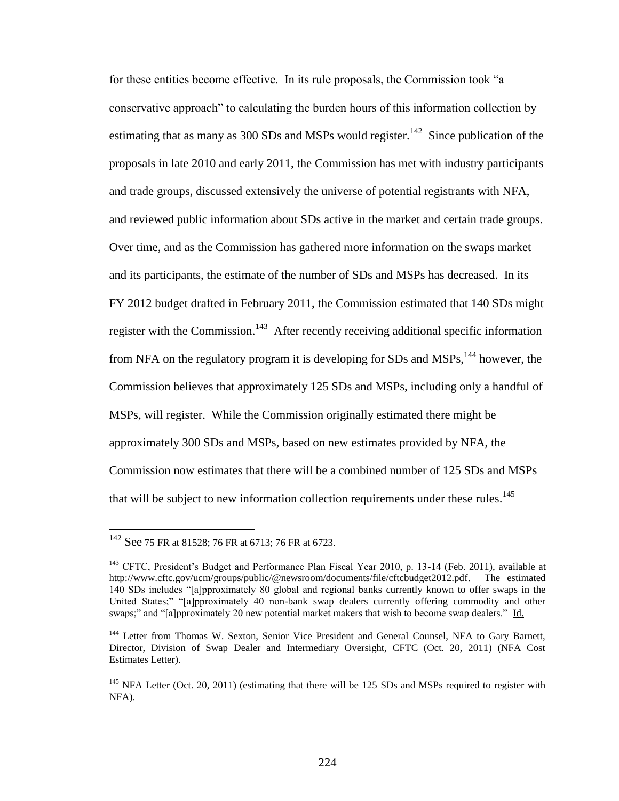for these entities become effective. In its rule proposals, the Commission took "a conservative approach" to calculating the burden hours of this information collection by estimating that as many as 300 SDs and MSPs would register.<sup>142</sup> Since publication of the proposals in late 2010 and early 2011, the Commission has met with industry participants and trade groups, discussed extensively the universe of potential registrants with NFA, and reviewed public information about SDs active in the market and certain trade groups. Over time, and as the Commission has gathered more information on the swaps market and its participants, the estimate of the number of SDs and MSPs has decreased. In its FY 2012 budget drafted in February 2011, the Commission estimated that 140 SDs might register with the Commission.<sup>143</sup> After recently receiving additional specific information from NFA on the regulatory program it is developing for SDs and MSPs,  $144$  however, the Commission believes that approximately 125 SDs and MSPs, including only a handful of MSPs, will register. While the Commission originally estimated there might be approximately 300 SDs and MSPs, based on new estimates provided by NFA, the Commission now estimates that there will be a combined number of 125 SDs and MSPs that will be subject to new information collection requirements under these rules.<sup>145</sup>

<sup>142</sup> See <sup>75</sup> FR at 81528; <sup>76</sup> FR at 6713; 76 FR at 6723.

<sup>&</sup>lt;sup>143</sup> CFTC, President's Budget and Performance Plan Fiscal Year 2010, p. 13-14 (Feb. 2011), available at http://www.cftc.gov/ucm/groups/public/@newsroom/documents/file/cftcbudget2012.pdf. The estimated 140 SDs includes "[a]pproximately 80 global and regional banks currently known to offer swaps in the United States;" "[a]pproximately 40 non-bank swap dealers currently offering commodity and other swaps;" and "[a]pproximately 20 new potential market makers that wish to become swap dealers." Id.

<sup>&</sup>lt;sup>144</sup> Letter from Thomas W. Sexton, Senior Vice President and General Counsel, NFA to Gary Barnett, Director, Division of Swap Dealer and Intermediary Oversight, CFTC (Oct. 20, 2011) (NFA Cost Estimates Letter).

<sup>&</sup>lt;sup>145</sup> NFA Letter (Oct. 20, 2011) (estimating that there will be 125 SDs and MSPs required to register with NFA).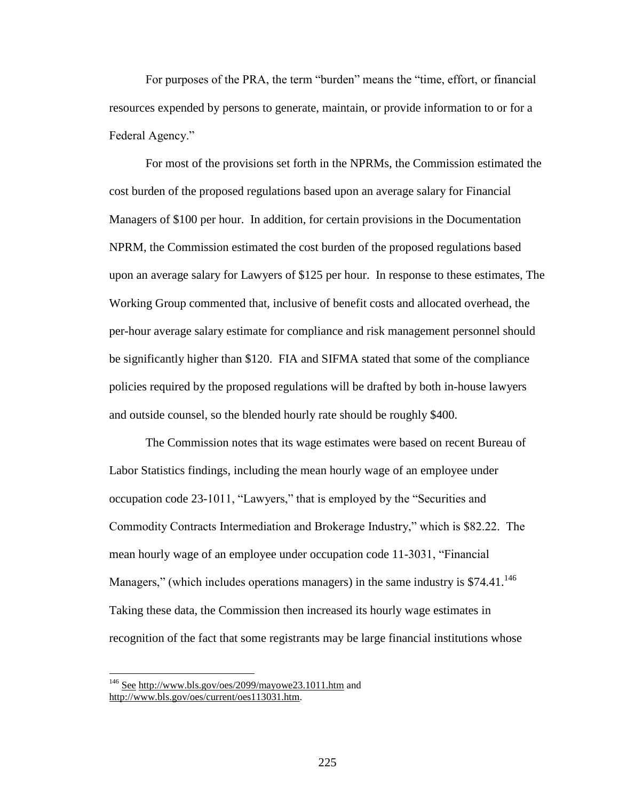For purposes of the PRA, the term "burden" means the "time, effort, or financial resources expended by persons to generate, maintain, or provide information to or for a Federal Agency."

For most of the provisions set forth in the NPRMs, the Commission estimated the cost burden of the proposed regulations based upon an average salary for Financial Managers of \$100 per hour. In addition, for certain provisions in the Documentation NPRM, the Commission estimated the cost burden of the proposed regulations based upon an average salary for Lawyers of \$125 per hour. In response to these estimates, The Working Group commented that, inclusive of benefit costs and allocated overhead, the per-hour average salary estimate for compliance and risk management personnel should be significantly higher than \$120. FIA and SIFMA stated that some of the compliance policies required by the proposed regulations will be drafted by both in-house lawyers and outside counsel, so the blended hourly rate should be roughly \$400.

The Commission notes that its wage estimates were based on recent Bureau of Labor Statistics findings, including the mean hourly wage of an employee under occupation code 23-1011, "Lawyers," that is employed by the "Securities and Commodity Contracts Intermediation and Brokerage Industry," which is \$82.22. The mean hourly wage of an employee under occupation code 11-3031, "Financial Managers," (which includes operations managers) in the same industry is  $$74.41$ .<sup>146</sup> Taking these data, the Commission then increased its hourly wage estimates in recognition of the fact that some registrants may be large financial institutions whose

<sup>&</sup>lt;sup>146</sup> See http://www.bls.gov/oes/2099/mayowe23.1011.htm and http://www.bls.gov/oes/current/oes113031.htm.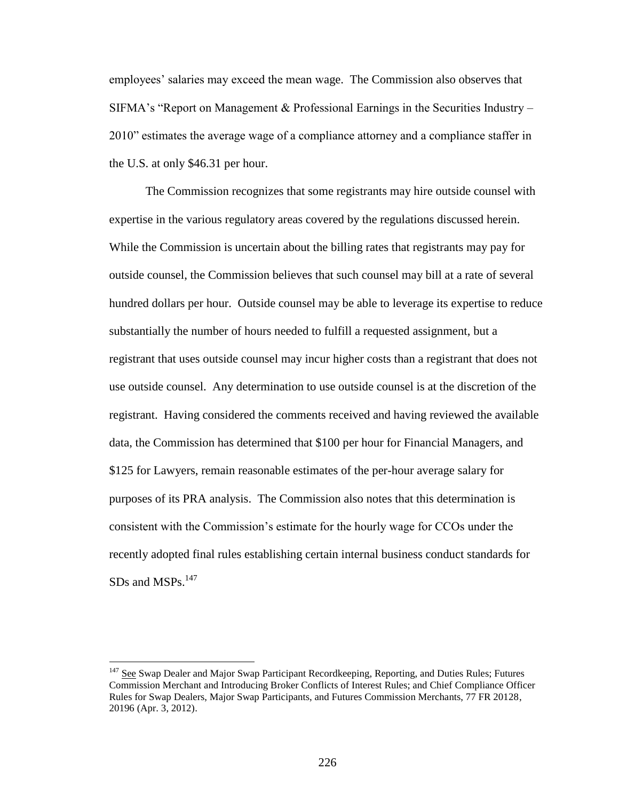employees' salaries may exceed the mean wage. The Commission also observes that SIFMA's "Report on Management & Professional Earnings in the Securities Industry – 2010" estimates the average wage of a compliance attorney and a compliance staffer in the U.S. at only \$46.31 per hour.

The Commission recognizes that some registrants may hire outside counsel with expertise in the various regulatory areas covered by the regulations discussed herein. While the Commission is uncertain about the billing rates that registrants may pay for outside counsel, the Commission believes that such counsel may bill at a rate of several hundred dollars per hour. Outside counsel may be able to leverage its expertise to reduce substantially the number of hours needed to fulfill a requested assignment, but a registrant that uses outside counsel may incur higher costs than a registrant that does not use outside counsel. Any determination to use outside counsel is at the discretion of the registrant. Having considered the comments received and having reviewed the available data, the Commission has determined that \$100 per hour for Financial Managers, and \$125 for Lawyers, remain reasonable estimates of the per-hour average salary for purposes of its PRA analysis. The Commission also notes that this determination is consistent with the Commission's estimate for the hourly wage for CCOs under the recently adopted final rules establishing certain internal business conduct standards for  $SDs$  and  $MSPs$ <sup>147</sup>

<sup>&</sup>lt;sup>147</sup> See Swap Dealer and Major Swap Participant Recordkeeping, Reporting, and Duties Rules; Futures Commission Merchant and Introducing Broker Conflicts of Interest Rules; and Chief Compliance Officer Rules for Swap Dealers, Major Swap Participants, and Futures Commission Merchants, 77 FR 20128, 20196 (Apr. 3, 2012).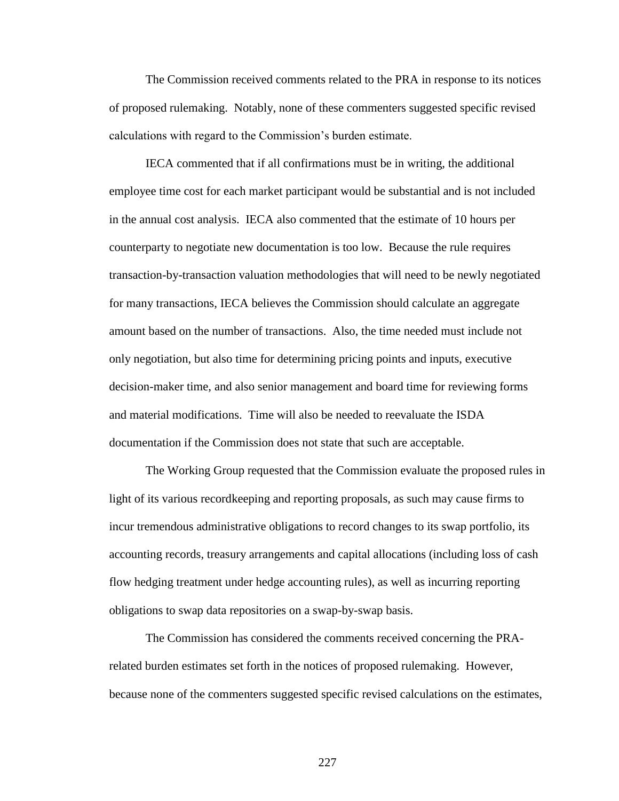The Commission received comments related to the PRA in response to its notices of proposed rulemaking. Notably, none of these commenters suggested specific revised calculations with regard to the Commission's burden estimate.

IECA commented that if all confirmations must be in writing, the additional employee time cost for each market participant would be substantial and is not included in the annual cost analysis. IECA also commented that the estimate of 10 hours per counterparty to negotiate new documentation is too low. Because the rule requires transaction-by-transaction valuation methodologies that will need to be newly negotiated for many transactions, IECA believes the Commission should calculate an aggregate amount based on the number of transactions. Also, the time needed must include not only negotiation, but also time for determining pricing points and inputs, executive decision-maker time, and also senior management and board time for reviewing forms and material modifications. Time will also be needed to reevaluate the ISDA documentation if the Commission does not state that such are acceptable.

The Working Group requested that the Commission evaluate the proposed rules in light of its various recordkeeping and reporting proposals, as such may cause firms to incur tremendous administrative obligations to record changes to its swap portfolio, its accounting records, treasury arrangements and capital allocations (including loss of cash flow hedging treatment under hedge accounting rules), as well as incurring reporting obligations to swap data repositories on a swap-by-swap basis.

The Commission has considered the comments received concerning the PRArelated burden estimates set forth in the notices of proposed rulemaking. However, because none of the commenters suggested specific revised calculations on the estimates,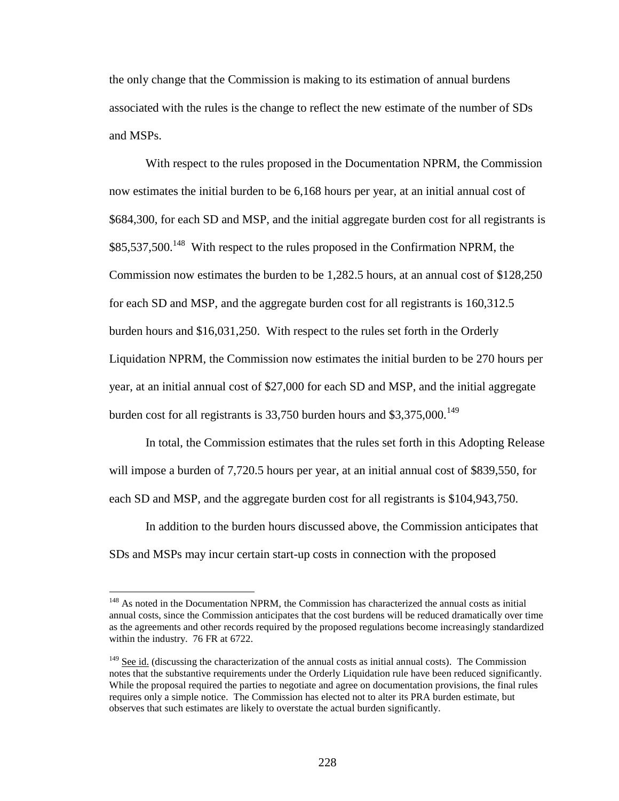the only change that the Commission is making to its estimation of annual burdens associated with the rules is the change to reflect the new estimate of the number of SDs and MSPs.

With respect to the rules proposed in the Documentation NPRM, the Commission now estimates the initial burden to be 6,168 hours per year, at an initial annual cost of \$684,300, for each SD and MSP, and the initial aggregate burden cost for all registrants is  $$85,537,500<sup>148</sup>$  With respect to the rules proposed in the Confirmation NPRM, the Commission now estimates the burden to be 1,282.5 hours, at an annual cost of \$128,250 for each SD and MSP, and the aggregate burden cost for all registrants is 160,312.5 burden hours and \$16,031,250. With respect to the rules set forth in the Orderly Liquidation NPRM, the Commission now estimates the initial burden to be 270 hours per year, at an initial annual cost of \$27,000 for each SD and MSP, and the initial aggregate burden cost for all registrants is 33,750 burden hours and  $$3,375,000$ <sup>149</sup>

In total, the Commission estimates that the rules set forth in this Adopting Release will impose a burden of 7,720.5 hours per year, at an initial annual cost of \$839,550, for each SD and MSP, and the aggregate burden cost for all registrants is \$104,943,750.

In addition to the burden hours discussed above, the Commission anticipates that SDs and MSPs may incur certain start-up costs in connection with the proposed

<sup>&</sup>lt;sup>148</sup> As noted in the Documentation NPRM, the Commission has characterized the annual costs as initial annual costs, since the Commission anticipates that the cost burdens will be reduced dramatically over time as the agreements and other records required by the proposed regulations become increasingly standardized within the industry. 76 FR at 6722.

 $149$  See id. (discussing the characterization of the annual costs as initial annual costs). The Commission notes that the substantive requirements under the Orderly Liquidation rule have been reduced significantly. While the proposal required the parties to negotiate and agree on documentation provisions, the final rules requires only a simple notice. The Commission has elected not to alter its PRA burden estimate, but observes that such estimates are likely to overstate the actual burden significantly.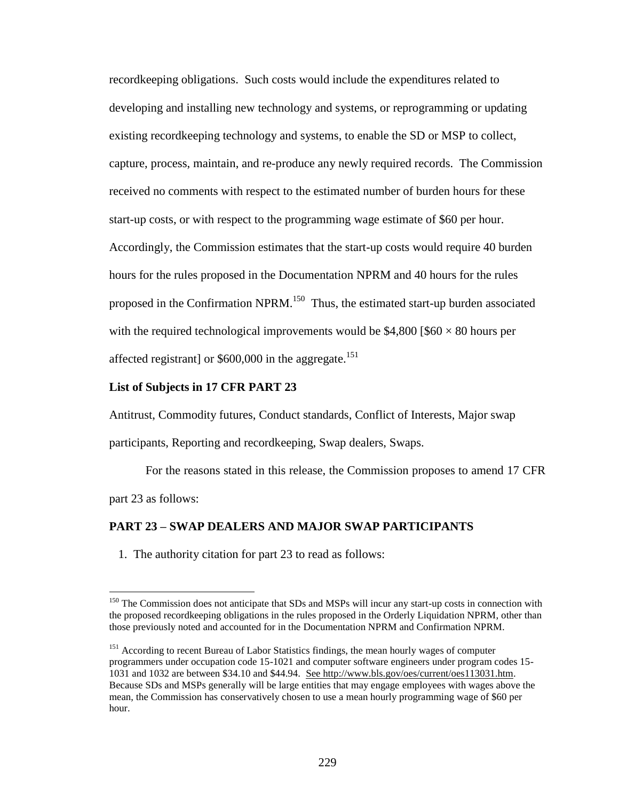recordkeeping obligations. Such costs would include the expenditures related to developing and installing new technology and systems, or reprogramming or updating existing recordkeeping technology and systems, to enable the SD or MSP to collect, capture, process, maintain, and re-produce any newly required records. The Commission received no comments with respect to the estimated number of burden hours for these start-up costs, or with respect to the programming wage estimate of \$60 per hour. Accordingly, the Commission estimates that the start-up costs would require 40 burden hours for the rules proposed in the Documentation NPRM and 40 hours for the rules proposed in the Confirmation NPRM.<sup>150</sup> Thus, the estimated start-up burden associated with the required technological improvements would be  $$4,800$  [\$60  $\times$  80 hours per affected registrant] or  $$600,000$  in the aggregate.<sup>151</sup>

# **List of Subjects in 17 CFR PART 23**

 $\overline{a}$ 

Antitrust, Commodity futures, Conduct standards, Conflict of Interests, Major swap participants, Reporting and recordkeeping, Swap dealers, Swaps.

For the reasons stated in this release, the Commission proposes to amend 17 CFR part 23 as follows:

## **PART 23 – SWAP DEALERS AND MAJOR SWAP PARTICIPANTS**

1. The authority citation for part 23 to read as follows:

<sup>&</sup>lt;sup>150</sup> The Commission does not anticipate that SDs and MSPs will incur any start-up costs in connection with the proposed recordkeeping obligations in the rules proposed in the Orderly Liquidation NPRM, other than those previously noted and accounted for in the Documentation NPRM and Confirmation NPRM.

<sup>&</sup>lt;sup>151</sup> According to recent Bureau of Labor Statistics findings, the mean hourly wages of computer programmers under occupation code 15-1021 and computer software engineers under program codes 15- 1031 and 1032 are between \$34.10 and \$44.94. See http://www.bls.gov/oes/current/oes113031.htm. Because SDs and MSPs generally will be large entities that may engage employees with wages above the mean, the Commission has conservatively chosen to use a mean hourly programming wage of \$60 per hour.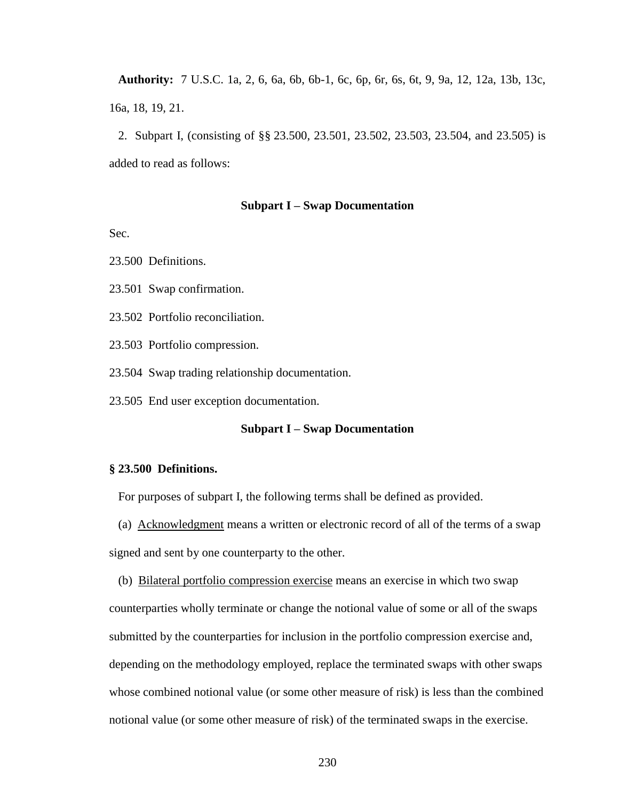**Authority:** 7 U.S.C. 1a, 2, 6, 6a, 6b, 6b-1, 6c, 6p, 6r, 6s, 6t, 9, 9a, 12, 12a, 13b, 13c, 16a, 18, 19, 21.

 2. Subpart I, (consisting of §§ 23.500, 23.501, 23.502, 23.503, 23.504, and 23.505) is added to read as follows:

#### **Subpart I – Swap Documentation**

Sec.

23.500 Definitions.

23.501 Swap confirmation.

23.502 Portfolio reconciliation.

23.503 Portfolio compression.

23.504 Swap trading relationship documentation.

23.505 End user exception documentation.

# **Subpart I – Swap Documentation**

# **§ 23.500 Definitions.**

For purposes of subpart I, the following terms shall be defined as provided.

(a) Acknowledgment means a written or electronic record of all of the terms of a swap

signed and sent by one counterparty to the other.

 (b) Bilateral portfolio compression exercise means an exercise in which two swap counterparties wholly terminate or change the notional value of some or all of the swaps submitted by the counterparties for inclusion in the portfolio compression exercise and, depending on the methodology employed, replace the terminated swaps with other swaps whose combined notional value (or some other measure of risk) is less than the combined notional value (or some other measure of risk) of the terminated swaps in the exercise.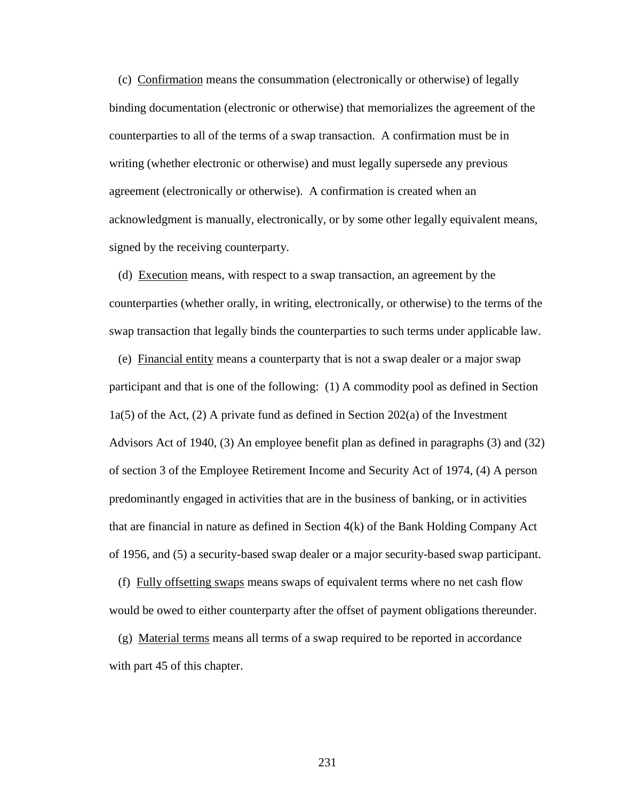(c) Confirmation means the consummation (electronically or otherwise) of legally binding documentation (electronic or otherwise) that memorializes the agreement of the counterparties to all of the terms of a swap transaction. A confirmation must be in writing (whether electronic or otherwise) and must legally supersede any previous agreement (electronically or otherwise). A confirmation is created when an acknowledgment is manually, electronically, or by some other legally equivalent means, signed by the receiving counterparty.

 (d) Execution means, with respect to a swap transaction, an agreement by the counterparties (whether orally, in writing, electronically, or otherwise) to the terms of the swap transaction that legally binds the counterparties to such terms under applicable law.

 (e) Financial entity means a counterparty that is not a swap dealer or a major swap participant and that is one of the following: (1) A commodity pool as defined in Section  $1a(5)$  of the Act, (2) A private fund as defined in Section 202(a) of the Investment Advisors Act of 1940, (3) An employee benefit plan as defined in paragraphs (3) and (32) of section 3 of the Employee Retirement Income and Security Act of 1974, (4) A person predominantly engaged in activities that are in the business of banking, or in activities that are financial in nature as defined in Section 4(k) of the Bank Holding Company Act of 1956, and (5) a security-based swap dealer or a major security-based swap participant.

 (f) Fully offsetting swaps means swaps of equivalent terms where no net cash flow would be owed to either counterparty after the offset of payment obligations thereunder.

 (g) Material terms means all terms of a swap required to be reported in accordance with part 45 of this chapter.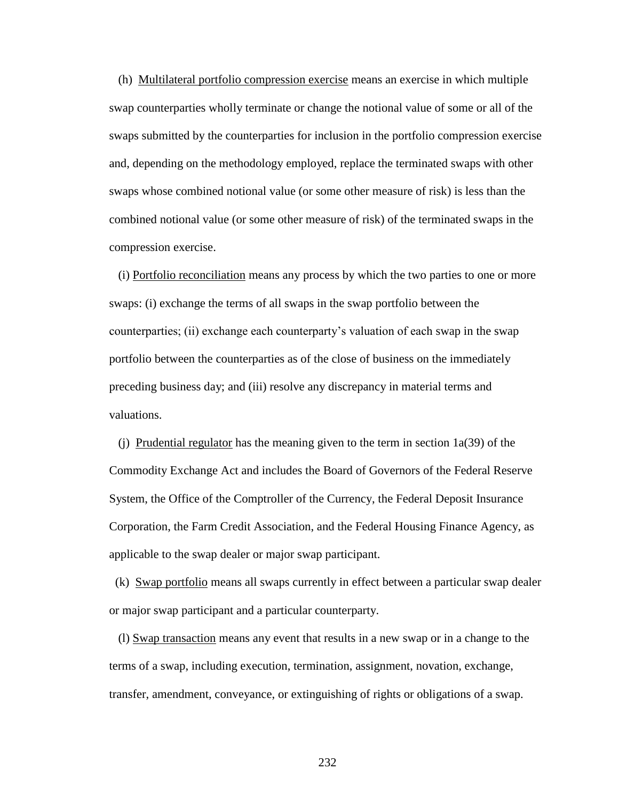(h) Multilateral portfolio compression exercise means an exercise in which multiple swap counterparties wholly terminate or change the notional value of some or all of the swaps submitted by the counterparties for inclusion in the portfolio compression exercise and, depending on the methodology employed, replace the terminated swaps with other swaps whose combined notional value (or some other measure of risk) is less than the combined notional value (or some other measure of risk) of the terminated swaps in the compression exercise.

 (i) Portfolio reconciliation means any process by which the two parties to one or more swaps: (i) exchange the terms of all swaps in the swap portfolio between the counterparties; (ii) exchange each counterparty's valuation of each swap in the swap portfolio between the counterparties as of the close of business on the immediately preceding business day; and (iii) resolve any discrepancy in material terms and valuations.

(i) Prudential regulator has the meaning given to the term in section  $1a(39)$  of the Commodity Exchange Act and includes the Board of Governors of the Federal Reserve System, the Office of the Comptroller of the Currency, the Federal Deposit Insurance Corporation, the Farm Credit Association, and the Federal Housing Finance Agency, as applicable to the swap dealer or major swap participant.

 (k) Swap portfolio means all swaps currently in effect between a particular swap dealer or major swap participant and a particular counterparty.

 (l) Swap transaction means any event that results in a new swap or in a change to the terms of a swap, including execution, termination, assignment, novation, exchange, transfer, amendment, conveyance, or extinguishing of rights or obligations of a swap.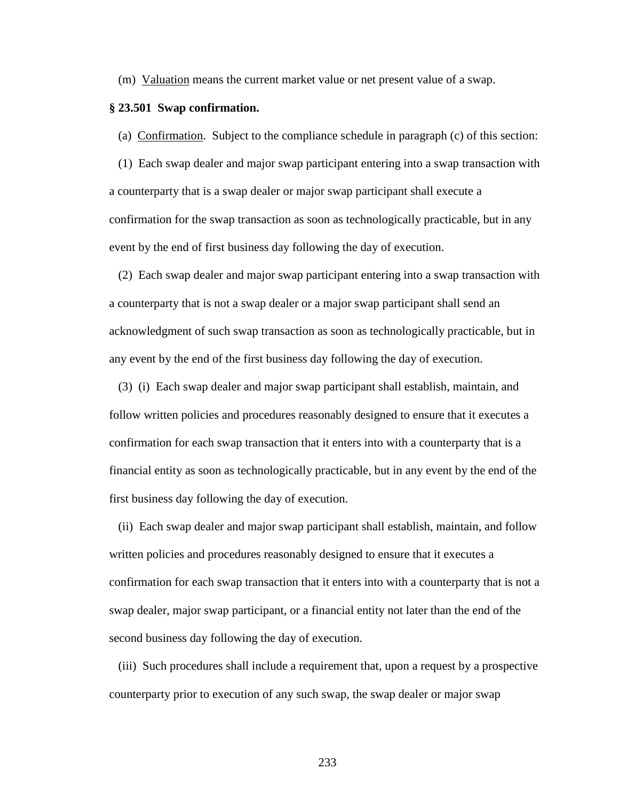(m) Valuation means the current market value or net present value of a swap.

#### **§ 23.501 Swap confirmation.**

(a) Confirmation. Subject to the compliance schedule in paragraph (c) of this section:

 (1) Each swap dealer and major swap participant entering into a swap transaction with a counterparty that is a swap dealer or major swap participant shall execute a confirmation for the swap transaction as soon as technologically practicable, but in any event by the end of first business day following the day of execution.

 (2) Each swap dealer and major swap participant entering into a swap transaction with a counterparty that is not a swap dealer or a major swap participant shall send an acknowledgment of such swap transaction as soon as technologically practicable, but in any event by the end of the first business day following the day of execution.

 (3) (i) Each swap dealer and major swap participant shall establish, maintain, and follow written policies and procedures reasonably designed to ensure that it executes a confirmation for each swap transaction that it enters into with a counterparty that is a financial entity as soon as technologically practicable, but in any event by the end of the first business day following the day of execution.

 (ii) Each swap dealer and major swap participant shall establish, maintain, and follow written policies and procedures reasonably designed to ensure that it executes a confirmation for each swap transaction that it enters into with a counterparty that is not a swap dealer, major swap participant, or a financial entity not later than the end of the second business day following the day of execution.

 (iii) Such procedures shall include a requirement that, upon a request by a prospective counterparty prior to execution of any such swap, the swap dealer or major swap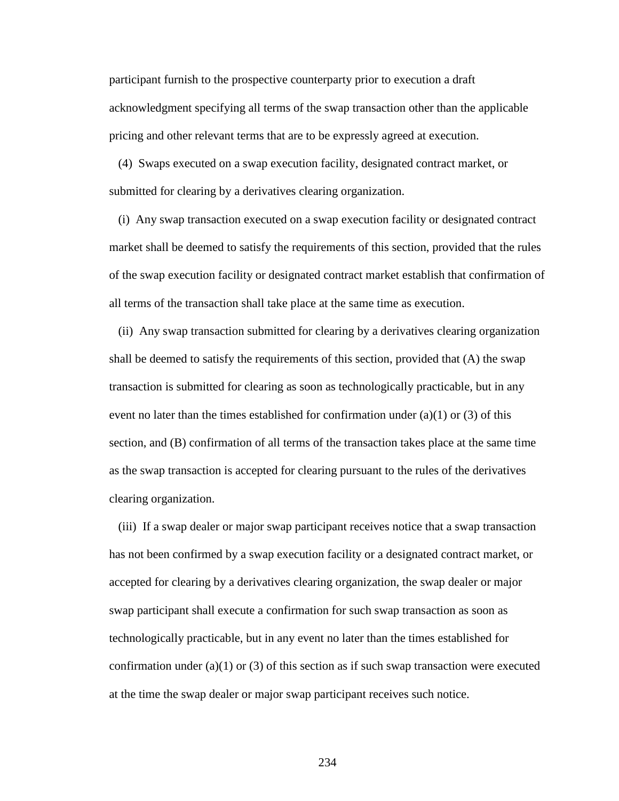participant furnish to the prospective counterparty prior to execution a draft acknowledgment specifying all terms of the swap transaction other than the applicable pricing and other relevant terms that are to be expressly agreed at execution.

 (4) Swaps executed on a swap execution facility, designated contract market, or submitted for clearing by a derivatives clearing organization.

 (i) Any swap transaction executed on a swap execution facility or designated contract market shall be deemed to satisfy the requirements of this section, provided that the rules of the swap execution facility or designated contract market establish that confirmation of all terms of the transaction shall take place at the same time as execution.

 (ii) Any swap transaction submitted for clearing by a derivatives clearing organization shall be deemed to satisfy the requirements of this section, provided that (A) the swap transaction is submitted for clearing as soon as technologically practicable, but in any event no later than the times established for confirmation under (a)(1) or (3) of this section, and (B) confirmation of all terms of the transaction takes place at the same time as the swap transaction is accepted for clearing pursuant to the rules of the derivatives clearing organization.

 (iii) If a swap dealer or major swap participant receives notice that a swap transaction has not been confirmed by a swap execution facility or a designated contract market, or accepted for clearing by a derivatives clearing organization, the swap dealer or major swap participant shall execute a confirmation for such swap transaction as soon as technologically practicable, but in any event no later than the times established for confirmation under (a)(1) or (3) of this section as if such swap transaction were executed at the time the swap dealer or major swap participant receives such notice.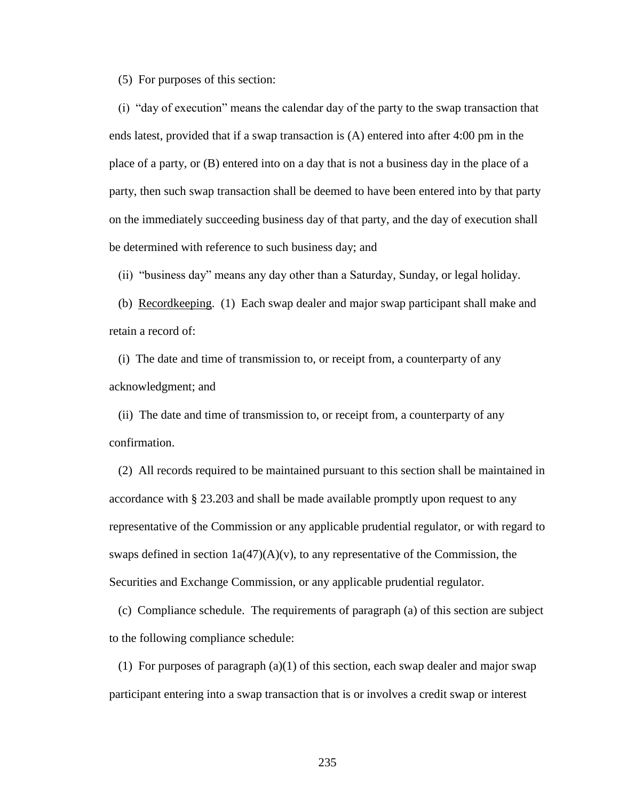(5) For purposes of this section:

 (i) "day of execution" means the calendar day of the party to the swap transaction that ends latest, provided that if a swap transaction is (A) entered into after 4:00 pm in the place of a party, or (B) entered into on a day that is not a business day in the place of a party, then such swap transaction shall be deemed to have been entered into by that party on the immediately succeeding business day of that party, and the day of execution shall be determined with reference to such business day; and

(ii) "business day" means any day other than a Saturday, Sunday, or legal holiday.

 (b) Recordkeeping. (1) Each swap dealer and major swap participant shall make and retain a record of:

 (i) The date and time of transmission to, or receipt from, a counterparty of any acknowledgment; and

 (ii) The date and time of transmission to, or receipt from, a counterparty of any confirmation.

 (2) All records required to be maintained pursuant to this section shall be maintained in accordance with § 23.203 and shall be made available promptly upon request to any representative of the Commission or any applicable prudential regulator, or with regard to swaps defined in section  $1a(47)(A)(v)$ , to any representative of the Commission, the Securities and Exchange Commission, or any applicable prudential regulator.

 (c) Compliance schedule. The requirements of paragraph (a) of this section are subject to the following compliance schedule:

(1) For purposes of paragraph  $(a)(1)$  of this section, each swap dealer and major swap participant entering into a swap transaction that is or involves a credit swap or interest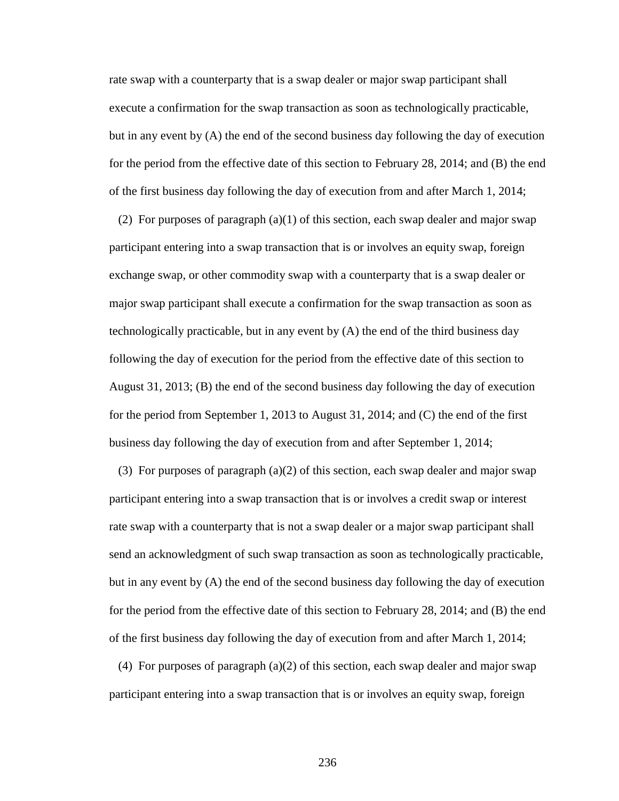rate swap with a counterparty that is a swap dealer or major swap participant shall execute a confirmation for the swap transaction as soon as technologically practicable, but in any event by (A) the end of the second business day following the day of execution for the period from the effective date of this section to February 28, 2014; and (B) the end of the first business day following the day of execution from and after March 1, 2014;

(2) For purposes of paragraph  $(a)(1)$  of this section, each swap dealer and major swap participant entering into a swap transaction that is or involves an equity swap, foreign exchange swap, or other commodity swap with a counterparty that is a swap dealer or major swap participant shall execute a confirmation for the swap transaction as soon as technologically practicable, but in any event by (A) the end of the third business day following the day of execution for the period from the effective date of this section to August 31, 2013; (B) the end of the second business day following the day of execution for the period from September 1, 2013 to August 31, 2014; and (C) the end of the first business day following the day of execution from and after September 1, 2014;

 (3) For purposes of paragraph (a)(2) of this section, each swap dealer and major swap participant entering into a swap transaction that is or involves a credit swap or interest rate swap with a counterparty that is not a swap dealer or a major swap participant shall send an acknowledgment of such swap transaction as soon as technologically practicable, but in any event by (A) the end of the second business day following the day of execution for the period from the effective date of this section to February 28, 2014; and (B) the end of the first business day following the day of execution from and after March 1, 2014;

(4) For purposes of paragraph  $(a)(2)$  of this section, each swap dealer and major swap participant entering into a swap transaction that is or involves an equity swap, foreign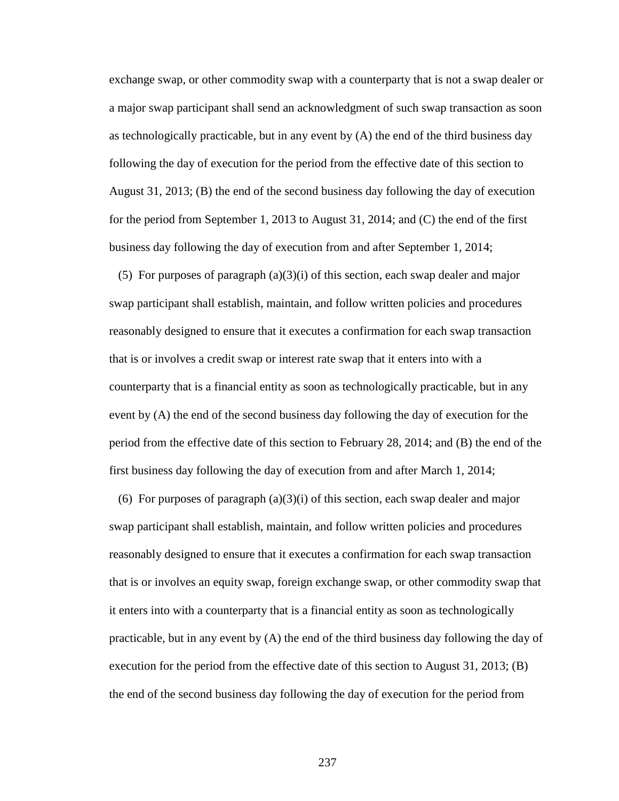exchange swap, or other commodity swap with a counterparty that is not a swap dealer or a major swap participant shall send an acknowledgment of such swap transaction as soon as technologically practicable, but in any event by  $(A)$  the end of the third business day following the day of execution for the period from the effective date of this section to August 31, 2013; (B) the end of the second business day following the day of execution for the period from September 1, 2013 to August 31, 2014; and (C) the end of the first business day following the day of execution from and after September 1, 2014;

(5) For purposes of paragraph  $(a)(3)(i)$  of this section, each swap dealer and major swap participant shall establish, maintain, and follow written policies and procedures reasonably designed to ensure that it executes a confirmation for each swap transaction that is or involves a credit swap or interest rate swap that it enters into with a counterparty that is a financial entity as soon as technologically practicable, but in any event by (A) the end of the second business day following the day of execution for the period from the effective date of this section to February 28, 2014; and (B) the end of the first business day following the day of execution from and after March 1, 2014;

(6) For purposes of paragraph  $(a)(3)(i)$  of this section, each swap dealer and major swap participant shall establish, maintain, and follow written policies and procedures reasonably designed to ensure that it executes a confirmation for each swap transaction that is or involves an equity swap, foreign exchange swap, or other commodity swap that it enters into with a counterparty that is a financial entity as soon as technologically practicable, but in any event by (A) the end of the third business day following the day of execution for the period from the effective date of this section to August 31, 2013; (B) the end of the second business day following the day of execution for the period from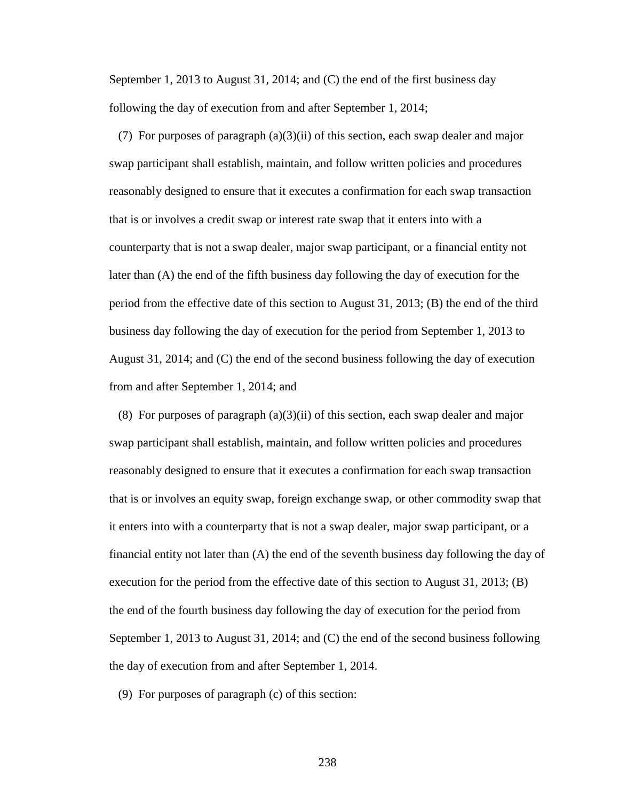September 1, 2013 to August 31, 2014; and (C) the end of the first business day following the day of execution from and after September 1, 2014;

(7) For purposes of paragraph  $(a)(3)(ii)$  of this section, each swap dealer and major swap participant shall establish, maintain, and follow written policies and procedures reasonably designed to ensure that it executes a confirmation for each swap transaction that is or involves a credit swap or interest rate swap that it enters into with a counterparty that is not a swap dealer, major swap participant, or a financial entity not later than (A) the end of the fifth business day following the day of execution for the period from the effective date of this section to August 31, 2013; (B) the end of the third business day following the day of execution for the period from September 1, 2013 to August 31, 2014; and (C) the end of the second business following the day of execution from and after September 1, 2014; and

(8) For purposes of paragraph  $(a)(3)(ii)$  of this section, each swap dealer and major swap participant shall establish, maintain, and follow written policies and procedures reasonably designed to ensure that it executes a confirmation for each swap transaction that is or involves an equity swap, foreign exchange swap, or other commodity swap that it enters into with a counterparty that is not a swap dealer, major swap participant, or a financial entity not later than (A) the end of the seventh business day following the day of execution for the period from the effective date of this section to August 31, 2013; (B) the end of the fourth business day following the day of execution for the period from September 1, 2013 to August 31, 2014; and (C) the end of the second business following the day of execution from and after September 1, 2014.

(9) For purposes of paragraph (c) of this section: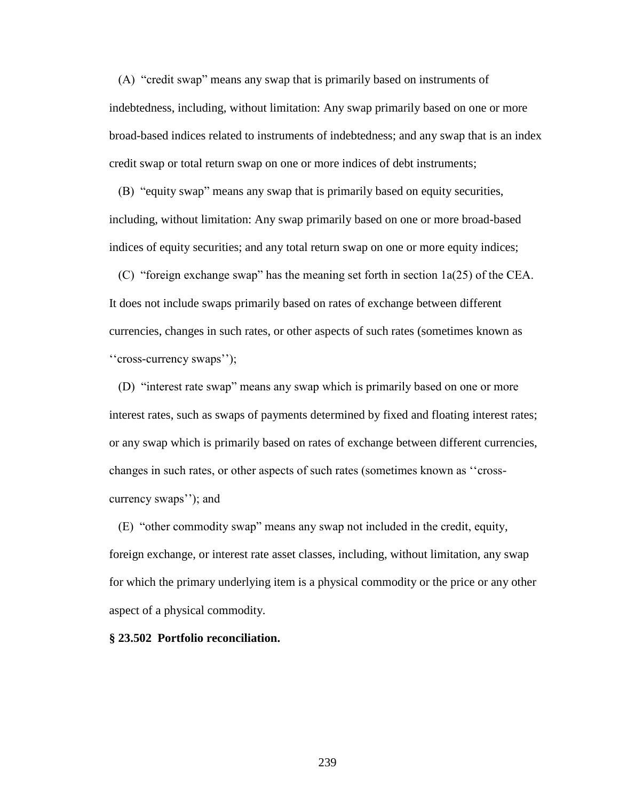(A) "credit swap" means any swap that is primarily based on instruments of indebtedness, including, without limitation: Any swap primarily based on one or more broad-based indices related to instruments of indebtedness; and any swap that is an index credit swap or total return swap on one or more indices of debt instruments;

 (B) "equity swap" means any swap that is primarily based on equity securities, including, without limitation: Any swap primarily based on one or more broad-based indices of equity securities; and any total return swap on one or more equity indices;

 (C) "foreign exchange swap" has the meaning set forth in section 1a(25) of the CEA. It does not include swaps primarily based on rates of exchange between different currencies, changes in such rates, or other aspects of such rates (sometimes known as ''cross-currency swaps'');

 (D) "interest rate swap" means any swap which is primarily based on one or more interest rates, such as swaps of payments determined by fixed and floating interest rates; or any swap which is primarily based on rates of exchange between different currencies, changes in such rates, or other aspects of such rates (sometimes known as ''crosscurrency swaps''); and

 (E) "other commodity swap" means any swap not included in the credit, equity, foreign exchange, or interest rate asset classes, including, without limitation, any swap for which the primary underlying item is a physical commodity or the price or any other aspect of a physical commodity.

#### **§ 23.502 Portfolio reconciliation.**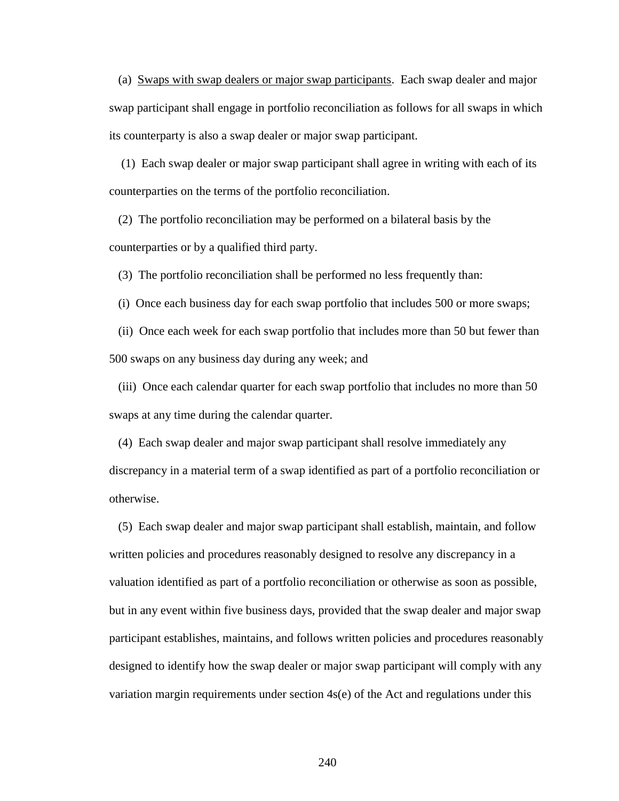(a) Swaps with swap dealers or major swap participants. Each swap dealer and major swap participant shall engage in portfolio reconciliation as follows for all swaps in which its counterparty is also a swap dealer or major swap participant.

 (1) Each swap dealer or major swap participant shall agree in writing with each of its counterparties on the terms of the portfolio reconciliation.

 (2) The portfolio reconciliation may be performed on a bilateral basis by the counterparties or by a qualified third party.

(3) The portfolio reconciliation shall be performed no less frequently than:

(i) Once each business day for each swap portfolio that includes 500 or more swaps;

 (ii) Once each week for each swap portfolio that includes more than 50 but fewer than 500 swaps on any business day during any week; and

 (iii) Once each calendar quarter for each swap portfolio that includes no more than 50 swaps at any time during the calendar quarter.

 (4) Each swap dealer and major swap participant shall resolve immediately any discrepancy in a material term of a swap identified as part of a portfolio reconciliation or otherwise.

 (5) Each swap dealer and major swap participant shall establish, maintain, and follow written policies and procedures reasonably designed to resolve any discrepancy in a valuation identified as part of a portfolio reconciliation or otherwise as soon as possible, but in any event within five business days, provided that the swap dealer and major swap participant establishes, maintains, and follows written policies and procedures reasonably designed to identify how the swap dealer or major swap participant will comply with any variation margin requirements under section 4s(e) of the Act and regulations under this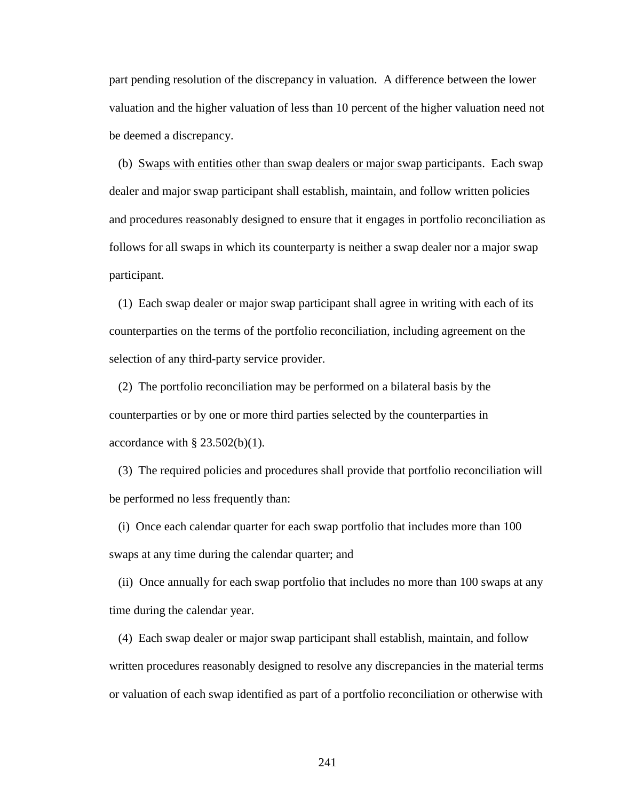part pending resolution of the discrepancy in valuation. A difference between the lower valuation and the higher valuation of less than 10 percent of the higher valuation need not be deemed a discrepancy.

 (b) Swaps with entities other than swap dealers or major swap participants. Each swap dealer and major swap participant shall establish, maintain, and follow written policies and procedures reasonably designed to ensure that it engages in portfolio reconciliation as follows for all swaps in which its counterparty is neither a swap dealer nor a major swap participant.

 (1) Each swap dealer or major swap participant shall agree in writing with each of its counterparties on the terms of the portfolio reconciliation, including agreement on the selection of any third-party service provider.

 (2) The portfolio reconciliation may be performed on a bilateral basis by the counterparties or by one or more third parties selected by the counterparties in accordance with  $\S$  23.502(b)(1).

 (3) The required policies and procedures shall provide that portfolio reconciliation will be performed no less frequently than:

 (i) Once each calendar quarter for each swap portfolio that includes more than 100 swaps at any time during the calendar quarter; and

 (ii) Once annually for each swap portfolio that includes no more than 100 swaps at any time during the calendar year.

 (4) Each swap dealer or major swap participant shall establish, maintain, and follow written procedures reasonably designed to resolve any discrepancies in the material terms or valuation of each swap identified as part of a portfolio reconciliation or otherwise with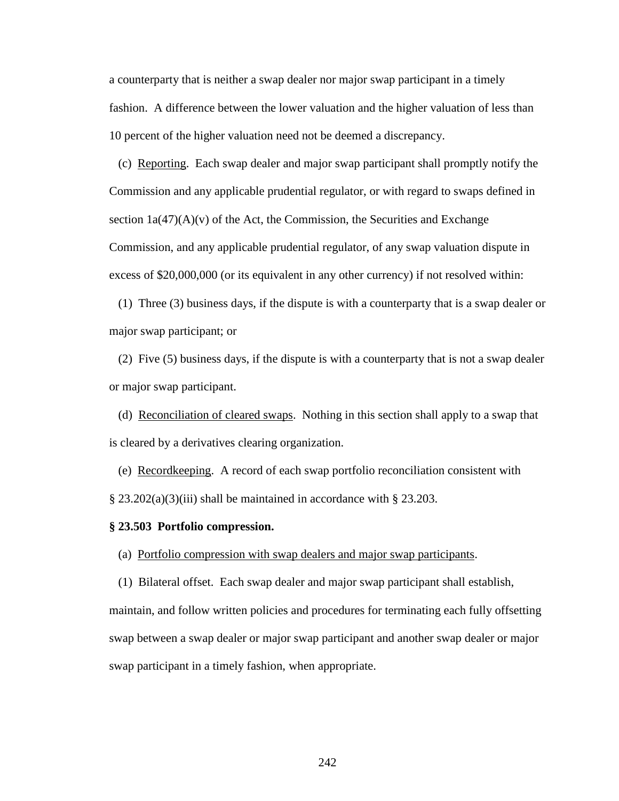a counterparty that is neither a swap dealer nor major swap participant in a timely fashion. A difference between the lower valuation and the higher valuation of less than 10 percent of the higher valuation need not be deemed a discrepancy.

 (c) Reporting. Each swap dealer and major swap participant shall promptly notify the Commission and any applicable prudential regulator, or with regard to swaps defined in section  $1a(47)(A)(v)$  of the Act, the Commission, the Securities and Exchange Commission, and any applicable prudential regulator, of any swap valuation dispute in excess of \$20,000,000 (or its equivalent in any other currency) if not resolved within:

 (1) Three (3) business days, if the dispute is with a counterparty that is a swap dealer or major swap participant; or

 (2) Five (5) business days, if the dispute is with a counterparty that is not a swap dealer or major swap participant.

 (d) Reconciliation of cleared swaps. Nothing in this section shall apply to a swap that is cleared by a derivatives clearing organization.

 (e) Recordkeeping. A record of each swap portfolio reconciliation consistent with  $\S 23.202(a)(3)(iii)$  shall be maintained in accordance with  $\S 23.203$ .

## **§ 23.503 Portfolio compression.**

(a) Portfolio compression with swap dealers and major swap participants.

 (1) Bilateral offset. Each swap dealer and major swap participant shall establish, maintain, and follow written policies and procedures for terminating each fully offsetting swap between a swap dealer or major swap participant and another swap dealer or major swap participant in a timely fashion, when appropriate.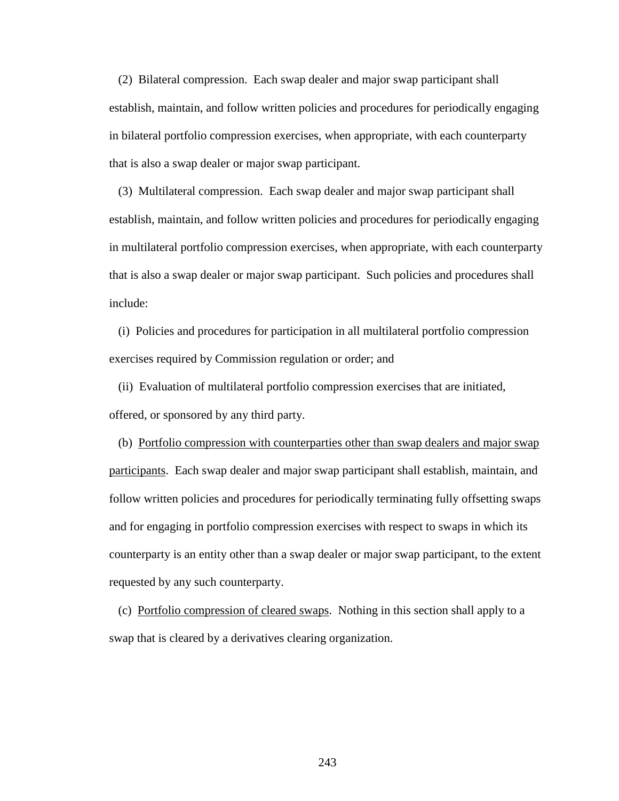(2) Bilateral compression. Each swap dealer and major swap participant shall establish, maintain, and follow written policies and procedures for periodically engaging in bilateral portfolio compression exercises, when appropriate, with each counterparty that is also a swap dealer or major swap participant.

 (3) Multilateral compression. Each swap dealer and major swap participant shall establish, maintain, and follow written policies and procedures for periodically engaging in multilateral portfolio compression exercises, when appropriate, with each counterparty that is also a swap dealer or major swap participant. Such policies and procedures shall include:

 (i) Policies and procedures for participation in all multilateral portfolio compression exercises required by Commission regulation or order; and

 (ii) Evaluation of multilateral portfolio compression exercises that are initiated, offered, or sponsored by any third party.

 (b) Portfolio compression with counterparties other than swap dealers and major swap participants. Each swap dealer and major swap participant shall establish, maintain, and follow written policies and procedures for periodically terminating fully offsetting swaps and for engaging in portfolio compression exercises with respect to swaps in which its counterparty is an entity other than a swap dealer or major swap participant, to the extent requested by any such counterparty.

 (c) Portfolio compression of cleared swaps. Nothing in this section shall apply to a swap that is cleared by a derivatives clearing organization.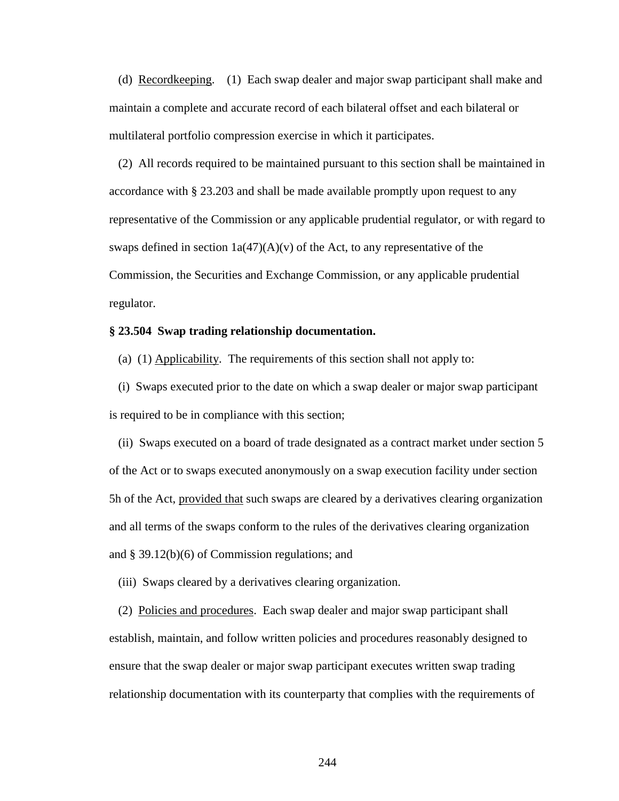(d) Recordkeeping. (1) Each swap dealer and major swap participant shall make and maintain a complete and accurate record of each bilateral offset and each bilateral or multilateral portfolio compression exercise in which it participates.

 (2) All records required to be maintained pursuant to this section shall be maintained in accordance with § 23.203 and shall be made available promptly upon request to any representative of the Commission or any applicable prudential regulator, or with regard to swaps defined in section  $1a(47)(A)(v)$  of the Act, to any representative of the Commission, the Securities and Exchange Commission, or any applicable prudential regulator.

# **§ 23.504 Swap trading relationship documentation.**

(a) (1) Applicability. The requirements of this section shall not apply to:

 (i) Swaps executed prior to the date on which a swap dealer or major swap participant is required to be in compliance with this section;

 (ii) Swaps executed on a board of trade designated as a contract market under section 5 of the Act or to swaps executed anonymously on a swap execution facility under section 5h of the Act, provided that such swaps are cleared by a derivatives clearing organization and all terms of the swaps conform to the rules of the derivatives clearing organization and § 39.12(b)(6) of Commission regulations; and

(iii) Swaps cleared by a derivatives clearing organization.

 (2) Policies and procedures. Each swap dealer and major swap participant shall establish, maintain, and follow written policies and procedures reasonably designed to ensure that the swap dealer or major swap participant executes written swap trading relationship documentation with its counterparty that complies with the requirements of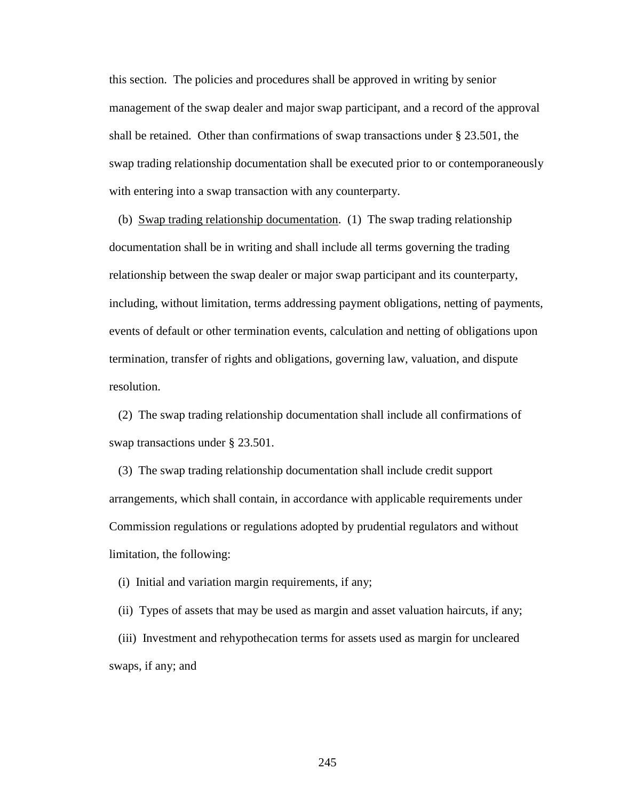this section. The policies and procedures shall be approved in writing by senior management of the swap dealer and major swap participant, and a record of the approval shall be retained. Other than confirmations of swap transactions under § 23.501, the swap trading relationship documentation shall be executed prior to or contemporaneously with entering into a swap transaction with any counterparty.

 (b) Swap trading relationship documentation. (1) The swap trading relationship documentation shall be in writing and shall include all terms governing the trading relationship between the swap dealer or major swap participant and its counterparty, including, without limitation, terms addressing payment obligations, netting of payments, events of default or other termination events, calculation and netting of obligations upon termination, transfer of rights and obligations, governing law, valuation, and dispute resolution.

 (2) The swap trading relationship documentation shall include all confirmations of swap transactions under § 23.501.

 (3) The swap trading relationship documentation shall include credit support arrangements, which shall contain, in accordance with applicable requirements under Commission regulations or regulations adopted by prudential regulators and without limitation, the following:

(i) Initial and variation margin requirements, if any;

 (ii) Types of assets that may be used as margin and asset valuation haircuts, if any; (iii) Investment and rehypothecation terms for assets used as margin for uncleared swaps, if any; and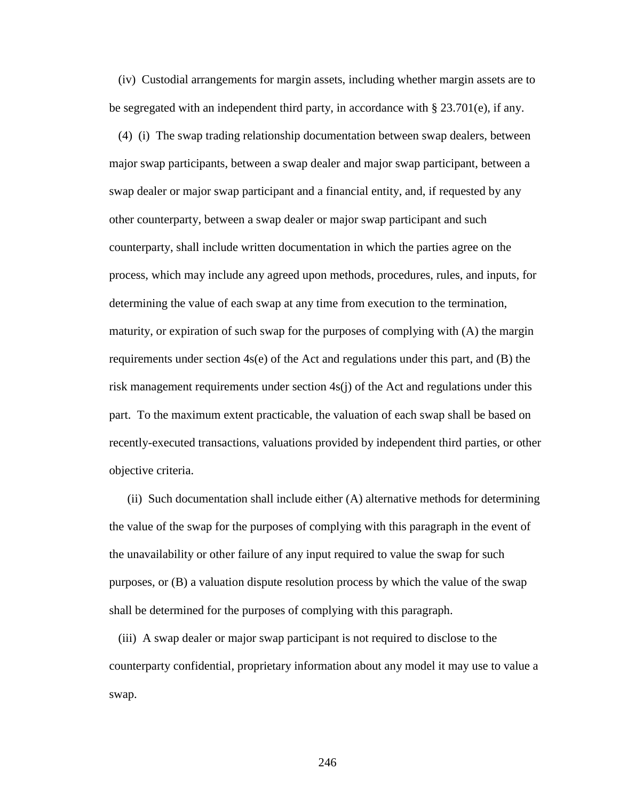(iv) Custodial arrangements for margin assets, including whether margin assets are to be segregated with an independent third party, in accordance with § 23.701(e), if any.

 (4) (i) The swap trading relationship documentation between swap dealers, between major swap participants, between a swap dealer and major swap participant, between a swap dealer or major swap participant and a financial entity, and, if requested by any other counterparty, between a swap dealer or major swap participant and such counterparty, shall include written documentation in which the parties agree on the process, which may include any agreed upon methods, procedures, rules, and inputs, for determining the value of each swap at any time from execution to the termination, maturity, or expiration of such swap for the purposes of complying with (A) the margin requirements under section  $4s(e)$  of the Act and regulations under this part, and (B) the risk management requirements under section 4s(j) of the Act and regulations under this part. To the maximum extent practicable, the valuation of each swap shall be based on recently-executed transactions, valuations provided by independent third parties, or other objective criteria.

 (ii) Such documentation shall include either (A) alternative methods for determining the value of the swap for the purposes of complying with this paragraph in the event of the unavailability or other failure of any input required to value the swap for such purposes, or (B) a valuation dispute resolution process by which the value of the swap shall be determined for the purposes of complying with this paragraph.

 (iii) A swap dealer or major swap participant is not required to disclose to the counterparty confidential, proprietary information about any model it may use to value a swap.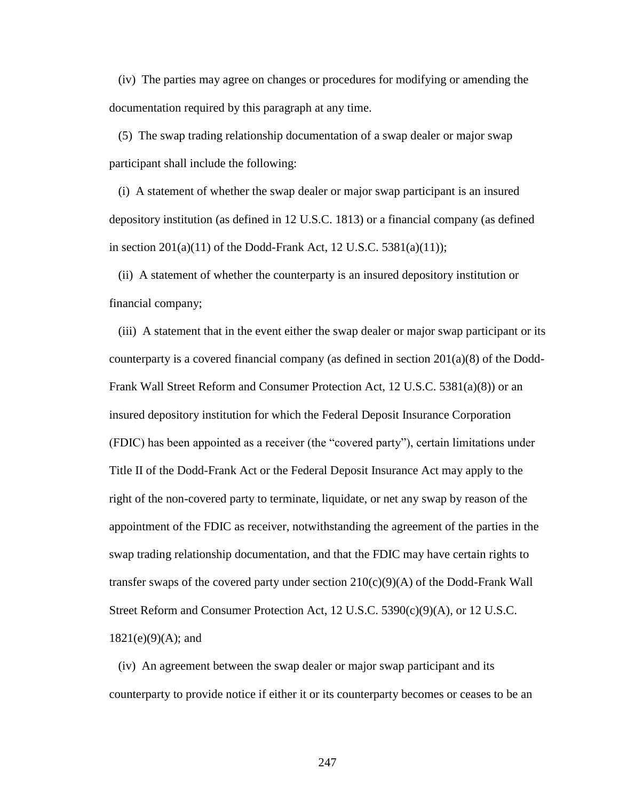(iv) The parties may agree on changes or procedures for modifying or amending the documentation required by this paragraph at any time.

 (5) The swap trading relationship documentation of a swap dealer or major swap participant shall include the following:

 (i) A statement of whether the swap dealer or major swap participant is an insured depository institution (as defined in 12 U.S.C. 1813) or a financial company (as defined in section  $201(a)(11)$  of the Dodd-Frank Act, 12 U.S.C. 5381(a)(11));

 (ii) A statement of whether the counterparty is an insured depository institution or financial company;

 (iii) A statement that in the event either the swap dealer or major swap participant or its counterparty is a covered financial company (as defined in section 201(a)(8) of the Dodd-Frank Wall Street Reform and Consumer Protection Act, 12 U.S.C. 5381(a)(8)) or an insured depository institution for which the Federal Deposit Insurance Corporation (FDIC) has been appointed as a receiver (the "covered party"), certain limitations under Title II of the Dodd-Frank Act or the Federal Deposit Insurance Act may apply to the right of the non-covered party to terminate, liquidate, or net any swap by reason of the appointment of the FDIC as receiver, notwithstanding the agreement of the parties in the swap trading relationship documentation, and that the FDIC may have certain rights to transfer swaps of the covered party under section  $210(c)(9)(A)$  of the Dodd-Frank Wall Street Reform and Consumer Protection Act, 12 U.S.C. 5390(c)(9)(A), or 12 U.S.C.  $1821(e)(9)(A)$ ; and

 (iv) An agreement between the swap dealer or major swap participant and its counterparty to provide notice if either it or its counterparty becomes or ceases to be an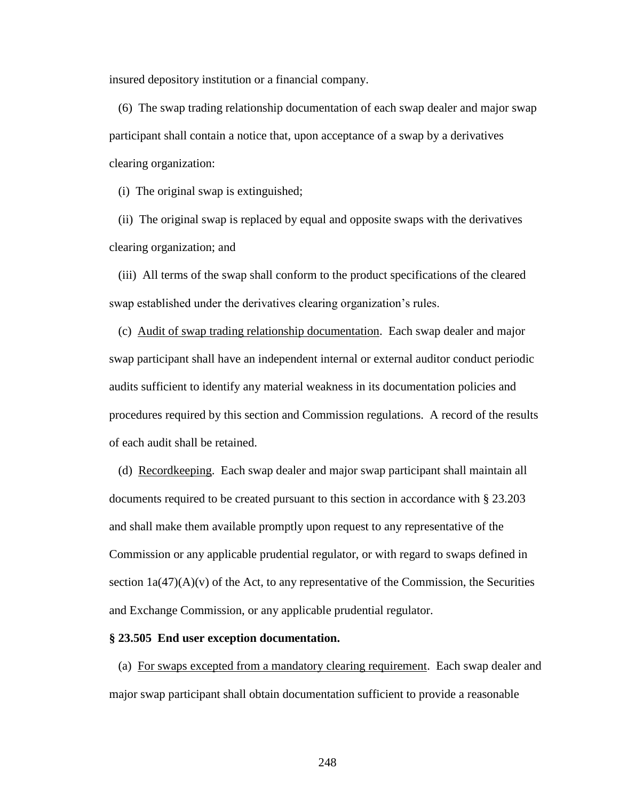insured depository institution or a financial company.

 (6) The swap trading relationship documentation of each swap dealer and major swap participant shall contain a notice that, upon acceptance of a swap by a derivatives clearing organization:

(i) The original swap is extinguished;

 (ii) The original swap is replaced by equal and opposite swaps with the derivatives clearing organization; and

 (iii) All terms of the swap shall conform to the product specifications of the cleared swap established under the derivatives clearing organization's rules.

 (c) Audit of swap trading relationship documentation. Each swap dealer and major swap participant shall have an independent internal or external auditor conduct periodic audits sufficient to identify any material weakness in its documentation policies and procedures required by this section and Commission regulations. A record of the results of each audit shall be retained.

 (d) Recordkeeping. Each swap dealer and major swap participant shall maintain all documents required to be created pursuant to this section in accordance with § 23.203 and shall make them available promptly upon request to any representative of the Commission or any applicable prudential regulator, or with regard to swaps defined in section  $1a(47)(A)(v)$  of the Act, to any representative of the Commission, the Securities and Exchange Commission, or any applicable prudential regulator.

#### **§ 23.505 End user exception documentation.**

 (a) For swaps excepted from a mandatory clearing requirement. Each swap dealer and major swap participant shall obtain documentation sufficient to provide a reasonable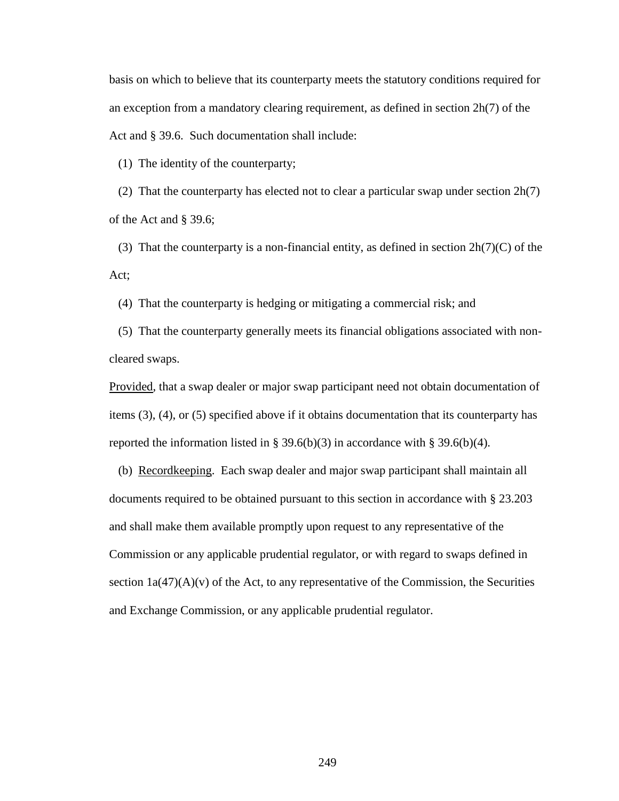basis on which to believe that its counterparty meets the statutory conditions required for an exception from a mandatory clearing requirement, as defined in section 2h(7) of the Act and § 39.6. Such documentation shall include:

(1) The identity of the counterparty;

 (2) That the counterparty has elected not to clear a particular swap under section 2h(7) of the Act and § 39.6;

(3) That the counterparty is a non-financial entity, as defined in section  $2h(7)(C)$  of the Act;

(4) That the counterparty is hedging or mitigating a commercial risk; and

 (5) That the counterparty generally meets its financial obligations associated with noncleared swaps.

Provided, that a swap dealer or major swap participant need not obtain documentation of items (3), (4), or (5) specified above if it obtains documentation that its counterparty has reported the information listed in § 39.6(b)(3) in accordance with § 39.6(b)(4).

 (b) Recordkeeping. Each swap dealer and major swap participant shall maintain all documents required to be obtained pursuant to this section in accordance with § 23.203 and shall make them available promptly upon request to any representative of the Commission or any applicable prudential regulator, or with regard to swaps defined in section  $1a(47)(A)(v)$  of the Act, to any representative of the Commission, the Securities and Exchange Commission, or any applicable prudential regulator.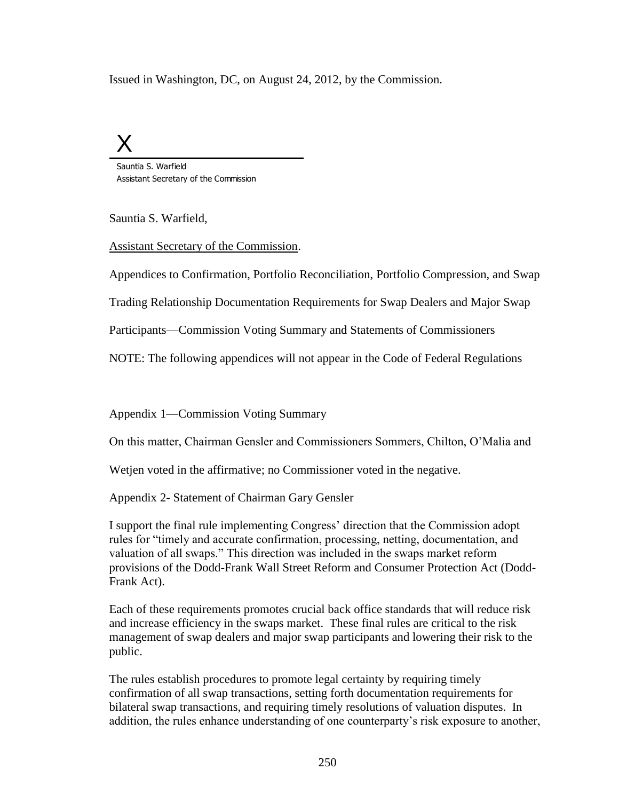Issued in Washington, DC, on August 24, 2012, by the Commission.

# X

Sauntia S. Warfield Assistant Secretary of the Commission

Sauntia S. Warfield,

Assistant Secretary of the Commission.

Appendices to Confirmation, Portfolio Reconciliation, Portfolio Compression, and Swap

Trading Relationship Documentation Requirements for Swap Dealers and Major Swap

Participants—Commission Voting Summary and Statements of Commissioners

NOTE: The following appendices will not appear in the Code of Federal Regulations

Appendix 1—Commission Voting Summary

On this matter, Chairman Gensler and Commissioners Sommers, Chilton, O'Malia and

Wetjen voted in the affirmative; no Commissioner voted in the negative.

Appendix 2- Statement of Chairman Gary Gensler

I support the final rule implementing Congress' direction that the Commission adopt rules for "timely and accurate confirmation, processing, netting, documentation, and valuation of all swaps." This direction was included in the swaps market reform provisions of the Dodd-Frank Wall Street Reform and Consumer Protection Act (Dodd-Frank Act).

Each of these requirements promotes crucial back office standards that will reduce risk and increase efficiency in the swaps market. These final rules are critical to the risk management of swap dealers and major swap participants and lowering their risk to the public.

The rules establish procedures to promote legal certainty by requiring timely confirmation of all swap transactions, setting forth documentation requirements for bilateral swap transactions, and requiring timely resolutions of valuation disputes. In addition, the rules enhance understanding of one counterparty's risk exposure to another,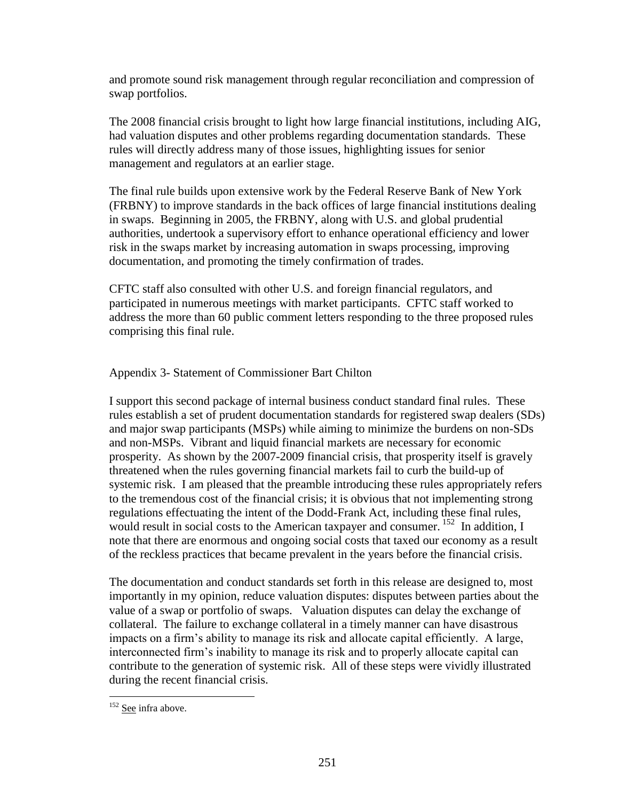and promote sound risk management through regular reconciliation and compression of swap portfolios.

The 2008 financial crisis brought to light how large financial institutions, including AIG, had valuation disputes and other problems regarding documentation standards. These rules will directly address many of those issues, highlighting issues for senior management and regulators at an earlier stage.

The final rule builds upon extensive work by the Federal Reserve Bank of New York (FRBNY) to improve standards in the back offices of large financial institutions dealing in swaps. Beginning in 2005, the FRBNY, along with U.S. and global prudential authorities, undertook a supervisory effort to enhance operational efficiency and lower risk in the swaps market by increasing automation in swaps processing, improving documentation, and promoting the timely confirmation of trades.

CFTC staff also consulted with other U.S. and foreign financial regulators, and participated in numerous meetings with market participants. CFTC staff worked to address the more than 60 public comment letters responding to the three proposed rules comprising this final rule.

Appendix 3- Statement of Commissioner Bart Chilton

I support this second package of internal business conduct standard final rules. These rules establish a set of prudent documentation standards for registered swap dealers (SDs) and major swap participants (MSPs) while aiming to minimize the burdens on non-SDs and non-MSPs. Vibrant and liquid financial markets are necessary for economic prosperity. As shown by the 2007-2009 financial crisis, that prosperity itself is gravely threatened when the rules governing financial markets fail to curb the build-up of systemic risk. I am pleased that the preamble introducing these rules appropriately refers to the tremendous cost of the financial crisis; it is obvious that not implementing strong regulations effectuating the intent of the Dodd-Frank Act, including these final rules, would result in social costs to the American taxpayer and consumer. <sup>152</sup> In addition, I note that there are enormous and ongoing social costs that taxed our economy as a result of the reckless practices that became prevalent in the years before the financial crisis.

The documentation and conduct standards set forth in this release are designed to, most importantly in my opinion, reduce valuation disputes: disputes between parties about the value of a swap or portfolio of swaps. Valuation disputes can delay the exchange of collateral. The failure to exchange collateral in a timely manner can have disastrous impacts on a firm's ability to manage its risk and allocate capital efficiently. A large, interconnected firm's inability to manage its risk and to properly allocate capital can contribute to the generation of systemic risk. All of these steps were vividly illustrated during the recent financial crisis.

 $\overline{a}$ <sup>152</sup> See infra above.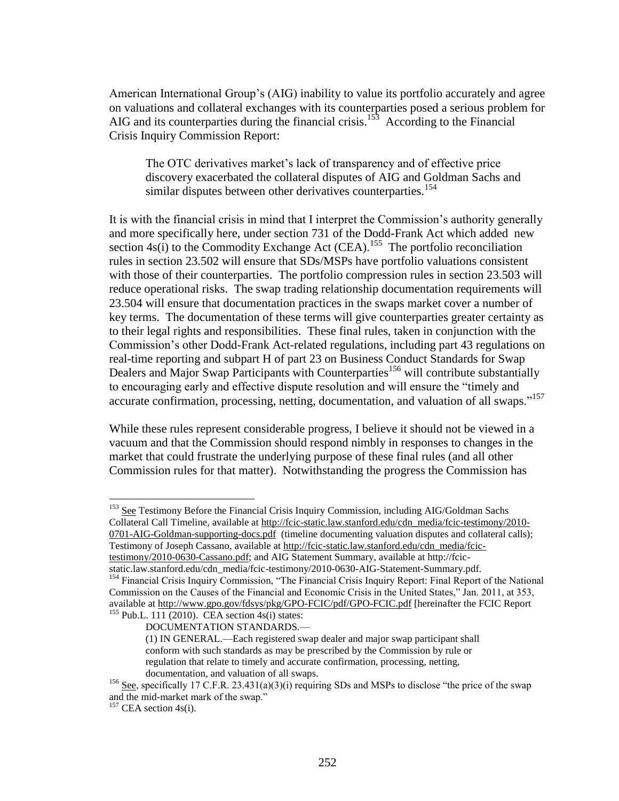American International Group's (AIG) inability to value its portfolio accurately and agree on valuations and collateral exchanges with its counterparties posed a serious problem for AIG and its counterparties during the financial crisis.<sup>153</sup> According to the Financial Crisis Inquiry Commission Report:

The OTC derivatives market's lack of transparency and of effective price discovery exacerbated the collateral disputes of AIG and Goldman Sachs and similar disputes between other derivatives counterparties.<sup>154</sup>

It is with the financial crisis in mind that I interpret the Commission's authority generally and more specifically here, under section 731 of the Dodd-Frank Act which added new section  $4s(i)$  to the Commodity Exchange Act (CEA).<sup>155</sup> The portfolio reconciliation rules in section 23.502 will ensure that SDs/MSPs have portfolio valuations consistent with those of their counterparties. The portfolio compression rules in section 23.503 will reduce operational risks. The swap trading relationship documentation requirements will 23.504 will ensure that documentation practices in the swaps market cover a number of key terms. The documentation of these terms will give counterparties greater certainty as to their legal rights and responsibilities. These final rules, taken in conjunction with the Commission's other Dodd-Frank Act-related regulations, including part 43 regulations on real-time reporting and subpart H of part 23 on Business Conduct Standards for Swap Dealers and Major Swap Participants with Counterparties<sup>156</sup> will contribute substantially to encouraging early and effective dispute resolution and will ensure the "timely and accurate confirmation, processing, netting, documentation, and valuation of all swaps."<sup>157</sup>

While these rules represent considerable progress, I believe it should not be viewed in a vacuum and that the Commission should respond nimbly in responses to changes in the market that could frustrate the underlying purpose of these final rules (and all other Commission rules for that matter). Notwithstanding the progress the Commission has

<sup>153</sup> See Testimony Before the Financial Crisis Inquiry Commission, including AIG/Goldman Sachs Collateral Call Timeline, available at http://fcic-static.law.stanford.edu/cdn\_media/fcic-testimony/2010- 0701-AIG-Goldman-supporting-docs.pdf (timeline documenting valuation disputes and collateral calls); Testimony of Joseph Cassano, available at http://fcic-static.law.stanford.edu/cdn\_media/fcic-

testimony/2010-0630-Cassano.pdf; and AIG Statement Summary, available at http://fcicstatic.law.stanford.edu/cdn\_media/fcic-testimony/2010-0630-AIG-Statement-Summary.pdf.

<sup>&</sup>lt;sup>154</sup> Financial Crisis Inquiry Commission, "The Financial Crisis Inquiry Report: Final Report of the National Commission on the Causes of the Financial and Economic Crisis in the United States," Jan. 2011, at 353, available at http://www.gpo.gov/fdsys/pkg/GPO-FCIC/pdf/GPO-FCIC.pdf [hereinafter the FCIC Report  $155$  Pub.L. 111 (2010). CEA section 4s(i) states:

DOCUMENTATION STANDARDS.—

<sup>(1)</sup> IN GENERAL.—Each registered swap dealer and major swap participant shall conform with such standards as may be prescribed by the Commission by rule or regulation that relate to timely and accurate confirmation, processing, netting, documentation, and valuation of all swaps.

<sup>&</sup>lt;sup>156</sup> See, specifically 17 C.F.R. 23.431(a)(3)(i) requiring SDs and MSPs to disclose "the price of the swap and the mid-market mark of the swap."

 $157$  CEA section 4s(i).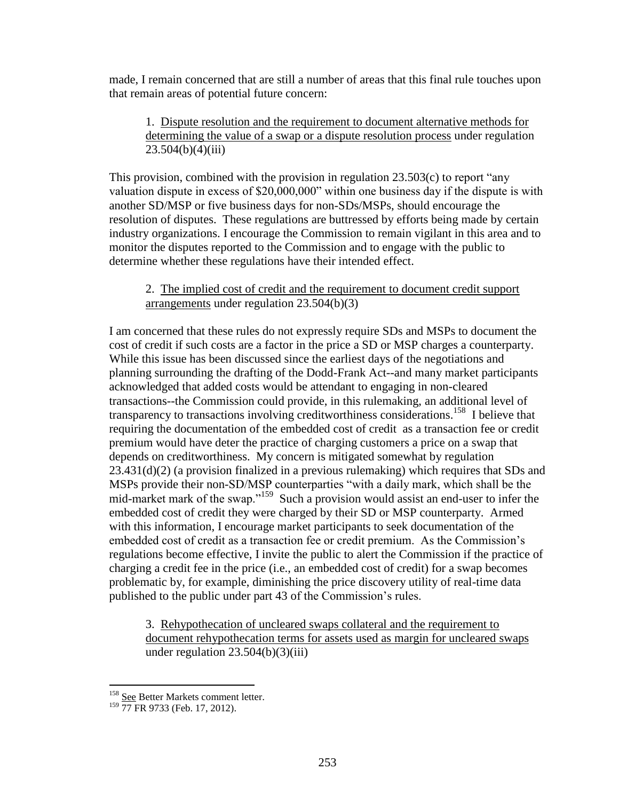made, I remain concerned that are still a number of areas that this final rule touches upon that remain areas of potential future concern:

1. Dispute resolution and the requirement to document alternative methods for determining the value of a swap or a dispute resolution process under regulation  $23.504(b)(4)(iii)$ 

This provision, combined with the provision in regulation 23.503(c) to report "any valuation dispute in excess of \$20,000,000" within one business day if the dispute is with another SD/MSP or five business days for non-SDs/MSPs, should encourage the resolution of disputes. These regulations are buttressed by efforts being made by certain industry organizations. I encourage the Commission to remain vigilant in this area and to monitor the disputes reported to the Commission and to engage with the public to determine whether these regulations have their intended effect.

## 2. The implied cost of credit and the requirement to document credit support arrangements under regulation 23.504(b)(3)

I am concerned that these rules do not expressly require SDs and MSPs to document the cost of credit if such costs are a factor in the price a SD or MSP charges a counterparty. While this issue has been discussed since the earliest days of the negotiations and planning surrounding the drafting of the Dodd-Frank Act--and many market participants acknowledged that added costs would be attendant to engaging in non-cleared transactions--the Commission could provide, in this rulemaking, an additional level of transparency to transactions involving creditworthiness considerations.<sup>158</sup> I believe that requiring the documentation of the embedded cost of credit as a transaction fee or credit premium would have deter the practice of charging customers a price on a swap that depends on creditworthiness. My concern is mitigated somewhat by regulation 23.431(d)(2) (a provision finalized in a previous rulemaking) which requires that SDs and MSPs provide their non-SD/MSP counterparties "with a daily mark, which shall be the mid-market mark of the swap."<sup>159</sup> Such a provision would assist an end-user to infer the embedded cost of credit they were charged by their SD or MSP counterparty. Armed with this information, I encourage market participants to seek documentation of the embedded cost of credit as a transaction fee or credit premium. As the Commission's regulations become effective, I invite the public to alert the Commission if the practice of charging a credit fee in the price (i.e., an embedded cost of credit) for a swap becomes problematic by, for example, diminishing the price discovery utility of real-time data published to the public under part 43 of the Commission's rules.

3. Rehypothecation of uncleared swaps collateral and the requirement to document rehypothecation terms for assets used as margin for uncleared swaps under regulation  $23.504(b)(3)(iii)$ 

 $\overline{a}$ 

<sup>&</sup>lt;sup>158</sup> See Better Markets comment letter.

<sup>&</sup>lt;sup>159</sup> 77 FR 9733 (Feb. 17, 2012).